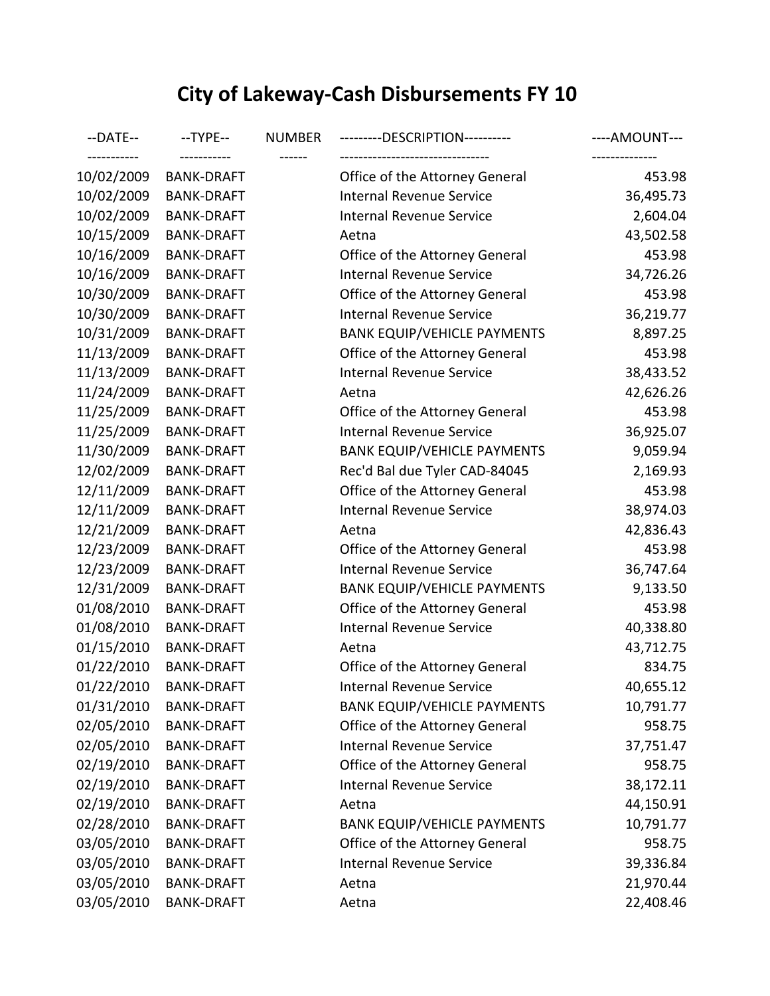## **City of Lakeway-Cash Disbursements FY 10**

| --DATE--<br>----------- | $-TYPE-$          | <b>NUMBER</b> | --------DESCRIPTION----------                                    | ----AMOUNT---            |
|-------------------------|-------------------|---------------|------------------------------------------------------------------|--------------------------|
| 10/02/2009              | <b>BANK-DRAFT</b> |               | ------------------------------<br>Office of the Attorney General | --------------<br>453.98 |
| 10/02/2009              | <b>BANK-DRAFT</b> |               | <b>Internal Revenue Service</b>                                  | 36,495.73                |
| 10/02/2009              | <b>BANK-DRAFT</b> |               | Internal Revenue Service                                         | 2,604.04                 |
| 10/15/2009              | <b>BANK-DRAFT</b> |               | Aetna                                                            | 43,502.58                |
| 10/16/2009              | <b>BANK-DRAFT</b> |               | Office of the Attorney General                                   | 453.98                   |
| 10/16/2009              | <b>BANK-DRAFT</b> |               | <b>Internal Revenue Service</b>                                  | 34,726.26                |
| 10/30/2009              | <b>BANK-DRAFT</b> |               | Office of the Attorney General                                   | 453.98                   |
| 10/30/2009              | <b>BANK-DRAFT</b> |               | Internal Revenue Service                                         | 36,219.77                |
| 10/31/2009              | <b>BANK-DRAFT</b> |               | <b>BANK EQUIP/VEHICLE PAYMENTS</b>                               | 8,897.25                 |
| 11/13/2009              | <b>BANK-DRAFT</b> |               | Office of the Attorney General                                   | 453.98                   |
| 11/13/2009              | <b>BANK-DRAFT</b> |               | <b>Internal Revenue Service</b>                                  | 38,433.52                |
| 11/24/2009              | <b>BANK-DRAFT</b> |               | Aetna                                                            | 42,626.26                |
| 11/25/2009              | <b>BANK-DRAFT</b> |               | Office of the Attorney General                                   | 453.98                   |
| 11/25/2009              | <b>BANK-DRAFT</b> |               | <b>Internal Revenue Service</b>                                  | 36,925.07                |
| 11/30/2009              | <b>BANK-DRAFT</b> |               | <b>BANK EQUIP/VEHICLE PAYMENTS</b>                               | 9,059.94                 |
| 12/02/2009              | <b>BANK-DRAFT</b> |               | Rec'd Bal due Tyler CAD-84045                                    | 2,169.93                 |
| 12/11/2009              | <b>BANK-DRAFT</b> |               | Office of the Attorney General                                   | 453.98                   |
| 12/11/2009              | <b>BANK-DRAFT</b> |               | <b>Internal Revenue Service</b>                                  | 38,974.03                |
| 12/21/2009              | <b>BANK-DRAFT</b> |               | Aetna                                                            | 42,836.43                |
| 12/23/2009              | <b>BANK-DRAFT</b> |               | Office of the Attorney General                                   | 453.98                   |
| 12/23/2009              | <b>BANK-DRAFT</b> |               | <b>Internal Revenue Service</b>                                  | 36,747.64                |
| 12/31/2009              | <b>BANK-DRAFT</b> |               | <b>BANK EQUIP/VEHICLE PAYMENTS</b>                               | 9,133.50                 |
| 01/08/2010              | <b>BANK-DRAFT</b> |               | Office of the Attorney General                                   | 453.98                   |
| 01/08/2010              | <b>BANK-DRAFT</b> |               | <b>Internal Revenue Service</b>                                  | 40,338.80                |
| 01/15/2010              | <b>BANK-DRAFT</b> |               | Aetna                                                            | 43,712.75                |
| 01/22/2010              | <b>BANK-DRAFT</b> |               | Office of the Attorney General                                   | 834.75                   |
| 01/22/2010              | <b>BANK-DRAFT</b> |               | Internal Revenue Service                                         | 40,655.12                |
| 01/31/2010              | <b>BANK-DRAFT</b> |               | <b>BANK EQUIP/VEHICLE PAYMENTS</b>                               | 10,791.77                |
| 02/05/2010              | <b>BANK-DRAFT</b> |               | Office of the Attorney General                                   | 958.75                   |
| 02/05/2010              | <b>BANK-DRAFT</b> |               | <b>Internal Revenue Service</b>                                  | 37,751.47                |
| 02/19/2010              | <b>BANK-DRAFT</b> |               | Office of the Attorney General                                   | 958.75                   |
| 02/19/2010              | <b>BANK-DRAFT</b> |               | Internal Revenue Service                                         | 38,172.11                |
| 02/19/2010              | <b>BANK-DRAFT</b> |               | Aetna                                                            | 44,150.91                |
| 02/28/2010              | <b>BANK-DRAFT</b> |               | <b>BANK EQUIP/VEHICLE PAYMENTS</b>                               | 10,791.77                |
| 03/05/2010              | <b>BANK-DRAFT</b> |               | Office of the Attorney General                                   | 958.75                   |
| 03/05/2010              | <b>BANK-DRAFT</b> |               | <b>Internal Revenue Service</b>                                  | 39,336.84                |
| 03/05/2010              | <b>BANK-DRAFT</b> |               | Aetna                                                            | 21,970.44                |
| 03/05/2010              | <b>BANK-DRAFT</b> |               | Aetna                                                            | 22,408.46                |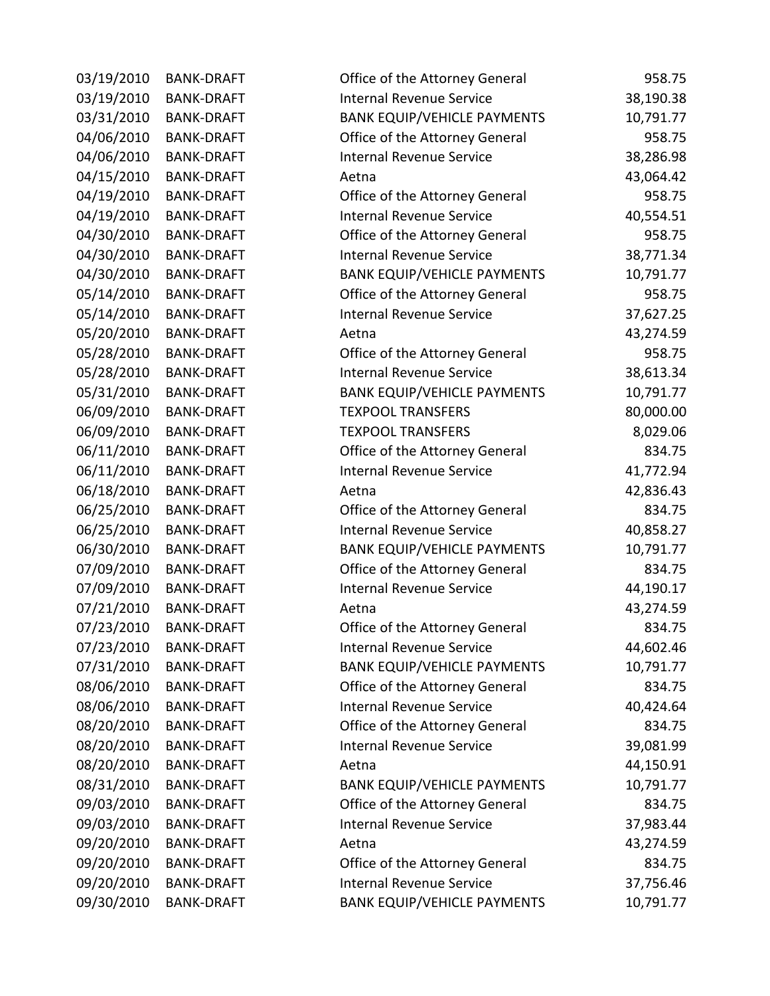| 03/19/2010 | <b>BANK-DRAFT</b> | Office of the Attorney General     | 958.75    |
|------------|-------------------|------------------------------------|-----------|
| 03/19/2010 | <b>BANK-DRAFT</b> | <b>Internal Revenue Service</b>    | 38,190.38 |
| 03/31/2010 | <b>BANK-DRAFT</b> | <b>BANK EQUIP/VEHICLE PAYMENTS</b> | 10,791.77 |
| 04/06/2010 | <b>BANK-DRAFT</b> | Office of the Attorney General     | 958.75    |
| 04/06/2010 | <b>BANK-DRAFT</b> | <b>Internal Revenue Service</b>    | 38,286.98 |
| 04/15/2010 | <b>BANK-DRAFT</b> | Aetna                              | 43,064.42 |
| 04/19/2010 | <b>BANK-DRAFT</b> | Office of the Attorney General     | 958.75    |
| 04/19/2010 | <b>BANK-DRAFT</b> | <b>Internal Revenue Service</b>    | 40,554.51 |
| 04/30/2010 | <b>BANK-DRAFT</b> | Office of the Attorney General     | 958.75    |
| 04/30/2010 | <b>BANK-DRAFT</b> | <b>Internal Revenue Service</b>    | 38,771.34 |
| 04/30/2010 | <b>BANK-DRAFT</b> | <b>BANK EQUIP/VEHICLE PAYMENTS</b> | 10,791.77 |
| 05/14/2010 | <b>BANK-DRAFT</b> | Office of the Attorney General     | 958.75    |
| 05/14/2010 | <b>BANK-DRAFT</b> | <b>Internal Revenue Service</b>    | 37,627.25 |
| 05/20/2010 | <b>BANK-DRAFT</b> | Aetna                              | 43,274.59 |
| 05/28/2010 | <b>BANK-DRAFT</b> | Office of the Attorney General     | 958.75    |
| 05/28/2010 | <b>BANK-DRAFT</b> | <b>Internal Revenue Service</b>    | 38,613.34 |
| 05/31/2010 | <b>BANK-DRAFT</b> | <b>BANK EQUIP/VEHICLE PAYMENTS</b> | 10,791.77 |
| 06/09/2010 | <b>BANK-DRAFT</b> | <b>TEXPOOL TRANSFERS</b>           | 80,000.00 |
| 06/09/2010 | <b>BANK-DRAFT</b> | <b>TEXPOOL TRANSFERS</b>           | 8,029.06  |
| 06/11/2010 | <b>BANK-DRAFT</b> | Office of the Attorney General     | 834.75    |
| 06/11/2010 | <b>BANK-DRAFT</b> | <b>Internal Revenue Service</b>    | 41,772.94 |
| 06/18/2010 | <b>BANK-DRAFT</b> | Aetna                              | 42,836.43 |
| 06/25/2010 | <b>BANK-DRAFT</b> | Office of the Attorney General     | 834.75    |
| 06/25/2010 | <b>BANK-DRAFT</b> | <b>Internal Revenue Service</b>    | 40,858.27 |
| 06/30/2010 | <b>BANK-DRAFT</b> | <b>BANK EQUIP/VEHICLE PAYMENTS</b> | 10,791.77 |
| 07/09/2010 | <b>BANK-DRAFT</b> | Office of the Attorney General     | 834.75    |
| 07/09/2010 | <b>BANK-DRAFT</b> | <b>Internal Revenue Service</b>    | 44,190.17 |
| 07/21/2010 | <b>BANK-DRAFT</b> | Aetna                              | 43,274.59 |
| 07/23/2010 | <b>BANK-DRAFT</b> | Office of the Attorney General     | 834.75    |
| 07/23/2010 | <b>BANK-DRAFT</b> | Internal Revenue Service           | 44,602.46 |
| 07/31/2010 | <b>BANK-DRAFT</b> | <b>BANK EQUIP/VEHICLE PAYMENTS</b> | 10,791.77 |
| 08/06/2010 | <b>BANK-DRAFT</b> | Office of the Attorney General     | 834.75    |
| 08/06/2010 | <b>BANK-DRAFT</b> | <b>Internal Revenue Service</b>    | 40,424.64 |
| 08/20/2010 | <b>BANK-DRAFT</b> | Office of the Attorney General     | 834.75    |
| 08/20/2010 | <b>BANK-DRAFT</b> | <b>Internal Revenue Service</b>    | 39,081.99 |
| 08/20/2010 | <b>BANK-DRAFT</b> | Aetna                              | 44,150.91 |
| 08/31/2010 | <b>BANK-DRAFT</b> | <b>BANK EQUIP/VEHICLE PAYMENTS</b> | 10,791.77 |
| 09/03/2010 | <b>BANK-DRAFT</b> | Office of the Attorney General     | 834.75    |
| 09/03/2010 | <b>BANK-DRAFT</b> | <b>Internal Revenue Service</b>    | 37,983.44 |
| 09/20/2010 | <b>BANK-DRAFT</b> | Aetna                              | 43,274.59 |
| 09/20/2010 | <b>BANK-DRAFT</b> | Office of the Attorney General     | 834.75    |
| 09/20/2010 | <b>BANK-DRAFT</b> | <b>Internal Revenue Service</b>    | 37,756.46 |
| 09/30/2010 | <b>BANK-DRAFT</b> | <b>BANK EQUIP/VEHICLE PAYMENTS</b> | 10,791.77 |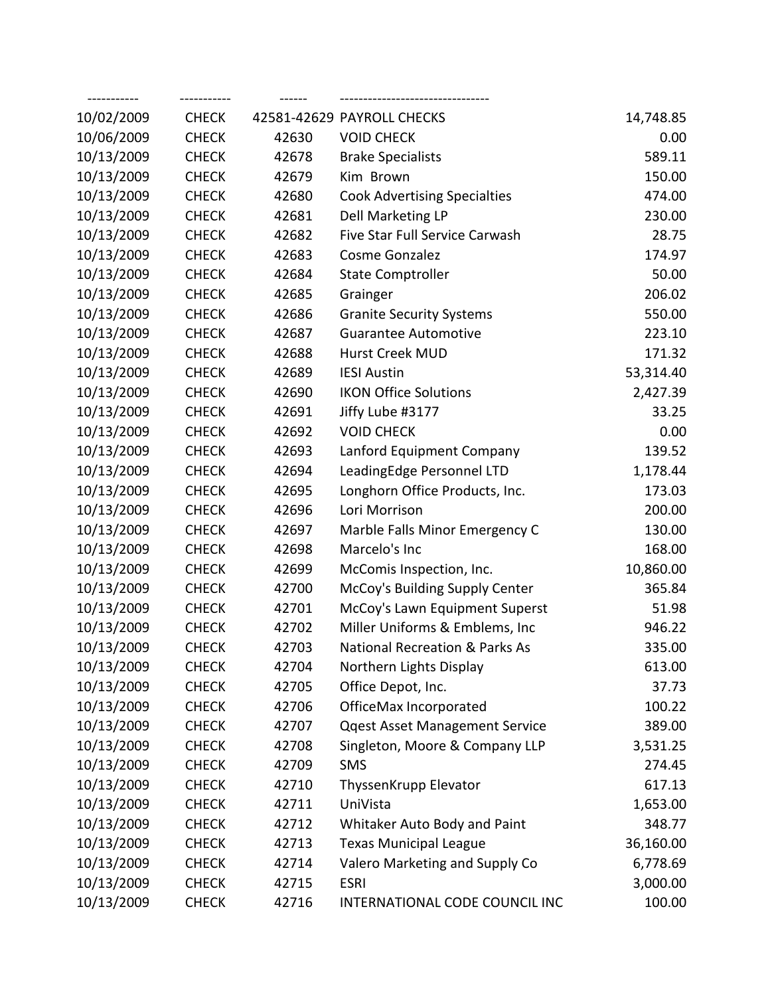| 10/02/2009 | <b>CHECK</b> |       | 42581-42629 PAYROLL CHECKS                | 14,748.85 |
|------------|--------------|-------|-------------------------------------------|-----------|
| 10/06/2009 | <b>CHECK</b> | 42630 | <b>VOID CHECK</b>                         | 0.00      |
| 10/13/2009 | <b>CHECK</b> | 42678 | <b>Brake Specialists</b>                  | 589.11    |
| 10/13/2009 | <b>CHECK</b> | 42679 | Kim Brown                                 | 150.00    |
| 10/13/2009 | <b>CHECK</b> | 42680 | <b>Cook Advertising Specialties</b>       | 474.00    |
| 10/13/2009 | <b>CHECK</b> | 42681 | Dell Marketing LP                         | 230.00    |
| 10/13/2009 | <b>CHECK</b> | 42682 | Five Star Full Service Carwash            | 28.75     |
| 10/13/2009 | <b>CHECK</b> | 42683 | Cosme Gonzalez                            | 174.97    |
| 10/13/2009 | <b>CHECK</b> | 42684 | <b>State Comptroller</b>                  | 50.00     |
| 10/13/2009 | <b>CHECK</b> | 42685 | Grainger                                  | 206.02    |
| 10/13/2009 | <b>CHECK</b> | 42686 | <b>Granite Security Systems</b>           | 550.00    |
| 10/13/2009 | <b>CHECK</b> | 42687 | <b>Guarantee Automotive</b>               | 223.10    |
| 10/13/2009 | <b>CHECK</b> | 42688 | Hurst Creek MUD                           | 171.32    |
| 10/13/2009 | <b>CHECK</b> | 42689 | <b>IESI Austin</b>                        | 53,314.40 |
| 10/13/2009 | <b>CHECK</b> | 42690 | <b>IKON Office Solutions</b>              | 2,427.39  |
| 10/13/2009 | <b>CHECK</b> | 42691 | Jiffy Lube #3177                          | 33.25     |
| 10/13/2009 | <b>CHECK</b> | 42692 | <b>VOID CHECK</b>                         | 0.00      |
| 10/13/2009 | <b>CHECK</b> | 42693 | Lanford Equipment Company                 | 139.52    |
| 10/13/2009 | <b>CHECK</b> | 42694 | LeadingEdge Personnel LTD                 | 1,178.44  |
| 10/13/2009 | <b>CHECK</b> | 42695 | Longhorn Office Products, Inc.            | 173.03    |
| 10/13/2009 | <b>CHECK</b> | 42696 | Lori Morrison                             | 200.00    |
| 10/13/2009 | <b>CHECK</b> | 42697 | Marble Falls Minor Emergency C            | 130.00    |
| 10/13/2009 | <b>CHECK</b> | 42698 | Marcelo's Inc                             | 168.00    |
| 10/13/2009 | <b>CHECK</b> | 42699 | McComis Inspection, Inc.                  | 10,860.00 |
| 10/13/2009 | <b>CHECK</b> | 42700 | McCoy's Building Supply Center            | 365.84    |
| 10/13/2009 | <b>CHECK</b> | 42701 | McCoy's Lawn Equipment Superst            | 51.98     |
| 10/13/2009 | <b>CHECK</b> | 42702 | Miller Uniforms & Emblems, Inc            | 946.22    |
| 10/13/2009 | <b>CHECK</b> | 42703 | <b>National Recreation &amp; Parks As</b> | 335.00    |
| 10/13/2009 | <b>CHECK</b> | 42704 | Northern Lights Display                   | 613.00    |
| 10/13/2009 | <b>CHECK</b> | 42705 | Office Depot, Inc.                        | 37.73     |
| 10/13/2009 | <b>CHECK</b> | 42706 | OfficeMax Incorporated                    | 100.22    |
| 10/13/2009 | <b>CHECK</b> | 42707 | <b>Qqest Asset Management Service</b>     | 389.00    |
| 10/13/2009 | <b>CHECK</b> | 42708 | Singleton, Moore & Company LLP            | 3,531.25  |
| 10/13/2009 | <b>CHECK</b> | 42709 | <b>SMS</b>                                | 274.45    |
| 10/13/2009 | <b>CHECK</b> | 42710 | ThyssenKrupp Elevator                     | 617.13    |
| 10/13/2009 | <b>CHECK</b> | 42711 | UniVista                                  | 1,653.00  |
| 10/13/2009 | <b>CHECK</b> | 42712 | Whitaker Auto Body and Paint              | 348.77    |
| 10/13/2009 | <b>CHECK</b> | 42713 | <b>Texas Municipal League</b>             | 36,160.00 |
| 10/13/2009 | <b>CHECK</b> | 42714 | Valero Marketing and Supply Co            | 6,778.69  |
| 10/13/2009 | <b>CHECK</b> | 42715 | <b>ESRI</b>                               | 3,000.00  |
| 10/13/2009 | <b>CHECK</b> | 42716 | INTERNATIONAL CODE COUNCIL INC            | 100.00    |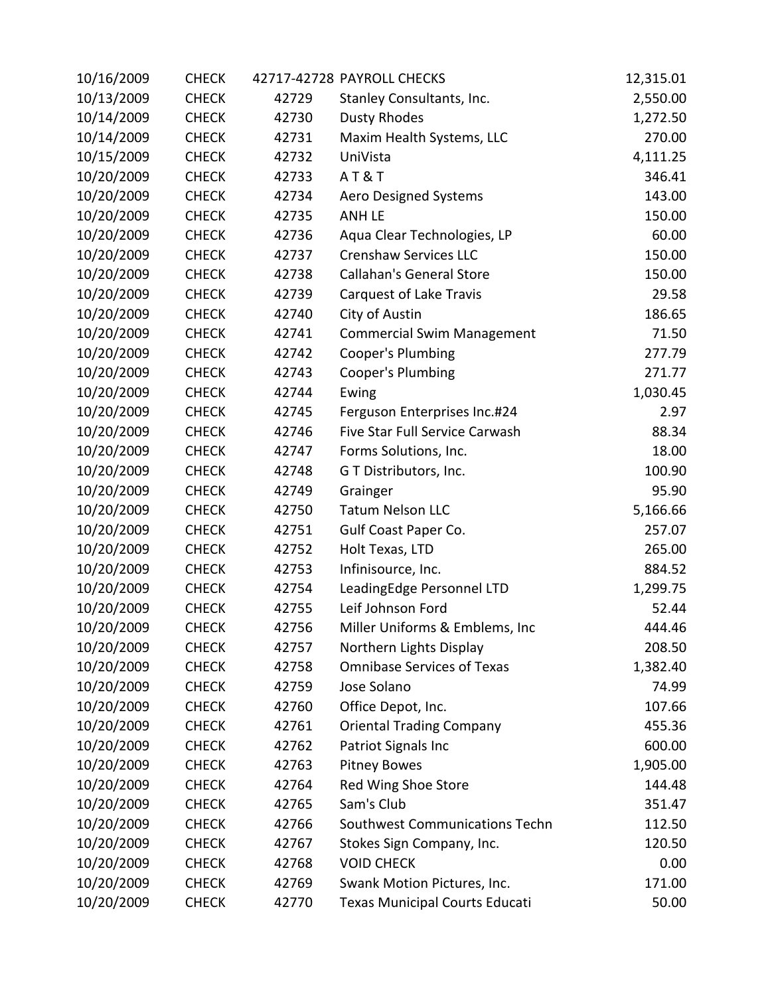| 10/16/2009 | <b>CHECK</b> |       | 42717-42728 PAYROLL CHECKS        | 12,315.01 |
|------------|--------------|-------|-----------------------------------|-----------|
| 10/13/2009 | <b>CHECK</b> | 42729 | Stanley Consultants, Inc.         | 2,550.00  |
| 10/14/2009 | <b>CHECK</b> | 42730 | <b>Dusty Rhodes</b>               | 1,272.50  |
| 10/14/2009 | <b>CHECK</b> | 42731 | Maxim Health Systems, LLC         | 270.00    |
| 10/15/2009 | <b>CHECK</b> | 42732 | UniVista                          | 4,111.25  |
| 10/20/2009 | <b>CHECK</b> | 42733 | AT&T                              | 346.41    |
| 10/20/2009 | <b>CHECK</b> | 42734 | <b>Aero Designed Systems</b>      | 143.00    |
| 10/20/2009 | <b>CHECK</b> | 42735 | <b>ANH LE</b>                     | 150.00    |
| 10/20/2009 | <b>CHECK</b> | 42736 | Aqua Clear Technologies, LP       | 60.00     |
| 10/20/2009 | <b>CHECK</b> | 42737 | <b>Crenshaw Services LLC</b>      | 150.00    |
| 10/20/2009 | <b>CHECK</b> | 42738 | <b>Callahan's General Store</b>   | 150.00    |
| 10/20/2009 | <b>CHECK</b> | 42739 | Carquest of Lake Travis           | 29.58     |
| 10/20/2009 | <b>CHECK</b> | 42740 | City of Austin                    | 186.65    |
| 10/20/2009 | <b>CHECK</b> | 42741 | <b>Commercial Swim Management</b> | 71.50     |
| 10/20/2009 | <b>CHECK</b> | 42742 | Cooper's Plumbing                 | 277.79    |
| 10/20/2009 | <b>CHECK</b> | 42743 | Cooper's Plumbing                 | 271.77    |
| 10/20/2009 | <b>CHECK</b> | 42744 | Ewing                             | 1,030.45  |
| 10/20/2009 | <b>CHECK</b> | 42745 | Ferguson Enterprises Inc.#24      | 2.97      |
| 10/20/2009 | <b>CHECK</b> | 42746 | Five Star Full Service Carwash    | 88.34     |
| 10/20/2009 | <b>CHECK</b> | 42747 | Forms Solutions, Inc.             | 18.00     |
| 10/20/2009 | <b>CHECK</b> | 42748 | G T Distributors, Inc.            | 100.90    |
| 10/20/2009 | <b>CHECK</b> | 42749 | Grainger                          | 95.90     |
| 10/20/2009 | <b>CHECK</b> | 42750 | <b>Tatum Nelson LLC</b>           | 5,166.66  |
| 10/20/2009 | <b>CHECK</b> | 42751 | Gulf Coast Paper Co.              | 257.07    |
| 10/20/2009 | <b>CHECK</b> | 42752 | Holt Texas, LTD                   | 265.00    |
| 10/20/2009 | <b>CHECK</b> | 42753 | Infinisource, Inc.                | 884.52    |
| 10/20/2009 | <b>CHECK</b> | 42754 | LeadingEdge Personnel LTD         | 1,299.75  |
| 10/20/2009 | <b>CHECK</b> | 42755 | Leif Johnson Ford                 | 52.44     |
| 10/20/2009 | <b>CHECK</b> | 42756 | Miller Uniforms & Emblems, Inc    | 444.46    |
| 10/20/2009 | <b>CHECK</b> | 42757 | Northern Lights Display           | 208.50    |
| 10/20/2009 | <b>CHECK</b> | 42758 | <b>Omnibase Services of Texas</b> | 1,382.40  |
| 10/20/2009 | <b>CHECK</b> | 42759 | Jose Solano                       | 74.99     |
| 10/20/2009 | <b>CHECK</b> | 42760 | Office Depot, Inc.                | 107.66    |
| 10/20/2009 | <b>CHECK</b> | 42761 | <b>Oriental Trading Company</b>   | 455.36    |
| 10/20/2009 | <b>CHECK</b> | 42762 | Patriot Signals Inc               | 600.00    |
| 10/20/2009 | <b>CHECK</b> | 42763 | <b>Pitney Bowes</b>               | 1,905.00  |
| 10/20/2009 | <b>CHECK</b> | 42764 | Red Wing Shoe Store               | 144.48    |
| 10/20/2009 | <b>CHECK</b> | 42765 | Sam's Club                        | 351.47    |
| 10/20/2009 | <b>CHECK</b> | 42766 | Southwest Communications Techn    | 112.50    |
| 10/20/2009 | <b>CHECK</b> | 42767 | Stokes Sign Company, Inc.         | 120.50    |
| 10/20/2009 | <b>CHECK</b> | 42768 | <b>VOID CHECK</b>                 | 0.00      |
| 10/20/2009 | <b>CHECK</b> | 42769 | Swank Motion Pictures, Inc.       | 171.00    |
| 10/20/2009 | <b>CHECK</b> | 42770 | Texas Municipal Courts Educati    | 50.00     |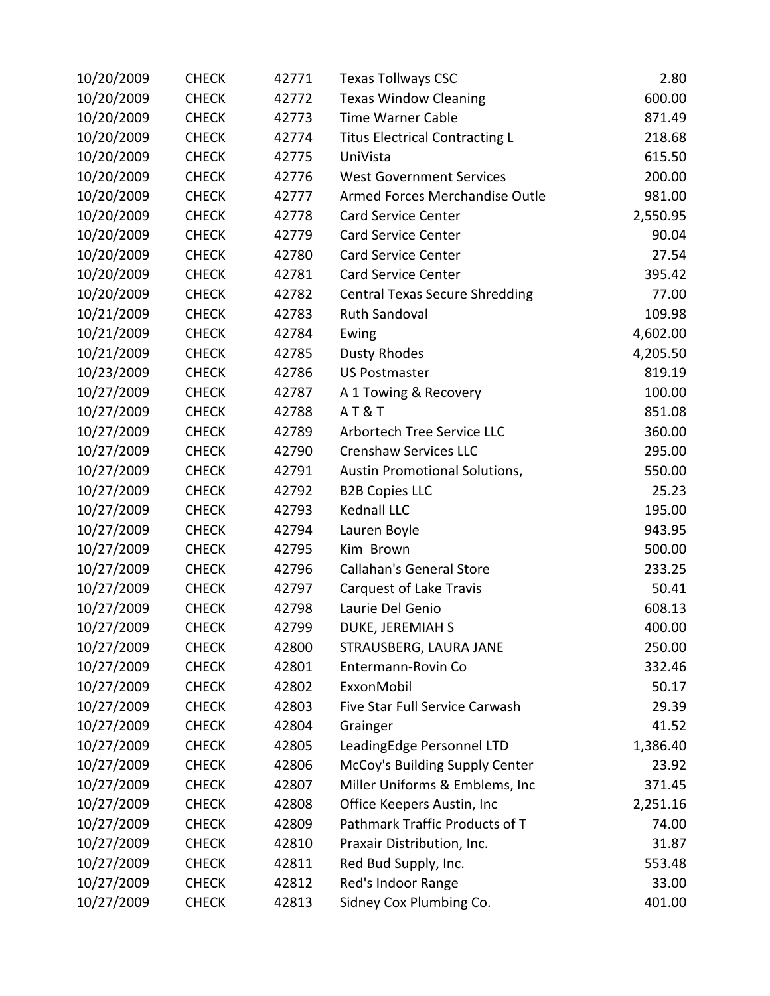| 10/20/2009 | <b>CHECK</b> | 42771 | <b>Texas Tollways CSC</b>             | 2.80     |
|------------|--------------|-------|---------------------------------------|----------|
| 10/20/2009 | <b>CHECK</b> | 42772 | <b>Texas Window Cleaning</b>          | 600.00   |
| 10/20/2009 | <b>CHECK</b> | 42773 | <b>Time Warner Cable</b>              | 871.49   |
| 10/20/2009 | <b>CHECK</b> | 42774 | <b>Titus Electrical Contracting L</b> | 218.68   |
| 10/20/2009 | <b>CHECK</b> | 42775 | UniVista                              | 615.50   |
| 10/20/2009 | <b>CHECK</b> | 42776 | <b>West Government Services</b>       | 200.00   |
| 10/20/2009 | <b>CHECK</b> | 42777 | Armed Forces Merchandise Outle        | 981.00   |
| 10/20/2009 | <b>CHECK</b> | 42778 | <b>Card Service Center</b>            | 2,550.95 |
| 10/20/2009 | <b>CHECK</b> | 42779 | <b>Card Service Center</b>            | 90.04    |
| 10/20/2009 | <b>CHECK</b> | 42780 | <b>Card Service Center</b>            | 27.54    |
| 10/20/2009 | <b>CHECK</b> | 42781 | <b>Card Service Center</b>            | 395.42   |
| 10/20/2009 | <b>CHECK</b> | 42782 | <b>Central Texas Secure Shredding</b> | 77.00    |
| 10/21/2009 | <b>CHECK</b> | 42783 | <b>Ruth Sandoval</b>                  | 109.98   |
| 10/21/2009 | <b>CHECK</b> | 42784 | Ewing                                 | 4,602.00 |
| 10/21/2009 | <b>CHECK</b> | 42785 | <b>Dusty Rhodes</b>                   | 4,205.50 |
| 10/23/2009 | <b>CHECK</b> | 42786 | <b>US Postmaster</b>                  | 819.19   |
| 10/27/2009 | <b>CHECK</b> | 42787 | A 1 Towing & Recovery                 | 100.00   |
| 10/27/2009 | <b>CHECK</b> | 42788 | AT&T                                  | 851.08   |
| 10/27/2009 | <b>CHECK</b> | 42789 | Arbortech Tree Service LLC            | 360.00   |
| 10/27/2009 | <b>CHECK</b> | 42790 | <b>Crenshaw Services LLC</b>          | 295.00   |
| 10/27/2009 | <b>CHECK</b> | 42791 | Austin Promotional Solutions,         | 550.00   |
| 10/27/2009 | <b>CHECK</b> | 42792 | <b>B2B Copies LLC</b>                 | 25.23    |
| 10/27/2009 | <b>CHECK</b> | 42793 | Kednall LLC                           | 195.00   |
| 10/27/2009 | <b>CHECK</b> | 42794 | Lauren Boyle                          | 943.95   |
| 10/27/2009 | <b>CHECK</b> | 42795 | Kim Brown                             | 500.00   |
| 10/27/2009 | <b>CHECK</b> | 42796 | <b>Callahan's General Store</b>       | 233.25   |
| 10/27/2009 | <b>CHECK</b> | 42797 | Carquest of Lake Travis               | 50.41    |
| 10/27/2009 | <b>CHECK</b> | 42798 | Laurie Del Genio                      | 608.13   |
| 10/27/2009 | <b>CHECK</b> | 42799 | <b>DUKE, JEREMIAH S</b>               | 400.00   |
| 10/27/2009 | <b>CHECK</b> | 42800 | STRAUSBERG, LAURA JANE                | 250.00   |
| 10/27/2009 | <b>CHECK</b> | 42801 | Entermann-Rovin Co                    | 332.46   |
| 10/27/2009 | <b>CHECK</b> | 42802 | ExxonMobil                            | 50.17    |
| 10/27/2009 | <b>CHECK</b> | 42803 | Five Star Full Service Carwash        | 29.39    |
| 10/27/2009 | <b>CHECK</b> | 42804 | Grainger                              | 41.52    |
| 10/27/2009 | <b>CHECK</b> | 42805 | LeadingEdge Personnel LTD             | 1,386.40 |
| 10/27/2009 | <b>CHECK</b> | 42806 | McCoy's Building Supply Center        | 23.92    |
| 10/27/2009 | <b>CHECK</b> | 42807 | Miller Uniforms & Emblems, Inc        | 371.45   |
| 10/27/2009 | <b>CHECK</b> | 42808 | Office Keepers Austin, Inc            | 2,251.16 |
| 10/27/2009 | <b>CHECK</b> | 42809 | Pathmark Traffic Products of T        | 74.00    |
| 10/27/2009 | <b>CHECK</b> | 42810 | Praxair Distribution, Inc.            | 31.87    |
| 10/27/2009 | <b>CHECK</b> | 42811 | Red Bud Supply, Inc.                  | 553.48   |
| 10/27/2009 | <b>CHECK</b> | 42812 | Red's Indoor Range                    | 33.00    |
| 10/27/2009 | <b>CHECK</b> | 42813 | Sidney Cox Plumbing Co.               | 401.00   |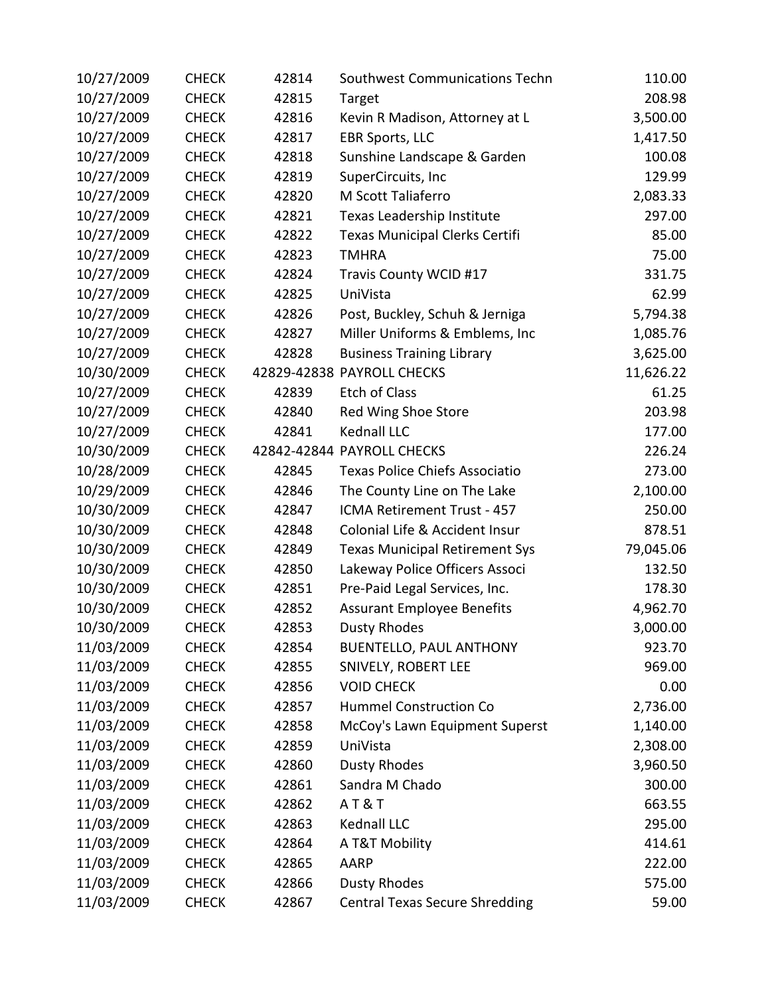| 10/27/2009 | <b>CHECK</b> | 42814 | Southwest Communications Techn        | 110.00    |
|------------|--------------|-------|---------------------------------------|-----------|
| 10/27/2009 | <b>CHECK</b> | 42815 | Target                                | 208.98    |
| 10/27/2009 | <b>CHECK</b> | 42816 | Kevin R Madison, Attorney at L        | 3,500.00  |
| 10/27/2009 | <b>CHECK</b> | 42817 | <b>EBR Sports, LLC</b>                | 1,417.50  |
| 10/27/2009 | <b>CHECK</b> | 42818 | Sunshine Landscape & Garden           | 100.08    |
| 10/27/2009 | <b>CHECK</b> | 42819 | SuperCircuits, Inc                    | 129.99    |
| 10/27/2009 | <b>CHECK</b> | 42820 | M Scott Taliaferro                    | 2,083.33  |
| 10/27/2009 | <b>CHECK</b> | 42821 | Texas Leadership Institute            | 297.00    |
| 10/27/2009 | <b>CHECK</b> | 42822 | <b>Texas Municipal Clerks Certifi</b> | 85.00     |
| 10/27/2009 | <b>CHECK</b> | 42823 | <b>TMHRA</b>                          | 75.00     |
| 10/27/2009 | <b>CHECK</b> | 42824 | Travis County WCID #17                | 331.75    |
| 10/27/2009 | <b>CHECK</b> | 42825 | UniVista                              | 62.99     |
| 10/27/2009 | <b>CHECK</b> | 42826 | Post, Buckley, Schuh & Jerniga        | 5,794.38  |
| 10/27/2009 | <b>CHECK</b> | 42827 | Miller Uniforms & Emblems, Inc        | 1,085.76  |
| 10/27/2009 | <b>CHECK</b> | 42828 | <b>Business Training Library</b>      | 3,625.00  |
| 10/30/2009 | <b>CHECK</b> |       | 42829-42838 PAYROLL CHECKS            | 11,626.22 |
| 10/27/2009 | <b>CHECK</b> | 42839 | <b>Etch of Class</b>                  | 61.25     |
| 10/27/2009 | <b>CHECK</b> | 42840 | Red Wing Shoe Store                   | 203.98    |
| 10/27/2009 | <b>CHECK</b> | 42841 | Kednall LLC                           | 177.00    |
| 10/30/2009 | <b>CHECK</b> |       | 42842-42844 PAYROLL CHECKS            | 226.24    |
| 10/28/2009 | <b>CHECK</b> | 42845 | <b>Texas Police Chiefs Associatio</b> | 273.00    |
| 10/29/2009 | <b>CHECK</b> | 42846 | The County Line on The Lake           | 2,100.00  |
| 10/30/2009 | <b>CHECK</b> | 42847 | ICMA Retirement Trust - 457           | 250.00    |
| 10/30/2009 | <b>CHECK</b> | 42848 | Colonial Life & Accident Insur        | 878.51    |
| 10/30/2009 | <b>CHECK</b> | 42849 | <b>Texas Municipal Retirement Sys</b> | 79,045.06 |
| 10/30/2009 | <b>CHECK</b> | 42850 | Lakeway Police Officers Associ        | 132.50    |
| 10/30/2009 | <b>CHECK</b> | 42851 | Pre-Paid Legal Services, Inc.         | 178.30    |
| 10/30/2009 | <b>CHECK</b> | 42852 | <b>Assurant Employee Benefits</b>     | 4,962.70  |
| 10/30/2009 | <b>CHECK</b> | 42853 | <b>Dusty Rhodes</b>                   | 3,000.00  |
| 11/03/2009 | <b>CHECK</b> | 42854 | <b>BUENTELLO, PAUL ANTHONY</b>        | 923.70    |
| 11/03/2009 | <b>CHECK</b> | 42855 | SNIVELY, ROBERT LEE                   | 969.00    |
| 11/03/2009 | <b>CHECK</b> | 42856 | <b>VOID CHECK</b>                     | 0.00      |
| 11/03/2009 | <b>CHECK</b> | 42857 | <b>Hummel Construction Co</b>         | 2,736.00  |
| 11/03/2009 | <b>CHECK</b> | 42858 | McCoy's Lawn Equipment Superst        | 1,140.00  |
| 11/03/2009 | <b>CHECK</b> | 42859 | UniVista                              | 2,308.00  |
| 11/03/2009 | <b>CHECK</b> | 42860 | <b>Dusty Rhodes</b>                   | 3,960.50  |
| 11/03/2009 | <b>CHECK</b> | 42861 | Sandra M Chado                        | 300.00    |
| 11/03/2009 | <b>CHECK</b> | 42862 | <b>AT&amp;T</b>                       | 663.55    |
| 11/03/2009 | <b>CHECK</b> | 42863 | Kednall LLC                           | 295.00    |
| 11/03/2009 | <b>CHECK</b> | 42864 | A T&T Mobility                        | 414.61    |
| 11/03/2009 | <b>CHECK</b> | 42865 | AARP                                  | 222.00    |
| 11/03/2009 | <b>CHECK</b> | 42866 | <b>Dusty Rhodes</b>                   | 575.00    |
| 11/03/2009 | <b>CHECK</b> | 42867 | <b>Central Texas Secure Shredding</b> | 59.00     |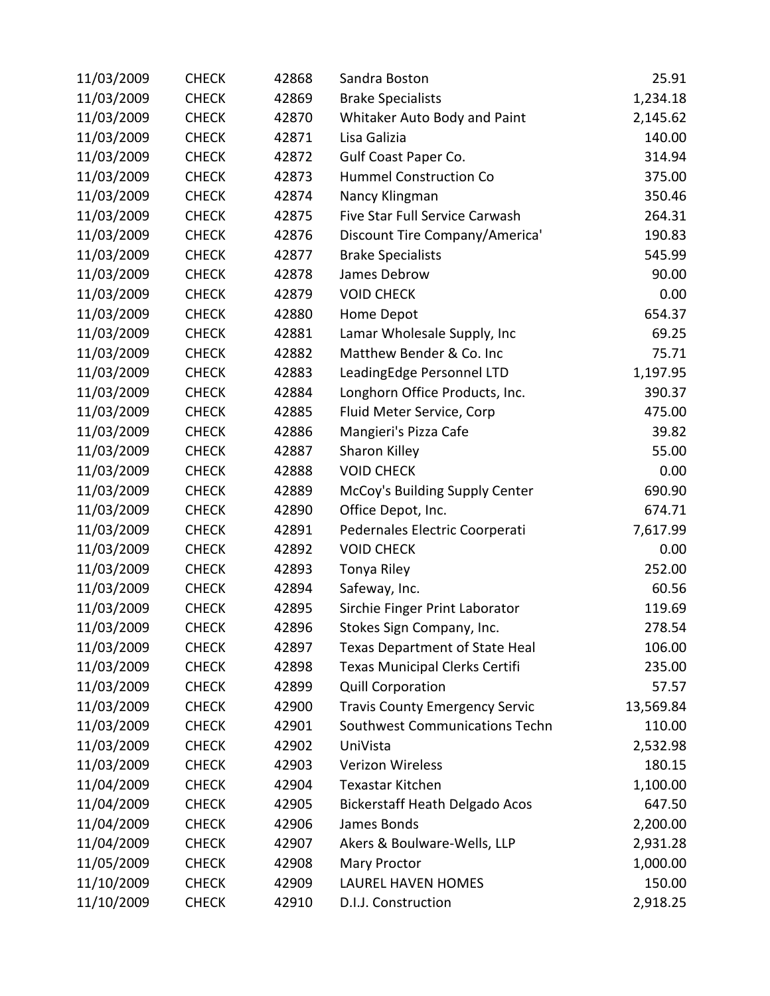| 11/03/2009 | <b>CHECK</b> | 42868 | Sandra Boston                         | 25.91     |
|------------|--------------|-------|---------------------------------------|-----------|
| 11/03/2009 | <b>CHECK</b> | 42869 | <b>Brake Specialists</b>              | 1,234.18  |
| 11/03/2009 | <b>CHECK</b> | 42870 | Whitaker Auto Body and Paint          | 2,145.62  |
| 11/03/2009 | <b>CHECK</b> | 42871 | Lisa Galizia                          | 140.00    |
| 11/03/2009 | <b>CHECK</b> | 42872 | Gulf Coast Paper Co.                  | 314.94    |
| 11/03/2009 | <b>CHECK</b> | 42873 | <b>Hummel Construction Co</b>         | 375.00    |
| 11/03/2009 | <b>CHECK</b> | 42874 | Nancy Klingman                        | 350.46    |
| 11/03/2009 | <b>CHECK</b> | 42875 | Five Star Full Service Carwash        | 264.31    |
| 11/03/2009 | <b>CHECK</b> | 42876 | Discount Tire Company/America'        | 190.83    |
| 11/03/2009 | <b>CHECK</b> | 42877 | <b>Brake Specialists</b>              | 545.99    |
| 11/03/2009 | <b>CHECK</b> | 42878 | James Debrow                          | 90.00     |
| 11/03/2009 | <b>CHECK</b> | 42879 | <b>VOID CHECK</b>                     | 0.00      |
| 11/03/2009 | <b>CHECK</b> | 42880 | Home Depot                            | 654.37    |
| 11/03/2009 | <b>CHECK</b> | 42881 | Lamar Wholesale Supply, Inc.          | 69.25     |
| 11/03/2009 | <b>CHECK</b> | 42882 | Matthew Bender & Co. Inc              | 75.71     |
| 11/03/2009 | <b>CHECK</b> | 42883 | LeadingEdge Personnel LTD             | 1,197.95  |
| 11/03/2009 | <b>CHECK</b> | 42884 | Longhorn Office Products, Inc.        | 390.37    |
| 11/03/2009 | <b>CHECK</b> | 42885 | Fluid Meter Service, Corp             | 475.00    |
| 11/03/2009 | <b>CHECK</b> | 42886 | Mangieri's Pizza Cafe                 | 39.82     |
| 11/03/2009 | <b>CHECK</b> | 42887 | Sharon Killey                         | 55.00     |
| 11/03/2009 | <b>CHECK</b> | 42888 | <b>VOID CHECK</b>                     | 0.00      |
| 11/03/2009 | <b>CHECK</b> | 42889 | McCoy's Building Supply Center        | 690.90    |
| 11/03/2009 | <b>CHECK</b> | 42890 | Office Depot, Inc.                    | 674.71    |
| 11/03/2009 | <b>CHECK</b> | 42891 | Pedernales Electric Coorperati        | 7,617.99  |
| 11/03/2009 | <b>CHECK</b> | 42892 | <b>VOID CHECK</b>                     | 0.00      |
| 11/03/2009 | <b>CHECK</b> | 42893 | Tonya Riley                           | 252.00    |
| 11/03/2009 | <b>CHECK</b> | 42894 | Safeway, Inc.                         | 60.56     |
| 11/03/2009 | <b>CHECK</b> | 42895 | Sirchie Finger Print Laborator        | 119.69    |
| 11/03/2009 | <b>CHECK</b> | 42896 | Stokes Sign Company, Inc.             | 278.54    |
| 11/03/2009 | <b>CHECK</b> | 42897 | Texas Department of State Heal        | 106.00    |
| 11/03/2009 | <b>CHECK</b> | 42898 | Texas Municipal Clerks Certifi        | 235.00    |
| 11/03/2009 | <b>CHECK</b> | 42899 | <b>Quill Corporation</b>              | 57.57     |
| 11/03/2009 | <b>CHECK</b> | 42900 | <b>Travis County Emergency Servic</b> | 13,569.84 |
| 11/03/2009 | <b>CHECK</b> | 42901 | Southwest Communications Techn        | 110.00    |
| 11/03/2009 | <b>CHECK</b> | 42902 | UniVista                              | 2,532.98  |
| 11/03/2009 | <b>CHECK</b> | 42903 | Verizon Wireless                      | 180.15    |
| 11/04/2009 | <b>CHECK</b> | 42904 | <b>Texastar Kitchen</b>               | 1,100.00  |
| 11/04/2009 | <b>CHECK</b> | 42905 | <b>Bickerstaff Heath Delgado Acos</b> | 647.50    |
| 11/04/2009 | <b>CHECK</b> | 42906 | James Bonds                           | 2,200.00  |
| 11/04/2009 | <b>CHECK</b> | 42907 | Akers & Boulware-Wells, LLP           | 2,931.28  |
| 11/05/2009 | <b>CHECK</b> | 42908 | <b>Mary Proctor</b>                   | 1,000.00  |
| 11/10/2009 | <b>CHECK</b> | 42909 | LAUREL HAVEN HOMES                    | 150.00    |
| 11/10/2009 | <b>CHECK</b> | 42910 | D.I.J. Construction                   | 2,918.25  |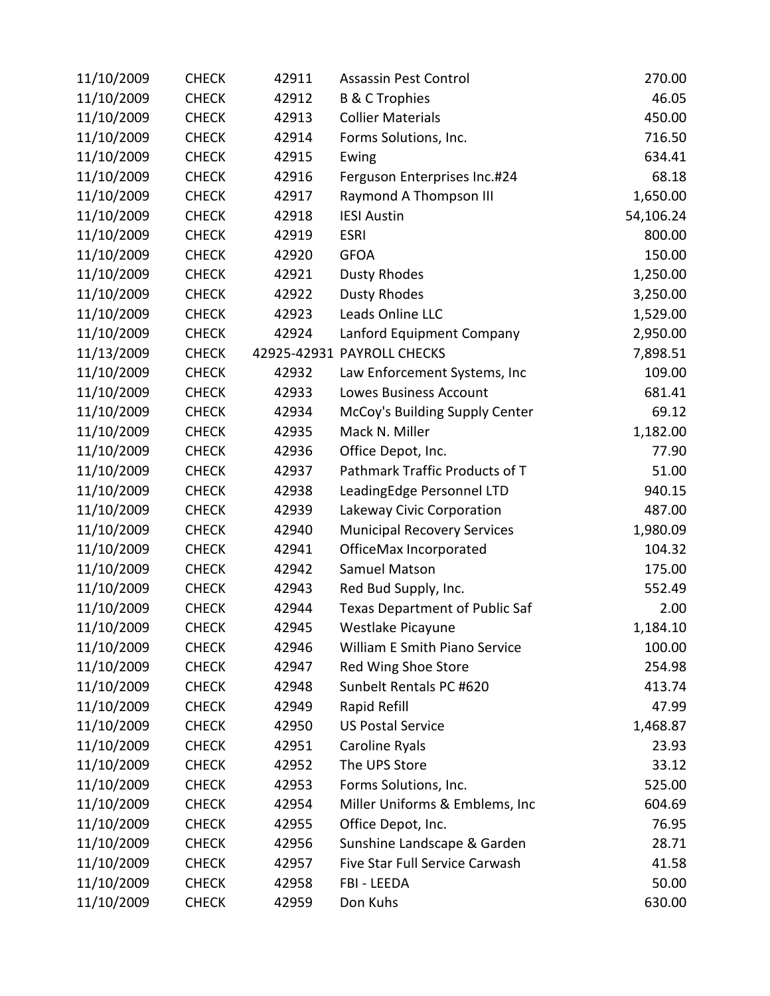| 11/10/2009 | <b>CHECK</b> | 42911 | <b>Assassin Pest Control</b>          | 270.00    |
|------------|--------------|-------|---------------------------------------|-----------|
| 11/10/2009 | <b>CHECK</b> | 42912 | <b>B &amp; C Trophies</b>             | 46.05     |
| 11/10/2009 | <b>CHECK</b> | 42913 | <b>Collier Materials</b>              | 450.00    |
| 11/10/2009 | <b>CHECK</b> | 42914 | Forms Solutions, Inc.                 | 716.50    |
| 11/10/2009 | <b>CHECK</b> | 42915 | Ewing                                 | 634.41    |
| 11/10/2009 | <b>CHECK</b> | 42916 | Ferguson Enterprises Inc.#24          | 68.18     |
| 11/10/2009 | <b>CHECK</b> | 42917 | Raymond A Thompson III                | 1,650.00  |
| 11/10/2009 | <b>CHECK</b> | 42918 | <b>IESI Austin</b>                    | 54,106.24 |
| 11/10/2009 | <b>CHECK</b> | 42919 | <b>ESRI</b>                           | 800.00    |
| 11/10/2009 | <b>CHECK</b> | 42920 | <b>GFOA</b>                           | 150.00    |
| 11/10/2009 | <b>CHECK</b> | 42921 | <b>Dusty Rhodes</b>                   | 1,250.00  |
| 11/10/2009 | <b>CHECK</b> | 42922 | <b>Dusty Rhodes</b>                   | 3,250.00  |
| 11/10/2009 | <b>CHECK</b> | 42923 | Leads Online LLC                      | 1,529.00  |
| 11/10/2009 | <b>CHECK</b> | 42924 | Lanford Equipment Company             | 2,950.00  |
| 11/13/2009 | <b>CHECK</b> |       | 42925-42931 PAYROLL CHECKS            | 7,898.51  |
| 11/10/2009 | <b>CHECK</b> | 42932 | Law Enforcement Systems, Inc          | 109.00    |
| 11/10/2009 | <b>CHECK</b> | 42933 | Lowes Business Account                | 681.41    |
| 11/10/2009 | <b>CHECK</b> | 42934 | McCoy's Building Supply Center        | 69.12     |
| 11/10/2009 | <b>CHECK</b> | 42935 | Mack N. Miller                        | 1,182.00  |
| 11/10/2009 | <b>CHECK</b> | 42936 | Office Depot, Inc.                    | 77.90     |
| 11/10/2009 | <b>CHECK</b> | 42937 | Pathmark Traffic Products of T        | 51.00     |
| 11/10/2009 | <b>CHECK</b> | 42938 | LeadingEdge Personnel LTD             | 940.15    |
| 11/10/2009 | <b>CHECK</b> | 42939 | Lakeway Civic Corporation             | 487.00    |
| 11/10/2009 | <b>CHECK</b> | 42940 | <b>Municipal Recovery Services</b>    | 1,980.09  |
| 11/10/2009 | <b>CHECK</b> | 42941 | OfficeMax Incorporated                | 104.32    |
| 11/10/2009 | <b>CHECK</b> | 42942 | Samuel Matson                         | 175.00    |
| 11/10/2009 | <b>CHECK</b> | 42943 | Red Bud Supply, Inc.                  | 552.49    |
| 11/10/2009 | <b>CHECK</b> | 42944 | <b>Texas Department of Public Saf</b> | 2.00      |
| 11/10/2009 | <b>CHECK</b> | 42945 | Westlake Picayune                     | 1,184.10  |
| 11/10/2009 | <b>CHECK</b> | 42946 | William E Smith Piano Service         | 100.00    |
| 11/10/2009 | <b>CHECK</b> | 42947 | Red Wing Shoe Store                   | 254.98    |
| 11/10/2009 | <b>CHECK</b> | 42948 | Sunbelt Rentals PC #620               | 413.74    |
| 11/10/2009 | <b>CHECK</b> | 42949 | Rapid Refill                          | 47.99     |
| 11/10/2009 | <b>CHECK</b> | 42950 | <b>US Postal Service</b>              | 1,468.87  |
| 11/10/2009 | <b>CHECK</b> | 42951 | Caroline Ryals                        | 23.93     |
| 11/10/2009 | <b>CHECK</b> | 42952 | The UPS Store                         | 33.12     |
| 11/10/2009 | <b>CHECK</b> | 42953 | Forms Solutions, Inc.                 | 525.00    |
| 11/10/2009 | <b>CHECK</b> | 42954 | Miller Uniforms & Emblems, Inc        | 604.69    |
| 11/10/2009 | <b>CHECK</b> | 42955 | Office Depot, Inc.                    | 76.95     |
| 11/10/2009 | <b>CHECK</b> | 42956 | Sunshine Landscape & Garden           | 28.71     |
| 11/10/2009 | <b>CHECK</b> | 42957 | Five Star Full Service Carwash        | 41.58     |
| 11/10/2009 | <b>CHECK</b> | 42958 | FBI - LEEDA                           | 50.00     |
| 11/10/2009 | <b>CHECK</b> | 42959 | Don Kuhs                              | 630.00    |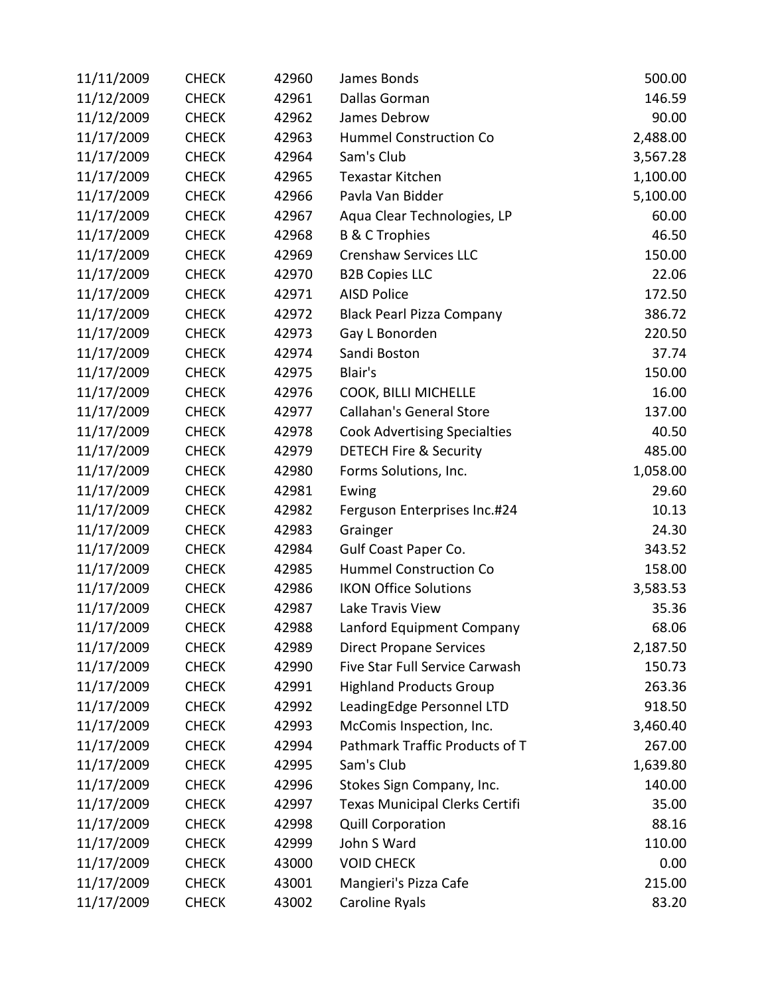| 11/11/2009 | <b>CHECK</b> | 42960 | James Bonds                         | 500.00   |
|------------|--------------|-------|-------------------------------------|----------|
| 11/12/2009 | <b>CHECK</b> | 42961 | Dallas Gorman                       | 146.59   |
| 11/12/2009 | <b>CHECK</b> | 42962 | James Debrow                        | 90.00    |
| 11/17/2009 | <b>CHECK</b> | 42963 | Hummel Construction Co              | 2,488.00 |
| 11/17/2009 | <b>CHECK</b> | 42964 | Sam's Club                          | 3,567.28 |
| 11/17/2009 | <b>CHECK</b> | 42965 | <b>Texastar Kitchen</b>             | 1,100.00 |
| 11/17/2009 | <b>CHECK</b> | 42966 | Pavla Van Bidder                    | 5,100.00 |
| 11/17/2009 | <b>CHECK</b> | 42967 | Aqua Clear Technologies, LP         | 60.00    |
| 11/17/2009 | <b>CHECK</b> | 42968 | <b>B &amp; C Trophies</b>           | 46.50    |
| 11/17/2009 | <b>CHECK</b> | 42969 | <b>Crenshaw Services LLC</b>        | 150.00   |
| 11/17/2009 | <b>CHECK</b> | 42970 | <b>B2B Copies LLC</b>               | 22.06    |
| 11/17/2009 | <b>CHECK</b> | 42971 | <b>AISD Police</b>                  | 172.50   |
| 11/17/2009 | <b>CHECK</b> | 42972 | <b>Black Pearl Pizza Company</b>    | 386.72   |
| 11/17/2009 | <b>CHECK</b> | 42973 | Gay L Bonorden                      | 220.50   |
| 11/17/2009 | <b>CHECK</b> | 42974 | Sandi Boston                        | 37.74    |
| 11/17/2009 | <b>CHECK</b> | 42975 | Blair's                             | 150.00   |
| 11/17/2009 | <b>CHECK</b> | 42976 | COOK, BILLI MICHELLE                | 16.00    |
| 11/17/2009 | <b>CHECK</b> | 42977 | <b>Callahan's General Store</b>     | 137.00   |
| 11/17/2009 | <b>CHECK</b> | 42978 | <b>Cook Advertising Specialties</b> | 40.50    |
| 11/17/2009 | <b>CHECK</b> | 42979 | <b>DETECH Fire &amp; Security</b>   | 485.00   |
| 11/17/2009 | <b>CHECK</b> | 42980 | Forms Solutions, Inc.               | 1,058.00 |
| 11/17/2009 | <b>CHECK</b> | 42981 | Ewing                               | 29.60    |
| 11/17/2009 | <b>CHECK</b> | 42982 | Ferguson Enterprises Inc.#24        | 10.13    |
| 11/17/2009 | <b>CHECK</b> | 42983 | Grainger                            | 24.30    |
| 11/17/2009 | <b>CHECK</b> | 42984 | Gulf Coast Paper Co.                | 343.52   |
| 11/17/2009 | <b>CHECK</b> | 42985 | <b>Hummel Construction Co</b>       | 158.00   |
| 11/17/2009 | <b>CHECK</b> | 42986 | <b>IKON Office Solutions</b>        | 3,583.53 |
| 11/17/2009 | <b>CHECK</b> | 42987 | Lake Travis View                    | 35.36    |
| 11/17/2009 | <b>CHECK</b> | 42988 | Lanford Equipment Company           | 68.06    |
| 11/17/2009 | <b>CHECK</b> | 42989 | <b>Direct Propane Services</b>      | 2,187.50 |
| 11/17/2009 | <b>CHECK</b> | 42990 | Five Star Full Service Carwash      | 150.73   |
| 11/17/2009 | <b>CHECK</b> | 42991 | <b>Highland Products Group</b>      | 263.36   |
| 11/17/2009 | <b>CHECK</b> | 42992 | LeadingEdge Personnel LTD           | 918.50   |
| 11/17/2009 | <b>CHECK</b> | 42993 | McComis Inspection, Inc.            | 3,460.40 |
| 11/17/2009 | <b>CHECK</b> | 42994 | Pathmark Traffic Products of T      | 267.00   |
| 11/17/2009 | <b>CHECK</b> | 42995 | Sam's Club                          | 1,639.80 |
| 11/17/2009 | <b>CHECK</b> | 42996 | Stokes Sign Company, Inc.           | 140.00   |
| 11/17/2009 | <b>CHECK</b> | 42997 | Texas Municipal Clerks Certifi      | 35.00    |
| 11/17/2009 | <b>CHECK</b> | 42998 | <b>Quill Corporation</b>            | 88.16    |
| 11/17/2009 | <b>CHECK</b> | 42999 | John S Ward                         | 110.00   |
| 11/17/2009 | <b>CHECK</b> | 43000 | <b>VOID CHECK</b>                   | 0.00     |
| 11/17/2009 | <b>CHECK</b> | 43001 | Mangieri's Pizza Cafe               | 215.00   |
| 11/17/2009 | <b>CHECK</b> | 43002 | Caroline Ryals                      | 83.20    |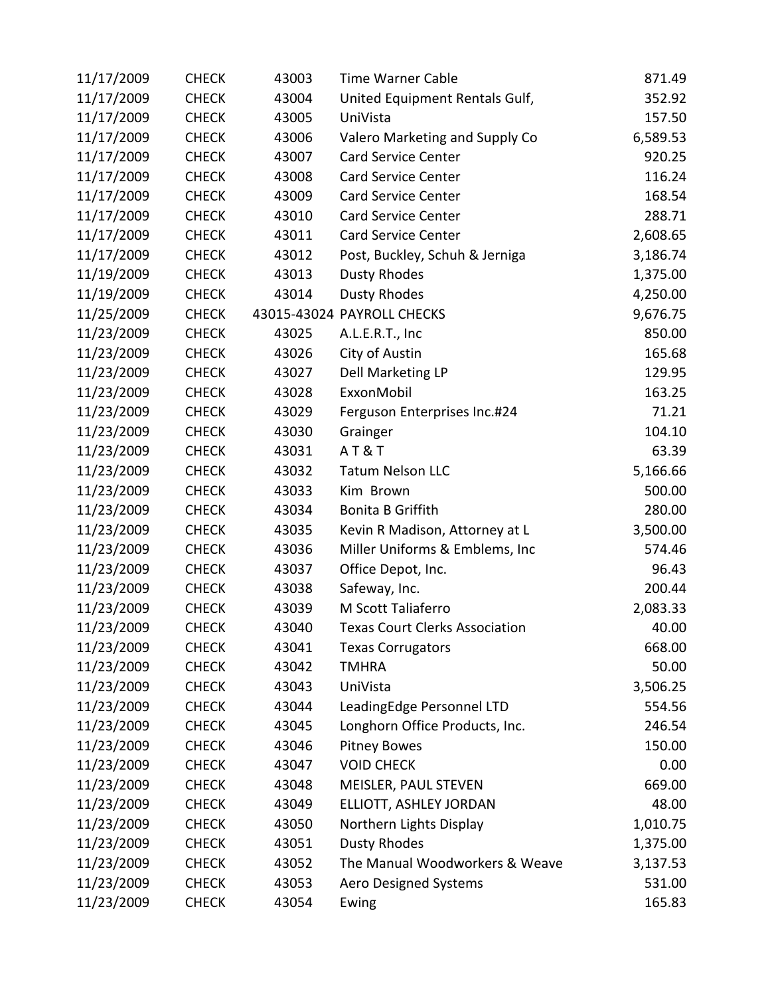| 11/17/2009 | <b>CHECK</b> | 43003 | <b>Time Warner Cable</b>              | 871.49   |
|------------|--------------|-------|---------------------------------------|----------|
| 11/17/2009 | <b>CHECK</b> | 43004 | United Equipment Rentals Gulf,        | 352.92   |
| 11/17/2009 | <b>CHECK</b> | 43005 | UniVista                              | 157.50   |
| 11/17/2009 | <b>CHECK</b> | 43006 | Valero Marketing and Supply Co        | 6,589.53 |
| 11/17/2009 | <b>CHECK</b> | 43007 | <b>Card Service Center</b>            | 920.25   |
| 11/17/2009 | <b>CHECK</b> | 43008 | Card Service Center                   | 116.24   |
| 11/17/2009 | <b>CHECK</b> | 43009 | Card Service Center                   | 168.54   |
| 11/17/2009 | <b>CHECK</b> | 43010 | <b>Card Service Center</b>            | 288.71   |
| 11/17/2009 | <b>CHECK</b> | 43011 | <b>Card Service Center</b>            | 2,608.65 |
| 11/17/2009 | <b>CHECK</b> | 43012 | Post, Buckley, Schuh & Jerniga        | 3,186.74 |
| 11/19/2009 | <b>CHECK</b> | 43013 | <b>Dusty Rhodes</b>                   | 1,375.00 |
| 11/19/2009 | <b>CHECK</b> | 43014 | <b>Dusty Rhodes</b>                   | 4,250.00 |
| 11/25/2009 | <b>CHECK</b> |       | 43015-43024 PAYROLL CHECKS            | 9,676.75 |
| 11/23/2009 | <b>CHECK</b> | 43025 | A.L.E.R.T., Inc                       | 850.00   |
| 11/23/2009 | <b>CHECK</b> | 43026 | City of Austin                        | 165.68   |
| 11/23/2009 | <b>CHECK</b> | 43027 | Dell Marketing LP                     | 129.95   |
| 11/23/2009 | <b>CHECK</b> | 43028 | ExxonMobil                            | 163.25   |
| 11/23/2009 | <b>CHECK</b> | 43029 | Ferguson Enterprises Inc.#24          | 71.21    |
| 11/23/2009 | <b>CHECK</b> | 43030 | Grainger                              | 104.10   |
| 11/23/2009 | <b>CHECK</b> | 43031 | <b>AT&amp;T</b>                       | 63.39    |
| 11/23/2009 | <b>CHECK</b> | 43032 | <b>Tatum Nelson LLC</b>               | 5,166.66 |
| 11/23/2009 | <b>CHECK</b> | 43033 | Kim Brown                             | 500.00   |
| 11/23/2009 | <b>CHECK</b> | 43034 | Bonita B Griffith                     | 280.00   |
| 11/23/2009 | <b>CHECK</b> | 43035 | Kevin R Madison, Attorney at L        | 3,500.00 |
| 11/23/2009 | <b>CHECK</b> | 43036 | Miller Uniforms & Emblems, Inc        | 574.46   |
| 11/23/2009 | <b>CHECK</b> | 43037 | Office Depot, Inc.                    | 96.43    |
| 11/23/2009 | <b>CHECK</b> | 43038 | Safeway, Inc.                         | 200.44   |
| 11/23/2009 | <b>CHECK</b> | 43039 | M Scott Taliaferro                    | 2,083.33 |
| 11/23/2009 | <b>CHECK</b> | 43040 | <b>Texas Court Clerks Association</b> | 40.00    |
| 11/23/2009 | <b>CHECK</b> | 43041 | <b>Texas Corrugators</b>              | 668.00   |
| 11/23/2009 | <b>CHECK</b> | 43042 | <b>TMHRA</b>                          | 50.00    |
| 11/23/2009 | <b>CHECK</b> | 43043 | UniVista                              | 3,506.25 |
| 11/23/2009 | <b>CHECK</b> | 43044 | LeadingEdge Personnel LTD             | 554.56   |
| 11/23/2009 | <b>CHECK</b> | 43045 | Longhorn Office Products, Inc.        | 246.54   |
| 11/23/2009 | <b>CHECK</b> | 43046 | <b>Pitney Bowes</b>                   | 150.00   |
| 11/23/2009 | <b>CHECK</b> | 43047 | <b>VOID CHECK</b>                     | 0.00     |
| 11/23/2009 | <b>CHECK</b> | 43048 | MEISLER, PAUL STEVEN                  | 669.00   |
| 11/23/2009 | <b>CHECK</b> | 43049 | ELLIOTT, ASHLEY JORDAN                | 48.00    |
| 11/23/2009 | <b>CHECK</b> | 43050 | Northern Lights Display               | 1,010.75 |
| 11/23/2009 | <b>CHECK</b> | 43051 | <b>Dusty Rhodes</b>                   | 1,375.00 |
| 11/23/2009 | <b>CHECK</b> | 43052 | The Manual Woodworkers & Weave        | 3,137.53 |
| 11/23/2009 | <b>CHECK</b> | 43053 | Aero Designed Systems                 | 531.00   |
| 11/23/2009 | <b>CHECK</b> | 43054 | Ewing                                 | 165.83   |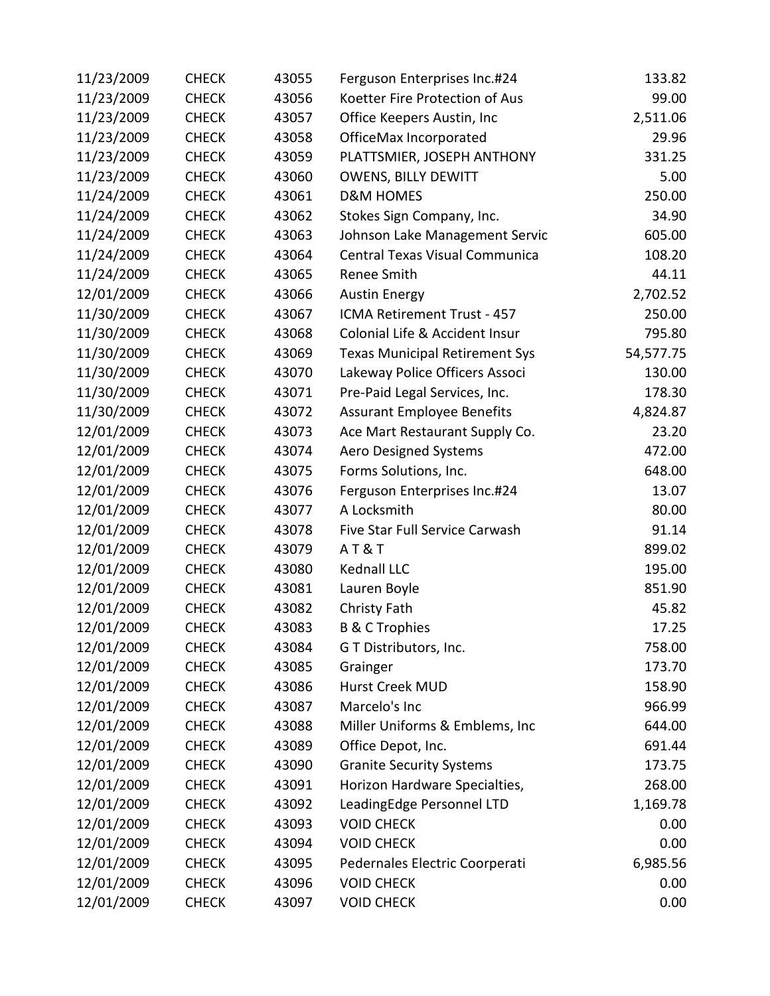| 11/23/2009 | <b>CHECK</b> | 43055 | Ferguson Enterprises Inc.#24          | 133.82    |
|------------|--------------|-------|---------------------------------------|-----------|
| 11/23/2009 | <b>CHECK</b> | 43056 | Koetter Fire Protection of Aus        | 99.00     |
| 11/23/2009 | <b>CHECK</b> | 43057 | Office Keepers Austin, Inc            | 2,511.06  |
| 11/23/2009 | <b>CHECK</b> | 43058 | OfficeMax Incorporated                | 29.96     |
| 11/23/2009 | <b>CHECK</b> | 43059 | PLATTSMIER, JOSEPH ANTHONY            | 331.25    |
| 11/23/2009 | <b>CHECK</b> | 43060 | <b>OWENS, BILLY DEWITT</b>            | 5.00      |
| 11/24/2009 | <b>CHECK</b> | 43061 | <b>D&amp;M HOMES</b>                  | 250.00    |
| 11/24/2009 | <b>CHECK</b> | 43062 | Stokes Sign Company, Inc.             | 34.90     |
| 11/24/2009 | <b>CHECK</b> | 43063 | Johnson Lake Management Servic        | 605.00    |
| 11/24/2009 | <b>CHECK</b> | 43064 | Central Texas Visual Communica        | 108.20    |
| 11/24/2009 | <b>CHECK</b> | 43065 | Renee Smith                           | 44.11     |
| 12/01/2009 | <b>CHECK</b> | 43066 | <b>Austin Energy</b>                  | 2,702.52  |
| 11/30/2009 | <b>CHECK</b> | 43067 | ICMA Retirement Trust - 457           | 250.00    |
| 11/30/2009 | <b>CHECK</b> | 43068 | Colonial Life & Accident Insur        | 795.80    |
| 11/30/2009 | <b>CHECK</b> | 43069 | <b>Texas Municipal Retirement Sys</b> | 54,577.75 |
| 11/30/2009 | <b>CHECK</b> | 43070 | Lakeway Police Officers Associ        | 130.00    |
| 11/30/2009 | <b>CHECK</b> | 43071 | Pre-Paid Legal Services, Inc.         | 178.30    |
| 11/30/2009 | <b>CHECK</b> | 43072 | <b>Assurant Employee Benefits</b>     | 4,824.87  |
| 12/01/2009 | <b>CHECK</b> | 43073 | Ace Mart Restaurant Supply Co.        | 23.20     |
| 12/01/2009 | <b>CHECK</b> | 43074 | Aero Designed Systems                 | 472.00    |
| 12/01/2009 | <b>CHECK</b> | 43075 | Forms Solutions, Inc.                 | 648.00    |
| 12/01/2009 | <b>CHECK</b> | 43076 | Ferguson Enterprises Inc.#24          | 13.07     |
| 12/01/2009 | <b>CHECK</b> | 43077 | A Locksmith                           | 80.00     |
| 12/01/2009 | <b>CHECK</b> | 43078 | Five Star Full Service Carwash        | 91.14     |
| 12/01/2009 | <b>CHECK</b> | 43079 | <b>AT&amp;T</b>                       | 899.02    |
| 12/01/2009 | <b>CHECK</b> | 43080 | Kednall LLC                           | 195.00    |
| 12/01/2009 | <b>CHECK</b> | 43081 | Lauren Boyle                          | 851.90    |
| 12/01/2009 | <b>CHECK</b> | 43082 | Christy Fath                          | 45.82     |
| 12/01/2009 | <b>CHECK</b> | 43083 | <b>B &amp; C Trophies</b>             | 17.25     |
| 12/01/2009 | <b>CHECK</b> | 43084 | G T Distributors, Inc.                | 758.00    |
| 12/01/2009 | <b>CHECK</b> | 43085 | Grainger                              | 173.70    |
| 12/01/2009 | <b>CHECK</b> | 43086 | <b>Hurst Creek MUD</b>                | 158.90    |
| 12/01/2009 | <b>CHECK</b> | 43087 | Marcelo's Inc                         | 966.99    |
| 12/01/2009 | <b>CHECK</b> | 43088 | Miller Uniforms & Emblems, Inc        | 644.00    |
| 12/01/2009 | <b>CHECK</b> | 43089 | Office Depot, Inc.                    | 691.44    |
| 12/01/2009 | <b>CHECK</b> | 43090 | <b>Granite Security Systems</b>       | 173.75    |
| 12/01/2009 | <b>CHECK</b> | 43091 | Horizon Hardware Specialties,         | 268.00    |
| 12/01/2009 | <b>CHECK</b> | 43092 | LeadingEdge Personnel LTD             | 1,169.78  |
| 12/01/2009 | <b>CHECK</b> | 43093 | <b>VOID CHECK</b>                     | 0.00      |
| 12/01/2009 | <b>CHECK</b> | 43094 | <b>VOID CHECK</b>                     | 0.00      |
| 12/01/2009 | <b>CHECK</b> | 43095 | Pedernales Electric Coorperati        | 6,985.56  |
| 12/01/2009 | <b>CHECK</b> | 43096 | <b>VOID CHECK</b>                     | 0.00      |
| 12/01/2009 | <b>CHECK</b> | 43097 | <b>VOID CHECK</b>                     | 0.00      |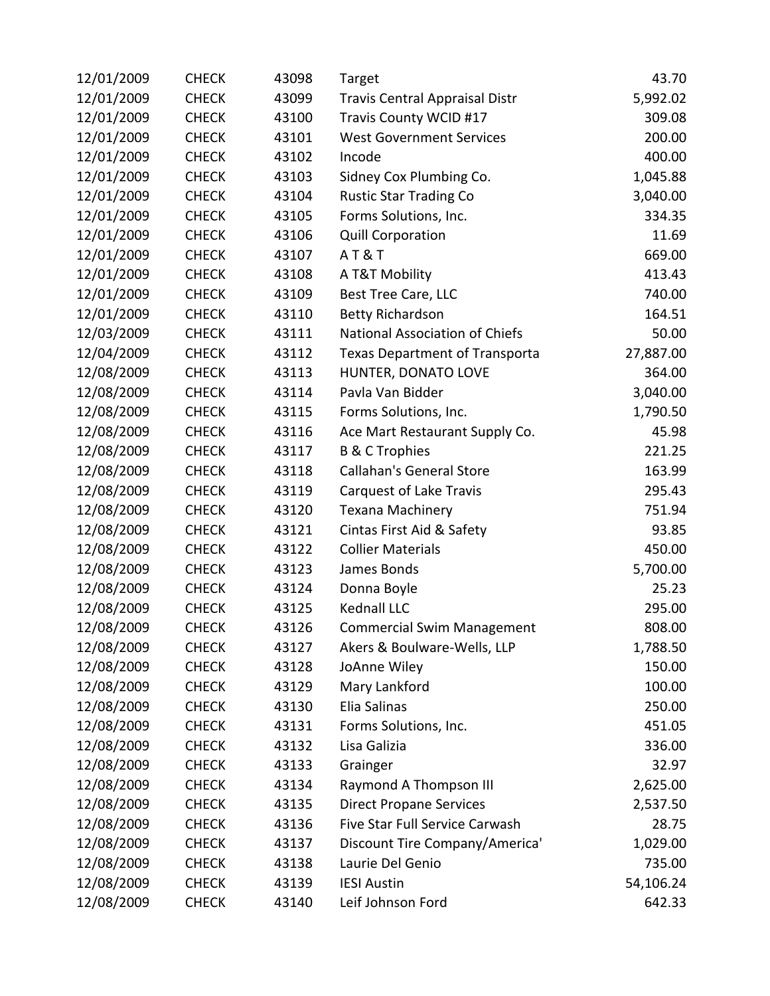| 12/01/2009 | <b>CHECK</b> | 43098 | Target                                | 43.70     |
|------------|--------------|-------|---------------------------------------|-----------|
| 12/01/2009 | <b>CHECK</b> | 43099 | <b>Travis Central Appraisal Distr</b> | 5,992.02  |
| 12/01/2009 | <b>CHECK</b> | 43100 | Travis County WCID #17                | 309.08    |
| 12/01/2009 | <b>CHECK</b> | 43101 | <b>West Government Services</b>       | 200.00    |
| 12/01/2009 | <b>CHECK</b> | 43102 | Incode                                | 400.00    |
| 12/01/2009 | <b>CHECK</b> | 43103 | Sidney Cox Plumbing Co.               | 1,045.88  |
| 12/01/2009 | <b>CHECK</b> | 43104 | <b>Rustic Star Trading Co</b>         | 3,040.00  |
| 12/01/2009 | <b>CHECK</b> | 43105 | Forms Solutions, Inc.                 | 334.35    |
| 12/01/2009 | <b>CHECK</b> | 43106 | <b>Quill Corporation</b>              | 11.69     |
| 12/01/2009 | <b>CHECK</b> | 43107 | AT&T                                  | 669.00    |
| 12/01/2009 | <b>CHECK</b> | 43108 | A T&T Mobility                        | 413.43    |
| 12/01/2009 | <b>CHECK</b> | 43109 | Best Tree Care, LLC                   | 740.00    |
| 12/01/2009 | <b>CHECK</b> | 43110 | <b>Betty Richardson</b>               | 164.51    |
| 12/03/2009 | <b>CHECK</b> | 43111 | National Association of Chiefs        | 50.00     |
| 12/04/2009 | <b>CHECK</b> | 43112 | <b>Texas Department of Transporta</b> | 27,887.00 |
| 12/08/2009 | <b>CHECK</b> | 43113 | HUNTER, DONATO LOVE                   | 364.00    |
| 12/08/2009 | <b>CHECK</b> | 43114 | Pavla Van Bidder                      | 3,040.00  |
| 12/08/2009 | <b>CHECK</b> | 43115 | Forms Solutions, Inc.                 | 1,790.50  |
| 12/08/2009 | <b>CHECK</b> | 43116 | Ace Mart Restaurant Supply Co.        | 45.98     |
| 12/08/2009 | <b>CHECK</b> | 43117 | <b>B &amp; C Trophies</b>             | 221.25    |
| 12/08/2009 | <b>CHECK</b> | 43118 | <b>Callahan's General Store</b>       | 163.99    |
| 12/08/2009 | <b>CHECK</b> | 43119 | Carquest of Lake Travis               | 295.43    |
| 12/08/2009 | <b>CHECK</b> | 43120 | Texana Machinery                      | 751.94    |
| 12/08/2009 | <b>CHECK</b> | 43121 | Cintas First Aid & Safety             | 93.85     |
| 12/08/2009 | <b>CHECK</b> | 43122 | <b>Collier Materials</b>              | 450.00    |
| 12/08/2009 | <b>CHECK</b> | 43123 | James Bonds                           | 5,700.00  |
| 12/08/2009 | <b>CHECK</b> | 43124 | Donna Boyle                           | 25.23     |
| 12/08/2009 | <b>CHECK</b> | 43125 | <b>Kednall LLC</b>                    | 295.00    |
| 12/08/2009 | <b>CHECK</b> | 43126 | <b>Commercial Swim Management</b>     | 808.00    |
| 12/08/2009 | <b>CHECK</b> | 43127 | Akers & Boulware-Wells, LLP           | 1,788.50  |
| 12/08/2009 | <b>CHECK</b> | 43128 | JoAnne Wiley                          | 150.00    |
| 12/08/2009 | <b>CHECK</b> | 43129 | Mary Lankford                         | 100.00    |
| 12/08/2009 | <b>CHECK</b> | 43130 | Elia Salinas                          | 250.00    |
| 12/08/2009 | <b>CHECK</b> | 43131 | Forms Solutions, Inc.                 | 451.05    |
| 12/08/2009 | <b>CHECK</b> | 43132 | Lisa Galizia                          | 336.00    |
| 12/08/2009 | <b>CHECK</b> | 43133 | Grainger                              | 32.97     |
| 12/08/2009 | <b>CHECK</b> | 43134 | Raymond A Thompson III                | 2,625.00  |
| 12/08/2009 | <b>CHECK</b> | 43135 | <b>Direct Propane Services</b>        | 2,537.50  |
| 12/08/2009 | <b>CHECK</b> | 43136 | Five Star Full Service Carwash        | 28.75     |
| 12/08/2009 | <b>CHECK</b> | 43137 | Discount Tire Company/America'        | 1,029.00  |
| 12/08/2009 | <b>CHECK</b> | 43138 | Laurie Del Genio                      | 735.00    |
| 12/08/2009 | <b>CHECK</b> | 43139 | <b>IESI Austin</b>                    | 54,106.24 |
| 12/08/2009 | <b>CHECK</b> | 43140 | Leif Johnson Ford                     | 642.33    |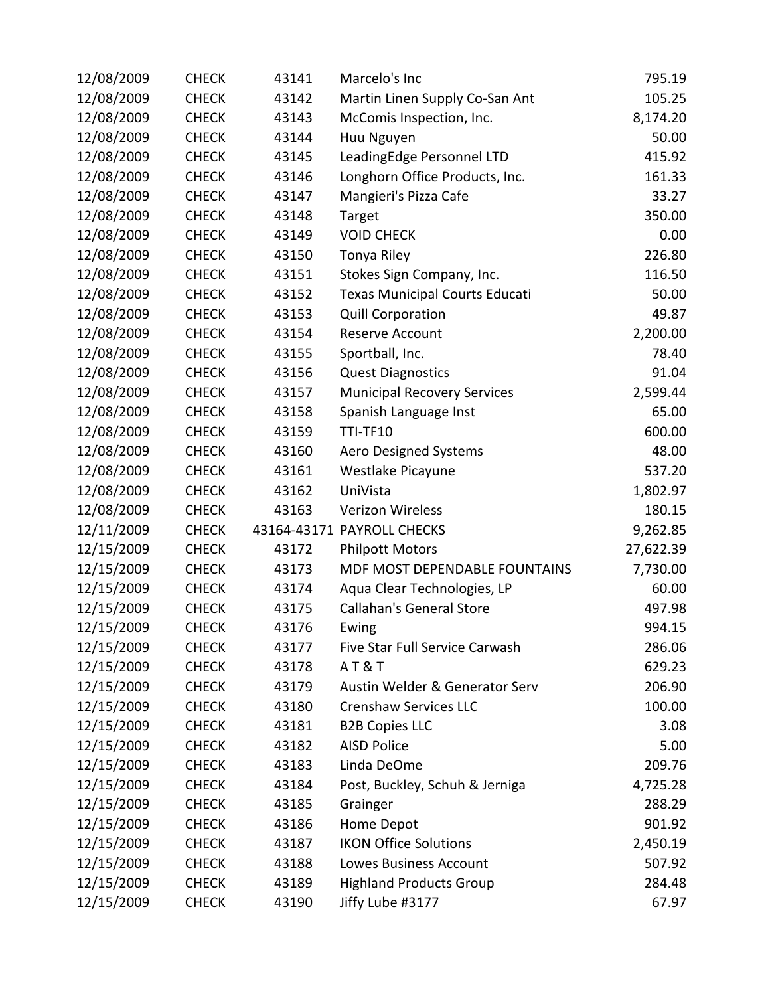| 12/08/2009 | <b>CHECK</b> | 43141 | Marcelo's Inc                         | 795.19    |
|------------|--------------|-------|---------------------------------------|-----------|
| 12/08/2009 | <b>CHECK</b> | 43142 | Martin Linen Supply Co-San Ant        | 105.25    |
| 12/08/2009 | <b>CHECK</b> | 43143 | McComis Inspection, Inc.              | 8,174.20  |
| 12/08/2009 | <b>CHECK</b> | 43144 | Huu Nguyen                            | 50.00     |
| 12/08/2009 | <b>CHECK</b> | 43145 | LeadingEdge Personnel LTD             | 415.92    |
| 12/08/2009 | <b>CHECK</b> | 43146 | Longhorn Office Products, Inc.        | 161.33    |
| 12/08/2009 | <b>CHECK</b> | 43147 | Mangieri's Pizza Cafe                 | 33.27     |
| 12/08/2009 | <b>CHECK</b> | 43148 | Target                                | 350.00    |
| 12/08/2009 | <b>CHECK</b> | 43149 | <b>VOID CHECK</b>                     | 0.00      |
| 12/08/2009 | <b>CHECK</b> | 43150 | Tonya Riley                           | 226.80    |
| 12/08/2009 | <b>CHECK</b> | 43151 | Stokes Sign Company, Inc.             | 116.50    |
| 12/08/2009 | <b>CHECK</b> | 43152 | <b>Texas Municipal Courts Educati</b> | 50.00     |
| 12/08/2009 | <b>CHECK</b> | 43153 | <b>Quill Corporation</b>              | 49.87     |
| 12/08/2009 | <b>CHECK</b> | 43154 | Reserve Account                       | 2,200.00  |
| 12/08/2009 | <b>CHECK</b> | 43155 | Sportball, Inc.                       | 78.40     |
| 12/08/2009 | <b>CHECK</b> | 43156 | <b>Quest Diagnostics</b>              | 91.04     |
| 12/08/2009 | <b>CHECK</b> | 43157 | <b>Municipal Recovery Services</b>    | 2,599.44  |
| 12/08/2009 | <b>CHECK</b> | 43158 | Spanish Language Inst                 | 65.00     |
| 12/08/2009 | <b>CHECK</b> | 43159 | <b>TTI-TF10</b>                       | 600.00    |
| 12/08/2009 | <b>CHECK</b> | 43160 | <b>Aero Designed Systems</b>          | 48.00     |
| 12/08/2009 | <b>CHECK</b> | 43161 | Westlake Picayune                     | 537.20    |
| 12/08/2009 | <b>CHECK</b> | 43162 | UniVista                              | 1,802.97  |
| 12/08/2009 | <b>CHECK</b> | 43163 | <b>Verizon Wireless</b>               | 180.15    |
| 12/11/2009 | <b>CHECK</b> |       | 43164-43171 PAYROLL CHECKS            | 9,262.85  |
| 12/15/2009 | <b>CHECK</b> | 43172 | <b>Philpott Motors</b>                | 27,622.39 |
| 12/15/2009 | <b>CHECK</b> | 43173 | MDF MOST DEPENDABLE FOUNTAINS         | 7,730.00  |
| 12/15/2009 | <b>CHECK</b> | 43174 | Aqua Clear Technologies, LP           | 60.00     |
| 12/15/2009 | <b>CHECK</b> | 43175 | <b>Callahan's General Store</b>       | 497.98    |
| 12/15/2009 | <b>CHECK</b> | 43176 | Ewing                                 | 994.15    |
| 12/15/2009 | <b>CHECK</b> | 43177 | Five Star Full Service Carwash        | 286.06    |
| 12/15/2009 | <b>CHECK</b> | 43178 | AT&T                                  | 629.23    |
| 12/15/2009 | <b>CHECK</b> | 43179 | Austin Welder & Generator Serv        | 206.90    |
| 12/15/2009 | <b>CHECK</b> | 43180 | <b>Crenshaw Services LLC</b>          | 100.00    |
| 12/15/2009 | <b>CHECK</b> | 43181 | <b>B2B Copies LLC</b>                 | 3.08      |
| 12/15/2009 | <b>CHECK</b> | 43182 | <b>AISD Police</b>                    | 5.00      |
| 12/15/2009 | <b>CHECK</b> | 43183 | Linda DeOme                           | 209.76    |
| 12/15/2009 | <b>CHECK</b> | 43184 | Post, Buckley, Schuh & Jerniga        | 4,725.28  |
| 12/15/2009 | <b>CHECK</b> | 43185 | Grainger                              | 288.29    |
| 12/15/2009 | <b>CHECK</b> | 43186 | Home Depot                            | 901.92    |
| 12/15/2009 | <b>CHECK</b> | 43187 | <b>IKON Office Solutions</b>          | 2,450.19  |
| 12/15/2009 | <b>CHECK</b> | 43188 | Lowes Business Account                | 507.92    |
| 12/15/2009 | <b>CHECK</b> | 43189 | <b>Highland Products Group</b>        | 284.48    |
| 12/15/2009 | <b>CHECK</b> | 43190 | Jiffy Lube #3177                      | 67.97     |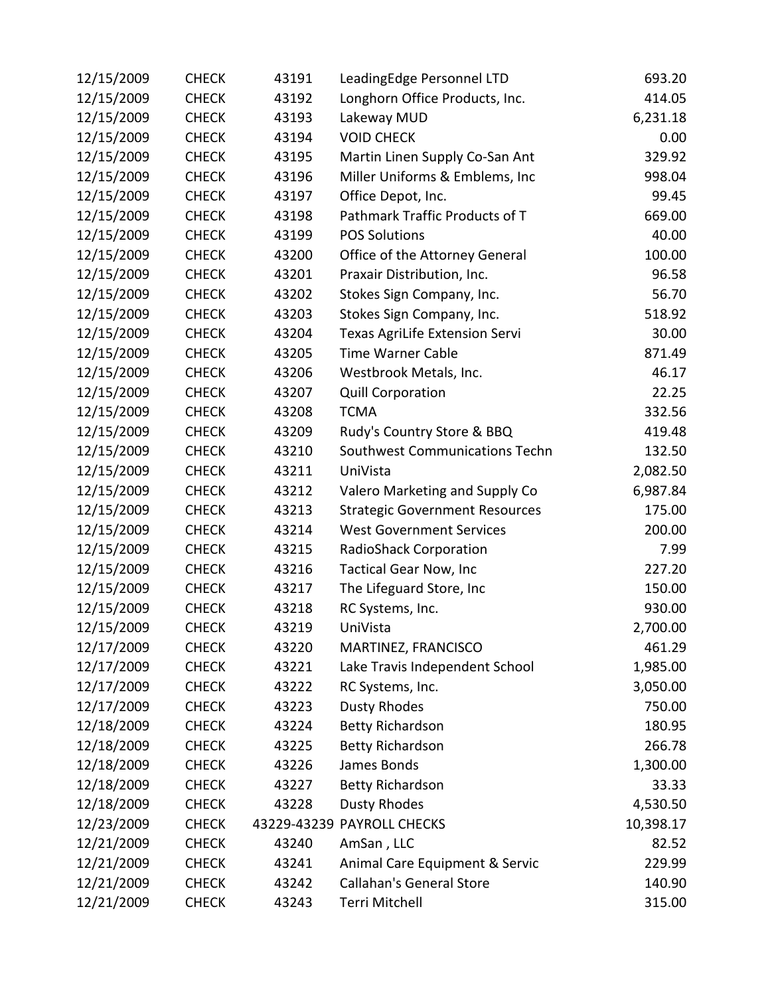| 12/15/2009 | <b>CHECK</b> | 43191 | LeadingEdge Personnel LTD             | 693.20    |
|------------|--------------|-------|---------------------------------------|-----------|
| 12/15/2009 | <b>CHECK</b> | 43192 | Longhorn Office Products, Inc.        | 414.05    |
| 12/15/2009 | <b>CHECK</b> | 43193 | Lakeway MUD                           | 6,231.18  |
| 12/15/2009 | <b>CHECK</b> | 43194 | <b>VOID CHECK</b>                     | 0.00      |
| 12/15/2009 | <b>CHECK</b> | 43195 | Martin Linen Supply Co-San Ant        | 329.92    |
| 12/15/2009 | <b>CHECK</b> | 43196 | Miller Uniforms & Emblems, Inc        | 998.04    |
| 12/15/2009 | <b>CHECK</b> | 43197 | Office Depot, Inc.                    | 99.45     |
| 12/15/2009 | <b>CHECK</b> | 43198 | Pathmark Traffic Products of T        | 669.00    |
| 12/15/2009 | <b>CHECK</b> | 43199 | <b>POS Solutions</b>                  | 40.00     |
| 12/15/2009 | <b>CHECK</b> | 43200 | Office of the Attorney General        | 100.00    |
| 12/15/2009 | <b>CHECK</b> | 43201 | Praxair Distribution, Inc.            | 96.58     |
| 12/15/2009 | <b>CHECK</b> | 43202 | Stokes Sign Company, Inc.             | 56.70     |
| 12/15/2009 | <b>CHECK</b> | 43203 | Stokes Sign Company, Inc.             | 518.92    |
| 12/15/2009 | <b>CHECK</b> | 43204 | <b>Texas AgriLife Extension Servi</b> | 30.00     |
| 12/15/2009 | <b>CHECK</b> | 43205 | <b>Time Warner Cable</b>              | 871.49    |
| 12/15/2009 | <b>CHECK</b> | 43206 | Westbrook Metals, Inc.                | 46.17     |
| 12/15/2009 | <b>CHECK</b> | 43207 | <b>Quill Corporation</b>              | 22.25     |
| 12/15/2009 | <b>CHECK</b> | 43208 | <b>TCMA</b>                           | 332.56    |
| 12/15/2009 | <b>CHECK</b> | 43209 | Rudy's Country Store & BBQ            | 419.48    |
| 12/15/2009 | <b>CHECK</b> | 43210 | Southwest Communications Techn        | 132.50    |
| 12/15/2009 | <b>CHECK</b> | 43211 | UniVista                              | 2,082.50  |
| 12/15/2009 | <b>CHECK</b> | 43212 | Valero Marketing and Supply Co        | 6,987.84  |
| 12/15/2009 | <b>CHECK</b> | 43213 | <b>Strategic Government Resources</b> | 175.00    |
| 12/15/2009 | <b>CHECK</b> | 43214 | <b>West Government Services</b>       | 200.00    |
| 12/15/2009 | <b>CHECK</b> | 43215 | RadioShack Corporation                | 7.99      |
| 12/15/2009 | <b>CHECK</b> | 43216 | <b>Tactical Gear Now, Inc</b>         | 227.20    |
| 12/15/2009 | <b>CHECK</b> | 43217 | The Lifeguard Store, Inc              | 150.00    |
| 12/15/2009 | <b>CHECK</b> | 43218 | RC Systems, Inc.                      | 930.00    |
| 12/15/2009 | <b>CHECK</b> | 43219 | UniVista                              | 2,700.00  |
| 12/17/2009 | <b>CHECK</b> | 43220 | MARTINEZ, FRANCISCO                   | 461.29    |
| 12/17/2009 | <b>CHECK</b> | 43221 | Lake Travis Independent School        | 1,985.00  |
| 12/17/2009 | <b>CHECK</b> | 43222 | RC Systems, Inc.                      | 3,050.00  |
| 12/17/2009 | <b>CHECK</b> | 43223 | <b>Dusty Rhodes</b>                   | 750.00    |
| 12/18/2009 | <b>CHECK</b> | 43224 | <b>Betty Richardson</b>               | 180.95    |
| 12/18/2009 | <b>CHECK</b> | 43225 | <b>Betty Richardson</b>               | 266.78    |
| 12/18/2009 | <b>CHECK</b> | 43226 | James Bonds                           | 1,300.00  |
| 12/18/2009 | <b>CHECK</b> | 43227 | <b>Betty Richardson</b>               | 33.33     |
| 12/18/2009 | <b>CHECK</b> | 43228 | Dusty Rhodes                          | 4,530.50  |
| 12/23/2009 | <b>CHECK</b> |       | 43229-43239 PAYROLL CHECKS            | 10,398.17 |
| 12/21/2009 | <b>CHECK</b> | 43240 | AmSan, LLC                            | 82.52     |
| 12/21/2009 | <b>CHECK</b> | 43241 | Animal Care Equipment & Servic        | 229.99    |
| 12/21/2009 | <b>CHECK</b> | 43242 | <b>Callahan's General Store</b>       | 140.90    |
| 12/21/2009 | <b>CHECK</b> | 43243 | Terri Mitchell                        | 315.00    |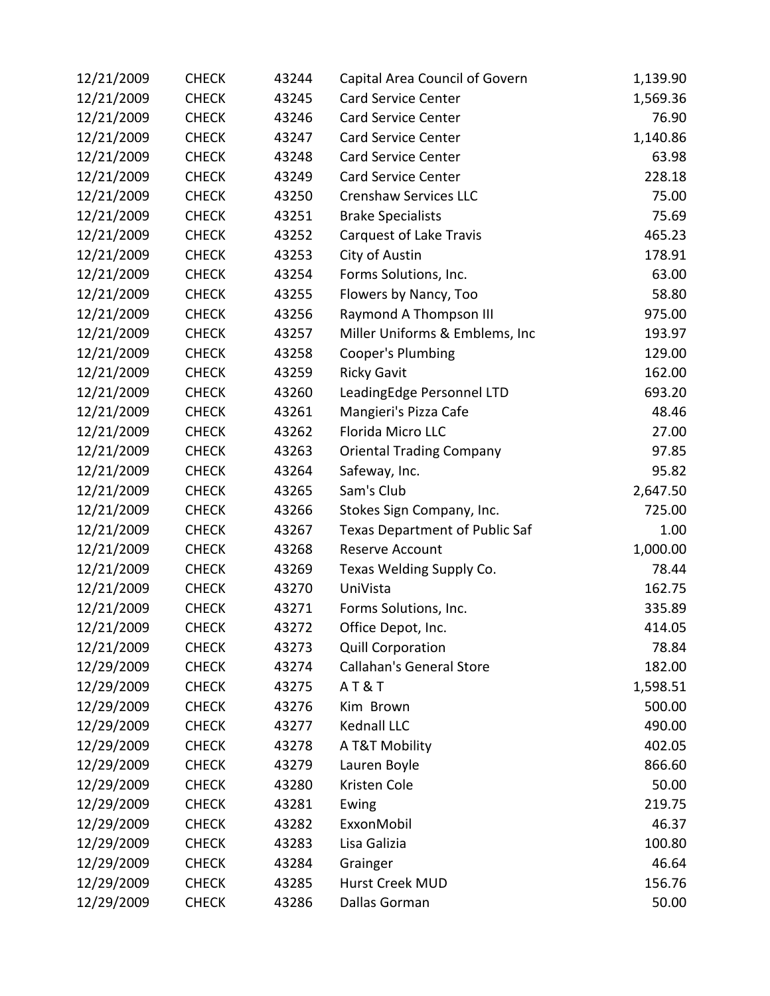| 12/21/2009 | <b>CHECK</b> | 43244 | Capital Area Council of Govern        | 1,139.90 |
|------------|--------------|-------|---------------------------------------|----------|
| 12/21/2009 | <b>CHECK</b> | 43245 | <b>Card Service Center</b>            | 1,569.36 |
| 12/21/2009 | <b>CHECK</b> | 43246 | Card Service Center                   | 76.90    |
| 12/21/2009 | <b>CHECK</b> | 43247 | <b>Card Service Center</b>            | 1,140.86 |
| 12/21/2009 | <b>CHECK</b> | 43248 | <b>Card Service Center</b>            | 63.98    |
| 12/21/2009 | <b>CHECK</b> | 43249 | <b>Card Service Center</b>            | 228.18   |
| 12/21/2009 | <b>CHECK</b> | 43250 | <b>Crenshaw Services LLC</b>          | 75.00    |
| 12/21/2009 | <b>CHECK</b> | 43251 | <b>Brake Specialists</b>              | 75.69    |
| 12/21/2009 | <b>CHECK</b> | 43252 | Carquest of Lake Travis               | 465.23   |
| 12/21/2009 | <b>CHECK</b> | 43253 | City of Austin                        | 178.91   |
| 12/21/2009 | <b>CHECK</b> | 43254 | Forms Solutions, Inc.                 | 63.00    |
| 12/21/2009 | <b>CHECK</b> | 43255 | Flowers by Nancy, Too                 | 58.80    |
| 12/21/2009 | <b>CHECK</b> | 43256 | Raymond A Thompson III                | 975.00   |
| 12/21/2009 | <b>CHECK</b> | 43257 | Miller Uniforms & Emblems, Inc        | 193.97   |
| 12/21/2009 | <b>CHECK</b> | 43258 | <b>Cooper's Plumbing</b>              | 129.00   |
| 12/21/2009 | <b>CHECK</b> | 43259 | <b>Ricky Gavit</b>                    | 162.00   |
| 12/21/2009 | <b>CHECK</b> | 43260 | LeadingEdge Personnel LTD             | 693.20   |
| 12/21/2009 | <b>CHECK</b> | 43261 | Mangieri's Pizza Cafe                 | 48.46    |
| 12/21/2009 | <b>CHECK</b> | 43262 | Florida Micro LLC                     | 27.00    |
| 12/21/2009 | <b>CHECK</b> | 43263 | <b>Oriental Trading Company</b>       | 97.85    |
| 12/21/2009 | <b>CHECK</b> | 43264 | Safeway, Inc.                         | 95.82    |
| 12/21/2009 | <b>CHECK</b> | 43265 | Sam's Club                            | 2,647.50 |
| 12/21/2009 | <b>CHECK</b> | 43266 | Stokes Sign Company, Inc.             | 725.00   |
| 12/21/2009 | <b>CHECK</b> | 43267 | <b>Texas Department of Public Saf</b> | 1.00     |
| 12/21/2009 | <b>CHECK</b> | 43268 | Reserve Account                       | 1,000.00 |
| 12/21/2009 | <b>CHECK</b> | 43269 | Texas Welding Supply Co.              | 78.44    |
| 12/21/2009 | <b>CHECK</b> | 43270 | UniVista                              | 162.75   |
| 12/21/2009 | <b>CHECK</b> | 43271 | Forms Solutions, Inc.                 | 335.89   |
| 12/21/2009 | <b>CHECK</b> | 43272 | Office Depot, Inc.                    | 414.05   |
| 12/21/2009 | <b>CHECK</b> | 43273 | <b>Quill Corporation</b>              | 78.84    |
| 12/29/2009 | <b>CHECK</b> | 43274 | <b>Callahan's General Store</b>       | 182.00   |
| 12/29/2009 | <b>CHECK</b> | 43275 | AT&T                                  | 1,598.51 |
| 12/29/2009 | <b>CHECK</b> | 43276 | Kim Brown                             | 500.00   |
| 12/29/2009 | <b>CHECK</b> | 43277 | Kednall LLC                           | 490.00   |
| 12/29/2009 | <b>CHECK</b> | 43278 | A T&T Mobility                        | 402.05   |
| 12/29/2009 | <b>CHECK</b> | 43279 | Lauren Boyle                          | 866.60   |
| 12/29/2009 | <b>CHECK</b> | 43280 | Kristen Cole                          | 50.00    |
| 12/29/2009 | <b>CHECK</b> | 43281 | Ewing                                 | 219.75   |
| 12/29/2009 | <b>CHECK</b> | 43282 | ExxonMobil                            | 46.37    |
| 12/29/2009 | <b>CHECK</b> | 43283 | Lisa Galizia                          | 100.80   |
| 12/29/2009 | <b>CHECK</b> | 43284 | Grainger                              | 46.64    |
| 12/29/2009 | <b>CHECK</b> | 43285 | Hurst Creek MUD                       | 156.76   |
| 12/29/2009 | <b>CHECK</b> | 43286 | Dallas Gorman                         | 50.00    |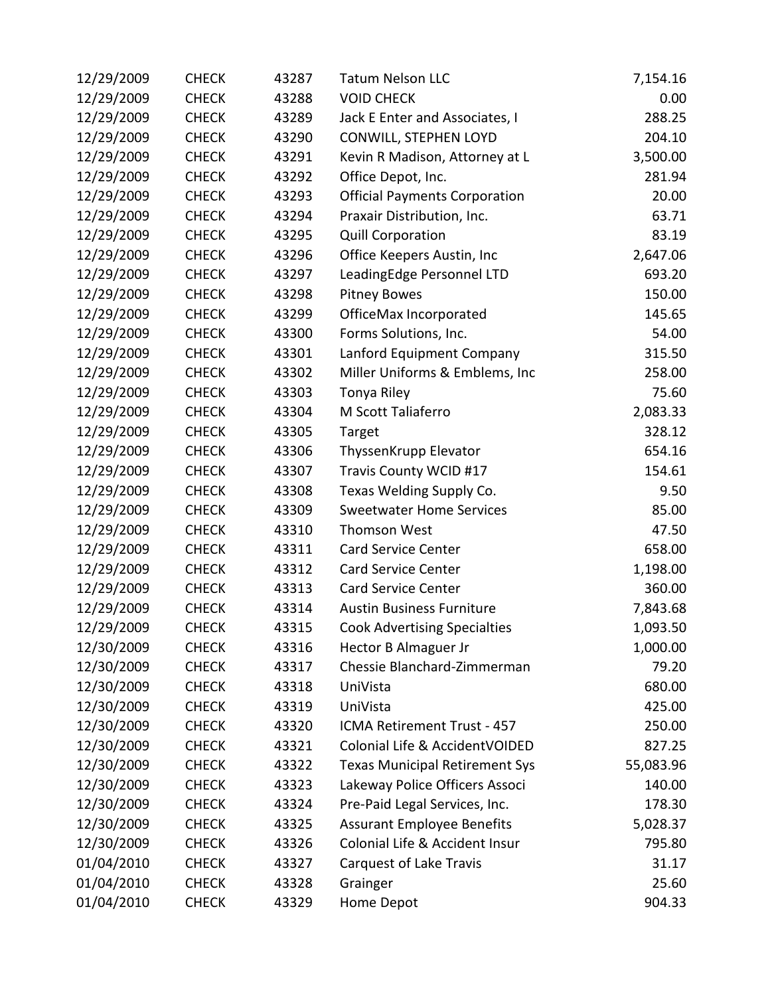| 12/29/2009 | <b>CHECK</b> | 43287 | <b>Tatum Nelson LLC</b>               | 7,154.16  |
|------------|--------------|-------|---------------------------------------|-----------|
| 12/29/2009 | <b>CHECK</b> | 43288 | <b>VOID CHECK</b>                     | 0.00      |
| 12/29/2009 | <b>CHECK</b> | 43289 | Jack E Enter and Associates, I        | 288.25    |
| 12/29/2009 | <b>CHECK</b> | 43290 | CONWILL, STEPHEN LOYD                 | 204.10    |
| 12/29/2009 | <b>CHECK</b> | 43291 | Kevin R Madison, Attorney at L        | 3,500.00  |
| 12/29/2009 | <b>CHECK</b> | 43292 | Office Depot, Inc.                    | 281.94    |
| 12/29/2009 | <b>CHECK</b> | 43293 | <b>Official Payments Corporation</b>  | 20.00     |
| 12/29/2009 | <b>CHECK</b> | 43294 | Praxair Distribution, Inc.            | 63.71     |
| 12/29/2009 | <b>CHECK</b> | 43295 | <b>Quill Corporation</b>              | 83.19     |
| 12/29/2009 | <b>CHECK</b> | 43296 | Office Keepers Austin, Inc            | 2,647.06  |
| 12/29/2009 | <b>CHECK</b> | 43297 | LeadingEdge Personnel LTD             | 693.20    |
| 12/29/2009 | <b>CHECK</b> | 43298 | <b>Pitney Bowes</b>                   | 150.00    |
| 12/29/2009 | <b>CHECK</b> | 43299 | OfficeMax Incorporated                | 145.65    |
| 12/29/2009 | <b>CHECK</b> | 43300 | Forms Solutions, Inc.                 | 54.00     |
| 12/29/2009 | <b>CHECK</b> | 43301 | Lanford Equipment Company             | 315.50    |
| 12/29/2009 | <b>CHECK</b> | 43302 | Miller Uniforms & Emblems, Inc        | 258.00    |
| 12/29/2009 | <b>CHECK</b> | 43303 | Tonya Riley                           | 75.60     |
| 12/29/2009 | <b>CHECK</b> | 43304 | M Scott Taliaferro                    | 2,083.33  |
| 12/29/2009 | <b>CHECK</b> | 43305 | Target                                | 328.12    |
| 12/29/2009 | <b>CHECK</b> | 43306 | ThyssenKrupp Elevator                 | 654.16    |
| 12/29/2009 | <b>CHECK</b> | 43307 | Travis County WCID #17                | 154.61    |
| 12/29/2009 | <b>CHECK</b> | 43308 | Texas Welding Supply Co.              | 9.50      |
| 12/29/2009 | <b>CHECK</b> | 43309 | <b>Sweetwater Home Services</b>       | 85.00     |
| 12/29/2009 | <b>CHECK</b> | 43310 | Thomson West                          | 47.50     |
| 12/29/2009 | <b>CHECK</b> | 43311 | <b>Card Service Center</b>            | 658.00    |
| 12/29/2009 | <b>CHECK</b> | 43312 | <b>Card Service Center</b>            | 1,198.00  |
| 12/29/2009 | <b>CHECK</b> | 43313 | <b>Card Service Center</b>            | 360.00    |
| 12/29/2009 | <b>CHECK</b> | 43314 | <b>Austin Business Furniture</b>      | 7,843.68  |
| 12/29/2009 | <b>CHECK</b> | 43315 | <b>Cook Advertising Specialties</b>   | 1,093.50  |
| 12/30/2009 | <b>CHECK</b> | 43316 | Hector B Almaguer Jr                  | 1,000.00  |
| 12/30/2009 | <b>CHECK</b> | 43317 | Chessie Blanchard-Zimmerman           | 79.20     |
| 12/30/2009 | <b>CHECK</b> | 43318 | UniVista                              | 680.00    |
| 12/30/2009 | <b>CHECK</b> | 43319 | UniVista                              | 425.00    |
| 12/30/2009 | <b>CHECK</b> | 43320 | ICMA Retirement Trust - 457           | 250.00    |
| 12/30/2009 | <b>CHECK</b> | 43321 | Colonial Life & AccidentVOIDED        | 827.25    |
| 12/30/2009 | <b>CHECK</b> | 43322 | <b>Texas Municipal Retirement Sys</b> | 55,083.96 |
| 12/30/2009 | <b>CHECK</b> | 43323 | Lakeway Police Officers Associ        | 140.00    |
| 12/30/2009 | <b>CHECK</b> | 43324 | Pre-Paid Legal Services, Inc.         | 178.30    |
| 12/30/2009 | <b>CHECK</b> | 43325 | <b>Assurant Employee Benefits</b>     | 5,028.37  |
| 12/30/2009 | <b>CHECK</b> | 43326 | Colonial Life & Accident Insur        | 795.80    |
| 01/04/2010 | <b>CHECK</b> | 43327 | Carquest of Lake Travis               | 31.17     |
| 01/04/2010 | <b>CHECK</b> | 43328 | Grainger                              | 25.60     |
| 01/04/2010 | <b>CHECK</b> | 43329 | Home Depot                            | 904.33    |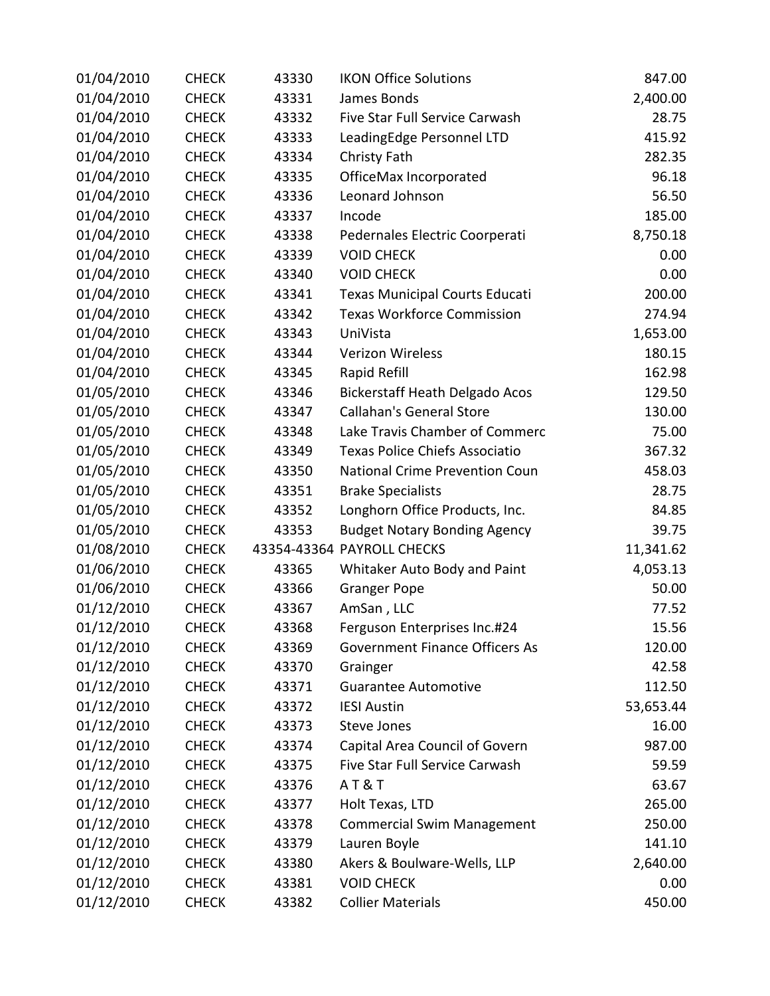| 01/04/2010 | <b>CHECK</b> | 43330 | <b>IKON Office Solutions</b>          | 847.00    |
|------------|--------------|-------|---------------------------------------|-----------|
| 01/04/2010 | <b>CHECK</b> | 43331 | James Bonds                           | 2,400.00  |
| 01/04/2010 | <b>CHECK</b> | 43332 | Five Star Full Service Carwash        | 28.75     |
| 01/04/2010 | <b>CHECK</b> | 43333 | LeadingEdge Personnel LTD             | 415.92    |
| 01/04/2010 | <b>CHECK</b> | 43334 | Christy Fath                          | 282.35    |
| 01/04/2010 | <b>CHECK</b> | 43335 | OfficeMax Incorporated                | 96.18     |
| 01/04/2010 | <b>CHECK</b> | 43336 | Leonard Johnson                       | 56.50     |
| 01/04/2010 | <b>CHECK</b> | 43337 | Incode                                | 185.00    |
| 01/04/2010 | <b>CHECK</b> | 43338 | Pedernales Electric Coorperati        | 8,750.18  |
| 01/04/2010 | <b>CHECK</b> | 43339 | <b>VOID CHECK</b>                     | 0.00      |
| 01/04/2010 | <b>CHECK</b> | 43340 | <b>VOID CHECK</b>                     | 0.00      |
| 01/04/2010 | <b>CHECK</b> | 43341 | <b>Texas Municipal Courts Educati</b> | 200.00    |
| 01/04/2010 | <b>CHECK</b> | 43342 | <b>Texas Workforce Commission</b>     | 274.94    |
| 01/04/2010 | <b>CHECK</b> | 43343 | UniVista                              | 1,653.00  |
| 01/04/2010 | <b>CHECK</b> | 43344 | Verizon Wireless                      | 180.15    |
| 01/04/2010 | <b>CHECK</b> | 43345 | Rapid Refill                          | 162.98    |
| 01/05/2010 | <b>CHECK</b> | 43346 | <b>Bickerstaff Heath Delgado Acos</b> | 129.50    |
| 01/05/2010 | <b>CHECK</b> | 43347 | <b>Callahan's General Store</b>       | 130.00    |
| 01/05/2010 | <b>CHECK</b> | 43348 | Lake Travis Chamber of Commerc        | 75.00     |
| 01/05/2010 | <b>CHECK</b> | 43349 | <b>Texas Police Chiefs Associatio</b> | 367.32    |
| 01/05/2010 | <b>CHECK</b> | 43350 | National Crime Prevention Coun        | 458.03    |
| 01/05/2010 | <b>CHECK</b> | 43351 | <b>Brake Specialists</b>              | 28.75     |
| 01/05/2010 | <b>CHECK</b> | 43352 | Longhorn Office Products, Inc.        | 84.85     |
| 01/05/2010 | <b>CHECK</b> | 43353 | <b>Budget Notary Bonding Agency</b>   | 39.75     |
| 01/08/2010 | <b>CHECK</b> |       | 43354-43364 PAYROLL CHECKS            | 11,341.62 |
| 01/06/2010 | <b>CHECK</b> | 43365 | Whitaker Auto Body and Paint          | 4,053.13  |
| 01/06/2010 | <b>CHECK</b> | 43366 | <b>Granger Pope</b>                   | 50.00     |
| 01/12/2010 | <b>CHECK</b> | 43367 | AmSan, LLC                            | 77.52     |
| 01/12/2010 | <b>CHECK</b> | 43368 | Ferguson Enterprises Inc.#24          | 15.56     |
| 01/12/2010 | <b>CHECK</b> | 43369 | <b>Government Finance Officers As</b> | 120.00    |
| 01/12/2010 | <b>CHECK</b> | 43370 | Grainger                              | 42.58     |
| 01/12/2010 | <b>CHECK</b> | 43371 | <b>Guarantee Automotive</b>           | 112.50    |
| 01/12/2010 | <b>CHECK</b> | 43372 | <b>IESI Austin</b>                    | 53,653.44 |
| 01/12/2010 | <b>CHECK</b> | 43373 | <b>Steve Jones</b>                    | 16.00     |
| 01/12/2010 | <b>CHECK</b> | 43374 | Capital Area Council of Govern        | 987.00    |
| 01/12/2010 | <b>CHECK</b> | 43375 | Five Star Full Service Carwash        | 59.59     |
| 01/12/2010 | <b>CHECK</b> | 43376 | <b>AT&amp;T</b>                       | 63.67     |
| 01/12/2010 | <b>CHECK</b> | 43377 | Holt Texas, LTD                       | 265.00    |
| 01/12/2010 | <b>CHECK</b> | 43378 | <b>Commercial Swim Management</b>     | 250.00    |
| 01/12/2010 | <b>CHECK</b> | 43379 | Lauren Boyle                          | 141.10    |
| 01/12/2010 | <b>CHECK</b> | 43380 | Akers & Boulware-Wells, LLP           | 2,640.00  |
| 01/12/2010 | <b>CHECK</b> | 43381 | <b>VOID CHECK</b>                     | 0.00      |
| 01/12/2010 | <b>CHECK</b> | 43382 | <b>Collier Materials</b>              | 450.00    |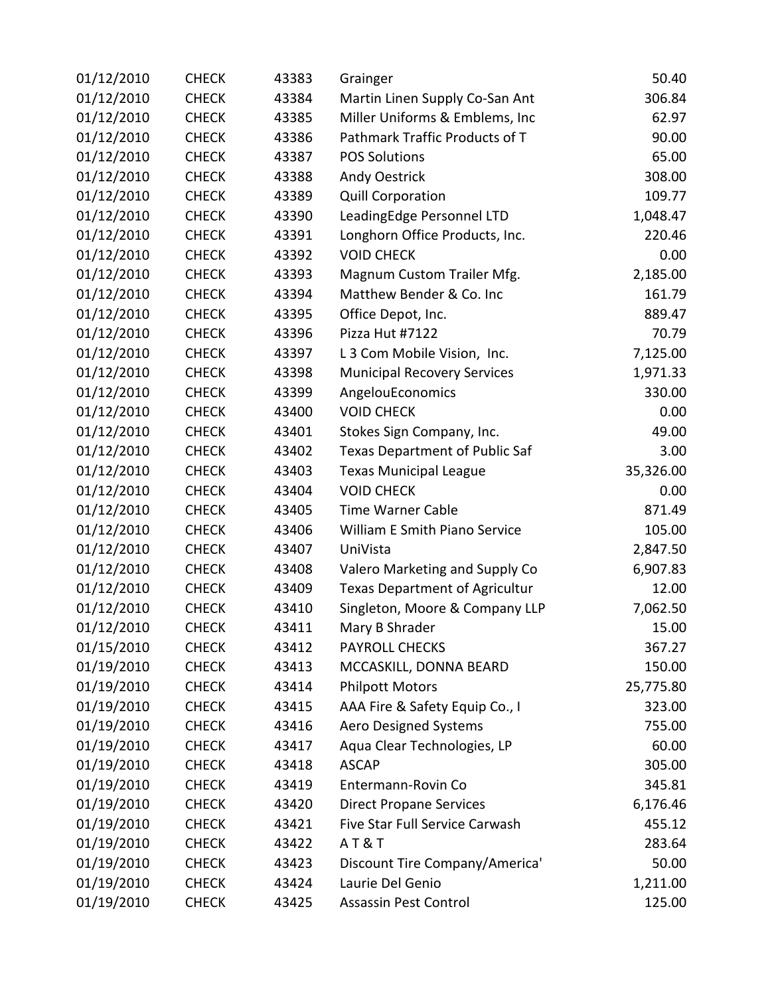| 01/12/2010 | <b>CHECK</b> | 43383 | Grainger                              | 50.40     |
|------------|--------------|-------|---------------------------------------|-----------|
| 01/12/2010 | <b>CHECK</b> | 43384 | Martin Linen Supply Co-San Ant        | 306.84    |
| 01/12/2010 | <b>CHECK</b> | 43385 | Miller Uniforms & Emblems, Inc        | 62.97     |
| 01/12/2010 | <b>CHECK</b> | 43386 | Pathmark Traffic Products of T        | 90.00     |
| 01/12/2010 | <b>CHECK</b> | 43387 | <b>POS Solutions</b>                  | 65.00     |
| 01/12/2010 | <b>CHECK</b> | 43388 | Andy Oestrick                         | 308.00    |
| 01/12/2010 | <b>CHECK</b> | 43389 | <b>Quill Corporation</b>              | 109.77    |
| 01/12/2010 | <b>CHECK</b> | 43390 | LeadingEdge Personnel LTD             | 1,048.47  |
| 01/12/2010 | <b>CHECK</b> | 43391 | Longhorn Office Products, Inc.        | 220.46    |
| 01/12/2010 | <b>CHECK</b> | 43392 | <b>VOID CHECK</b>                     | 0.00      |
| 01/12/2010 | <b>CHECK</b> | 43393 | Magnum Custom Trailer Mfg.            | 2,185.00  |
| 01/12/2010 | <b>CHECK</b> | 43394 | Matthew Bender & Co. Inc              | 161.79    |
| 01/12/2010 | <b>CHECK</b> | 43395 | Office Depot, Inc.                    | 889.47    |
| 01/12/2010 | <b>CHECK</b> | 43396 | Pizza Hut #7122                       | 70.79     |
| 01/12/2010 | <b>CHECK</b> | 43397 | L 3 Com Mobile Vision, Inc.           | 7,125.00  |
| 01/12/2010 | <b>CHECK</b> | 43398 | <b>Municipal Recovery Services</b>    | 1,971.33  |
| 01/12/2010 | <b>CHECK</b> | 43399 | AngelouEconomics                      | 330.00    |
| 01/12/2010 | <b>CHECK</b> | 43400 | <b>VOID CHECK</b>                     | 0.00      |
| 01/12/2010 | <b>CHECK</b> | 43401 | Stokes Sign Company, Inc.             | 49.00     |
| 01/12/2010 | <b>CHECK</b> | 43402 | <b>Texas Department of Public Saf</b> | 3.00      |
| 01/12/2010 | <b>CHECK</b> | 43403 | <b>Texas Municipal League</b>         | 35,326.00 |
| 01/12/2010 | <b>CHECK</b> | 43404 | <b>VOID CHECK</b>                     | 0.00      |
| 01/12/2010 | <b>CHECK</b> | 43405 | <b>Time Warner Cable</b>              | 871.49    |
| 01/12/2010 | <b>CHECK</b> | 43406 | William E Smith Piano Service         | 105.00    |
| 01/12/2010 | <b>CHECK</b> | 43407 | UniVista                              | 2,847.50  |
| 01/12/2010 | <b>CHECK</b> | 43408 | Valero Marketing and Supply Co        | 6,907.83  |
| 01/12/2010 | <b>CHECK</b> | 43409 | <b>Texas Department of Agricultur</b> | 12.00     |
| 01/12/2010 | <b>CHECK</b> | 43410 | Singleton, Moore & Company LLP        | 7,062.50  |
| 01/12/2010 | <b>CHECK</b> | 43411 | Mary B Shrader                        | 15.00     |
| 01/15/2010 | <b>CHECK</b> | 43412 | PAYROLL CHECKS                        | 367.27    |
| 01/19/2010 | <b>CHECK</b> | 43413 | MCCASKILL, DONNA BEARD                | 150.00    |
| 01/19/2010 | <b>CHECK</b> | 43414 | <b>Philpott Motors</b>                | 25,775.80 |
| 01/19/2010 | <b>CHECK</b> | 43415 | AAA Fire & Safety Equip Co., I        | 323.00    |
| 01/19/2010 | <b>CHECK</b> | 43416 | <b>Aero Designed Systems</b>          | 755.00    |
| 01/19/2010 | <b>CHECK</b> | 43417 | Aqua Clear Technologies, LP           | 60.00     |
| 01/19/2010 | <b>CHECK</b> | 43418 | <b>ASCAP</b>                          | 305.00    |
| 01/19/2010 | <b>CHECK</b> | 43419 | Entermann-Rovin Co                    | 345.81    |
| 01/19/2010 | <b>CHECK</b> | 43420 | <b>Direct Propane Services</b>        | 6,176.46  |
| 01/19/2010 | <b>CHECK</b> | 43421 | Five Star Full Service Carwash        | 455.12    |
| 01/19/2010 | <b>CHECK</b> | 43422 | AT&T                                  | 283.64    |
| 01/19/2010 | <b>CHECK</b> | 43423 | Discount Tire Company/America'        | 50.00     |
| 01/19/2010 | <b>CHECK</b> | 43424 | Laurie Del Genio                      | 1,211.00  |
| 01/19/2010 | <b>CHECK</b> | 43425 | Assassin Pest Control                 | 125.00    |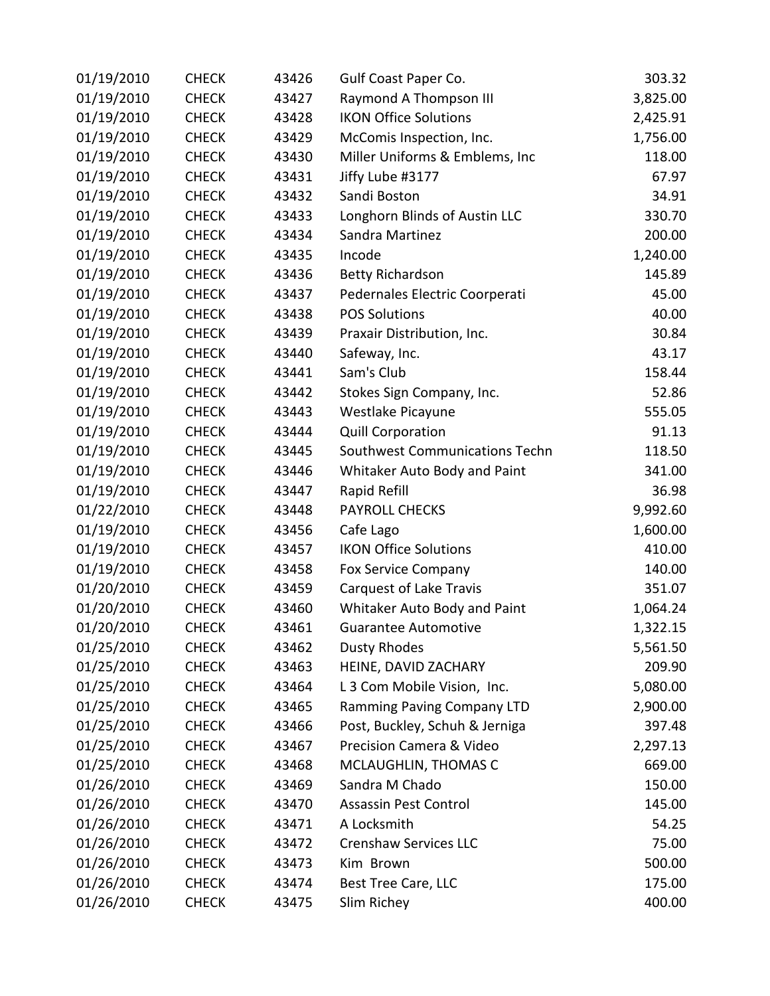| 01/19/2010 | <b>CHECK</b> | 43426 | Gulf Coast Paper Co.              | 303.32   |
|------------|--------------|-------|-----------------------------------|----------|
| 01/19/2010 | <b>CHECK</b> | 43427 | Raymond A Thompson III            | 3,825.00 |
| 01/19/2010 | <b>CHECK</b> | 43428 | <b>IKON Office Solutions</b>      | 2,425.91 |
| 01/19/2010 | <b>CHECK</b> | 43429 | McComis Inspection, Inc.          | 1,756.00 |
| 01/19/2010 | <b>CHECK</b> | 43430 | Miller Uniforms & Emblems, Inc    | 118.00   |
| 01/19/2010 | <b>CHECK</b> | 43431 | Jiffy Lube #3177                  | 67.97    |
| 01/19/2010 | <b>CHECK</b> | 43432 | Sandi Boston                      | 34.91    |
| 01/19/2010 | <b>CHECK</b> | 43433 | Longhorn Blinds of Austin LLC     | 330.70   |
| 01/19/2010 | <b>CHECK</b> | 43434 | Sandra Martinez                   | 200.00   |
| 01/19/2010 | <b>CHECK</b> | 43435 | Incode                            | 1,240.00 |
| 01/19/2010 | <b>CHECK</b> | 43436 | <b>Betty Richardson</b>           | 145.89   |
| 01/19/2010 | <b>CHECK</b> | 43437 | Pedernales Electric Coorperati    | 45.00    |
| 01/19/2010 | <b>CHECK</b> | 43438 | <b>POS Solutions</b>              | 40.00    |
| 01/19/2010 | <b>CHECK</b> | 43439 | Praxair Distribution, Inc.        | 30.84    |
| 01/19/2010 | <b>CHECK</b> | 43440 | Safeway, Inc.                     | 43.17    |
| 01/19/2010 | <b>CHECK</b> | 43441 | Sam's Club                        | 158.44   |
| 01/19/2010 | <b>CHECK</b> | 43442 | Stokes Sign Company, Inc.         | 52.86    |
| 01/19/2010 | <b>CHECK</b> | 43443 | Westlake Picayune                 | 555.05   |
| 01/19/2010 | <b>CHECK</b> | 43444 | <b>Quill Corporation</b>          | 91.13    |
| 01/19/2010 | <b>CHECK</b> | 43445 | Southwest Communications Techn    | 118.50   |
| 01/19/2010 | <b>CHECK</b> | 43446 | Whitaker Auto Body and Paint      | 341.00   |
| 01/19/2010 | <b>CHECK</b> | 43447 | Rapid Refill                      | 36.98    |
| 01/22/2010 | <b>CHECK</b> | 43448 | <b>PAYROLL CHECKS</b>             | 9,992.60 |
| 01/19/2010 | <b>CHECK</b> | 43456 | Cafe Lago                         | 1,600.00 |
| 01/19/2010 | <b>CHECK</b> | 43457 | <b>IKON Office Solutions</b>      | 410.00   |
| 01/19/2010 | <b>CHECK</b> | 43458 | <b>Fox Service Company</b>        | 140.00   |
| 01/20/2010 | <b>CHECK</b> | 43459 | Carquest of Lake Travis           | 351.07   |
| 01/20/2010 | <b>CHECK</b> | 43460 | Whitaker Auto Body and Paint      | 1,064.24 |
| 01/20/2010 | <b>CHECK</b> | 43461 | <b>Guarantee Automotive</b>       | 1,322.15 |
| 01/25/2010 | <b>CHECK</b> | 43462 | Dusty Rhodes                      | 5,561.50 |
| 01/25/2010 | <b>CHECK</b> | 43463 | HEINE, DAVID ZACHARY              | 209.90   |
| 01/25/2010 | <b>CHECK</b> | 43464 | L 3 Com Mobile Vision, Inc.       | 5,080.00 |
| 01/25/2010 | <b>CHECK</b> | 43465 | <b>Ramming Paving Company LTD</b> | 2,900.00 |
| 01/25/2010 | <b>CHECK</b> | 43466 | Post, Buckley, Schuh & Jerniga    | 397.48   |
| 01/25/2010 | <b>CHECK</b> | 43467 | Precision Camera & Video          | 2,297.13 |
| 01/25/2010 | <b>CHECK</b> | 43468 | MCLAUGHLIN, THOMAS C              | 669.00   |
| 01/26/2010 | <b>CHECK</b> | 43469 | Sandra M Chado                    | 150.00   |
| 01/26/2010 | <b>CHECK</b> | 43470 | Assassin Pest Control             | 145.00   |
| 01/26/2010 | <b>CHECK</b> | 43471 | A Locksmith                       | 54.25    |
| 01/26/2010 | <b>CHECK</b> | 43472 | <b>Crenshaw Services LLC</b>      | 75.00    |
| 01/26/2010 | <b>CHECK</b> | 43473 | Kim Brown                         | 500.00   |
| 01/26/2010 | <b>CHECK</b> | 43474 | Best Tree Care, LLC               | 175.00   |
| 01/26/2010 | <b>CHECK</b> | 43475 | Slim Richey                       | 400.00   |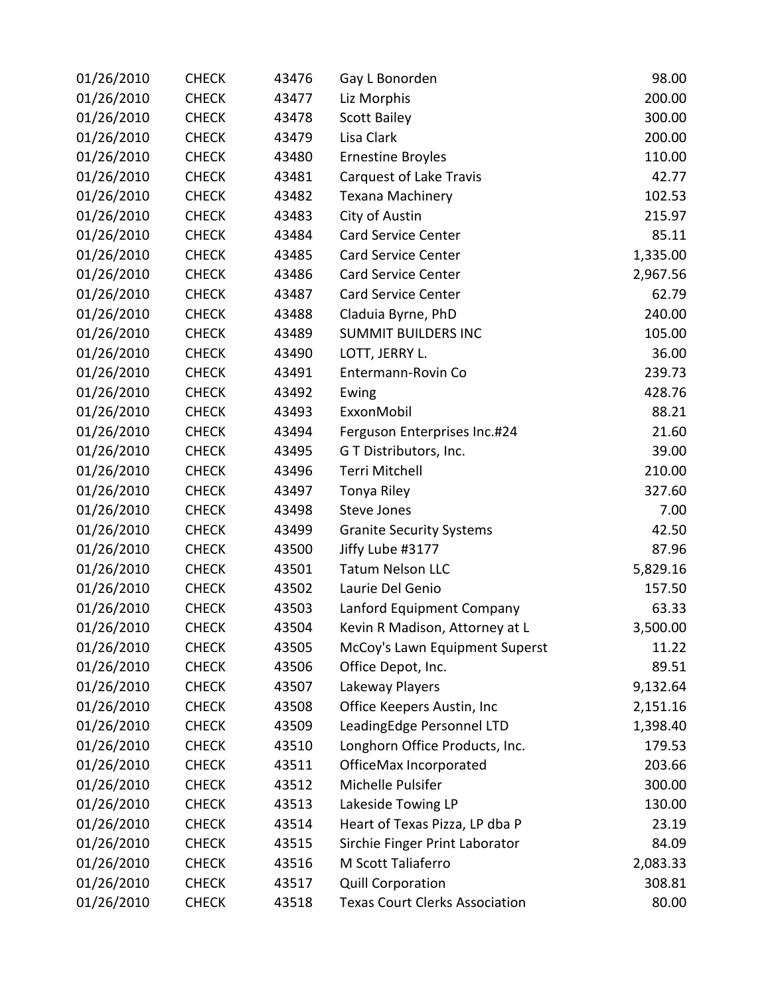| 01/26/2010 | <b>CHECK</b> | 43476 | Gay L Bonorden                        | 98.00    |
|------------|--------------|-------|---------------------------------------|----------|
| 01/26/2010 | <b>CHECK</b> | 43477 | Liz Morphis                           | 200.00   |
| 01/26/2010 | <b>CHECK</b> | 43478 | <b>Scott Bailey</b>                   | 300.00   |
| 01/26/2010 | <b>CHECK</b> | 43479 | Lisa Clark                            | 200.00   |
| 01/26/2010 | <b>CHECK</b> | 43480 | <b>Ernestine Broyles</b>              | 110.00   |
| 01/26/2010 | <b>CHECK</b> | 43481 | Carquest of Lake Travis               | 42.77    |
| 01/26/2010 | <b>CHECK</b> | 43482 | Texana Machinery                      | 102.53   |
| 01/26/2010 | <b>CHECK</b> | 43483 | City of Austin                        | 215.97   |
| 01/26/2010 | <b>CHECK</b> | 43484 | <b>Card Service Center</b>            | 85.11    |
| 01/26/2010 | <b>CHECK</b> | 43485 | <b>Card Service Center</b>            | 1,335.00 |
| 01/26/2010 | <b>CHECK</b> | 43486 | <b>Card Service Center</b>            | 2,967.56 |
| 01/26/2010 | <b>CHECK</b> | 43487 | <b>Card Service Center</b>            | 62.79    |
| 01/26/2010 | <b>CHECK</b> | 43488 | Claduia Byrne, PhD                    | 240.00   |
| 01/26/2010 | <b>CHECK</b> | 43489 | <b>SUMMIT BUILDERS INC</b>            | 105.00   |
| 01/26/2010 | <b>CHECK</b> | 43490 | LOTT, JERRY L.                        | 36.00    |
| 01/26/2010 | <b>CHECK</b> | 43491 | Entermann-Rovin Co                    | 239.73   |
| 01/26/2010 | <b>CHECK</b> | 43492 | Ewing                                 | 428.76   |
| 01/26/2010 | <b>CHECK</b> | 43493 | ExxonMobil                            | 88.21    |
| 01/26/2010 | <b>CHECK</b> | 43494 | Ferguson Enterprises Inc.#24          | 21.60    |
| 01/26/2010 | <b>CHECK</b> | 43495 | G T Distributors, Inc.                | 39.00    |
| 01/26/2010 | <b>CHECK</b> | 43496 | Terri Mitchell                        | 210.00   |
| 01/26/2010 | <b>CHECK</b> | 43497 | Tonya Riley                           | 327.60   |
| 01/26/2010 | <b>CHECK</b> | 43498 | <b>Steve Jones</b>                    | 7.00     |
| 01/26/2010 | <b>CHECK</b> | 43499 | <b>Granite Security Systems</b>       | 42.50    |
| 01/26/2010 | <b>CHECK</b> | 43500 | Jiffy Lube #3177                      | 87.96    |
| 01/26/2010 | <b>CHECK</b> | 43501 | <b>Tatum Nelson LLC</b>               | 5,829.16 |
| 01/26/2010 | <b>CHECK</b> | 43502 | Laurie Del Genio                      | 157.50   |
| 01/26/2010 | <b>CHECK</b> | 43503 | Lanford Equipment Company             | 63.33    |
| 01/26/2010 | <b>CHECK</b> | 43504 | Kevin R Madison, Attorney at L        | 3,500.00 |
| 01/26/2010 | <b>CHECK</b> | 43505 | McCoy's Lawn Equipment Superst        | 11.22    |
| 01/26/2010 | <b>CHECK</b> | 43506 | Office Depot, Inc.                    | 89.51    |
| 01/26/2010 | <b>CHECK</b> | 43507 | Lakeway Players                       | 9,132.64 |
| 01/26/2010 | <b>CHECK</b> | 43508 | Office Keepers Austin, Inc            | 2,151.16 |
| 01/26/2010 | <b>CHECK</b> | 43509 | LeadingEdge Personnel LTD             | 1,398.40 |
| 01/26/2010 | <b>CHECK</b> | 43510 | Longhorn Office Products, Inc.        | 179.53   |
| 01/26/2010 | <b>CHECK</b> | 43511 | OfficeMax Incorporated                | 203.66   |
| 01/26/2010 | <b>CHECK</b> | 43512 | Michelle Pulsifer                     | 300.00   |
| 01/26/2010 | <b>CHECK</b> | 43513 | Lakeside Towing LP                    | 130.00   |
| 01/26/2010 | <b>CHECK</b> | 43514 | Heart of Texas Pizza, LP dba P        | 23.19    |
| 01/26/2010 | <b>CHECK</b> | 43515 | Sirchie Finger Print Laborator        | 84.09    |
| 01/26/2010 | <b>CHECK</b> | 43516 | M Scott Taliaferro                    | 2,083.33 |
| 01/26/2010 | <b>CHECK</b> | 43517 | <b>Quill Corporation</b>              | 308.81   |
| 01/26/2010 | <b>CHECK</b> | 43518 | <b>Texas Court Clerks Association</b> | 80.00    |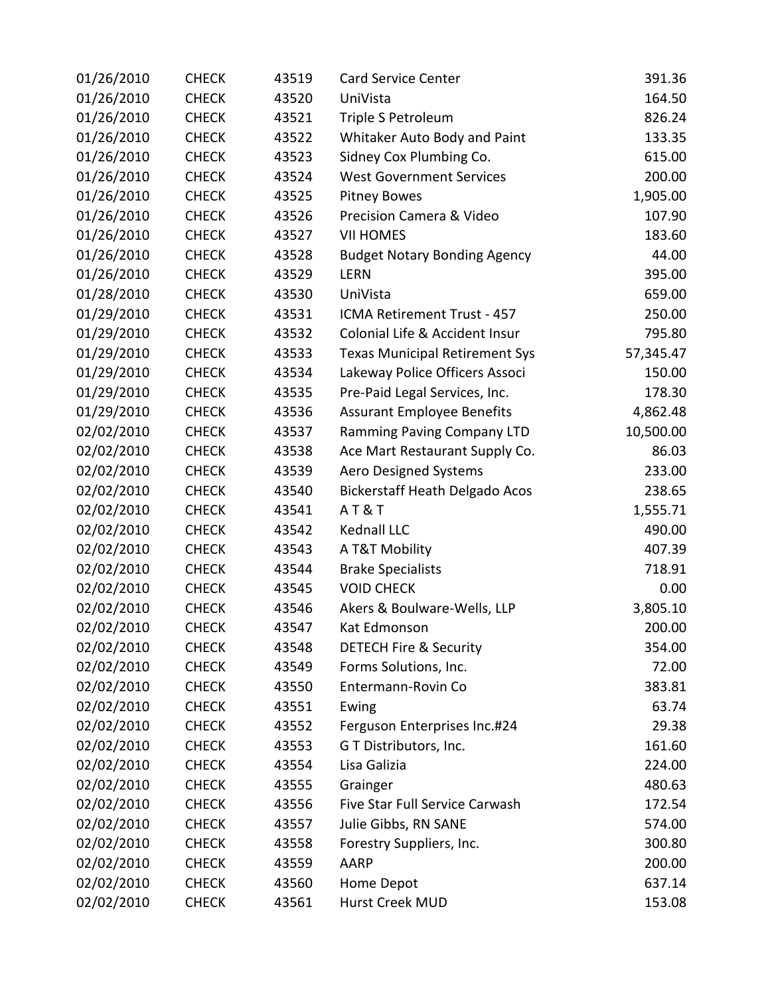| 01/26/2010 | <b>CHECK</b> | 43519 | <b>Card Service Center</b>            | 391.36    |
|------------|--------------|-------|---------------------------------------|-----------|
| 01/26/2010 | <b>CHECK</b> | 43520 | UniVista                              | 164.50    |
| 01/26/2010 | <b>CHECK</b> | 43521 | Triple S Petroleum                    | 826.24    |
| 01/26/2010 | <b>CHECK</b> | 43522 | Whitaker Auto Body and Paint          | 133.35    |
| 01/26/2010 | <b>CHECK</b> | 43523 | Sidney Cox Plumbing Co.               | 615.00    |
| 01/26/2010 | <b>CHECK</b> | 43524 | <b>West Government Services</b>       | 200.00    |
| 01/26/2010 | <b>CHECK</b> | 43525 | <b>Pitney Bowes</b>                   | 1,905.00  |
| 01/26/2010 | <b>CHECK</b> | 43526 | Precision Camera & Video              | 107.90    |
| 01/26/2010 | <b>CHECK</b> | 43527 | <b>VII HOMES</b>                      | 183.60    |
| 01/26/2010 | <b>CHECK</b> | 43528 | <b>Budget Notary Bonding Agency</b>   | 44.00     |
| 01/26/2010 | <b>CHECK</b> | 43529 | <b>LERN</b>                           | 395.00    |
| 01/28/2010 | <b>CHECK</b> | 43530 | UniVista                              | 659.00    |
| 01/29/2010 | <b>CHECK</b> | 43531 | ICMA Retirement Trust - 457           | 250.00    |
| 01/29/2010 | <b>CHECK</b> | 43532 | Colonial Life & Accident Insur        | 795.80    |
| 01/29/2010 | <b>CHECK</b> | 43533 | <b>Texas Municipal Retirement Sys</b> | 57,345.47 |
| 01/29/2010 | <b>CHECK</b> | 43534 | Lakeway Police Officers Associ        | 150.00    |
| 01/29/2010 | <b>CHECK</b> | 43535 | Pre-Paid Legal Services, Inc.         | 178.30    |
| 01/29/2010 | <b>CHECK</b> | 43536 | <b>Assurant Employee Benefits</b>     | 4,862.48  |
| 02/02/2010 | <b>CHECK</b> | 43537 | Ramming Paving Company LTD            | 10,500.00 |
| 02/02/2010 | <b>CHECK</b> | 43538 | Ace Mart Restaurant Supply Co.        | 86.03     |
| 02/02/2010 | <b>CHECK</b> | 43539 | <b>Aero Designed Systems</b>          | 233.00    |
| 02/02/2010 | <b>CHECK</b> | 43540 | <b>Bickerstaff Heath Delgado Acos</b> | 238.65    |
| 02/02/2010 | <b>CHECK</b> | 43541 | <b>AT&amp;T</b>                       | 1,555.71  |
| 02/02/2010 | <b>CHECK</b> | 43542 | Kednall LLC                           | 490.00    |
| 02/02/2010 | <b>CHECK</b> | 43543 | A T&T Mobility                        | 407.39    |
| 02/02/2010 | <b>CHECK</b> | 43544 | <b>Brake Specialists</b>              | 718.91    |
| 02/02/2010 | <b>CHECK</b> | 43545 | <b>VOID CHECK</b>                     | 0.00      |
| 02/02/2010 | <b>CHECK</b> | 43546 | Akers & Boulware-Wells, LLP           | 3,805.10  |
| 02/02/2010 | <b>CHECK</b> | 43547 | Kat Edmonson                          | 200.00    |
| 02/02/2010 | <b>CHECK</b> | 43548 | <b>DETECH Fire &amp; Security</b>     | 354.00    |
| 02/02/2010 | <b>CHECK</b> | 43549 | Forms Solutions, Inc.                 | 72.00     |
| 02/02/2010 | <b>CHECK</b> | 43550 | Entermann-Rovin Co                    | 383.81    |
| 02/02/2010 | <b>CHECK</b> | 43551 | Ewing                                 | 63.74     |
| 02/02/2010 | <b>CHECK</b> | 43552 | Ferguson Enterprises Inc.#24          | 29.38     |
| 02/02/2010 | <b>CHECK</b> | 43553 | G T Distributors, Inc.                | 161.60    |
| 02/02/2010 | <b>CHECK</b> | 43554 | Lisa Galizia                          | 224.00    |
| 02/02/2010 | <b>CHECK</b> | 43555 | Grainger                              | 480.63    |
| 02/02/2010 | <b>CHECK</b> | 43556 | Five Star Full Service Carwash        | 172.54    |
| 02/02/2010 | <b>CHECK</b> | 43557 | Julie Gibbs, RN SANE                  | 574.00    |
| 02/02/2010 | <b>CHECK</b> | 43558 | Forestry Suppliers, Inc.              | 300.80    |
| 02/02/2010 | <b>CHECK</b> | 43559 | AARP                                  | 200.00    |
| 02/02/2010 | <b>CHECK</b> | 43560 | Home Depot                            | 637.14    |
| 02/02/2010 | <b>CHECK</b> | 43561 | Hurst Creek MUD                       | 153.08    |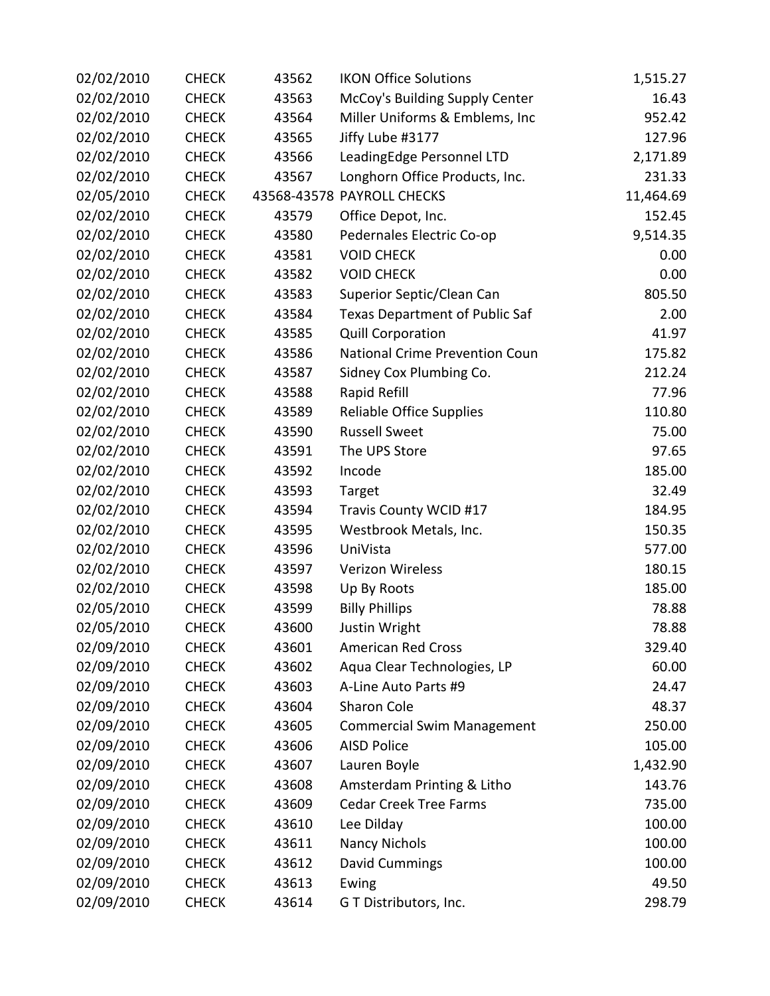| 02/02/2010 | <b>CHECK</b> | 43562 | <b>IKON Office Solutions</b>      | 1,515.27  |
|------------|--------------|-------|-----------------------------------|-----------|
| 02/02/2010 | <b>CHECK</b> | 43563 | McCoy's Building Supply Center    | 16.43     |
| 02/02/2010 | <b>CHECK</b> | 43564 | Miller Uniforms & Emblems, Inc    | 952.42    |
| 02/02/2010 | <b>CHECK</b> | 43565 | Jiffy Lube #3177                  | 127.96    |
| 02/02/2010 | <b>CHECK</b> | 43566 | LeadingEdge Personnel LTD         | 2,171.89  |
| 02/02/2010 | <b>CHECK</b> | 43567 | Longhorn Office Products, Inc.    | 231.33    |
| 02/05/2010 | <b>CHECK</b> |       | 43568-43578 PAYROLL CHECKS        | 11,464.69 |
| 02/02/2010 | <b>CHECK</b> | 43579 | Office Depot, Inc.                | 152.45    |
| 02/02/2010 | <b>CHECK</b> | 43580 | Pedernales Electric Co-op         | 9,514.35  |
| 02/02/2010 | <b>CHECK</b> | 43581 | <b>VOID CHECK</b>                 | 0.00      |
| 02/02/2010 | <b>CHECK</b> | 43582 | <b>VOID CHECK</b>                 | 0.00      |
| 02/02/2010 | <b>CHECK</b> | 43583 | Superior Septic/Clean Can         | 805.50    |
| 02/02/2010 | <b>CHECK</b> | 43584 | Texas Department of Public Saf    | 2.00      |
| 02/02/2010 | <b>CHECK</b> | 43585 | <b>Quill Corporation</b>          | 41.97     |
| 02/02/2010 | <b>CHECK</b> | 43586 | National Crime Prevention Coun    | 175.82    |
| 02/02/2010 | <b>CHECK</b> | 43587 | Sidney Cox Plumbing Co.           | 212.24    |
| 02/02/2010 | <b>CHECK</b> | 43588 | Rapid Refill                      | 77.96     |
| 02/02/2010 | <b>CHECK</b> | 43589 | Reliable Office Supplies          | 110.80    |
| 02/02/2010 | <b>CHECK</b> | 43590 | <b>Russell Sweet</b>              | 75.00     |
| 02/02/2010 | <b>CHECK</b> | 43591 | The UPS Store                     | 97.65     |
| 02/02/2010 | <b>CHECK</b> | 43592 | Incode                            | 185.00    |
| 02/02/2010 | <b>CHECK</b> | 43593 | Target                            | 32.49     |
| 02/02/2010 | <b>CHECK</b> | 43594 | Travis County WCID #17            | 184.95    |
| 02/02/2010 | <b>CHECK</b> | 43595 | Westbrook Metals, Inc.            | 150.35    |
| 02/02/2010 | <b>CHECK</b> | 43596 | UniVista                          | 577.00    |
| 02/02/2010 | <b>CHECK</b> | 43597 | <b>Verizon Wireless</b>           | 180.15    |
| 02/02/2010 | <b>CHECK</b> | 43598 | Up By Roots                       | 185.00    |
| 02/05/2010 | <b>CHECK</b> | 43599 | <b>Billy Phillips</b>             | 78.88     |
| 02/05/2010 | <b>CHECK</b> | 43600 | Justin Wright                     | 78.88     |
| 02/09/2010 | <b>CHECK</b> | 43601 | <b>American Red Cross</b>         | 329.40    |
| 02/09/2010 | <b>CHECK</b> | 43602 | Aqua Clear Technologies, LP       | 60.00     |
| 02/09/2010 | <b>CHECK</b> | 43603 | A-Line Auto Parts #9              | 24.47     |
| 02/09/2010 | <b>CHECK</b> | 43604 | Sharon Cole                       | 48.37     |
| 02/09/2010 | <b>CHECK</b> | 43605 | <b>Commercial Swim Management</b> | 250.00    |
| 02/09/2010 | <b>CHECK</b> | 43606 | <b>AISD Police</b>                | 105.00    |
| 02/09/2010 | <b>CHECK</b> | 43607 | Lauren Boyle                      | 1,432.90  |
| 02/09/2010 | <b>CHECK</b> | 43608 | Amsterdam Printing & Litho        | 143.76    |
| 02/09/2010 | <b>CHECK</b> | 43609 | <b>Cedar Creek Tree Farms</b>     | 735.00    |
| 02/09/2010 | <b>CHECK</b> | 43610 | Lee Dilday                        | 100.00    |
| 02/09/2010 | <b>CHECK</b> | 43611 | <b>Nancy Nichols</b>              | 100.00    |
| 02/09/2010 | <b>CHECK</b> | 43612 | David Cummings                    | 100.00    |
| 02/09/2010 | <b>CHECK</b> | 43613 | Ewing                             | 49.50     |
| 02/09/2010 | <b>CHECK</b> | 43614 | G T Distributors, Inc.            | 298.79    |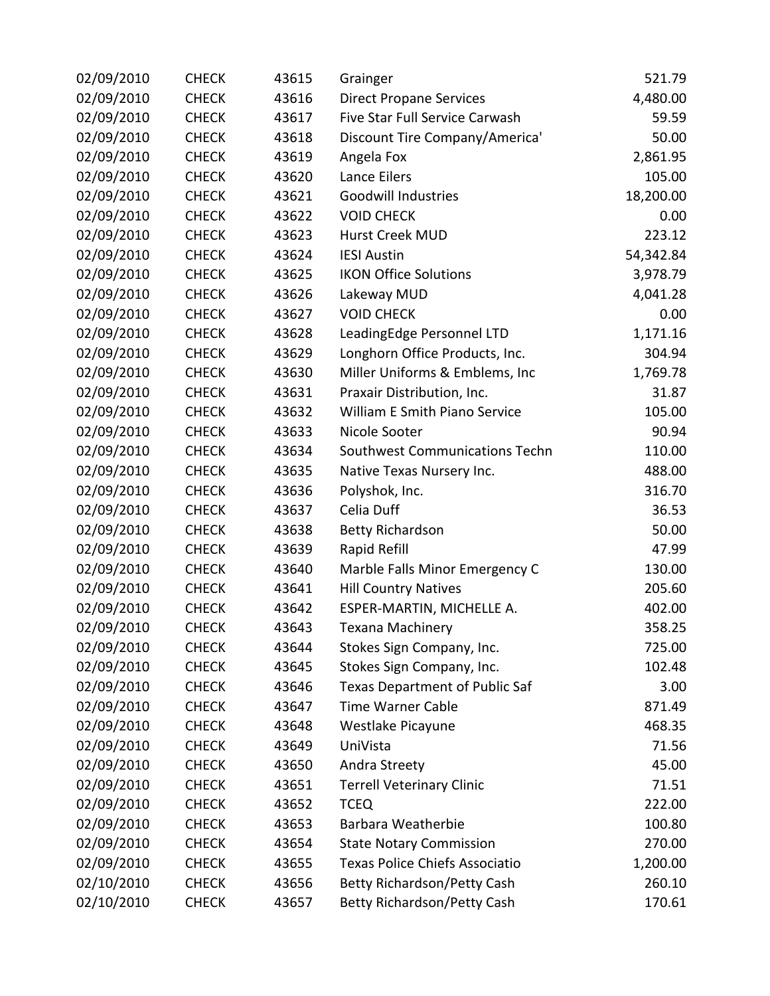| 02/09/2010 | <b>CHECK</b> | 43615 | Grainger                              | 521.79    |
|------------|--------------|-------|---------------------------------------|-----------|
| 02/09/2010 | <b>CHECK</b> | 43616 | <b>Direct Propane Services</b>        | 4,480.00  |
| 02/09/2010 | <b>CHECK</b> | 43617 | Five Star Full Service Carwash        | 59.59     |
| 02/09/2010 | <b>CHECK</b> | 43618 | Discount Tire Company/America'        | 50.00     |
| 02/09/2010 | <b>CHECK</b> | 43619 | Angela Fox                            | 2,861.95  |
| 02/09/2010 | <b>CHECK</b> | 43620 | Lance Eilers                          | 105.00    |
| 02/09/2010 | <b>CHECK</b> | 43621 | Goodwill Industries                   | 18,200.00 |
| 02/09/2010 | <b>CHECK</b> | 43622 | <b>VOID CHECK</b>                     | 0.00      |
| 02/09/2010 | <b>CHECK</b> | 43623 | Hurst Creek MUD                       | 223.12    |
| 02/09/2010 | <b>CHECK</b> | 43624 | <b>IESI Austin</b>                    | 54,342.84 |
| 02/09/2010 | <b>CHECK</b> | 43625 | <b>IKON Office Solutions</b>          | 3,978.79  |
| 02/09/2010 | <b>CHECK</b> | 43626 | Lakeway MUD                           | 4,041.28  |
| 02/09/2010 | <b>CHECK</b> | 43627 | <b>VOID CHECK</b>                     | 0.00      |
| 02/09/2010 | <b>CHECK</b> | 43628 | LeadingEdge Personnel LTD             | 1,171.16  |
| 02/09/2010 | <b>CHECK</b> | 43629 | Longhorn Office Products, Inc.        | 304.94    |
| 02/09/2010 | <b>CHECK</b> | 43630 | Miller Uniforms & Emblems, Inc        | 1,769.78  |
| 02/09/2010 | <b>CHECK</b> | 43631 | Praxair Distribution, Inc.            | 31.87     |
| 02/09/2010 | <b>CHECK</b> | 43632 | William E Smith Piano Service         | 105.00    |
| 02/09/2010 | <b>CHECK</b> | 43633 | Nicole Sooter                         | 90.94     |
| 02/09/2010 | <b>CHECK</b> | 43634 | Southwest Communications Techn        | 110.00    |
| 02/09/2010 | <b>CHECK</b> | 43635 | Native Texas Nursery Inc.             | 488.00    |
| 02/09/2010 | <b>CHECK</b> | 43636 | Polyshok, Inc.                        | 316.70    |
| 02/09/2010 | <b>CHECK</b> | 43637 | Celia Duff                            | 36.53     |
| 02/09/2010 | <b>CHECK</b> | 43638 | <b>Betty Richardson</b>               | 50.00     |
| 02/09/2010 | <b>CHECK</b> | 43639 | Rapid Refill                          | 47.99     |
| 02/09/2010 | <b>CHECK</b> | 43640 | Marble Falls Minor Emergency C        | 130.00    |
| 02/09/2010 | <b>CHECK</b> | 43641 | <b>Hill Country Natives</b>           | 205.60    |
| 02/09/2010 | <b>CHECK</b> | 43642 | ESPER-MARTIN, MICHELLE A.             | 402.00    |
| 02/09/2010 | <b>CHECK</b> | 43643 | <b>Texana Machinery</b>               | 358.25    |
| 02/09/2010 | <b>CHECK</b> | 43644 | Stokes Sign Company, Inc.             | 725.00    |
| 02/09/2010 | <b>CHECK</b> | 43645 | Stokes Sign Company, Inc.             | 102.48    |
| 02/09/2010 | <b>CHECK</b> | 43646 | <b>Texas Department of Public Saf</b> | 3.00      |
| 02/09/2010 | <b>CHECK</b> | 43647 | <b>Time Warner Cable</b>              | 871.49    |
| 02/09/2010 | <b>CHECK</b> | 43648 | Westlake Picayune                     | 468.35    |
| 02/09/2010 | <b>CHECK</b> | 43649 | UniVista                              | 71.56     |
| 02/09/2010 | <b>CHECK</b> | 43650 | Andra Streety                         | 45.00     |
| 02/09/2010 | <b>CHECK</b> | 43651 | <b>Terrell Veterinary Clinic</b>      | 71.51     |
| 02/09/2010 | <b>CHECK</b> | 43652 | <b>TCEQ</b>                           | 222.00    |
| 02/09/2010 | <b>CHECK</b> | 43653 | Barbara Weatherbie                    | 100.80    |
| 02/09/2010 | <b>CHECK</b> | 43654 | <b>State Notary Commission</b>        | 270.00    |
| 02/09/2010 | <b>CHECK</b> | 43655 | Texas Police Chiefs Associatio        | 1,200.00  |
| 02/10/2010 | <b>CHECK</b> | 43656 | <b>Betty Richardson/Petty Cash</b>    | 260.10    |
| 02/10/2010 | <b>CHECK</b> | 43657 | Betty Richardson/Petty Cash           | 170.61    |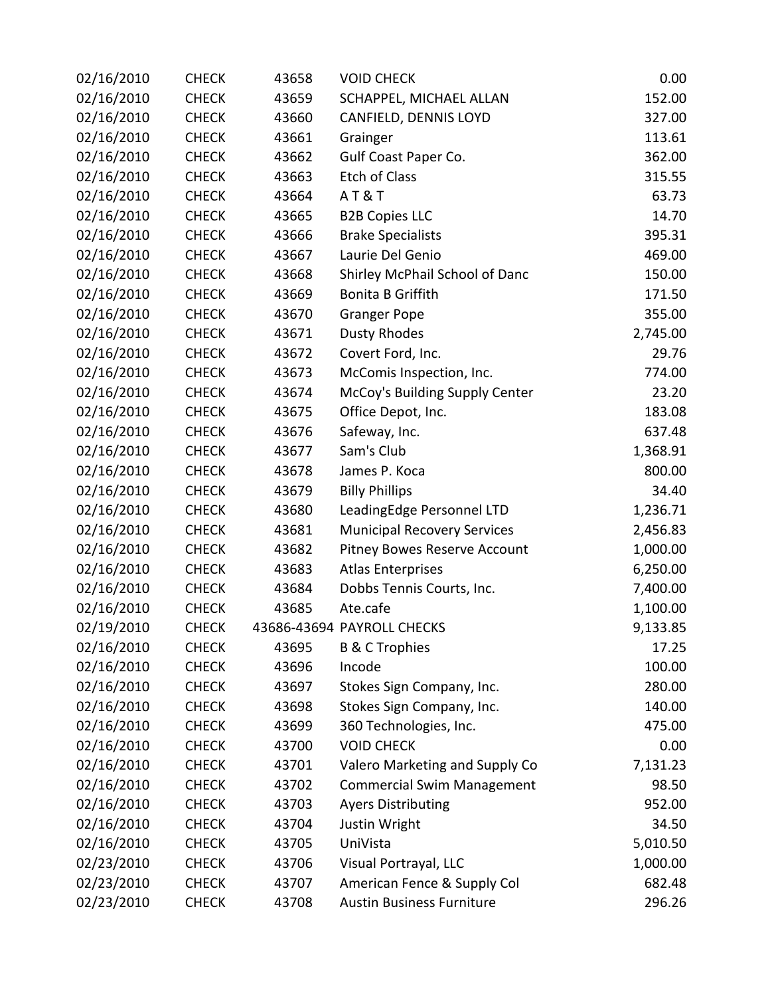| 02/16/2010 | <b>CHECK</b> | 43658 | <b>VOID CHECK</b>                  | 0.00     |
|------------|--------------|-------|------------------------------------|----------|
| 02/16/2010 | <b>CHECK</b> | 43659 | SCHAPPEL, MICHAEL ALLAN            | 152.00   |
| 02/16/2010 | <b>CHECK</b> | 43660 | CANFIELD, DENNIS LOYD              | 327.00   |
| 02/16/2010 | <b>CHECK</b> | 43661 | Grainger                           | 113.61   |
| 02/16/2010 | <b>CHECK</b> | 43662 | Gulf Coast Paper Co.               | 362.00   |
| 02/16/2010 | <b>CHECK</b> | 43663 | Etch of Class                      | 315.55   |
| 02/16/2010 | <b>CHECK</b> | 43664 | AT&T                               | 63.73    |
| 02/16/2010 | <b>CHECK</b> | 43665 | <b>B2B Copies LLC</b>              | 14.70    |
| 02/16/2010 | <b>CHECK</b> | 43666 | <b>Brake Specialists</b>           | 395.31   |
| 02/16/2010 | <b>CHECK</b> | 43667 | Laurie Del Genio                   | 469.00   |
| 02/16/2010 | <b>CHECK</b> | 43668 | Shirley McPhail School of Danc     | 150.00   |
| 02/16/2010 | <b>CHECK</b> | 43669 | <b>Bonita B Griffith</b>           | 171.50   |
| 02/16/2010 | <b>CHECK</b> | 43670 | <b>Granger Pope</b>                | 355.00   |
| 02/16/2010 | <b>CHECK</b> | 43671 | <b>Dusty Rhodes</b>                | 2,745.00 |
| 02/16/2010 | <b>CHECK</b> | 43672 | Covert Ford, Inc.                  | 29.76    |
| 02/16/2010 | <b>CHECK</b> | 43673 | McComis Inspection, Inc.           | 774.00   |
| 02/16/2010 | <b>CHECK</b> | 43674 | McCoy's Building Supply Center     | 23.20    |
| 02/16/2010 | <b>CHECK</b> | 43675 | Office Depot, Inc.                 | 183.08   |
| 02/16/2010 | <b>CHECK</b> | 43676 | Safeway, Inc.                      | 637.48   |
| 02/16/2010 | <b>CHECK</b> | 43677 | Sam's Club                         | 1,368.91 |
| 02/16/2010 | <b>CHECK</b> | 43678 | James P. Koca                      | 800.00   |
| 02/16/2010 | <b>CHECK</b> | 43679 | <b>Billy Phillips</b>              | 34.40    |
| 02/16/2010 | <b>CHECK</b> | 43680 | LeadingEdge Personnel LTD          | 1,236.71 |
| 02/16/2010 | <b>CHECK</b> | 43681 | <b>Municipal Recovery Services</b> | 2,456.83 |
| 02/16/2010 | <b>CHECK</b> | 43682 | Pitney Bowes Reserve Account       | 1,000.00 |
| 02/16/2010 | <b>CHECK</b> | 43683 | <b>Atlas Enterprises</b>           | 6,250.00 |
| 02/16/2010 | <b>CHECK</b> | 43684 | Dobbs Tennis Courts, Inc.          | 7,400.00 |
| 02/16/2010 | <b>CHECK</b> | 43685 | Ate.cafe                           | 1,100.00 |
| 02/19/2010 | <b>CHECK</b> |       | 43686-43694 PAYROLL CHECKS         | 9,133.85 |
| 02/16/2010 | <b>CHECK</b> | 43695 | <b>B &amp; C Trophies</b>          | 17.25    |
| 02/16/2010 | <b>CHECK</b> | 43696 | Incode                             | 100.00   |
| 02/16/2010 | <b>CHECK</b> | 43697 | Stokes Sign Company, Inc.          | 280.00   |
| 02/16/2010 | <b>CHECK</b> | 43698 | Stokes Sign Company, Inc.          | 140.00   |
| 02/16/2010 | <b>CHECK</b> | 43699 | 360 Technologies, Inc.             | 475.00   |
| 02/16/2010 | <b>CHECK</b> | 43700 | <b>VOID CHECK</b>                  | 0.00     |
| 02/16/2010 | <b>CHECK</b> | 43701 | Valero Marketing and Supply Co     | 7,131.23 |
| 02/16/2010 | <b>CHECK</b> | 43702 | <b>Commercial Swim Management</b>  | 98.50    |
| 02/16/2010 | <b>CHECK</b> | 43703 | <b>Ayers Distributing</b>          | 952.00   |
| 02/16/2010 | <b>CHECK</b> | 43704 | Justin Wright                      | 34.50    |
| 02/16/2010 | <b>CHECK</b> | 43705 | UniVista                           | 5,010.50 |
| 02/23/2010 | <b>CHECK</b> | 43706 | Visual Portrayal, LLC              | 1,000.00 |
| 02/23/2010 | <b>CHECK</b> | 43707 | American Fence & Supply Col        | 682.48   |
| 02/23/2010 | <b>CHECK</b> | 43708 | <b>Austin Business Furniture</b>   | 296.26   |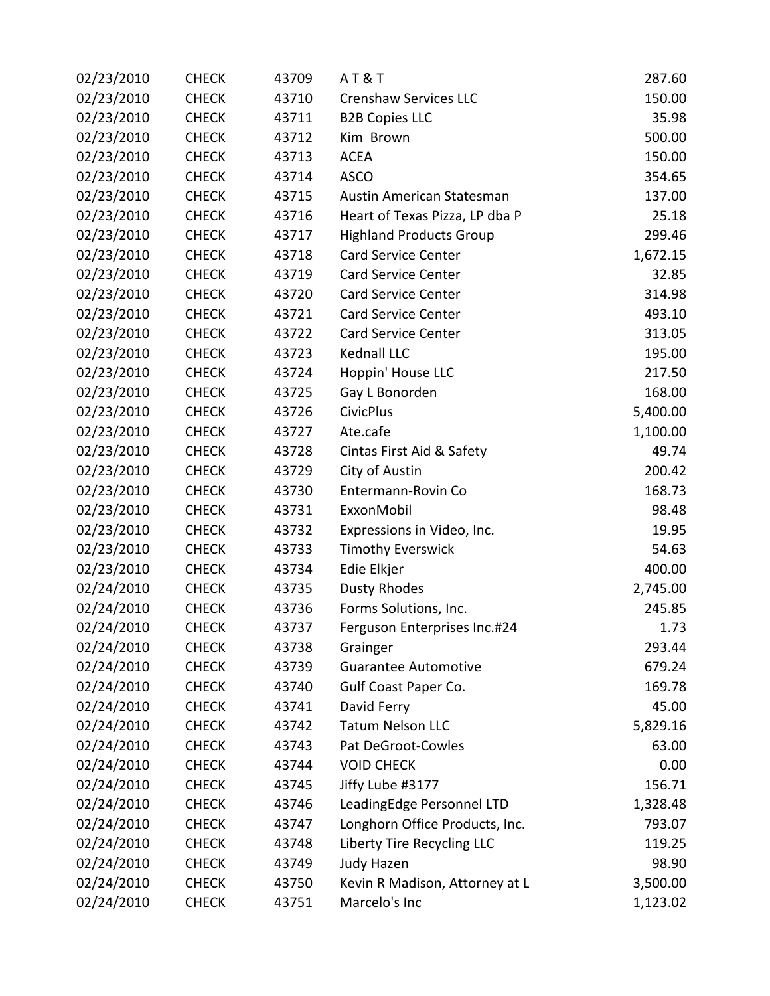| 02/23/2010 | <b>CHECK</b> | 43709 | <b>AT&amp;T</b>                | 287.60   |
|------------|--------------|-------|--------------------------------|----------|
| 02/23/2010 | <b>CHECK</b> | 43710 | <b>Crenshaw Services LLC</b>   | 150.00   |
| 02/23/2010 | <b>CHECK</b> | 43711 | <b>B2B Copies LLC</b>          | 35.98    |
| 02/23/2010 | <b>CHECK</b> | 43712 | Kim Brown                      | 500.00   |
| 02/23/2010 | <b>CHECK</b> | 43713 | <b>ACEA</b>                    | 150.00   |
| 02/23/2010 | <b>CHECK</b> | 43714 | <b>ASCO</b>                    | 354.65   |
| 02/23/2010 | <b>CHECK</b> | 43715 | Austin American Statesman      | 137.00   |
| 02/23/2010 | <b>CHECK</b> | 43716 | Heart of Texas Pizza, LP dba P | 25.18    |
| 02/23/2010 | <b>CHECK</b> | 43717 | <b>Highland Products Group</b> | 299.46   |
| 02/23/2010 | <b>CHECK</b> | 43718 | <b>Card Service Center</b>     | 1,672.15 |
| 02/23/2010 | <b>CHECK</b> | 43719 | <b>Card Service Center</b>     | 32.85    |
| 02/23/2010 | <b>CHECK</b> | 43720 | <b>Card Service Center</b>     | 314.98   |
| 02/23/2010 | <b>CHECK</b> | 43721 | Card Service Center            | 493.10   |
| 02/23/2010 | <b>CHECK</b> | 43722 | <b>Card Service Center</b>     | 313.05   |
| 02/23/2010 | <b>CHECK</b> | 43723 | Kednall LLC                    | 195.00   |
| 02/23/2010 | <b>CHECK</b> | 43724 | Hoppin' House LLC              | 217.50   |
| 02/23/2010 | <b>CHECK</b> | 43725 | Gay L Bonorden                 | 168.00   |
| 02/23/2010 | <b>CHECK</b> | 43726 | <b>CivicPlus</b>               | 5,400.00 |
| 02/23/2010 | <b>CHECK</b> | 43727 | Ate.cafe                       | 1,100.00 |
| 02/23/2010 | <b>CHECK</b> | 43728 | Cintas First Aid & Safety      | 49.74    |
| 02/23/2010 | <b>CHECK</b> | 43729 | City of Austin                 | 200.42   |
| 02/23/2010 | <b>CHECK</b> | 43730 | Entermann-Rovin Co             | 168.73   |
| 02/23/2010 | <b>CHECK</b> | 43731 | ExxonMobil                     | 98.48    |
| 02/23/2010 | <b>CHECK</b> | 43732 | Expressions in Video, Inc.     | 19.95    |
| 02/23/2010 | <b>CHECK</b> | 43733 | <b>Timothy Everswick</b>       | 54.63    |
| 02/23/2010 | <b>CHECK</b> | 43734 | Edie Elkjer                    | 400.00   |
| 02/24/2010 | <b>CHECK</b> | 43735 | <b>Dusty Rhodes</b>            | 2,745.00 |
| 02/24/2010 | <b>CHECK</b> | 43736 | Forms Solutions, Inc.          | 245.85   |
| 02/24/2010 | <b>CHECK</b> | 43737 | Ferguson Enterprises Inc.#24   | 1.73     |
| 02/24/2010 | <b>CHECK</b> | 43738 | Grainger                       | 293.44   |
| 02/24/2010 | <b>CHECK</b> | 43739 | <b>Guarantee Automotive</b>    | 679.24   |
| 02/24/2010 | <b>CHECK</b> | 43740 | <b>Gulf Coast Paper Co.</b>    | 169.78   |
| 02/24/2010 | <b>CHECK</b> | 43741 | David Ferry                    | 45.00    |
| 02/24/2010 | <b>CHECK</b> | 43742 | <b>Tatum Nelson LLC</b>        | 5,829.16 |
| 02/24/2010 | <b>CHECK</b> | 43743 | Pat DeGroot-Cowles             | 63.00    |
| 02/24/2010 | <b>CHECK</b> | 43744 | <b>VOID CHECK</b>              | 0.00     |
| 02/24/2010 | <b>CHECK</b> | 43745 | Jiffy Lube #3177               | 156.71   |
| 02/24/2010 | <b>CHECK</b> | 43746 | LeadingEdge Personnel LTD      | 1,328.48 |
| 02/24/2010 | <b>CHECK</b> | 43747 | Longhorn Office Products, Inc. | 793.07   |
| 02/24/2010 | <b>CHECK</b> | 43748 | Liberty Tire Recycling LLC     | 119.25   |
| 02/24/2010 | <b>CHECK</b> | 43749 | Judy Hazen                     | 98.90    |
| 02/24/2010 | <b>CHECK</b> | 43750 | Kevin R Madison, Attorney at L | 3,500.00 |
| 02/24/2010 | <b>CHECK</b> | 43751 | Marcelo's Inc                  | 1,123.02 |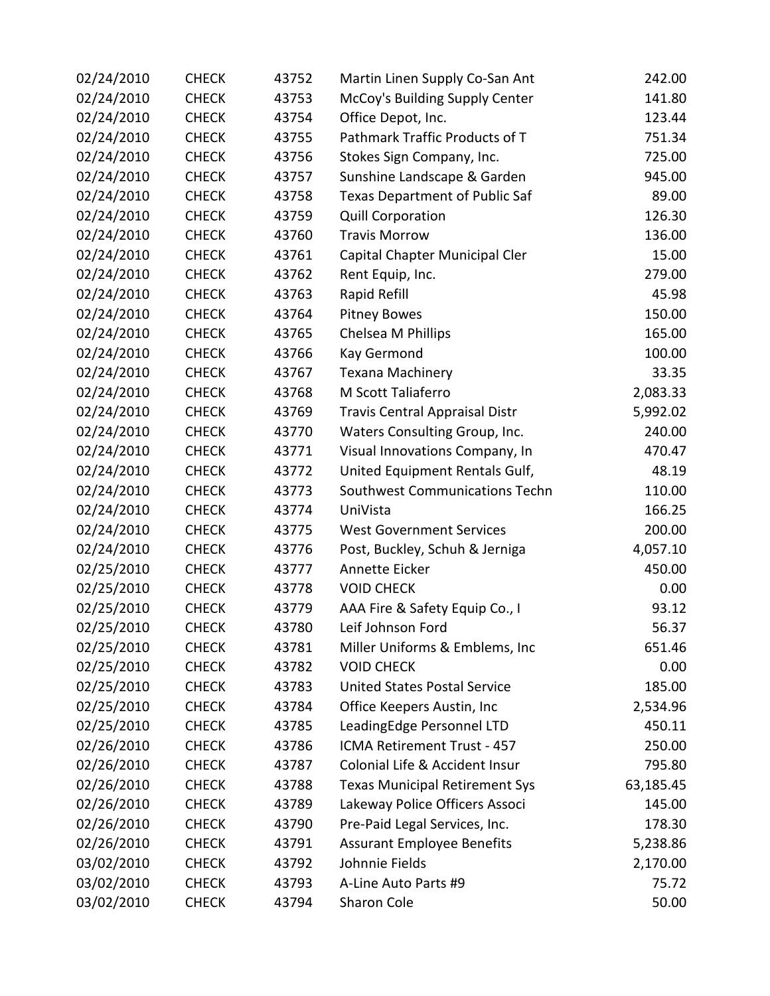| 02/24/2010 | <b>CHECK</b> | 43752 | Martin Linen Supply Co-San Ant        | 242.00    |
|------------|--------------|-------|---------------------------------------|-----------|
| 02/24/2010 | <b>CHECK</b> | 43753 | McCoy's Building Supply Center        | 141.80    |
| 02/24/2010 | <b>CHECK</b> | 43754 | Office Depot, Inc.                    | 123.44    |
| 02/24/2010 | <b>CHECK</b> | 43755 | Pathmark Traffic Products of T        | 751.34    |
| 02/24/2010 | <b>CHECK</b> | 43756 | Stokes Sign Company, Inc.             | 725.00    |
| 02/24/2010 | <b>CHECK</b> | 43757 | Sunshine Landscape & Garden           | 945.00    |
| 02/24/2010 | <b>CHECK</b> | 43758 | <b>Texas Department of Public Saf</b> | 89.00     |
| 02/24/2010 | <b>CHECK</b> | 43759 | <b>Quill Corporation</b>              | 126.30    |
| 02/24/2010 | <b>CHECK</b> | 43760 | <b>Travis Morrow</b>                  | 136.00    |
| 02/24/2010 | <b>CHECK</b> | 43761 | Capital Chapter Municipal Cler        | 15.00     |
| 02/24/2010 | <b>CHECK</b> | 43762 | Rent Equip, Inc.                      | 279.00    |
| 02/24/2010 | <b>CHECK</b> | 43763 | Rapid Refill                          | 45.98     |
| 02/24/2010 | <b>CHECK</b> | 43764 | <b>Pitney Bowes</b>                   | 150.00    |
| 02/24/2010 | <b>CHECK</b> | 43765 | Chelsea M Phillips                    | 165.00    |
| 02/24/2010 | <b>CHECK</b> | 43766 | Kay Germond                           | 100.00    |
| 02/24/2010 | <b>CHECK</b> | 43767 | Texana Machinery                      | 33.35     |
| 02/24/2010 | <b>CHECK</b> | 43768 | M Scott Taliaferro                    | 2,083.33  |
| 02/24/2010 | <b>CHECK</b> | 43769 | <b>Travis Central Appraisal Distr</b> | 5,992.02  |
| 02/24/2010 | <b>CHECK</b> | 43770 | Waters Consulting Group, Inc.         | 240.00    |
| 02/24/2010 | <b>CHECK</b> | 43771 | Visual Innovations Company, In        | 470.47    |
| 02/24/2010 | <b>CHECK</b> | 43772 | United Equipment Rentals Gulf,        | 48.19     |
| 02/24/2010 | <b>CHECK</b> | 43773 | Southwest Communications Techn        | 110.00    |
| 02/24/2010 | <b>CHECK</b> | 43774 | UniVista                              | 166.25    |
| 02/24/2010 | <b>CHECK</b> | 43775 | <b>West Government Services</b>       | 200.00    |
| 02/24/2010 | <b>CHECK</b> | 43776 | Post, Buckley, Schuh & Jerniga        | 4,057.10  |
| 02/25/2010 | <b>CHECK</b> | 43777 | Annette Eicker                        | 450.00    |
| 02/25/2010 | <b>CHECK</b> | 43778 | <b>VOID CHECK</b>                     | 0.00      |
| 02/25/2010 | <b>CHECK</b> | 43779 | AAA Fire & Safety Equip Co., I        | 93.12     |
| 02/25/2010 | <b>CHECK</b> | 43780 | Leif Johnson Ford                     | 56.37     |
| 02/25/2010 | <b>CHECK</b> | 43781 | Miller Uniforms & Emblems, Inc.       | 651.46    |
| 02/25/2010 | <b>CHECK</b> | 43782 | <b>VOID CHECK</b>                     | 0.00      |
| 02/25/2010 | <b>CHECK</b> | 43783 | <b>United States Postal Service</b>   | 185.00    |
| 02/25/2010 | <b>CHECK</b> | 43784 | Office Keepers Austin, Inc            | 2,534.96  |
| 02/25/2010 | <b>CHECK</b> | 43785 | LeadingEdge Personnel LTD             | 450.11    |
| 02/26/2010 | <b>CHECK</b> | 43786 | ICMA Retirement Trust - 457           | 250.00    |
| 02/26/2010 | <b>CHECK</b> | 43787 | Colonial Life & Accident Insur        | 795.80    |
| 02/26/2010 | <b>CHECK</b> | 43788 | <b>Texas Municipal Retirement Sys</b> | 63,185.45 |
| 02/26/2010 | <b>CHECK</b> | 43789 | Lakeway Police Officers Associ        | 145.00    |
| 02/26/2010 | <b>CHECK</b> | 43790 | Pre-Paid Legal Services, Inc.         | 178.30    |
| 02/26/2010 | <b>CHECK</b> | 43791 | <b>Assurant Employee Benefits</b>     | 5,238.86  |
| 03/02/2010 | <b>CHECK</b> | 43792 | Johnnie Fields                        | 2,170.00  |
| 03/02/2010 | <b>CHECK</b> | 43793 | A-Line Auto Parts #9                  | 75.72     |
| 03/02/2010 | <b>CHECK</b> | 43794 | Sharon Cole                           | 50.00     |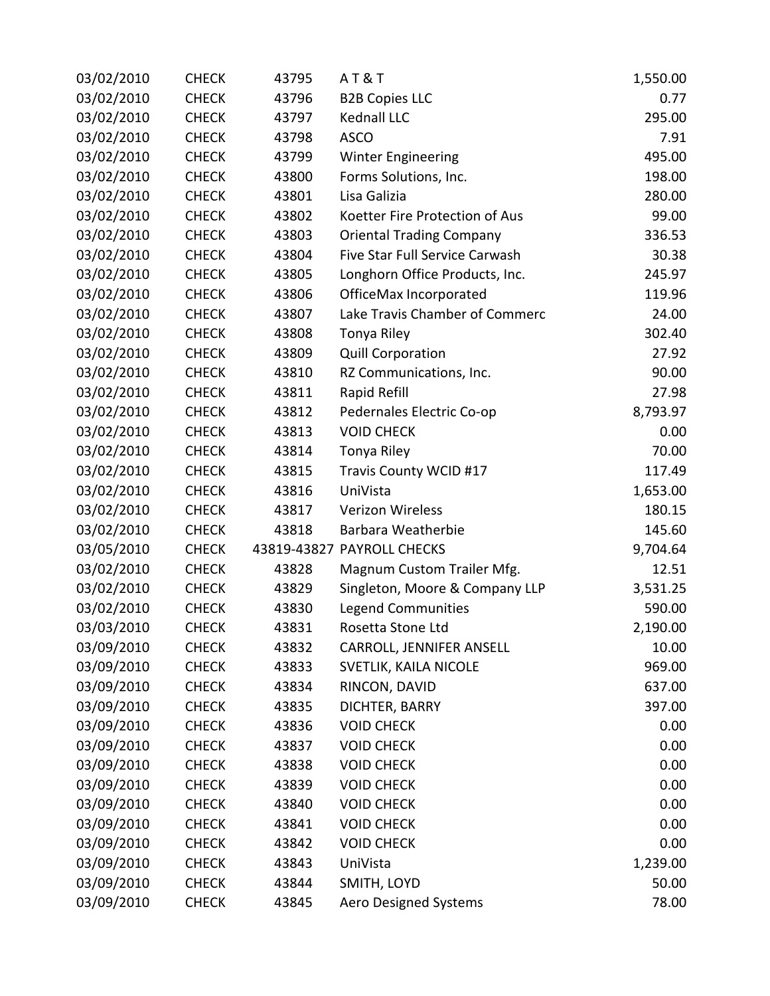| 03/02/2010 | <b>CHECK</b> | 43795 | <b>AT&amp;T</b>                 | 1,550.00 |
|------------|--------------|-------|---------------------------------|----------|
| 03/02/2010 | <b>CHECK</b> | 43796 | <b>B2B Copies LLC</b>           | 0.77     |
| 03/02/2010 | <b>CHECK</b> | 43797 | Kednall LLC                     | 295.00   |
| 03/02/2010 | <b>CHECK</b> | 43798 | <b>ASCO</b>                     | 7.91     |
| 03/02/2010 | <b>CHECK</b> | 43799 | <b>Winter Engineering</b>       | 495.00   |
| 03/02/2010 | <b>CHECK</b> | 43800 | Forms Solutions, Inc.           | 198.00   |
| 03/02/2010 | <b>CHECK</b> | 43801 | Lisa Galizia                    | 280.00   |
| 03/02/2010 | <b>CHECK</b> | 43802 | Koetter Fire Protection of Aus  | 99.00    |
| 03/02/2010 | <b>CHECK</b> | 43803 | <b>Oriental Trading Company</b> | 336.53   |
| 03/02/2010 | <b>CHECK</b> | 43804 | Five Star Full Service Carwash  | 30.38    |
| 03/02/2010 | <b>CHECK</b> | 43805 | Longhorn Office Products, Inc.  | 245.97   |
| 03/02/2010 | <b>CHECK</b> | 43806 | OfficeMax Incorporated          | 119.96   |
| 03/02/2010 | <b>CHECK</b> | 43807 | Lake Travis Chamber of Commerc  | 24.00    |
| 03/02/2010 | <b>CHECK</b> | 43808 | Tonya Riley                     | 302.40   |
| 03/02/2010 | <b>CHECK</b> | 43809 | <b>Quill Corporation</b>        | 27.92    |
| 03/02/2010 | <b>CHECK</b> | 43810 | RZ Communications, Inc.         | 90.00    |
| 03/02/2010 | <b>CHECK</b> | 43811 | Rapid Refill                    | 27.98    |
| 03/02/2010 | <b>CHECK</b> | 43812 | Pedernales Electric Co-op       | 8,793.97 |
| 03/02/2010 | <b>CHECK</b> | 43813 | <b>VOID CHECK</b>               | 0.00     |
| 03/02/2010 | <b>CHECK</b> | 43814 | Tonya Riley                     | 70.00    |
| 03/02/2010 | <b>CHECK</b> | 43815 | Travis County WCID #17          | 117.49   |
| 03/02/2010 | <b>CHECK</b> | 43816 | UniVista                        | 1,653.00 |
| 03/02/2010 | <b>CHECK</b> | 43817 | <b>Verizon Wireless</b>         | 180.15   |
| 03/02/2010 | <b>CHECK</b> | 43818 | Barbara Weatherbie              | 145.60   |
| 03/05/2010 | <b>CHECK</b> |       | 43819-43827 PAYROLL CHECKS      | 9,704.64 |
| 03/02/2010 | <b>CHECK</b> | 43828 | Magnum Custom Trailer Mfg.      | 12.51    |
| 03/02/2010 | <b>CHECK</b> | 43829 | Singleton, Moore & Company LLP  | 3,531.25 |
| 03/02/2010 | <b>CHECK</b> | 43830 | <b>Legend Communities</b>       | 590.00   |
| 03/03/2010 | <b>CHECK</b> | 43831 | Rosetta Stone Ltd               | 2,190.00 |
| 03/09/2010 | <b>CHECK</b> | 43832 | <b>CARROLL, JENNIFER ANSELL</b> | 10.00    |
| 03/09/2010 | <b>CHECK</b> | 43833 | SVETLIK, KAILA NICOLE           | 969.00   |
| 03/09/2010 | <b>CHECK</b> | 43834 | RINCON, DAVID                   | 637.00   |
| 03/09/2010 | <b>CHECK</b> | 43835 | DICHTER, BARRY                  | 397.00   |
| 03/09/2010 | <b>CHECK</b> | 43836 | <b>VOID CHECK</b>               | 0.00     |
| 03/09/2010 | <b>CHECK</b> | 43837 | <b>VOID CHECK</b>               | 0.00     |
| 03/09/2010 | <b>CHECK</b> | 43838 | <b>VOID CHECK</b>               | 0.00     |
| 03/09/2010 | <b>CHECK</b> | 43839 | <b>VOID CHECK</b>               | 0.00     |
| 03/09/2010 | <b>CHECK</b> | 43840 | <b>VOID CHECK</b>               | 0.00     |
| 03/09/2010 | <b>CHECK</b> | 43841 | <b>VOID CHECK</b>               | 0.00     |
| 03/09/2010 | <b>CHECK</b> | 43842 | <b>VOID CHECK</b>               | 0.00     |
| 03/09/2010 | <b>CHECK</b> | 43843 | UniVista                        | 1,239.00 |
| 03/09/2010 | <b>CHECK</b> | 43844 | SMITH, LOYD                     | 50.00    |
| 03/09/2010 | <b>CHECK</b> | 43845 | <b>Aero Designed Systems</b>    | 78.00    |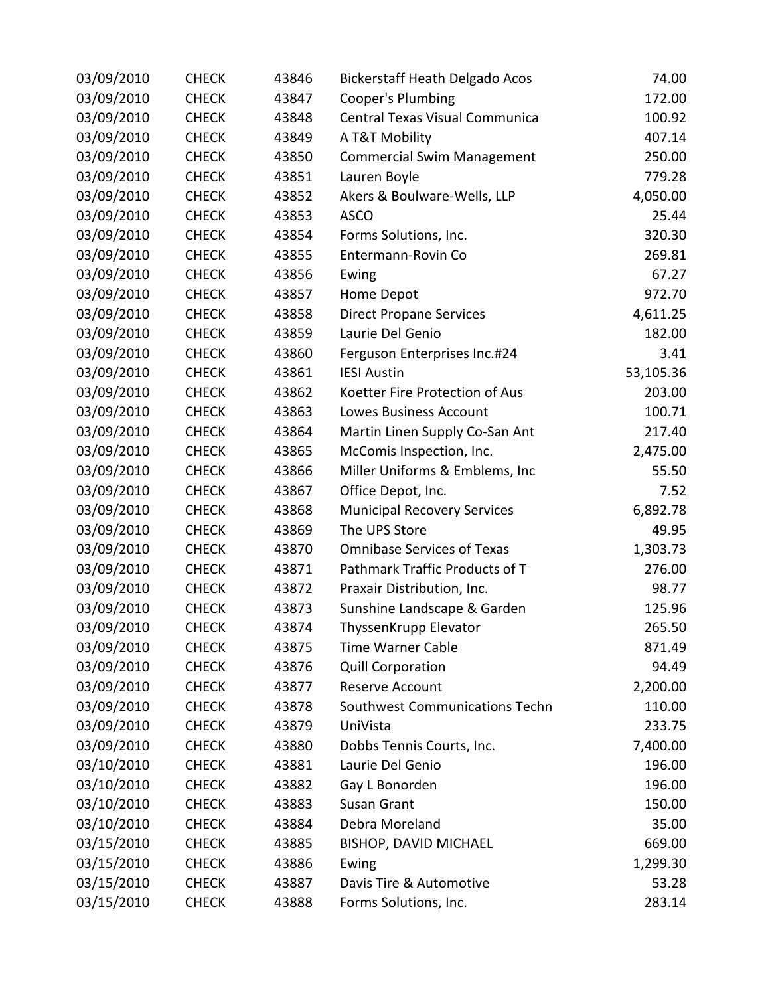| 03/09/2010 | <b>CHECK</b> | 43846 | Bickerstaff Heath Delgado Acos     | 74.00     |
|------------|--------------|-------|------------------------------------|-----------|
| 03/09/2010 | <b>CHECK</b> | 43847 | Cooper's Plumbing                  | 172.00    |
| 03/09/2010 | <b>CHECK</b> | 43848 | Central Texas Visual Communica     | 100.92    |
| 03/09/2010 | <b>CHECK</b> | 43849 | A T&T Mobility                     | 407.14    |
| 03/09/2010 | <b>CHECK</b> | 43850 | <b>Commercial Swim Management</b>  | 250.00    |
| 03/09/2010 | <b>CHECK</b> | 43851 | Lauren Boyle                       | 779.28    |
| 03/09/2010 | <b>CHECK</b> | 43852 | Akers & Boulware-Wells, LLP        | 4,050.00  |
| 03/09/2010 | <b>CHECK</b> | 43853 | <b>ASCO</b>                        | 25.44     |
| 03/09/2010 | <b>CHECK</b> | 43854 | Forms Solutions, Inc.              | 320.30    |
| 03/09/2010 | <b>CHECK</b> | 43855 | Entermann-Rovin Co                 | 269.81    |
| 03/09/2010 | <b>CHECK</b> | 43856 | Ewing                              | 67.27     |
| 03/09/2010 | <b>CHECK</b> | 43857 | Home Depot                         | 972.70    |
| 03/09/2010 | <b>CHECK</b> | 43858 | <b>Direct Propane Services</b>     | 4,611.25  |
| 03/09/2010 | <b>CHECK</b> | 43859 | Laurie Del Genio                   | 182.00    |
| 03/09/2010 | <b>CHECK</b> | 43860 | Ferguson Enterprises Inc.#24       | 3.41      |
| 03/09/2010 | <b>CHECK</b> | 43861 | <b>IESI Austin</b>                 | 53,105.36 |
| 03/09/2010 | <b>CHECK</b> | 43862 | Koetter Fire Protection of Aus     | 203.00    |
| 03/09/2010 | <b>CHECK</b> | 43863 | <b>Lowes Business Account</b>      | 100.71    |
| 03/09/2010 | <b>CHECK</b> | 43864 | Martin Linen Supply Co-San Ant     | 217.40    |
| 03/09/2010 | <b>CHECK</b> | 43865 | McComis Inspection, Inc.           | 2,475.00  |
| 03/09/2010 | <b>CHECK</b> | 43866 | Miller Uniforms & Emblems, Inc     | 55.50     |
| 03/09/2010 | <b>CHECK</b> | 43867 | Office Depot, Inc.                 | 7.52      |
| 03/09/2010 | <b>CHECK</b> | 43868 | <b>Municipal Recovery Services</b> | 6,892.78  |
| 03/09/2010 | <b>CHECK</b> | 43869 | The UPS Store                      | 49.95     |
| 03/09/2010 | <b>CHECK</b> | 43870 | <b>Omnibase Services of Texas</b>  | 1,303.73  |
| 03/09/2010 | <b>CHECK</b> | 43871 | Pathmark Traffic Products of T     | 276.00    |
| 03/09/2010 | <b>CHECK</b> | 43872 | Praxair Distribution, Inc.         | 98.77     |
| 03/09/2010 | <b>CHECK</b> | 43873 | Sunshine Landscape & Garden        | 125.96    |
| 03/09/2010 | <b>CHECK</b> | 43874 | ThyssenKrupp Elevator              | 265.50    |
| 03/09/2010 | <b>CHECK</b> | 43875 | <b>Time Warner Cable</b>           | 871.49    |
| 03/09/2010 | <b>CHECK</b> | 43876 | <b>Quill Corporation</b>           | 94.49     |
| 03/09/2010 | <b>CHECK</b> | 43877 | Reserve Account                    | 2,200.00  |
| 03/09/2010 | <b>CHECK</b> | 43878 | Southwest Communications Techn     | 110.00    |
| 03/09/2010 | <b>CHECK</b> | 43879 | UniVista                           | 233.75    |
| 03/09/2010 | <b>CHECK</b> | 43880 | Dobbs Tennis Courts, Inc.          | 7,400.00  |
| 03/10/2010 | <b>CHECK</b> | 43881 | Laurie Del Genio                   | 196.00    |
| 03/10/2010 | <b>CHECK</b> | 43882 | Gay L Bonorden                     | 196.00    |
| 03/10/2010 | <b>CHECK</b> | 43883 | Susan Grant                        | 150.00    |
| 03/10/2010 | <b>CHECK</b> | 43884 | Debra Moreland                     | 35.00     |
| 03/15/2010 | <b>CHECK</b> | 43885 | <b>BISHOP, DAVID MICHAEL</b>       | 669.00    |
| 03/15/2010 | <b>CHECK</b> | 43886 | Ewing                              | 1,299.30  |
| 03/15/2010 | <b>CHECK</b> | 43887 | Davis Tire & Automotive            | 53.28     |
| 03/15/2010 | <b>CHECK</b> | 43888 | Forms Solutions, Inc.              | 283.14    |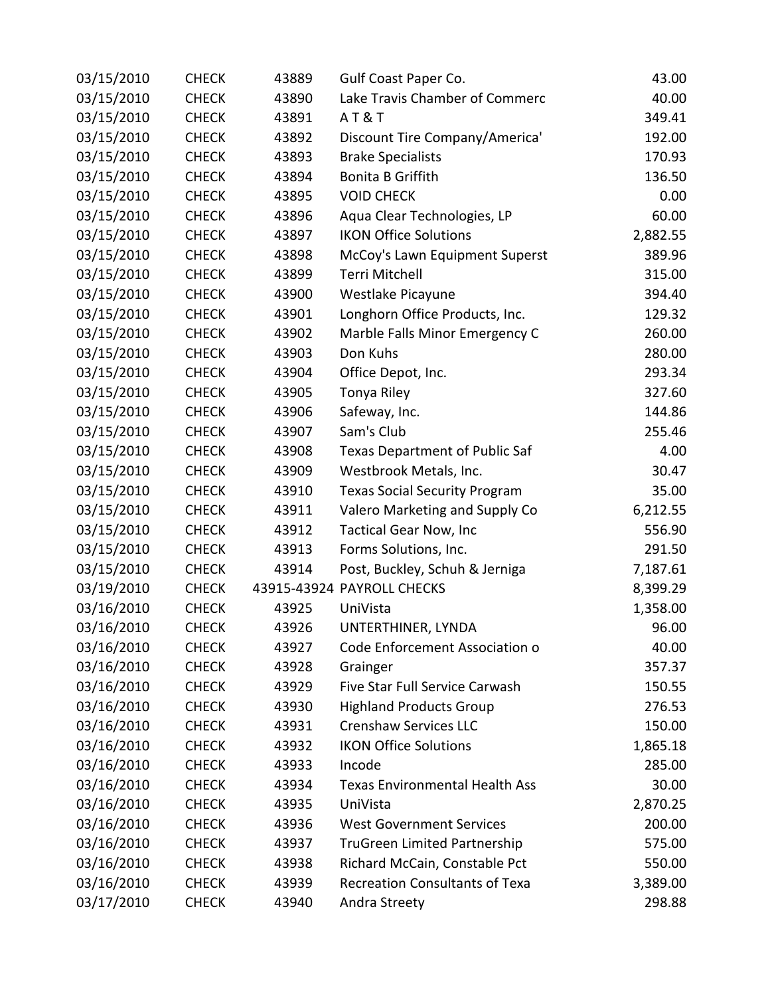| 03/15/2010 | <b>CHECK</b> | 43889 | Gulf Coast Paper Co.                  | 43.00    |
|------------|--------------|-------|---------------------------------------|----------|
| 03/15/2010 | <b>CHECK</b> | 43890 | Lake Travis Chamber of Commerc        | 40.00    |
| 03/15/2010 | <b>CHECK</b> | 43891 | <b>AT&amp;T</b>                       | 349.41   |
| 03/15/2010 | <b>CHECK</b> | 43892 | Discount Tire Company/America'        | 192.00   |
| 03/15/2010 | <b>CHECK</b> | 43893 | <b>Brake Specialists</b>              | 170.93   |
| 03/15/2010 | <b>CHECK</b> | 43894 | <b>Bonita B Griffith</b>              | 136.50   |
| 03/15/2010 | <b>CHECK</b> | 43895 | <b>VOID CHECK</b>                     | 0.00     |
| 03/15/2010 | <b>CHECK</b> | 43896 | Aqua Clear Technologies, LP           | 60.00    |
| 03/15/2010 | <b>CHECK</b> | 43897 | <b>IKON Office Solutions</b>          | 2,882.55 |
| 03/15/2010 | <b>CHECK</b> | 43898 | McCoy's Lawn Equipment Superst        | 389.96   |
| 03/15/2010 | <b>CHECK</b> | 43899 | Terri Mitchell                        | 315.00   |
| 03/15/2010 | <b>CHECK</b> | 43900 | Westlake Picayune                     | 394.40   |
| 03/15/2010 | <b>CHECK</b> | 43901 | Longhorn Office Products, Inc.        | 129.32   |
| 03/15/2010 | <b>CHECK</b> | 43902 | Marble Falls Minor Emergency C        | 260.00   |
| 03/15/2010 | <b>CHECK</b> | 43903 | Don Kuhs                              | 280.00   |
| 03/15/2010 | <b>CHECK</b> | 43904 | Office Depot, Inc.                    | 293.34   |
| 03/15/2010 | <b>CHECK</b> | 43905 | Tonya Riley                           | 327.60   |
| 03/15/2010 | <b>CHECK</b> | 43906 | Safeway, Inc.                         | 144.86   |
| 03/15/2010 | <b>CHECK</b> | 43907 | Sam's Club                            | 255.46   |
| 03/15/2010 | <b>CHECK</b> | 43908 | Texas Department of Public Saf        | 4.00     |
| 03/15/2010 | <b>CHECK</b> | 43909 | Westbrook Metals, Inc.                | 30.47    |
| 03/15/2010 | <b>CHECK</b> | 43910 | <b>Texas Social Security Program</b>  | 35.00    |
| 03/15/2010 | <b>CHECK</b> | 43911 | Valero Marketing and Supply Co        | 6,212.55 |
| 03/15/2010 | <b>CHECK</b> | 43912 | <b>Tactical Gear Now, Inc</b>         | 556.90   |
| 03/15/2010 | <b>CHECK</b> | 43913 | Forms Solutions, Inc.                 | 291.50   |
| 03/15/2010 | <b>CHECK</b> | 43914 | Post, Buckley, Schuh & Jerniga        | 7,187.61 |
| 03/19/2010 | <b>CHECK</b> |       | 43915-43924 PAYROLL CHECKS            | 8,399.29 |
| 03/16/2010 | <b>CHECK</b> | 43925 | UniVista                              | 1,358.00 |
| 03/16/2010 | <b>CHECK</b> | 43926 | UNTERTHINER, LYNDA                    | 96.00    |
| 03/16/2010 | <b>CHECK</b> | 43927 | Code Enforcement Association o        | 40.00    |
| 03/16/2010 | <b>CHECK</b> | 43928 | Grainger                              | 357.37   |
| 03/16/2010 | <b>CHECK</b> | 43929 | Five Star Full Service Carwash        | 150.55   |
| 03/16/2010 | <b>CHECK</b> | 43930 | <b>Highland Products Group</b>        | 276.53   |
| 03/16/2010 | <b>CHECK</b> | 43931 | <b>Crenshaw Services LLC</b>          | 150.00   |
| 03/16/2010 | <b>CHECK</b> | 43932 | <b>IKON Office Solutions</b>          | 1,865.18 |
| 03/16/2010 | <b>CHECK</b> | 43933 | Incode                                | 285.00   |
| 03/16/2010 | <b>CHECK</b> | 43934 | <b>Texas Environmental Health Ass</b> | 30.00    |
| 03/16/2010 | <b>CHECK</b> | 43935 | UniVista                              | 2,870.25 |
| 03/16/2010 | <b>CHECK</b> | 43936 | <b>West Government Services</b>       | 200.00   |
| 03/16/2010 | <b>CHECK</b> | 43937 | TruGreen Limited Partnership          | 575.00   |
| 03/16/2010 | <b>CHECK</b> | 43938 | Richard McCain, Constable Pct         | 550.00   |
| 03/16/2010 | <b>CHECK</b> | 43939 | <b>Recreation Consultants of Texa</b> | 3,389.00 |
| 03/17/2010 | <b>CHECK</b> | 43940 | Andra Streety                         | 298.88   |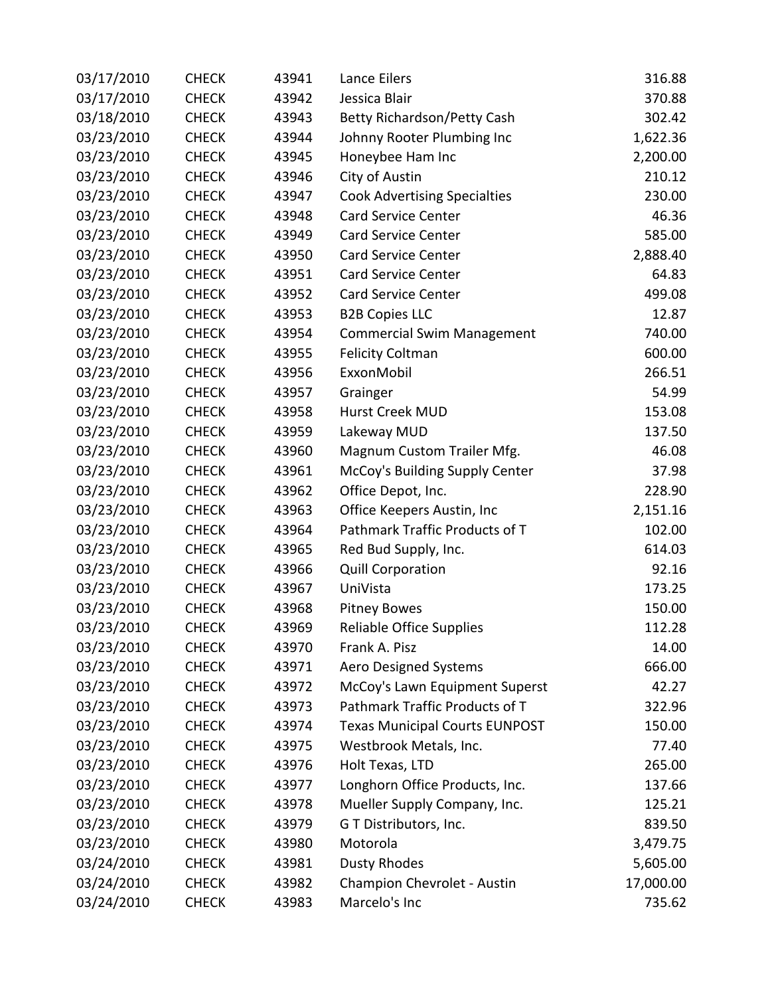| 03/17/2010 | <b>CHECK</b> | 43941 | Lance Eilers                          | 316.88    |
|------------|--------------|-------|---------------------------------------|-----------|
| 03/17/2010 | <b>CHECK</b> | 43942 | Jessica Blair                         | 370.88    |
| 03/18/2010 | <b>CHECK</b> | 43943 | Betty Richardson/Petty Cash           | 302.42    |
| 03/23/2010 | <b>CHECK</b> | 43944 | Johnny Rooter Plumbing Inc            | 1,622.36  |
| 03/23/2010 | <b>CHECK</b> | 43945 | Honeybee Ham Inc                      | 2,200.00  |
| 03/23/2010 | <b>CHECK</b> | 43946 | City of Austin                        | 210.12    |
| 03/23/2010 | <b>CHECK</b> | 43947 | <b>Cook Advertising Specialties</b>   | 230.00    |
| 03/23/2010 | <b>CHECK</b> | 43948 | <b>Card Service Center</b>            | 46.36     |
| 03/23/2010 | <b>CHECK</b> | 43949 | Card Service Center                   | 585.00    |
| 03/23/2010 | <b>CHECK</b> | 43950 | <b>Card Service Center</b>            | 2,888.40  |
| 03/23/2010 | <b>CHECK</b> | 43951 | <b>Card Service Center</b>            | 64.83     |
| 03/23/2010 | <b>CHECK</b> | 43952 | <b>Card Service Center</b>            | 499.08    |
| 03/23/2010 | <b>CHECK</b> | 43953 | <b>B2B Copies LLC</b>                 | 12.87     |
| 03/23/2010 | <b>CHECK</b> | 43954 | <b>Commercial Swim Management</b>     | 740.00    |
| 03/23/2010 | <b>CHECK</b> | 43955 | <b>Felicity Coltman</b>               | 600.00    |
| 03/23/2010 | <b>CHECK</b> | 43956 | ExxonMobil                            | 266.51    |
| 03/23/2010 | <b>CHECK</b> | 43957 | Grainger                              | 54.99     |
| 03/23/2010 | <b>CHECK</b> | 43958 | Hurst Creek MUD                       | 153.08    |
| 03/23/2010 | <b>CHECK</b> | 43959 | Lakeway MUD                           | 137.50    |
| 03/23/2010 | <b>CHECK</b> | 43960 | Magnum Custom Trailer Mfg.            | 46.08     |
| 03/23/2010 | <b>CHECK</b> | 43961 | McCoy's Building Supply Center        | 37.98     |
| 03/23/2010 | <b>CHECK</b> | 43962 | Office Depot, Inc.                    | 228.90    |
| 03/23/2010 | <b>CHECK</b> | 43963 | Office Keepers Austin, Inc            | 2,151.16  |
| 03/23/2010 | <b>CHECK</b> | 43964 | Pathmark Traffic Products of T        | 102.00    |
| 03/23/2010 | <b>CHECK</b> | 43965 | Red Bud Supply, Inc.                  | 614.03    |
| 03/23/2010 | <b>CHECK</b> | 43966 | <b>Quill Corporation</b>              | 92.16     |
| 03/23/2010 | <b>CHECK</b> | 43967 | UniVista                              | 173.25    |
| 03/23/2010 | <b>CHECK</b> | 43968 | <b>Pitney Bowes</b>                   | 150.00    |
| 03/23/2010 | <b>CHECK</b> | 43969 | <b>Reliable Office Supplies</b>       | 112.28    |
| 03/23/2010 | <b>CHECK</b> | 43970 | Frank A. Pisz                         | 14.00     |
| 03/23/2010 | <b>CHECK</b> | 43971 | <b>Aero Designed Systems</b>          | 666.00    |
| 03/23/2010 | <b>CHECK</b> | 43972 | McCoy's Lawn Equipment Superst        | 42.27     |
| 03/23/2010 | <b>CHECK</b> | 43973 | Pathmark Traffic Products of T        | 322.96    |
| 03/23/2010 | <b>CHECK</b> | 43974 | <b>Texas Municipal Courts EUNPOST</b> | 150.00    |
| 03/23/2010 | <b>CHECK</b> | 43975 | Westbrook Metals, Inc.                | 77.40     |
| 03/23/2010 | <b>CHECK</b> | 43976 | Holt Texas, LTD                       | 265.00    |
| 03/23/2010 | <b>CHECK</b> | 43977 | Longhorn Office Products, Inc.        | 137.66    |
| 03/23/2010 | <b>CHECK</b> | 43978 | Mueller Supply Company, Inc.          | 125.21    |
| 03/23/2010 | <b>CHECK</b> | 43979 | G T Distributors, Inc.                | 839.50    |
| 03/23/2010 | <b>CHECK</b> | 43980 | Motorola                              | 3,479.75  |
| 03/24/2010 | <b>CHECK</b> | 43981 | <b>Dusty Rhodes</b>                   | 5,605.00  |
| 03/24/2010 | <b>CHECK</b> | 43982 | Champion Chevrolet - Austin           | 17,000.00 |
| 03/24/2010 | <b>CHECK</b> | 43983 | Marcelo's Inc                         | 735.62    |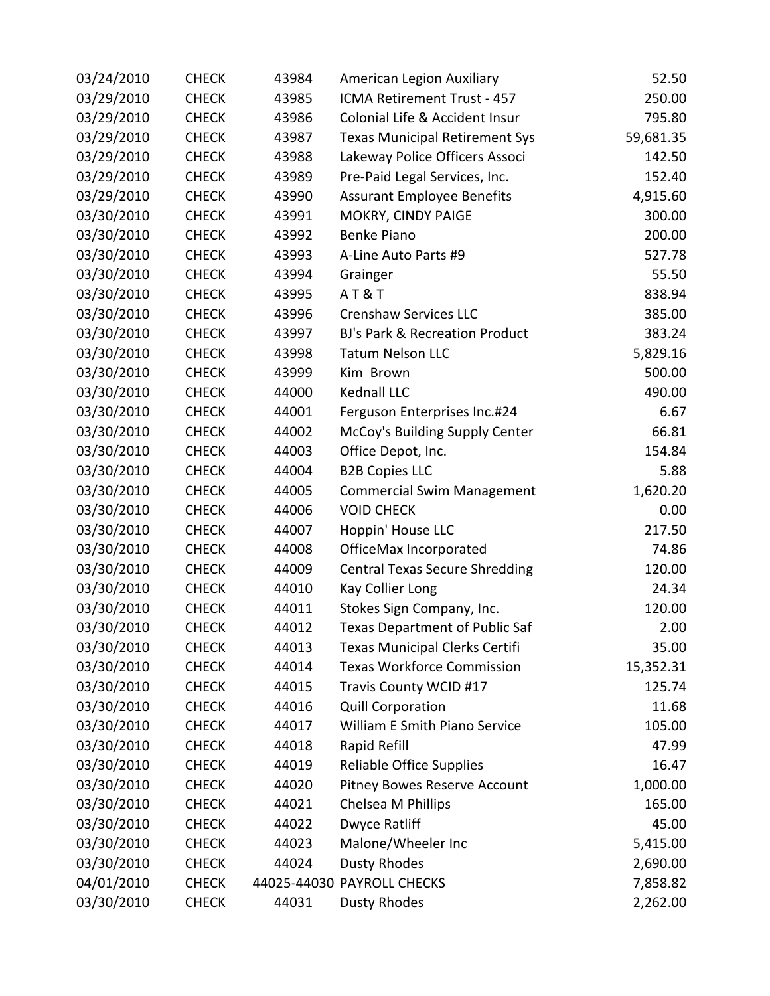| 03/24/2010 | <b>CHECK</b> | 43984 | American Legion Auxiliary             | 52.50     |
|------------|--------------|-------|---------------------------------------|-----------|
| 03/29/2010 | <b>CHECK</b> | 43985 | ICMA Retirement Trust - 457           | 250.00    |
| 03/29/2010 | <b>CHECK</b> | 43986 | Colonial Life & Accident Insur        | 795.80    |
| 03/29/2010 | <b>CHECK</b> | 43987 | <b>Texas Municipal Retirement Sys</b> | 59,681.35 |
| 03/29/2010 | <b>CHECK</b> | 43988 | Lakeway Police Officers Associ        | 142.50    |
| 03/29/2010 | <b>CHECK</b> | 43989 | Pre-Paid Legal Services, Inc.         | 152.40    |
| 03/29/2010 | <b>CHECK</b> | 43990 | <b>Assurant Employee Benefits</b>     | 4,915.60  |
| 03/30/2010 | <b>CHECK</b> | 43991 | MOKRY, CINDY PAIGE                    | 300.00    |
| 03/30/2010 | <b>CHECK</b> | 43992 | <b>Benke Piano</b>                    | 200.00    |
| 03/30/2010 | <b>CHECK</b> | 43993 | A-Line Auto Parts #9                  | 527.78    |
| 03/30/2010 | <b>CHECK</b> | 43994 | Grainger                              | 55.50     |
| 03/30/2010 | <b>CHECK</b> | 43995 | AT&T                                  | 838.94    |
| 03/30/2010 | <b>CHECK</b> | 43996 | <b>Crenshaw Services LLC</b>          | 385.00    |
| 03/30/2010 | <b>CHECK</b> | 43997 | BJ's Park & Recreation Product        | 383.24    |
| 03/30/2010 | <b>CHECK</b> | 43998 | <b>Tatum Nelson LLC</b>               | 5,829.16  |
| 03/30/2010 | <b>CHECK</b> | 43999 | Kim Brown                             | 500.00    |
| 03/30/2010 | <b>CHECK</b> | 44000 | Kednall LLC                           | 490.00    |
| 03/30/2010 | <b>CHECK</b> | 44001 | Ferguson Enterprises Inc.#24          | 6.67      |
| 03/30/2010 | <b>CHECK</b> | 44002 | McCoy's Building Supply Center        | 66.81     |
| 03/30/2010 | <b>CHECK</b> | 44003 | Office Depot, Inc.                    | 154.84    |
| 03/30/2010 | <b>CHECK</b> | 44004 | <b>B2B Copies LLC</b>                 | 5.88      |
| 03/30/2010 | <b>CHECK</b> | 44005 | <b>Commercial Swim Management</b>     | 1,620.20  |
| 03/30/2010 | <b>CHECK</b> | 44006 | <b>VOID CHECK</b>                     | 0.00      |
| 03/30/2010 | <b>CHECK</b> | 44007 | Hoppin' House LLC                     | 217.50    |
| 03/30/2010 | <b>CHECK</b> | 44008 | OfficeMax Incorporated                | 74.86     |
| 03/30/2010 | <b>CHECK</b> | 44009 | <b>Central Texas Secure Shredding</b> | 120.00    |
| 03/30/2010 | <b>CHECK</b> | 44010 | Kay Collier Long                      | 24.34     |
| 03/30/2010 | <b>CHECK</b> | 44011 | Stokes Sign Company, Inc.             | 120.00    |
| 03/30/2010 | <b>CHECK</b> | 44012 | Texas Department of Public Saf        | 2.00      |
| 03/30/2010 | <b>CHECK</b> | 44013 | <b>Texas Municipal Clerks Certifi</b> | 35.00     |
| 03/30/2010 | <b>CHECK</b> | 44014 | <b>Texas Workforce Commission</b>     | 15,352.31 |
| 03/30/2010 | <b>CHECK</b> | 44015 | Travis County WCID #17                | 125.74    |
| 03/30/2010 | <b>CHECK</b> | 44016 | <b>Quill Corporation</b>              | 11.68     |
| 03/30/2010 | <b>CHECK</b> | 44017 | William E Smith Piano Service         | 105.00    |
| 03/30/2010 | <b>CHECK</b> | 44018 | Rapid Refill                          | 47.99     |
| 03/30/2010 | <b>CHECK</b> | 44019 | <b>Reliable Office Supplies</b>       | 16.47     |
| 03/30/2010 | <b>CHECK</b> | 44020 | Pitney Bowes Reserve Account          | 1,000.00  |
| 03/30/2010 | <b>CHECK</b> | 44021 | Chelsea M Phillips                    | 165.00    |
| 03/30/2010 | <b>CHECK</b> | 44022 | <b>Dwyce Ratliff</b>                  | 45.00     |
| 03/30/2010 | <b>CHECK</b> | 44023 | Malone/Wheeler Inc                    | 5,415.00  |
| 03/30/2010 | <b>CHECK</b> | 44024 | <b>Dusty Rhodes</b>                   | 2,690.00  |
| 04/01/2010 | <b>CHECK</b> |       | 44025-44030 PAYROLL CHECKS            | 7,858.82  |
| 03/30/2010 | <b>CHECK</b> | 44031 | <b>Dusty Rhodes</b>                   | 2,262.00  |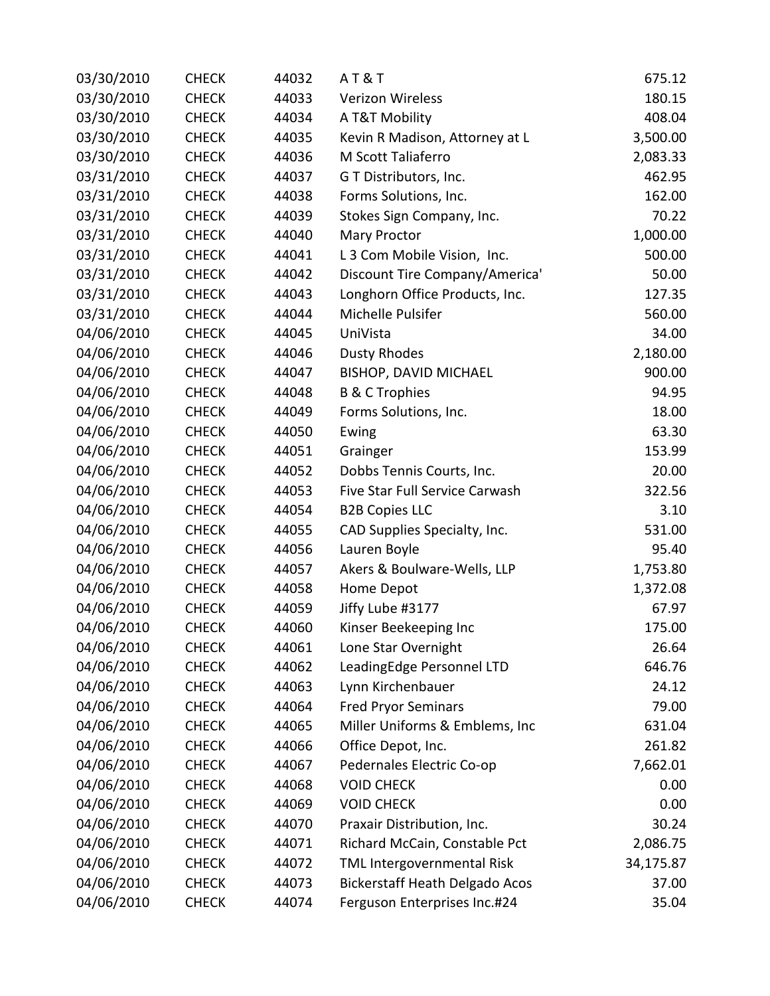| 03/30/2010 | <b>CHECK</b> | 44032 | <b>AT&amp;T</b>                       | 675.12    |
|------------|--------------|-------|---------------------------------------|-----------|
| 03/30/2010 | <b>CHECK</b> | 44033 | <b>Verizon Wireless</b>               | 180.15    |
| 03/30/2010 | <b>CHECK</b> | 44034 | A T&T Mobility                        | 408.04    |
| 03/30/2010 | <b>CHECK</b> | 44035 | Kevin R Madison, Attorney at L        | 3,500.00  |
| 03/30/2010 | <b>CHECK</b> | 44036 | M Scott Taliaferro                    | 2,083.33  |
| 03/31/2010 | <b>CHECK</b> | 44037 | G T Distributors, Inc.                | 462.95    |
| 03/31/2010 | <b>CHECK</b> | 44038 | Forms Solutions, Inc.                 | 162.00    |
| 03/31/2010 | <b>CHECK</b> | 44039 | Stokes Sign Company, Inc.             | 70.22     |
| 03/31/2010 | <b>CHECK</b> | 44040 | <b>Mary Proctor</b>                   | 1,000.00  |
| 03/31/2010 | <b>CHECK</b> | 44041 | L 3 Com Mobile Vision, Inc.           | 500.00    |
| 03/31/2010 | <b>CHECK</b> | 44042 | Discount Tire Company/America'        | 50.00     |
| 03/31/2010 | <b>CHECK</b> | 44043 | Longhorn Office Products, Inc.        | 127.35    |
| 03/31/2010 | <b>CHECK</b> | 44044 | Michelle Pulsifer                     | 560.00    |
| 04/06/2010 | <b>CHECK</b> | 44045 | UniVista                              | 34.00     |
| 04/06/2010 | <b>CHECK</b> | 44046 | <b>Dusty Rhodes</b>                   | 2,180.00  |
| 04/06/2010 | <b>CHECK</b> | 44047 | BISHOP, DAVID MICHAEL                 | 900.00    |
| 04/06/2010 | <b>CHECK</b> | 44048 | <b>B &amp; C Trophies</b>             | 94.95     |
| 04/06/2010 | <b>CHECK</b> | 44049 | Forms Solutions, Inc.                 | 18.00     |
| 04/06/2010 | <b>CHECK</b> | 44050 | Ewing                                 | 63.30     |
| 04/06/2010 | <b>CHECK</b> | 44051 | Grainger                              | 153.99    |
| 04/06/2010 | <b>CHECK</b> | 44052 | Dobbs Tennis Courts, Inc.             | 20.00     |
| 04/06/2010 | <b>CHECK</b> | 44053 | Five Star Full Service Carwash        | 322.56    |
| 04/06/2010 | <b>CHECK</b> | 44054 | <b>B2B Copies LLC</b>                 | 3.10      |
| 04/06/2010 | <b>CHECK</b> | 44055 | CAD Supplies Specialty, Inc.          | 531.00    |
| 04/06/2010 | <b>CHECK</b> | 44056 | Lauren Boyle                          | 95.40     |
| 04/06/2010 | <b>CHECK</b> | 44057 | Akers & Boulware-Wells, LLP           | 1,753.80  |
| 04/06/2010 | <b>CHECK</b> | 44058 | Home Depot                            | 1,372.08  |
| 04/06/2010 | <b>CHECK</b> | 44059 | Jiffy Lube #3177                      | 67.97     |
| 04/06/2010 | <b>CHECK</b> | 44060 | Kinser Beekeeping Inc                 | 175.00    |
| 04/06/2010 | <b>CHECK</b> | 44061 | Lone Star Overnight                   | 26.64     |
| 04/06/2010 | <b>CHECK</b> | 44062 | LeadingEdge Personnel LTD             | 646.76    |
| 04/06/2010 | <b>CHECK</b> | 44063 | Lynn Kirchenbauer                     | 24.12     |
| 04/06/2010 | <b>CHECK</b> | 44064 | <b>Fred Pryor Seminars</b>            | 79.00     |
| 04/06/2010 | <b>CHECK</b> | 44065 | Miller Uniforms & Emblems, Inc        | 631.04    |
| 04/06/2010 | <b>CHECK</b> | 44066 | Office Depot, Inc.                    | 261.82    |
| 04/06/2010 | <b>CHECK</b> | 44067 | Pedernales Electric Co-op             | 7,662.01  |
| 04/06/2010 | <b>CHECK</b> | 44068 | <b>VOID CHECK</b>                     | 0.00      |
| 04/06/2010 | <b>CHECK</b> | 44069 | <b>VOID CHECK</b>                     | 0.00      |
| 04/06/2010 | <b>CHECK</b> | 44070 | Praxair Distribution, Inc.            | 30.24     |
| 04/06/2010 | <b>CHECK</b> | 44071 | Richard McCain, Constable Pct         | 2,086.75  |
| 04/06/2010 | <b>CHECK</b> | 44072 | TML Intergovernmental Risk            | 34,175.87 |
| 04/06/2010 | <b>CHECK</b> | 44073 | <b>Bickerstaff Heath Delgado Acos</b> | 37.00     |
| 04/06/2010 | <b>CHECK</b> | 44074 | Ferguson Enterprises Inc.#24          | 35.04     |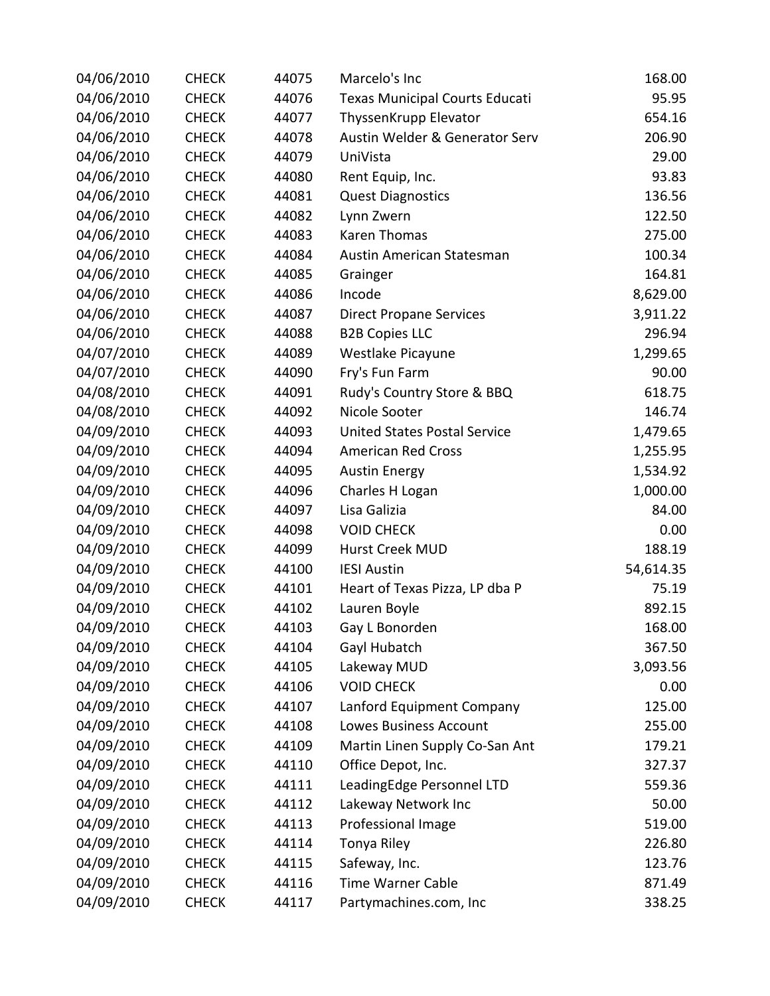| 04/06/2010 | <b>CHECK</b> | 44075 | Marcelo's Inc                         | 168.00    |
|------------|--------------|-------|---------------------------------------|-----------|
| 04/06/2010 | <b>CHECK</b> | 44076 | <b>Texas Municipal Courts Educati</b> | 95.95     |
| 04/06/2010 | <b>CHECK</b> | 44077 | ThyssenKrupp Elevator                 | 654.16    |
| 04/06/2010 | <b>CHECK</b> | 44078 | Austin Welder & Generator Serv        | 206.90    |
| 04/06/2010 | <b>CHECK</b> | 44079 | UniVista                              | 29.00     |
| 04/06/2010 | <b>CHECK</b> | 44080 | Rent Equip, Inc.                      | 93.83     |
| 04/06/2010 | <b>CHECK</b> | 44081 | <b>Quest Diagnostics</b>              | 136.56    |
| 04/06/2010 | <b>CHECK</b> | 44082 | Lynn Zwern                            | 122.50    |
| 04/06/2010 | <b>CHECK</b> | 44083 | Karen Thomas                          | 275.00    |
| 04/06/2010 | <b>CHECK</b> | 44084 | Austin American Statesman             | 100.34    |
| 04/06/2010 | <b>CHECK</b> | 44085 | Grainger                              | 164.81    |
| 04/06/2010 | <b>CHECK</b> | 44086 | Incode                                | 8,629.00  |
| 04/06/2010 | <b>CHECK</b> | 44087 | <b>Direct Propane Services</b>        | 3,911.22  |
| 04/06/2010 | <b>CHECK</b> | 44088 | <b>B2B Copies LLC</b>                 | 296.94    |
| 04/07/2010 | <b>CHECK</b> | 44089 | Westlake Picayune                     | 1,299.65  |
| 04/07/2010 | <b>CHECK</b> | 44090 | Fry's Fun Farm                        | 90.00     |
| 04/08/2010 | <b>CHECK</b> | 44091 | Rudy's Country Store & BBQ            | 618.75    |
| 04/08/2010 | <b>CHECK</b> | 44092 | Nicole Sooter                         | 146.74    |
| 04/09/2010 | <b>CHECK</b> | 44093 | <b>United States Postal Service</b>   | 1,479.65  |
| 04/09/2010 | <b>CHECK</b> | 44094 | <b>American Red Cross</b>             | 1,255.95  |
| 04/09/2010 | <b>CHECK</b> | 44095 | <b>Austin Energy</b>                  | 1,534.92  |
| 04/09/2010 | <b>CHECK</b> | 44096 | Charles H Logan                       | 1,000.00  |
| 04/09/2010 | <b>CHECK</b> | 44097 | Lisa Galizia                          | 84.00     |
| 04/09/2010 | <b>CHECK</b> | 44098 | <b>VOID CHECK</b>                     | 0.00      |
| 04/09/2010 | <b>CHECK</b> | 44099 | Hurst Creek MUD                       | 188.19    |
| 04/09/2010 | <b>CHECK</b> | 44100 | <b>IESI Austin</b>                    | 54,614.35 |
| 04/09/2010 | <b>CHECK</b> | 44101 | Heart of Texas Pizza, LP dba P        | 75.19     |
| 04/09/2010 | <b>CHECK</b> | 44102 | Lauren Boyle                          | 892.15    |
| 04/09/2010 | <b>CHECK</b> | 44103 | Gay L Bonorden                        | 168.00    |
| 04/09/2010 | <b>CHECK</b> | 44104 | Gayl Hubatch                          | 367.50    |
| 04/09/2010 | <b>CHECK</b> | 44105 | Lakeway MUD                           | 3,093.56  |
| 04/09/2010 | <b>CHECK</b> | 44106 | <b>VOID CHECK</b>                     | 0.00      |
| 04/09/2010 | <b>CHECK</b> | 44107 | Lanford Equipment Company             | 125.00    |
| 04/09/2010 | <b>CHECK</b> | 44108 | <b>Lowes Business Account</b>         | 255.00    |
| 04/09/2010 | <b>CHECK</b> | 44109 | Martin Linen Supply Co-San Ant        | 179.21    |
| 04/09/2010 | <b>CHECK</b> | 44110 | Office Depot, Inc.                    | 327.37    |
| 04/09/2010 | <b>CHECK</b> | 44111 | LeadingEdge Personnel LTD             | 559.36    |
| 04/09/2010 | <b>CHECK</b> | 44112 | Lakeway Network Inc                   | 50.00     |
| 04/09/2010 | <b>CHECK</b> | 44113 | Professional Image                    | 519.00    |
| 04/09/2010 | <b>CHECK</b> | 44114 | Tonya Riley                           | 226.80    |
| 04/09/2010 | <b>CHECK</b> | 44115 | Safeway, Inc.                         | 123.76    |
| 04/09/2010 | <b>CHECK</b> | 44116 | <b>Time Warner Cable</b>              | 871.49    |
| 04/09/2010 | <b>CHECK</b> | 44117 | Partymachines.com, Inc                | 338.25    |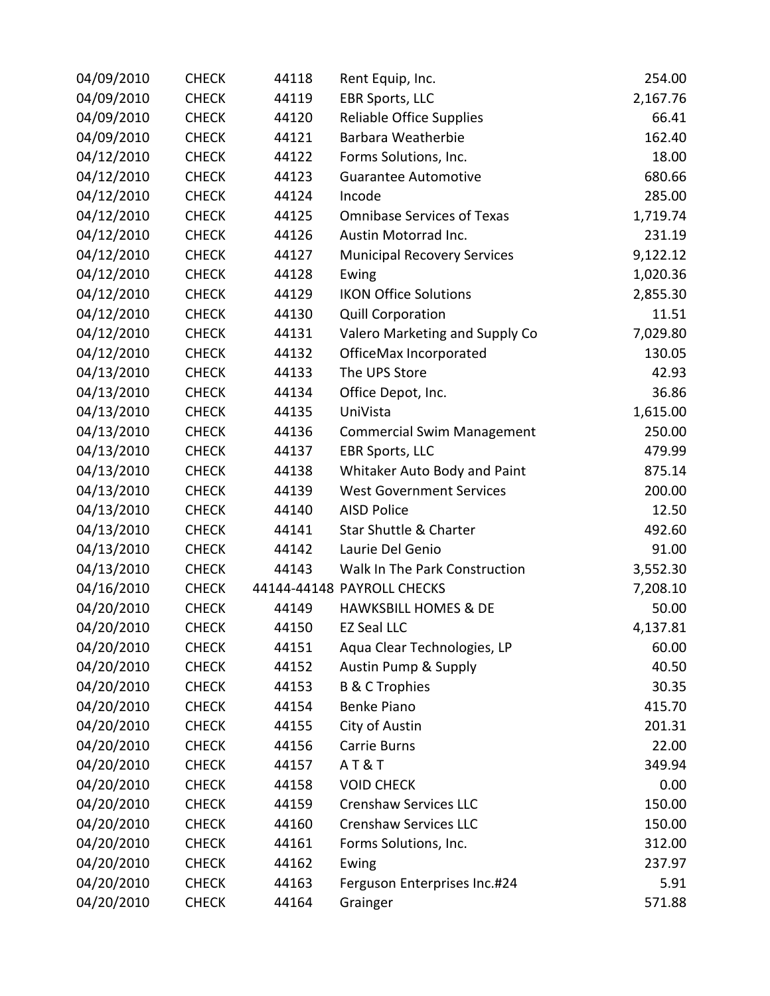| 04/09/2010 | <b>CHECK</b> | 44118 | Rent Equip, Inc.                   | 254.00   |
|------------|--------------|-------|------------------------------------|----------|
| 04/09/2010 | <b>CHECK</b> | 44119 | <b>EBR Sports, LLC</b>             | 2,167.76 |
| 04/09/2010 | <b>CHECK</b> | 44120 | <b>Reliable Office Supplies</b>    | 66.41    |
| 04/09/2010 | <b>CHECK</b> | 44121 | Barbara Weatherbie                 | 162.40   |
| 04/12/2010 | <b>CHECK</b> | 44122 | Forms Solutions, Inc.              | 18.00    |
| 04/12/2010 | <b>CHECK</b> | 44123 | <b>Guarantee Automotive</b>        | 680.66   |
| 04/12/2010 | <b>CHECK</b> | 44124 | Incode                             | 285.00   |
| 04/12/2010 | <b>CHECK</b> | 44125 | <b>Omnibase Services of Texas</b>  | 1,719.74 |
| 04/12/2010 | <b>CHECK</b> | 44126 | Austin Motorrad Inc.               | 231.19   |
| 04/12/2010 | <b>CHECK</b> | 44127 | <b>Municipal Recovery Services</b> | 9,122.12 |
| 04/12/2010 | <b>CHECK</b> | 44128 | Ewing                              | 1,020.36 |
| 04/12/2010 | <b>CHECK</b> | 44129 | <b>IKON Office Solutions</b>       | 2,855.30 |
| 04/12/2010 | <b>CHECK</b> | 44130 | <b>Quill Corporation</b>           | 11.51    |
| 04/12/2010 | <b>CHECK</b> | 44131 | Valero Marketing and Supply Co     | 7,029.80 |
| 04/12/2010 | <b>CHECK</b> | 44132 | OfficeMax Incorporated             | 130.05   |
| 04/13/2010 | <b>CHECK</b> | 44133 | The UPS Store                      | 42.93    |
| 04/13/2010 | <b>CHECK</b> | 44134 | Office Depot, Inc.                 | 36.86    |
| 04/13/2010 | <b>CHECK</b> | 44135 | UniVista                           | 1,615.00 |
| 04/13/2010 | <b>CHECK</b> | 44136 | <b>Commercial Swim Management</b>  | 250.00   |
| 04/13/2010 | <b>CHECK</b> | 44137 | <b>EBR Sports, LLC</b>             | 479.99   |
| 04/13/2010 | <b>CHECK</b> | 44138 | Whitaker Auto Body and Paint       | 875.14   |
| 04/13/2010 | <b>CHECK</b> | 44139 | <b>West Government Services</b>    | 200.00   |
| 04/13/2010 | <b>CHECK</b> | 44140 | <b>AISD Police</b>                 | 12.50    |
| 04/13/2010 | <b>CHECK</b> | 44141 | <b>Star Shuttle &amp; Charter</b>  | 492.60   |
| 04/13/2010 | <b>CHECK</b> | 44142 | Laurie Del Genio                   | 91.00    |
| 04/13/2010 | <b>CHECK</b> | 44143 | Walk In The Park Construction      | 3,552.30 |
| 04/16/2010 | <b>CHECK</b> |       | 44144-44148 PAYROLL CHECKS         | 7,208.10 |
| 04/20/2010 | <b>CHECK</b> | 44149 | <b>HAWKSBILL HOMES &amp; DE</b>    | 50.00    |
| 04/20/2010 | <b>CHECK</b> | 44150 | <b>EZ Seal LLC</b>                 | 4,137.81 |
| 04/20/2010 | <b>CHECK</b> | 44151 | Aqua Clear Technologies, LP        | 60.00    |
| 04/20/2010 | <b>CHECK</b> | 44152 | Austin Pump & Supply               | 40.50    |
| 04/20/2010 | <b>CHECK</b> | 44153 | <b>B &amp; C Trophies</b>          | 30.35    |
| 04/20/2010 | <b>CHECK</b> | 44154 | Benke Piano                        | 415.70   |
| 04/20/2010 | <b>CHECK</b> | 44155 | City of Austin                     | 201.31   |
| 04/20/2010 | <b>CHECK</b> | 44156 | Carrie Burns                       | 22.00    |
| 04/20/2010 | <b>CHECK</b> | 44157 | <b>AT&amp;T</b>                    | 349.94   |
| 04/20/2010 | <b>CHECK</b> | 44158 | <b>VOID CHECK</b>                  | 0.00     |
| 04/20/2010 | <b>CHECK</b> | 44159 | <b>Crenshaw Services LLC</b>       | 150.00   |
| 04/20/2010 | <b>CHECK</b> | 44160 | <b>Crenshaw Services LLC</b>       | 150.00   |
| 04/20/2010 | <b>CHECK</b> | 44161 | Forms Solutions, Inc.              | 312.00   |
| 04/20/2010 | <b>CHECK</b> | 44162 | Ewing                              | 237.97   |
| 04/20/2010 | <b>CHECK</b> | 44163 | Ferguson Enterprises Inc.#24       | 5.91     |
| 04/20/2010 | <b>CHECK</b> | 44164 | Grainger                           | 571.88   |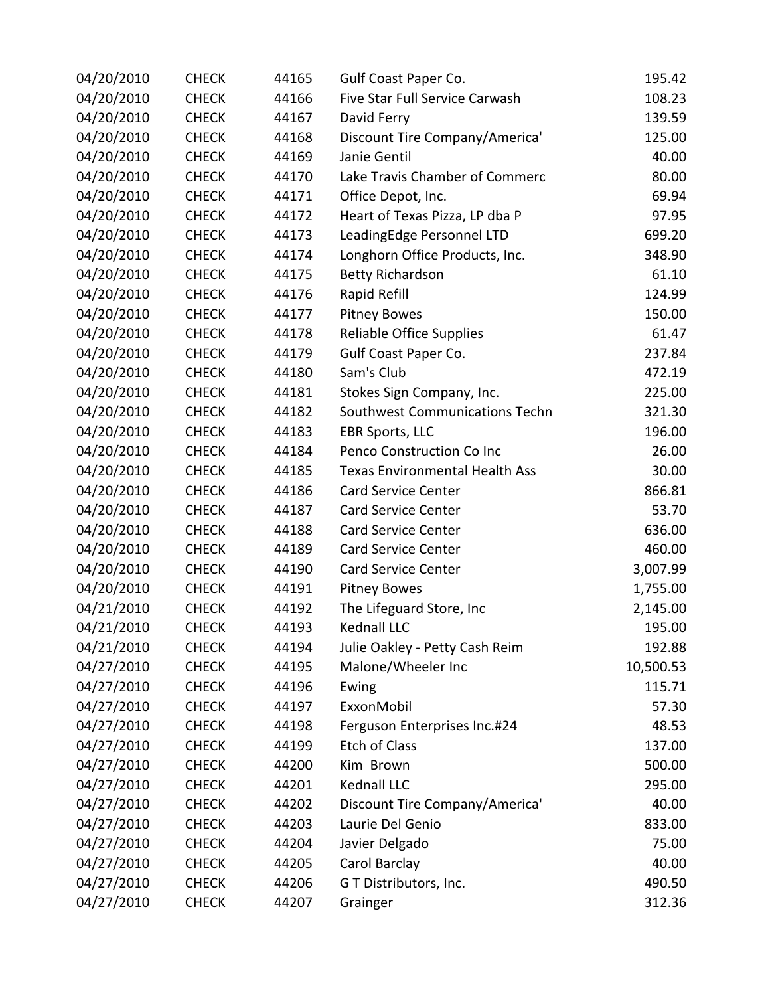| 04/20/2010 | <b>CHECK</b> | 44165 | Gulf Coast Paper Co.                  | 195.42    |
|------------|--------------|-------|---------------------------------------|-----------|
| 04/20/2010 | <b>CHECK</b> | 44166 | Five Star Full Service Carwash        | 108.23    |
| 04/20/2010 | <b>CHECK</b> | 44167 | David Ferry                           | 139.59    |
| 04/20/2010 | <b>CHECK</b> | 44168 | Discount Tire Company/America'        | 125.00    |
| 04/20/2010 | <b>CHECK</b> | 44169 | Janie Gentil                          | 40.00     |
| 04/20/2010 | <b>CHECK</b> | 44170 | Lake Travis Chamber of Commerc        | 80.00     |
| 04/20/2010 | <b>CHECK</b> | 44171 | Office Depot, Inc.                    | 69.94     |
| 04/20/2010 | <b>CHECK</b> | 44172 | Heart of Texas Pizza, LP dba P        | 97.95     |
| 04/20/2010 | <b>CHECK</b> | 44173 | LeadingEdge Personnel LTD             | 699.20    |
| 04/20/2010 | <b>CHECK</b> | 44174 | Longhorn Office Products, Inc.        | 348.90    |
| 04/20/2010 | <b>CHECK</b> | 44175 | <b>Betty Richardson</b>               | 61.10     |
| 04/20/2010 | <b>CHECK</b> | 44176 | Rapid Refill                          | 124.99    |
| 04/20/2010 | <b>CHECK</b> | 44177 | <b>Pitney Bowes</b>                   | 150.00    |
| 04/20/2010 | <b>CHECK</b> | 44178 | Reliable Office Supplies              | 61.47     |
| 04/20/2010 | <b>CHECK</b> | 44179 | Gulf Coast Paper Co.                  | 237.84    |
| 04/20/2010 | <b>CHECK</b> | 44180 | Sam's Club                            | 472.19    |
| 04/20/2010 | <b>CHECK</b> | 44181 | Stokes Sign Company, Inc.             | 225.00    |
| 04/20/2010 | <b>CHECK</b> | 44182 | Southwest Communications Techn        | 321.30    |
| 04/20/2010 | <b>CHECK</b> | 44183 | <b>EBR Sports, LLC</b>                | 196.00    |
| 04/20/2010 | <b>CHECK</b> | 44184 | Penco Construction Co Inc             | 26.00     |
| 04/20/2010 | <b>CHECK</b> | 44185 | <b>Texas Environmental Health Ass</b> | 30.00     |
| 04/20/2010 | <b>CHECK</b> | 44186 | <b>Card Service Center</b>            | 866.81    |
| 04/20/2010 | <b>CHECK</b> | 44187 | <b>Card Service Center</b>            | 53.70     |
| 04/20/2010 | <b>CHECK</b> | 44188 | <b>Card Service Center</b>            | 636.00    |
| 04/20/2010 | <b>CHECK</b> | 44189 | <b>Card Service Center</b>            | 460.00    |
| 04/20/2010 | <b>CHECK</b> | 44190 | <b>Card Service Center</b>            | 3,007.99  |
| 04/20/2010 | <b>CHECK</b> | 44191 | <b>Pitney Bowes</b>                   | 1,755.00  |
| 04/21/2010 | <b>CHECK</b> | 44192 | The Lifeguard Store, Inc              | 2,145.00  |
| 04/21/2010 | <b>CHECK</b> | 44193 | Kednall LLC                           | 195.00    |
| 04/21/2010 | <b>CHECK</b> | 44194 | Julie Oakley - Petty Cash Reim        | 192.88    |
| 04/27/2010 | <b>CHECK</b> | 44195 | Malone/Wheeler Inc                    | 10,500.53 |
| 04/27/2010 | <b>CHECK</b> | 44196 | Ewing                                 | 115.71    |
| 04/27/2010 | <b>CHECK</b> | 44197 | ExxonMobil                            | 57.30     |
| 04/27/2010 | <b>CHECK</b> | 44198 | Ferguson Enterprises Inc.#24          | 48.53     |
| 04/27/2010 | <b>CHECK</b> | 44199 | <b>Etch of Class</b>                  | 137.00    |
| 04/27/2010 | <b>CHECK</b> | 44200 | Kim Brown                             | 500.00    |
| 04/27/2010 | <b>CHECK</b> | 44201 | Kednall LLC                           | 295.00    |
| 04/27/2010 | <b>CHECK</b> | 44202 | Discount Tire Company/America'        | 40.00     |
| 04/27/2010 | <b>CHECK</b> | 44203 | Laurie Del Genio                      | 833.00    |
| 04/27/2010 | <b>CHECK</b> | 44204 | Javier Delgado                        | 75.00     |
| 04/27/2010 | <b>CHECK</b> | 44205 | Carol Barclay                         | 40.00     |
| 04/27/2010 | <b>CHECK</b> | 44206 | G T Distributors, Inc.                | 490.50    |
| 04/27/2010 | <b>CHECK</b> | 44207 | Grainger                              | 312.36    |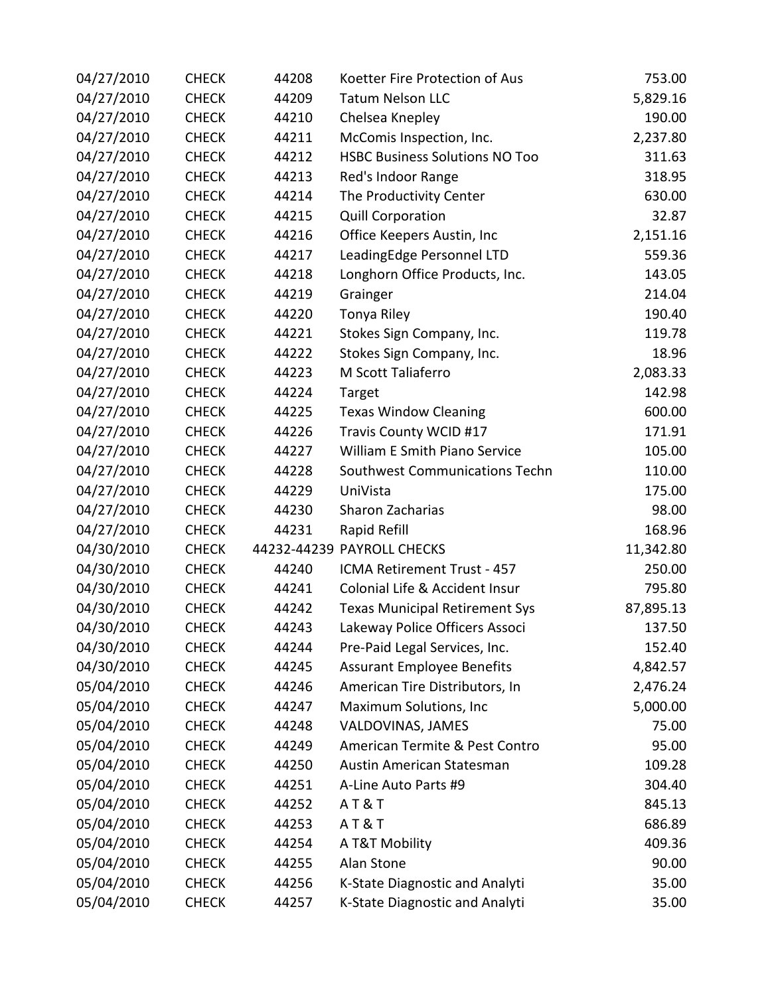| 04/27/2010 | <b>CHECK</b> | 44208 | Koetter Fire Protection of Aus        | 753.00    |
|------------|--------------|-------|---------------------------------------|-----------|
| 04/27/2010 | <b>CHECK</b> | 44209 | <b>Tatum Nelson LLC</b>               | 5,829.16  |
| 04/27/2010 | <b>CHECK</b> | 44210 | Chelsea Knepley                       | 190.00    |
| 04/27/2010 | <b>CHECK</b> | 44211 | McComis Inspection, Inc.              | 2,237.80  |
| 04/27/2010 | <b>CHECK</b> | 44212 | <b>HSBC Business Solutions NO Too</b> | 311.63    |
| 04/27/2010 | <b>CHECK</b> | 44213 | Red's Indoor Range                    | 318.95    |
| 04/27/2010 | <b>CHECK</b> | 44214 | The Productivity Center               | 630.00    |
| 04/27/2010 | <b>CHECK</b> | 44215 | <b>Quill Corporation</b>              | 32.87     |
| 04/27/2010 | <b>CHECK</b> | 44216 | Office Keepers Austin, Inc            | 2,151.16  |
| 04/27/2010 | <b>CHECK</b> | 44217 | LeadingEdge Personnel LTD             | 559.36    |
| 04/27/2010 | <b>CHECK</b> | 44218 | Longhorn Office Products, Inc.        | 143.05    |
| 04/27/2010 | <b>CHECK</b> | 44219 | Grainger                              | 214.04    |
| 04/27/2010 | <b>CHECK</b> | 44220 | Tonya Riley                           | 190.40    |
| 04/27/2010 | <b>CHECK</b> | 44221 | Stokes Sign Company, Inc.             | 119.78    |
| 04/27/2010 | <b>CHECK</b> | 44222 | Stokes Sign Company, Inc.             | 18.96     |
| 04/27/2010 | <b>CHECK</b> | 44223 | M Scott Taliaferro                    | 2,083.33  |
| 04/27/2010 | <b>CHECK</b> | 44224 | Target                                | 142.98    |
| 04/27/2010 | <b>CHECK</b> | 44225 | <b>Texas Window Cleaning</b>          | 600.00    |
| 04/27/2010 | <b>CHECK</b> | 44226 | Travis County WCID #17                | 171.91    |
| 04/27/2010 | <b>CHECK</b> | 44227 | William E Smith Piano Service         | 105.00    |
| 04/27/2010 | <b>CHECK</b> | 44228 | Southwest Communications Techn        | 110.00    |
| 04/27/2010 | <b>CHECK</b> | 44229 | UniVista                              | 175.00    |
| 04/27/2010 | <b>CHECK</b> | 44230 | Sharon Zacharias                      | 98.00     |
| 04/27/2010 | <b>CHECK</b> | 44231 | Rapid Refill                          | 168.96    |
| 04/30/2010 | <b>CHECK</b> |       | 44232-44239 PAYROLL CHECKS            | 11,342.80 |
| 04/30/2010 | <b>CHECK</b> | 44240 | ICMA Retirement Trust - 457           | 250.00    |
| 04/30/2010 | <b>CHECK</b> | 44241 | Colonial Life & Accident Insur        | 795.80    |
| 04/30/2010 | <b>CHECK</b> | 44242 | <b>Texas Municipal Retirement Sys</b> | 87,895.13 |
| 04/30/2010 | <b>CHECK</b> | 44243 | Lakeway Police Officers Associ        | 137.50    |
| 04/30/2010 | <b>CHECK</b> | 44244 | Pre-Paid Legal Services, Inc.         | 152.40    |
| 04/30/2010 | <b>CHECK</b> | 44245 | <b>Assurant Employee Benefits</b>     | 4,842.57  |
| 05/04/2010 | <b>CHECK</b> | 44246 | American Tire Distributors, In        | 2,476.24  |
| 05/04/2010 | <b>CHECK</b> | 44247 | Maximum Solutions, Inc                | 5,000.00  |
| 05/04/2010 | <b>CHECK</b> | 44248 | VALDOVINAS, JAMES                     | 75.00     |
| 05/04/2010 | <b>CHECK</b> | 44249 | American Termite & Pest Contro        | 95.00     |
| 05/04/2010 | <b>CHECK</b> | 44250 | Austin American Statesman             | 109.28    |
| 05/04/2010 | <b>CHECK</b> | 44251 | A-Line Auto Parts #9                  | 304.40    |
| 05/04/2010 | <b>CHECK</b> | 44252 | <b>AT&amp;T</b>                       | 845.13    |
| 05/04/2010 | <b>CHECK</b> | 44253 | <b>AT&amp;T</b>                       | 686.89    |
| 05/04/2010 | <b>CHECK</b> | 44254 | A T&T Mobility                        | 409.36    |
| 05/04/2010 | <b>CHECK</b> | 44255 | Alan Stone                            | 90.00     |
| 05/04/2010 | <b>CHECK</b> | 44256 | K-State Diagnostic and Analyti        | 35.00     |
| 05/04/2010 | <b>CHECK</b> | 44257 | K-State Diagnostic and Analyti        | 35.00     |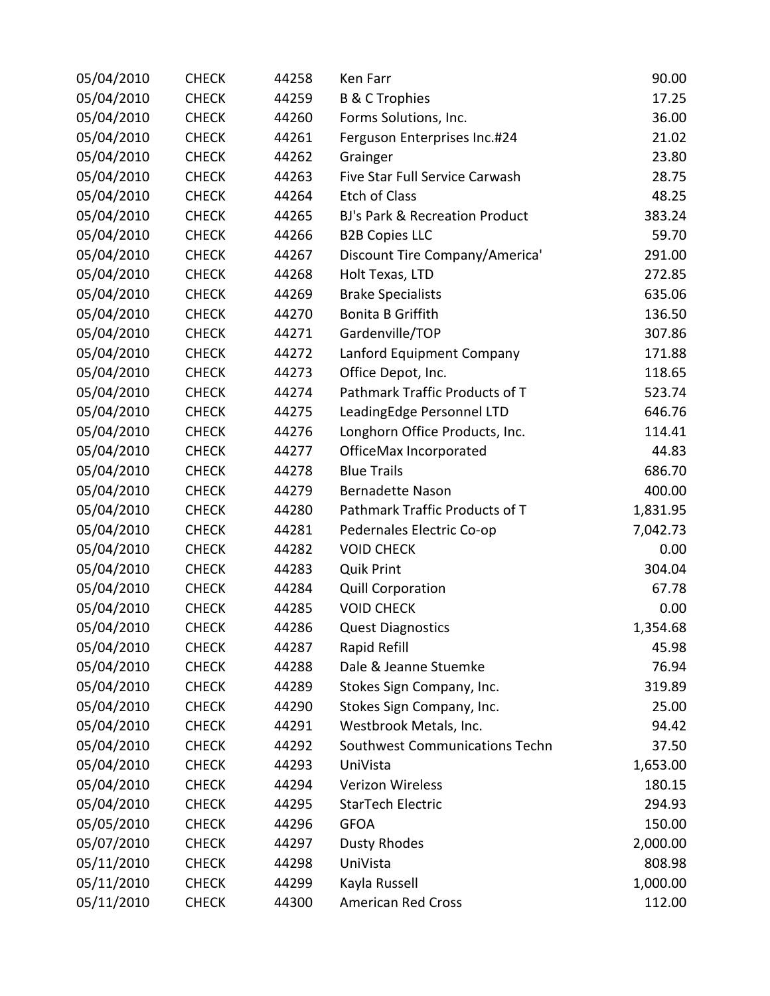| 05/04/2010 | <b>CHECK</b> | 44258 | Ken Farr                                  | 90.00    |
|------------|--------------|-------|-------------------------------------------|----------|
| 05/04/2010 | <b>CHECK</b> | 44259 | <b>B &amp; C Trophies</b>                 | 17.25    |
| 05/04/2010 | <b>CHECK</b> | 44260 | Forms Solutions, Inc.                     | 36.00    |
| 05/04/2010 | <b>CHECK</b> | 44261 | Ferguson Enterprises Inc.#24              | 21.02    |
| 05/04/2010 | <b>CHECK</b> | 44262 | Grainger                                  | 23.80    |
| 05/04/2010 | <b>CHECK</b> | 44263 | Five Star Full Service Carwash            | 28.75    |
| 05/04/2010 | <b>CHECK</b> | 44264 | <b>Etch of Class</b>                      | 48.25    |
| 05/04/2010 | <b>CHECK</b> | 44265 | <b>BJ's Park &amp; Recreation Product</b> | 383.24   |
| 05/04/2010 | <b>CHECK</b> | 44266 | <b>B2B Copies LLC</b>                     | 59.70    |
| 05/04/2010 | <b>CHECK</b> | 44267 | Discount Tire Company/America'            | 291.00   |
| 05/04/2010 | <b>CHECK</b> | 44268 | Holt Texas, LTD                           | 272.85   |
| 05/04/2010 | <b>CHECK</b> | 44269 | <b>Brake Specialists</b>                  | 635.06   |
| 05/04/2010 | <b>CHECK</b> | 44270 | Bonita B Griffith                         | 136.50   |
| 05/04/2010 | <b>CHECK</b> | 44271 | Gardenville/TOP                           | 307.86   |
| 05/04/2010 | <b>CHECK</b> | 44272 | Lanford Equipment Company                 | 171.88   |
| 05/04/2010 | <b>CHECK</b> | 44273 | Office Depot, Inc.                        | 118.65   |
| 05/04/2010 | <b>CHECK</b> | 44274 | Pathmark Traffic Products of T            | 523.74   |
| 05/04/2010 | <b>CHECK</b> | 44275 | LeadingEdge Personnel LTD                 | 646.76   |
| 05/04/2010 | <b>CHECK</b> | 44276 | Longhorn Office Products, Inc.            | 114.41   |
| 05/04/2010 | <b>CHECK</b> | 44277 | OfficeMax Incorporated                    | 44.83    |
| 05/04/2010 | <b>CHECK</b> | 44278 | <b>Blue Trails</b>                        | 686.70   |
| 05/04/2010 | <b>CHECK</b> | 44279 | <b>Bernadette Nason</b>                   | 400.00   |
| 05/04/2010 | <b>CHECK</b> | 44280 | Pathmark Traffic Products of T            | 1,831.95 |
| 05/04/2010 | <b>CHECK</b> | 44281 | Pedernales Electric Co-op                 | 7,042.73 |
| 05/04/2010 | <b>CHECK</b> | 44282 | <b>VOID CHECK</b>                         | 0.00     |
| 05/04/2010 | <b>CHECK</b> | 44283 | <b>Quik Print</b>                         | 304.04   |
| 05/04/2010 | <b>CHECK</b> | 44284 | <b>Quill Corporation</b>                  | 67.78    |
| 05/04/2010 | <b>CHECK</b> | 44285 | <b>VOID CHECK</b>                         | 0.00     |
| 05/04/2010 | <b>CHECK</b> | 44286 | <b>Quest Diagnostics</b>                  | 1,354.68 |
| 05/04/2010 | <b>CHECK</b> | 44287 | Rapid Refill                              | 45.98    |
| 05/04/2010 | <b>CHECK</b> | 44288 | Dale & Jeanne Stuemke                     | 76.94    |
| 05/04/2010 | <b>CHECK</b> | 44289 | Stokes Sign Company, Inc.                 | 319.89   |
| 05/04/2010 | <b>CHECK</b> | 44290 | Stokes Sign Company, Inc.                 | 25.00    |
| 05/04/2010 | <b>CHECK</b> | 44291 | Westbrook Metals, Inc.                    | 94.42    |
| 05/04/2010 | <b>CHECK</b> | 44292 | Southwest Communications Techn            | 37.50    |
| 05/04/2010 | <b>CHECK</b> | 44293 | UniVista                                  | 1,653.00 |
| 05/04/2010 | <b>CHECK</b> | 44294 | Verizon Wireless                          | 180.15   |
| 05/04/2010 | <b>CHECK</b> | 44295 | StarTech Electric                         | 294.93   |
| 05/05/2010 | <b>CHECK</b> | 44296 | <b>GFOA</b>                               | 150.00   |
| 05/07/2010 | <b>CHECK</b> | 44297 | <b>Dusty Rhodes</b>                       | 2,000.00 |
| 05/11/2010 | <b>CHECK</b> | 44298 | UniVista                                  | 808.98   |
| 05/11/2010 | <b>CHECK</b> | 44299 | Kayla Russell                             | 1,000.00 |
| 05/11/2010 | <b>CHECK</b> | 44300 | <b>American Red Cross</b>                 | 112.00   |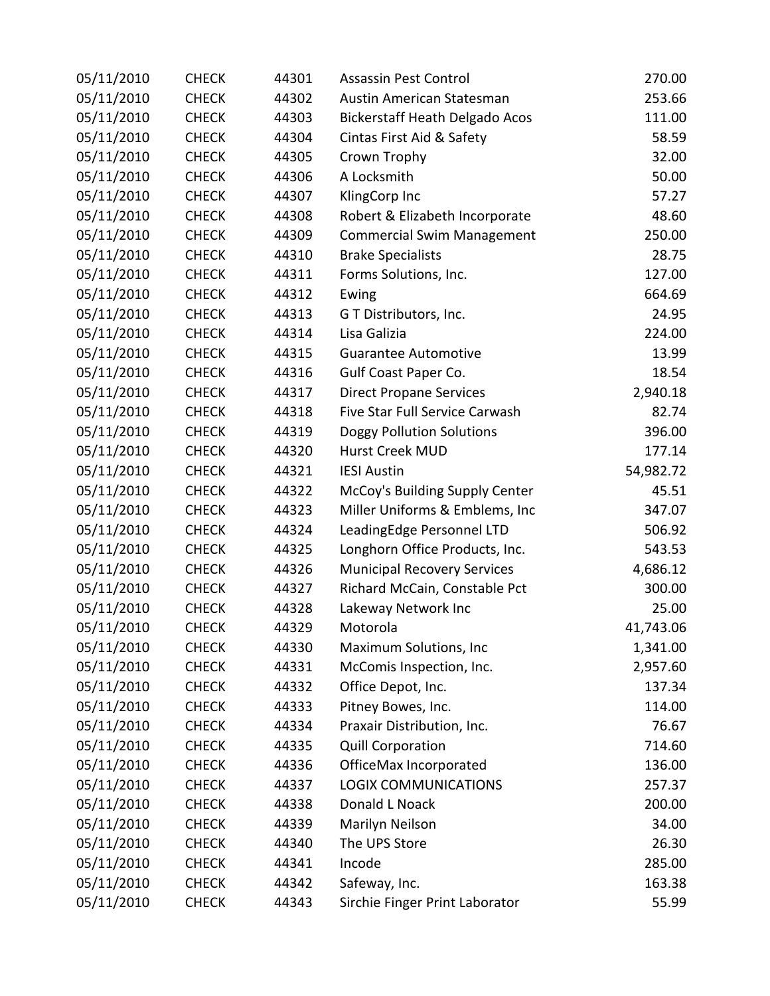| 05/11/2010 | <b>CHECK</b> | 44301 | <b>Assassin Pest Control</b>          | 270.00    |
|------------|--------------|-------|---------------------------------------|-----------|
| 05/11/2010 | <b>CHECK</b> | 44302 | Austin American Statesman             | 253.66    |
| 05/11/2010 | <b>CHECK</b> | 44303 | <b>Bickerstaff Heath Delgado Acos</b> | 111.00    |
| 05/11/2010 | <b>CHECK</b> | 44304 | Cintas First Aid & Safety             | 58.59     |
| 05/11/2010 | <b>CHECK</b> | 44305 | Crown Trophy                          | 32.00     |
| 05/11/2010 | <b>CHECK</b> | 44306 | A Locksmith                           | 50.00     |
| 05/11/2010 | <b>CHECK</b> | 44307 | KlingCorp Inc                         | 57.27     |
| 05/11/2010 | <b>CHECK</b> | 44308 | Robert & Elizabeth Incorporate        | 48.60     |
| 05/11/2010 | <b>CHECK</b> | 44309 | <b>Commercial Swim Management</b>     | 250.00    |
| 05/11/2010 | <b>CHECK</b> | 44310 | <b>Brake Specialists</b>              | 28.75     |
| 05/11/2010 | <b>CHECK</b> | 44311 | Forms Solutions, Inc.                 | 127.00    |
| 05/11/2010 | <b>CHECK</b> | 44312 | Ewing                                 | 664.69    |
| 05/11/2010 | <b>CHECK</b> | 44313 | G T Distributors, Inc.                | 24.95     |
| 05/11/2010 | <b>CHECK</b> | 44314 | Lisa Galizia                          | 224.00    |
| 05/11/2010 | <b>CHECK</b> | 44315 | <b>Guarantee Automotive</b>           | 13.99     |
| 05/11/2010 | <b>CHECK</b> | 44316 | Gulf Coast Paper Co.                  | 18.54     |
| 05/11/2010 | <b>CHECK</b> | 44317 | <b>Direct Propane Services</b>        | 2,940.18  |
| 05/11/2010 | <b>CHECK</b> | 44318 | Five Star Full Service Carwash        | 82.74     |
| 05/11/2010 | <b>CHECK</b> | 44319 | <b>Doggy Pollution Solutions</b>      | 396.00    |
| 05/11/2010 | <b>CHECK</b> | 44320 | Hurst Creek MUD                       | 177.14    |
| 05/11/2010 | <b>CHECK</b> | 44321 | <b>IESI Austin</b>                    | 54,982.72 |
| 05/11/2010 | <b>CHECK</b> | 44322 | McCoy's Building Supply Center        | 45.51     |
| 05/11/2010 | <b>CHECK</b> | 44323 | Miller Uniforms & Emblems, Inc        | 347.07    |
| 05/11/2010 | <b>CHECK</b> | 44324 | LeadingEdge Personnel LTD             | 506.92    |
| 05/11/2010 | <b>CHECK</b> | 44325 | Longhorn Office Products, Inc.        | 543.53    |
| 05/11/2010 | <b>CHECK</b> | 44326 | <b>Municipal Recovery Services</b>    | 4,686.12  |
| 05/11/2010 | <b>CHECK</b> | 44327 | Richard McCain, Constable Pct         | 300.00    |
| 05/11/2010 | <b>CHECK</b> | 44328 | Lakeway Network Inc                   | 25.00     |
| 05/11/2010 | <b>CHECK</b> | 44329 | Motorola                              | 41,743.06 |
| 05/11/2010 | <b>CHECK</b> | 44330 | Maximum Solutions, Inc                | 1,341.00  |
| 05/11/2010 | <b>CHECK</b> | 44331 | McComis Inspection, Inc.              | 2,957.60  |
| 05/11/2010 | <b>CHECK</b> | 44332 | Office Depot, Inc.                    | 137.34    |
| 05/11/2010 | <b>CHECK</b> | 44333 | Pitney Bowes, Inc.                    | 114.00    |
| 05/11/2010 | <b>CHECK</b> | 44334 | Praxair Distribution, Inc.            | 76.67     |
| 05/11/2010 | <b>CHECK</b> | 44335 | <b>Quill Corporation</b>              | 714.60    |
| 05/11/2010 | <b>CHECK</b> | 44336 | OfficeMax Incorporated                | 136.00    |
| 05/11/2010 | <b>CHECK</b> | 44337 | <b>LOGIX COMMUNICATIONS</b>           | 257.37    |
| 05/11/2010 | <b>CHECK</b> | 44338 | Donald L Noack                        | 200.00    |
| 05/11/2010 | <b>CHECK</b> | 44339 | Marilyn Neilson                       | 34.00     |
| 05/11/2010 | <b>CHECK</b> | 44340 | The UPS Store                         | 26.30     |
| 05/11/2010 | <b>CHECK</b> | 44341 | Incode                                | 285.00    |
| 05/11/2010 | <b>CHECK</b> | 44342 | Safeway, Inc.                         | 163.38    |
| 05/11/2010 | <b>CHECK</b> | 44343 | Sirchie Finger Print Laborator        | 55.99     |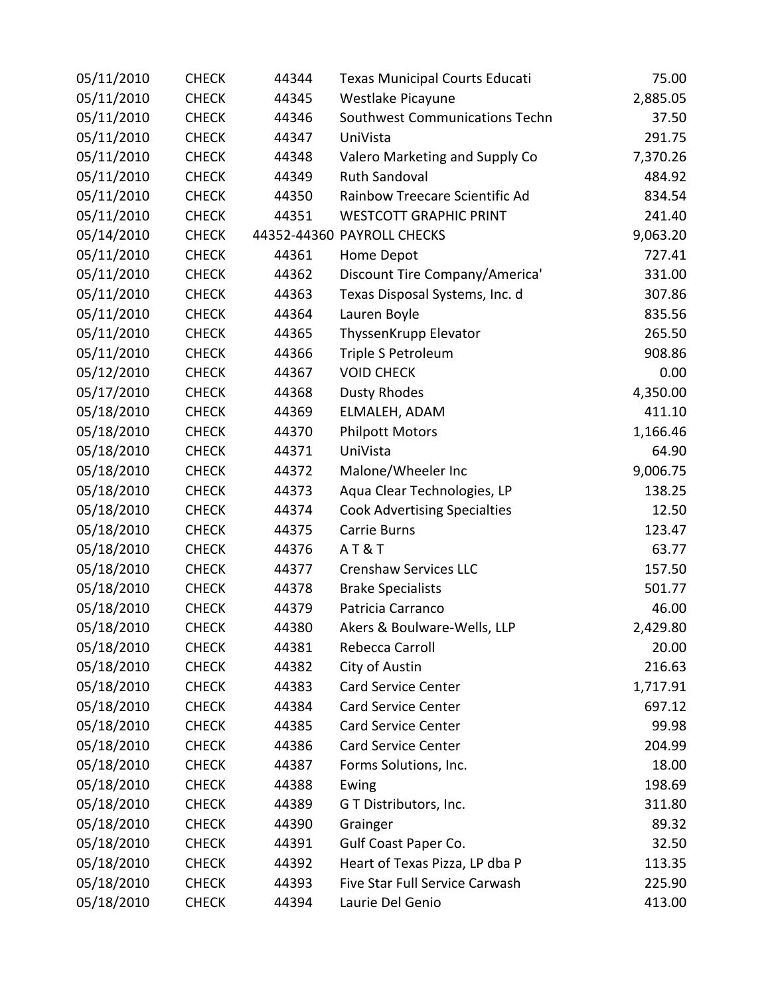| 05/11/2010 | <b>CHECK</b> | 44344 | <b>Texas Municipal Courts Educati</b> | 75.00    |
|------------|--------------|-------|---------------------------------------|----------|
| 05/11/2010 | <b>CHECK</b> | 44345 | Westlake Picayune                     | 2,885.05 |
| 05/11/2010 | <b>CHECK</b> | 44346 | Southwest Communications Techn        | 37.50    |
| 05/11/2010 | <b>CHECK</b> | 44347 | UniVista                              | 291.75   |
| 05/11/2010 | <b>CHECK</b> | 44348 | Valero Marketing and Supply Co        | 7,370.26 |
| 05/11/2010 | <b>CHECK</b> | 44349 | <b>Ruth Sandoval</b>                  | 484.92   |
| 05/11/2010 | <b>CHECK</b> | 44350 | Rainbow Treecare Scientific Ad        | 834.54   |
| 05/11/2010 | <b>CHECK</b> | 44351 | <b>WESTCOTT GRAPHIC PRINT</b>         | 241.40   |
| 05/14/2010 | <b>CHECK</b> |       | 44352-44360 PAYROLL CHECKS            | 9,063.20 |
| 05/11/2010 | <b>CHECK</b> | 44361 | Home Depot                            | 727.41   |
| 05/11/2010 | <b>CHECK</b> | 44362 | Discount Tire Company/America'        | 331.00   |
| 05/11/2010 | <b>CHECK</b> | 44363 | Texas Disposal Systems, Inc. d        | 307.86   |
| 05/11/2010 | <b>CHECK</b> | 44364 | Lauren Boyle                          | 835.56   |
| 05/11/2010 | <b>CHECK</b> | 44365 | ThyssenKrupp Elevator                 | 265.50   |
| 05/11/2010 | <b>CHECK</b> | 44366 | Triple S Petroleum                    | 908.86   |
| 05/12/2010 | <b>CHECK</b> | 44367 | <b>VOID CHECK</b>                     | 0.00     |
| 05/17/2010 | <b>CHECK</b> | 44368 | <b>Dusty Rhodes</b>                   | 4,350.00 |
| 05/18/2010 | <b>CHECK</b> | 44369 | ELMALEH, ADAM                         | 411.10   |
| 05/18/2010 | <b>CHECK</b> | 44370 | <b>Philpott Motors</b>                | 1,166.46 |
| 05/18/2010 | <b>CHECK</b> | 44371 | UniVista                              | 64.90    |
| 05/18/2010 | <b>CHECK</b> | 44372 | Malone/Wheeler Inc                    | 9,006.75 |
| 05/18/2010 | <b>CHECK</b> | 44373 | Aqua Clear Technologies, LP           | 138.25   |
| 05/18/2010 | <b>CHECK</b> | 44374 | <b>Cook Advertising Specialties</b>   | 12.50    |
| 05/18/2010 | <b>CHECK</b> | 44375 | <b>Carrie Burns</b>                   | 123.47   |
| 05/18/2010 | <b>CHECK</b> | 44376 | AT&T                                  | 63.77    |
| 05/18/2010 | <b>CHECK</b> | 44377 | <b>Crenshaw Services LLC</b>          | 157.50   |
| 05/18/2010 | <b>CHECK</b> | 44378 | <b>Brake Specialists</b>              | 501.77   |
| 05/18/2010 | <b>CHECK</b> | 44379 | Patricia Carranco                     | 46.00    |
| 05/18/2010 | <b>CHECK</b> | 44380 | Akers & Boulware-Wells, LLP           | 2,429.80 |
| 05/18/2010 | <b>CHECK</b> | 44381 | Rebecca Carroll                       | 20.00    |
| 05/18/2010 | <b>CHECK</b> | 44382 | City of Austin                        | 216.63   |
| 05/18/2010 | <b>CHECK</b> | 44383 | <b>Card Service Center</b>            | 1,717.91 |
| 05/18/2010 | <b>CHECK</b> | 44384 | <b>Card Service Center</b>            | 697.12   |
| 05/18/2010 | <b>CHECK</b> | 44385 | <b>Card Service Center</b>            | 99.98    |
| 05/18/2010 | <b>CHECK</b> | 44386 | <b>Card Service Center</b>            | 204.99   |
| 05/18/2010 | <b>CHECK</b> | 44387 | Forms Solutions, Inc.                 | 18.00    |
| 05/18/2010 | <b>CHECK</b> | 44388 | Ewing                                 | 198.69   |
| 05/18/2010 | <b>CHECK</b> | 44389 | G T Distributors, Inc.                | 311.80   |
| 05/18/2010 | <b>CHECK</b> | 44390 | Grainger                              | 89.32    |
| 05/18/2010 | <b>CHECK</b> | 44391 | Gulf Coast Paper Co.                  | 32.50    |
| 05/18/2010 | <b>CHECK</b> | 44392 | Heart of Texas Pizza, LP dba P        | 113.35   |
| 05/18/2010 | <b>CHECK</b> | 44393 | Five Star Full Service Carwash        | 225.90   |
| 05/18/2010 | <b>CHECK</b> | 44394 | Laurie Del Genio                      | 413.00   |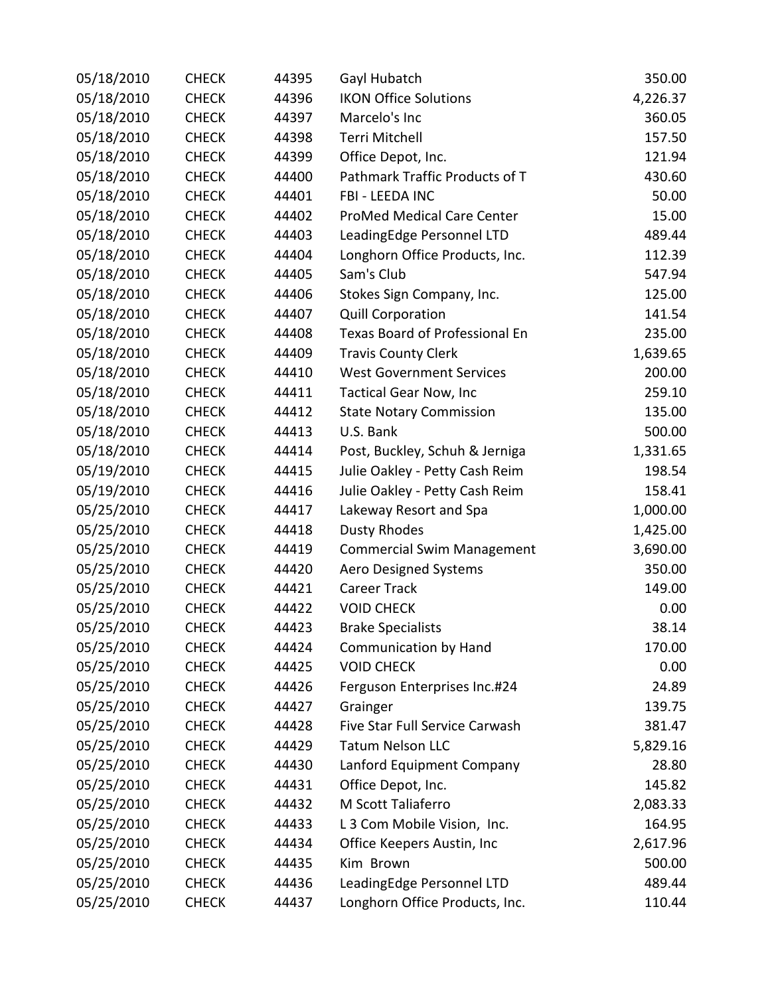| 05/18/2010 | <b>CHECK</b> | 44395 | Gayl Hubatch                      | 350.00   |
|------------|--------------|-------|-----------------------------------|----------|
| 05/18/2010 | <b>CHECK</b> | 44396 | <b>IKON Office Solutions</b>      | 4,226.37 |
| 05/18/2010 | <b>CHECK</b> | 44397 | Marcelo's Inc                     | 360.05   |
| 05/18/2010 | <b>CHECK</b> | 44398 | Terri Mitchell                    | 157.50   |
| 05/18/2010 | <b>CHECK</b> | 44399 | Office Depot, Inc.                | 121.94   |
| 05/18/2010 | <b>CHECK</b> | 44400 | Pathmark Traffic Products of T    | 430.60   |
| 05/18/2010 | <b>CHECK</b> | 44401 | FBI - LEEDA INC                   | 50.00    |
| 05/18/2010 | <b>CHECK</b> | 44402 | <b>ProMed Medical Care Center</b> | 15.00    |
| 05/18/2010 | <b>CHECK</b> | 44403 | LeadingEdge Personnel LTD         | 489.44   |
| 05/18/2010 | <b>CHECK</b> | 44404 | Longhorn Office Products, Inc.    | 112.39   |
| 05/18/2010 | <b>CHECK</b> | 44405 | Sam's Club                        | 547.94   |
| 05/18/2010 | <b>CHECK</b> | 44406 | Stokes Sign Company, Inc.         | 125.00   |
| 05/18/2010 | <b>CHECK</b> | 44407 | <b>Quill Corporation</b>          | 141.54   |
| 05/18/2010 | <b>CHECK</b> | 44408 | Texas Board of Professional En    | 235.00   |
| 05/18/2010 | <b>CHECK</b> | 44409 | <b>Travis County Clerk</b>        | 1,639.65 |
| 05/18/2010 | <b>CHECK</b> | 44410 | <b>West Government Services</b>   | 200.00   |
| 05/18/2010 | <b>CHECK</b> | 44411 | <b>Tactical Gear Now, Inc</b>     | 259.10   |
| 05/18/2010 | <b>CHECK</b> | 44412 | <b>State Notary Commission</b>    | 135.00   |
| 05/18/2010 | <b>CHECK</b> | 44413 | U.S. Bank                         | 500.00   |
| 05/18/2010 | <b>CHECK</b> | 44414 | Post, Buckley, Schuh & Jerniga    | 1,331.65 |
| 05/19/2010 | <b>CHECK</b> | 44415 | Julie Oakley - Petty Cash Reim    | 198.54   |
| 05/19/2010 | <b>CHECK</b> | 44416 | Julie Oakley - Petty Cash Reim    | 158.41   |
| 05/25/2010 | <b>CHECK</b> | 44417 | Lakeway Resort and Spa            | 1,000.00 |
| 05/25/2010 | <b>CHECK</b> | 44418 | <b>Dusty Rhodes</b>               | 1,425.00 |
| 05/25/2010 | <b>CHECK</b> | 44419 | <b>Commercial Swim Management</b> | 3,690.00 |
| 05/25/2010 | <b>CHECK</b> | 44420 | <b>Aero Designed Systems</b>      | 350.00   |
| 05/25/2010 | <b>CHECK</b> | 44421 | <b>Career Track</b>               | 149.00   |
| 05/25/2010 | <b>CHECK</b> | 44422 | <b>VOID CHECK</b>                 | 0.00     |
| 05/25/2010 | <b>CHECK</b> | 44423 | <b>Brake Specialists</b>          | 38.14    |
| 05/25/2010 | <b>CHECK</b> | 44424 | Communication by Hand             | 170.00   |
| 05/25/2010 | <b>CHECK</b> | 44425 | <b>VOID CHECK</b>                 | 0.00     |
| 05/25/2010 | <b>CHECK</b> | 44426 | Ferguson Enterprises Inc.#24      | 24.89    |
| 05/25/2010 | <b>CHECK</b> | 44427 | Grainger                          | 139.75   |
| 05/25/2010 | <b>CHECK</b> | 44428 | Five Star Full Service Carwash    | 381.47   |
| 05/25/2010 | <b>CHECK</b> | 44429 | <b>Tatum Nelson LLC</b>           | 5,829.16 |
| 05/25/2010 | <b>CHECK</b> | 44430 | Lanford Equipment Company         | 28.80    |
| 05/25/2010 | <b>CHECK</b> | 44431 | Office Depot, Inc.                | 145.82   |
| 05/25/2010 | <b>CHECK</b> | 44432 | M Scott Taliaferro                | 2,083.33 |
| 05/25/2010 | <b>CHECK</b> | 44433 | L 3 Com Mobile Vision, Inc.       | 164.95   |
| 05/25/2010 | <b>CHECK</b> | 44434 | Office Keepers Austin, Inc        | 2,617.96 |
| 05/25/2010 | <b>CHECK</b> | 44435 | Kim Brown                         | 500.00   |
| 05/25/2010 | <b>CHECK</b> | 44436 | LeadingEdge Personnel LTD         | 489.44   |
| 05/25/2010 | <b>CHECK</b> | 44437 | Longhorn Office Products, Inc.    | 110.44   |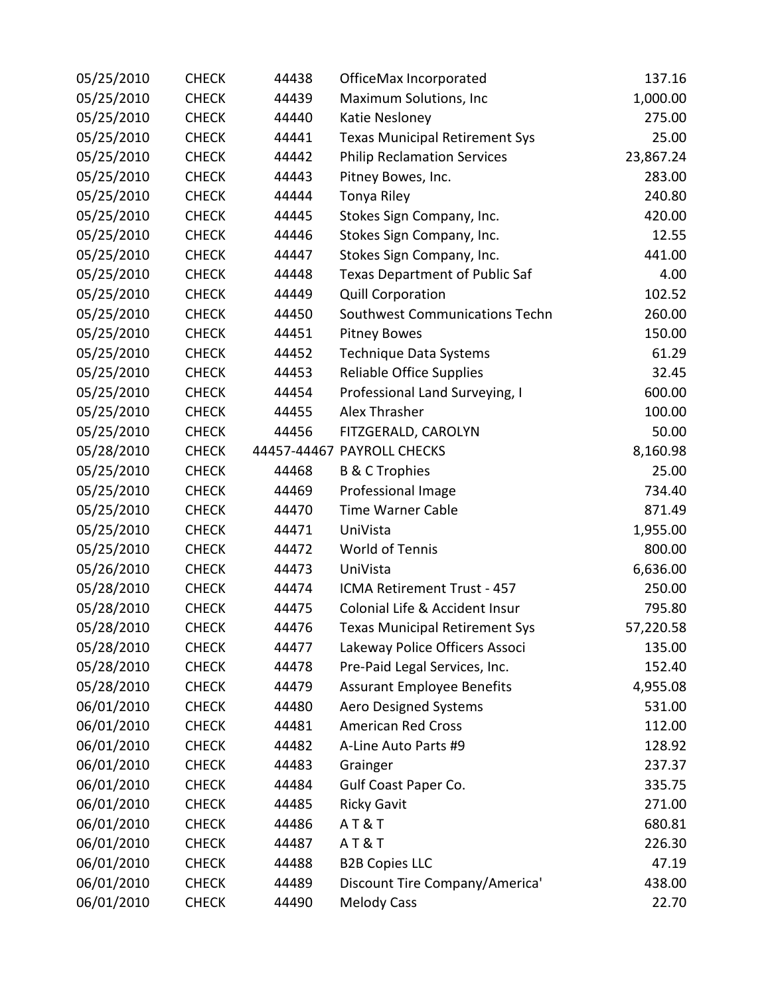| 05/25/2010 | <b>CHECK</b> | 44438 | OfficeMax Incorporated                | 137.16    |
|------------|--------------|-------|---------------------------------------|-----------|
| 05/25/2010 | <b>CHECK</b> | 44439 | Maximum Solutions, Inc                | 1,000.00  |
| 05/25/2010 | <b>CHECK</b> | 44440 | Katie Nesloney                        | 275.00    |
| 05/25/2010 | <b>CHECK</b> | 44441 | <b>Texas Municipal Retirement Sys</b> | 25.00     |
| 05/25/2010 | <b>CHECK</b> | 44442 | <b>Philip Reclamation Services</b>    | 23,867.24 |
| 05/25/2010 | <b>CHECK</b> | 44443 | Pitney Bowes, Inc.                    | 283.00    |
| 05/25/2010 | <b>CHECK</b> | 44444 | Tonya Riley                           | 240.80    |
| 05/25/2010 | <b>CHECK</b> | 44445 | Stokes Sign Company, Inc.             | 420.00    |
| 05/25/2010 | <b>CHECK</b> | 44446 | Stokes Sign Company, Inc.             | 12.55     |
| 05/25/2010 | <b>CHECK</b> | 44447 | Stokes Sign Company, Inc.             | 441.00    |
| 05/25/2010 | <b>CHECK</b> | 44448 | <b>Texas Department of Public Saf</b> | 4.00      |
| 05/25/2010 | <b>CHECK</b> | 44449 | <b>Quill Corporation</b>              | 102.52    |
| 05/25/2010 | <b>CHECK</b> | 44450 | Southwest Communications Techn        | 260.00    |
| 05/25/2010 | <b>CHECK</b> | 44451 | <b>Pitney Bowes</b>                   | 150.00    |
| 05/25/2010 | <b>CHECK</b> | 44452 | Technique Data Systems                | 61.29     |
| 05/25/2010 | <b>CHECK</b> | 44453 | <b>Reliable Office Supplies</b>       | 32.45     |
| 05/25/2010 | <b>CHECK</b> | 44454 | Professional Land Surveying, I        | 600.00    |
| 05/25/2010 | <b>CHECK</b> | 44455 | Alex Thrasher                         | 100.00    |
| 05/25/2010 | <b>CHECK</b> | 44456 | FITZGERALD, CAROLYN                   | 50.00     |
| 05/28/2010 | <b>CHECK</b> |       | 44457-44467 PAYROLL CHECKS            | 8,160.98  |
| 05/25/2010 | <b>CHECK</b> | 44468 | <b>B &amp; C Trophies</b>             | 25.00     |
| 05/25/2010 | <b>CHECK</b> | 44469 | Professional Image                    | 734.40    |
| 05/25/2010 | <b>CHECK</b> | 44470 | <b>Time Warner Cable</b>              | 871.49    |
| 05/25/2010 | <b>CHECK</b> | 44471 | UniVista                              | 1,955.00  |
| 05/25/2010 | <b>CHECK</b> | 44472 | World of Tennis                       | 800.00    |
| 05/26/2010 | <b>CHECK</b> | 44473 | UniVista                              | 6,636.00  |
| 05/28/2010 | <b>CHECK</b> | 44474 | ICMA Retirement Trust - 457           | 250.00    |
| 05/28/2010 | <b>CHECK</b> | 44475 | Colonial Life & Accident Insur        | 795.80    |
| 05/28/2010 | <b>CHECK</b> | 44476 | <b>Texas Municipal Retirement Sys</b> | 57,220.58 |
| 05/28/2010 | <b>CHECK</b> | 44477 | Lakeway Police Officers Associ        | 135.00    |
| 05/28/2010 | <b>CHECK</b> | 44478 | Pre-Paid Legal Services, Inc.         | 152.40    |
| 05/28/2010 | <b>CHECK</b> | 44479 | <b>Assurant Employee Benefits</b>     | 4,955.08  |
| 06/01/2010 | <b>CHECK</b> | 44480 | <b>Aero Designed Systems</b>          | 531.00    |
| 06/01/2010 | <b>CHECK</b> | 44481 | <b>American Red Cross</b>             | 112.00    |
| 06/01/2010 | <b>CHECK</b> | 44482 | A-Line Auto Parts #9                  | 128.92    |
| 06/01/2010 | <b>CHECK</b> | 44483 | Grainger                              | 237.37    |
| 06/01/2010 | <b>CHECK</b> | 44484 | Gulf Coast Paper Co.                  | 335.75    |
| 06/01/2010 | <b>CHECK</b> | 44485 | <b>Ricky Gavit</b>                    | 271.00    |
| 06/01/2010 | <b>CHECK</b> | 44486 | <b>AT&amp;T</b>                       | 680.81    |
| 06/01/2010 | <b>CHECK</b> | 44487 | AT&T                                  | 226.30    |
| 06/01/2010 | <b>CHECK</b> | 44488 | <b>B2B Copies LLC</b>                 | 47.19     |
| 06/01/2010 | <b>CHECK</b> | 44489 | Discount Tire Company/America'        | 438.00    |
| 06/01/2010 | <b>CHECK</b> | 44490 | <b>Melody Cass</b>                    | 22.70     |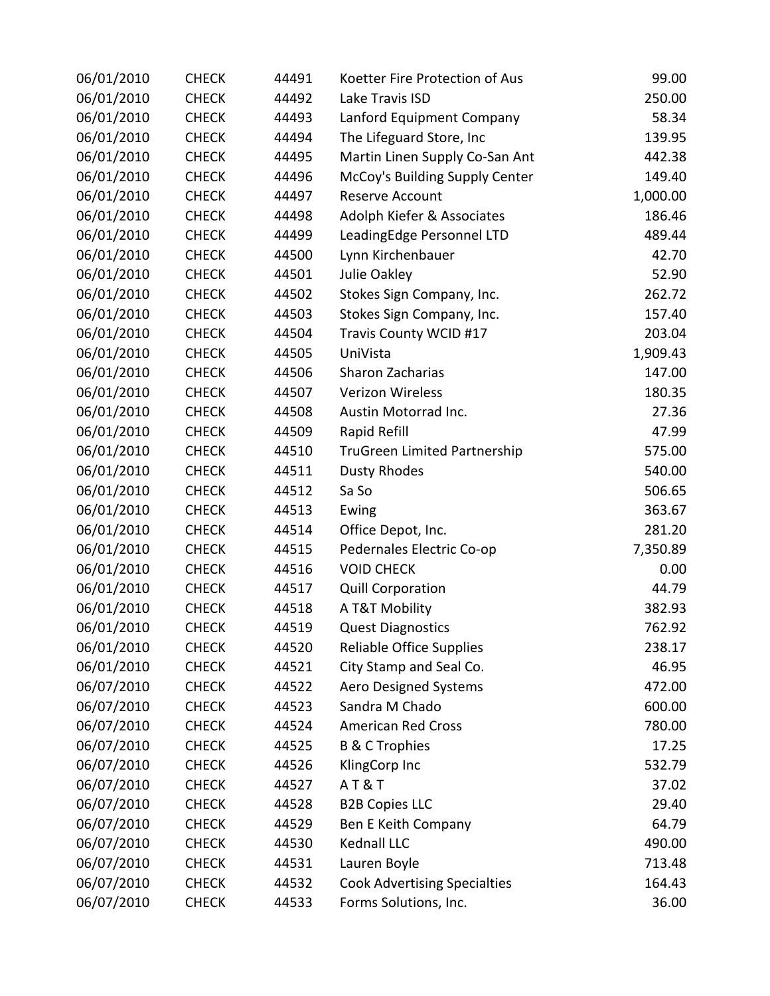| 06/01/2010 | <b>CHECK</b> | 44491 | Koetter Fire Protection of Aus      | 99.00    |
|------------|--------------|-------|-------------------------------------|----------|
| 06/01/2010 | <b>CHECK</b> | 44492 | Lake Travis ISD                     | 250.00   |
| 06/01/2010 | <b>CHECK</b> | 44493 | Lanford Equipment Company           | 58.34    |
| 06/01/2010 | <b>CHECK</b> | 44494 | The Lifeguard Store, Inc            | 139.95   |
| 06/01/2010 | <b>CHECK</b> | 44495 | Martin Linen Supply Co-San Ant      | 442.38   |
| 06/01/2010 | <b>CHECK</b> | 44496 | McCoy's Building Supply Center      | 149.40   |
| 06/01/2010 | <b>CHECK</b> | 44497 | Reserve Account                     | 1,000.00 |
| 06/01/2010 | <b>CHECK</b> | 44498 | Adolph Kiefer & Associates          | 186.46   |
| 06/01/2010 | <b>CHECK</b> | 44499 | LeadingEdge Personnel LTD           | 489.44   |
| 06/01/2010 | <b>CHECK</b> | 44500 | Lynn Kirchenbauer                   | 42.70    |
| 06/01/2010 | <b>CHECK</b> | 44501 | Julie Oakley                        | 52.90    |
| 06/01/2010 | <b>CHECK</b> | 44502 | Stokes Sign Company, Inc.           | 262.72   |
| 06/01/2010 | <b>CHECK</b> | 44503 | Stokes Sign Company, Inc.           | 157.40   |
| 06/01/2010 | <b>CHECK</b> | 44504 | Travis County WCID #17              | 203.04   |
| 06/01/2010 | <b>CHECK</b> | 44505 | UniVista                            | 1,909.43 |
| 06/01/2010 | <b>CHECK</b> | 44506 | Sharon Zacharias                    | 147.00   |
| 06/01/2010 | <b>CHECK</b> | 44507 | <b>Verizon Wireless</b>             | 180.35   |
| 06/01/2010 | <b>CHECK</b> | 44508 | Austin Motorrad Inc.                | 27.36    |
| 06/01/2010 | <b>CHECK</b> | 44509 | Rapid Refill                        | 47.99    |
| 06/01/2010 | <b>CHECK</b> | 44510 | <b>TruGreen Limited Partnership</b> | 575.00   |
| 06/01/2010 | <b>CHECK</b> | 44511 | <b>Dusty Rhodes</b>                 | 540.00   |
| 06/01/2010 | <b>CHECK</b> | 44512 | Sa So                               | 506.65   |
| 06/01/2010 | <b>CHECK</b> | 44513 | Ewing                               | 363.67   |
| 06/01/2010 | <b>CHECK</b> | 44514 | Office Depot, Inc.                  | 281.20   |
| 06/01/2010 | <b>CHECK</b> | 44515 | Pedernales Electric Co-op           | 7,350.89 |
| 06/01/2010 | <b>CHECK</b> | 44516 | <b>VOID CHECK</b>                   | 0.00     |
| 06/01/2010 | <b>CHECK</b> | 44517 | <b>Quill Corporation</b>            | 44.79    |
| 06/01/2010 | <b>CHECK</b> | 44518 | A T&T Mobility                      | 382.93   |
| 06/01/2010 | <b>CHECK</b> | 44519 | <b>Quest Diagnostics</b>            | 762.92   |
| 06/01/2010 | <b>CHECK</b> | 44520 | <b>Reliable Office Supplies</b>     | 238.17   |
| 06/01/2010 | <b>CHECK</b> | 44521 | City Stamp and Seal Co.             | 46.95    |
| 06/07/2010 | <b>CHECK</b> | 44522 | <b>Aero Designed Systems</b>        | 472.00   |
| 06/07/2010 | <b>CHECK</b> | 44523 | Sandra M Chado                      | 600.00   |
| 06/07/2010 | <b>CHECK</b> | 44524 | American Red Cross                  | 780.00   |
| 06/07/2010 | <b>CHECK</b> | 44525 | <b>B &amp; C Trophies</b>           | 17.25    |
| 06/07/2010 | <b>CHECK</b> | 44526 | KlingCorp Inc                       | 532.79   |
| 06/07/2010 | <b>CHECK</b> | 44527 | <b>AT&amp;T</b>                     | 37.02    |
| 06/07/2010 | <b>CHECK</b> | 44528 | <b>B2B Copies LLC</b>               | 29.40    |
| 06/07/2010 | <b>CHECK</b> | 44529 | Ben E Keith Company                 | 64.79    |
| 06/07/2010 | <b>CHECK</b> | 44530 | Kednall LLC                         | 490.00   |
| 06/07/2010 | <b>CHECK</b> | 44531 | Lauren Boyle                        | 713.48   |
| 06/07/2010 | <b>CHECK</b> | 44532 | <b>Cook Advertising Specialties</b> | 164.43   |
| 06/07/2010 | <b>CHECK</b> | 44533 | Forms Solutions, Inc.               | 36.00    |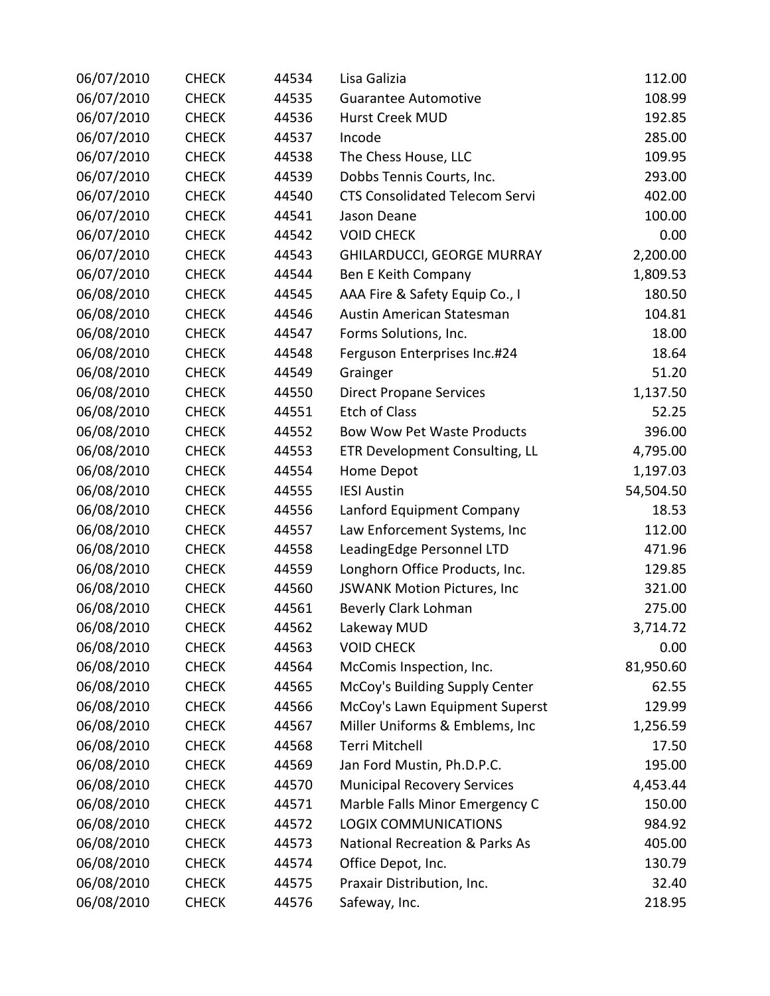| 06/07/2010 | <b>CHECK</b> | 44534 | Lisa Galizia                              | 112.00    |
|------------|--------------|-------|-------------------------------------------|-----------|
| 06/07/2010 | <b>CHECK</b> | 44535 | <b>Guarantee Automotive</b>               | 108.99    |
| 06/07/2010 | <b>CHECK</b> | 44536 | Hurst Creek MUD                           | 192.85    |
| 06/07/2010 | <b>CHECK</b> | 44537 | Incode                                    | 285.00    |
| 06/07/2010 | <b>CHECK</b> | 44538 | The Chess House, LLC                      | 109.95    |
| 06/07/2010 | <b>CHECK</b> | 44539 | Dobbs Tennis Courts, Inc.                 | 293.00    |
| 06/07/2010 | <b>CHECK</b> | 44540 | <b>CTS Consolidated Telecom Servi</b>     | 402.00    |
| 06/07/2010 | <b>CHECK</b> | 44541 | Jason Deane                               | 100.00    |
| 06/07/2010 | <b>CHECK</b> | 44542 | <b>VOID CHECK</b>                         | 0.00      |
| 06/07/2010 | <b>CHECK</b> | 44543 | <b>GHILARDUCCI, GEORGE MURRAY</b>         | 2,200.00  |
| 06/07/2010 | <b>CHECK</b> | 44544 | Ben E Keith Company                       | 1,809.53  |
| 06/08/2010 | <b>CHECK</b> | 44545 | AAA Fire & Safety Equip Co., I            | 180.50    |
| 06/08/2010 | <b>CHECK</b> | 44546 | Austin American Statesman                 | 104.81    |
| 06/08/2010 | <b>CHECK</b> | 44547 | Forms Solutions, Inc.                     | 18.00     |
| 06/08/2010 | <b>CHECK</b> | 44548 | Ferguson Enterprises Inc.#24              | 18.64     |
| 06/08/2010 | <b>CHECK</b> | 44549 | Grainger                                  | 51.20     |
| 06/08/2010 | <b>CHECK</b> | 44550 | <b>Direct Propane Services</b>            | 1,137.50  |
| 06/08/2010 | <b>CHECK</b> | 44551 | <b>Etch of Class</b>                      | 52.25     |
| 06/08/2010 | <b>CHECK</b> | 44552 | <b>Bow Wow Pet Waste Products</b>         | 396.00    |
| 06/08/2010 | <b>CHECK</b> | 44553 | ETR Development Consulting, LL            | 4,795.00  |
| 06/08/2010 | <b>CHECK</b> | 44554 | Home Depot                                | 1,197.03  |
| 06/08/2010 | <b>CHECK</b> | 44555 | <b>IESI Austin</b>                        | 54,504.50 |
| 06/08/2010 | <b>CHECK</b> | 44556 | Lanford Equipment Company                 | 18.53     |
| 06/08/2010 | <b>CHECK</b> | 44557 | Law Enforcement Systems, Inc              | 112.00    |
| 06/08/2010 | <b>CHECK</b> | 44558 | LeadingEdge Personnel LTD                 | 471.96    |
| 06/08/2010 | <b>CHECK</b> | 44559 | Longhorn Office Products, Inc.            | 129.85    |
| 06/08/2010 | <b>CHECK</b> | 44560 | JSWANK Motion Pictures, Inc               | 321.00    |
| 06/08/2010 | <b>CHECK</b> | 44561 | Beverly Clark Lohman                      | 275.00    |
| 06/08/2010 | <b>CHECK</b> | 44562 | Lakeway MUD                               | 3,714.72  |
| 06/08/2010 | <b>CHECK</b> | 44563 | <b>VOID CHECK</b>                         | 0.00      |
| 06/08/2010 | <b>CHECK</b> | 44564 | McComis Inspection, Inc.                  | 81,950.60 |
| 06/08/2010 | <b>CHECK</b> | 44565 | McCoy's Building Supply Center            | 62.55     |
| 06/08/2010 | <b>CHECK</b> | 44566 | McCoy's Lawn Equipment Superst            | 129.99    |
| 06/08/2010 | <b>CHECK</b> | 44567 | Miller Uniforms & Emblems, Inc            | 1,256.59  |
| 06/08/2010 | <b>CHECK</b> | 44568 | Terri Mitchell                            | 17.50     |
| 06/08/2010 | <b>CHECK</b> | 44569 | Jan Ford Mustin, Ph.D.P.C.                | 195.00    |
| 06/08/2010 | <b>CHECK</b> | 44570 | <b>Municipal Recovery Services</b>        | 4,453.44  |
| 06/08/2010 | <b>CHECK</b> | 44571 | Marble Falls Minor Emergency C            | 150.00    |
| 06/08/2010 | <b>CHECK</b> | 44572 | <b>LOGIX COMMUNICATIONS</b>               | 984.92    |
| 06/08/2010 | <b>CHECK</b> | 44573 | <b>National Recreation &amp; Parks As</b> | 405.00    |
| 06/08/2010 | <b>CHECK</b> | 44574 | Office Depot, Inc.                        | 130.79    |
| 06/08/2010 | <b>CHECK</b> | 44575 | Praxair Distribution, Inc.                | 32.40     |
| 06/08/2010 | <b>CHECK</b> | 44576 | Safeway, Inc.                             | 218.95    |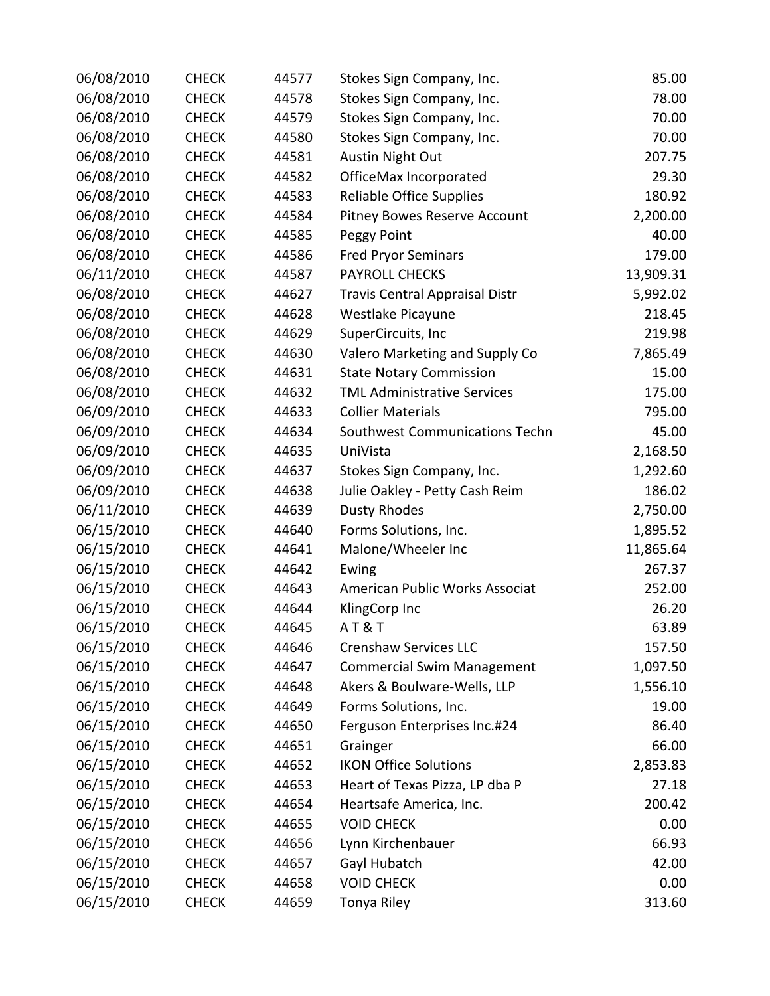| 06/08/2010 | <b>CHECK</b> | 44577 | Stokes Sign Company, Inc.             | 85.00     |
|------------|--------------|-------|---------------------------------------|-----------|
| 06/08/2010 | <b>CHECK</b> | 44578 | Stokes Sign Company, Inc.             | 78.00     |
| 06/08/2010 | <b>CHECK</b> | 44579 | Stokes Sign Company, Inc.             | 70.00     |
| 06/08/2010 | <b>CHECK</b> | 44580 | Stokes Sign Company, Inc.             | 70.00     |
| 06/08/2010 | <b>CHECK</b> | 44581 | <b>Austin Night Out</b>               | 207.75    |
| 06/08/2010 | <b>CHECK</b> | 44582 | OfficeMax Incorporated                | 29.30     |
| 06/08/2010 | <b>CHECK</b> | 44583 | <b>Reliable Office Supplies</b>       | 180.92    |
| 06/08/2010 | <b>CHECK</b> | 44584 | Pitney Bowes Reserve Account          | 2,200.00  |
| 06/08/2010 | <b>CHECK</b> | 44585 | Peggy Point                           | 40.00     |
| 06/08/2010 | <b>CHECK</b> | 44586 | <b>Fred Pryor Seminars</b>            | 179.00    |
| 06/11/2010 | <b>CHECK</b> | 44587 | <b>PAYROLL CHECKS</b>                 | 13,909.31 |
| 06/08/2010 | <b>CHECK</b> | 44627 | <b>Travis Central Appraisal Distr</b> | 5,992.02  |
| 06/08/2010 | <b>CHECK</b> | 44628 | Westlake Picayune                     | 218.45    |
| 06/08/2010 | <b>CHECK</b> | 44629 | SuperCircuits, Inc                    | 219.98    |
| 06/08/2010 | <b>CHECK</b> | 44630 | Valero Marketing and Supply Co        | 7,865.49  |
| 06/08/2010 | <b>CHECK</b> | 44631 | <b>State Notary Commission</b>        | 15.00     |
| 06/08/2010 | <b>CHECK</b> | 44632 | <b>TML Administrative Services</b>    | 175.00    |
| 06/09/2010 | <b>CHECK</b> | 44633 | <b>Collier Materials</b>              | 795.00    |
| 06/09/2010 | <b>CHECK</b> | 44634 | Southwest Communications Techn        | 45.00     |
| 06/09/2010 | <b>CHECK</b> | 44635 | UniVista                              | 2,168.50  |
| 06/09/2010 | <b>CHECK</b> | 44637 | Stokes Sign Company, Inc.             | 1,292.60  |
| 06/09/2010 | <b>CHECK</b> | 44638 | Julie Oakley - Petty Cash Reim        | 186.02    |
| 06/11/2010 | <b>CHECK</b> | 44639 | <b>Dusty Rhodes</b>                   | 2,750.00  |
| 06/15/2010 | <b>CHECK</b> | 44640 | Forms Solutions, Inc.                 | 1,895.52  |
| 06/15/2010 | <b>CHECK</b> | 44641 | Malone/Wheeler Inc                    | 11,865.64 |
| 06/15/2010 | <b>CHECK</b> | 44642 | Ewing                                 | 267.37    |
| 06/15/2010 | <b>CHECK</b> | 44643 | American Public Works Associat        | 252.00    |
| 06/15/2010 | <b>CHECK</b> | 44644 | KlingCorp Inc                         | 26.20     |
| 06/15/2010 | <b>CHECK</b> | 44645 | <b>AT&amp;T</b>                       | 63.89     |
| 06/15/2010 | <b>CHECK</b> | 44646 | <b>Crenshaw Services LLC</b>          | 157.50    |
| 06/15/2010 | <b>CHECK</b> | 44647 | <b>Commercial Swim Management</b>     | 1,097.50  |
| 06/15/2010 | <b>CHECK</b> | 44648 | Akers & Boulware-Wells, LLP           | 1,556.10  |
| 06/15/2010 | <b>CHECK</b> | 44649 | Forms Solutions, Inc.                 | 19.00     |
| 06/15/2010 | <b>CHECK</b> | 44650 | Ferguson Enterprises Inc.#24          | 86.40     |
| 06/15/2010 | <b>CHECK</b> | 44651 | Grainger                              | 66.00     |
| 06/15/2010 | <b>CHECK</b> | 44652 | <b>IKON Office Solutions</b>          | 2,853.83  |
| 06/15/2010 | <b>CHECK</b> | 44653 | Heart of Texas Pizza, LP dba P        | 27.18     |
| 06/15/2010 | <b>CHECK</b> | 44654 | Heartsafe America, Inc.               | 200.42    |
| 06/15/2010 | <b>CHECK</b> | 44655 | <b>VOID CHECK</b>                     | 0.00      |
| 06/15/2010 | <b>CHECK</b> | 44656 | Lynn Kirchenbauer                     | 66.93     |
| 06/15/2010 | <b>CHECK</b> | 44657 | Gayl Hubatch                          | 42.00     |
| 06/15/2010 | <b>CHECK</b> | 44658 | <b>VOID CHECK</b>                     | 0.00      |
| 06/15/2010 | <b>CHECK</b> | 44659 | Tonya Riley                           | 313.60    |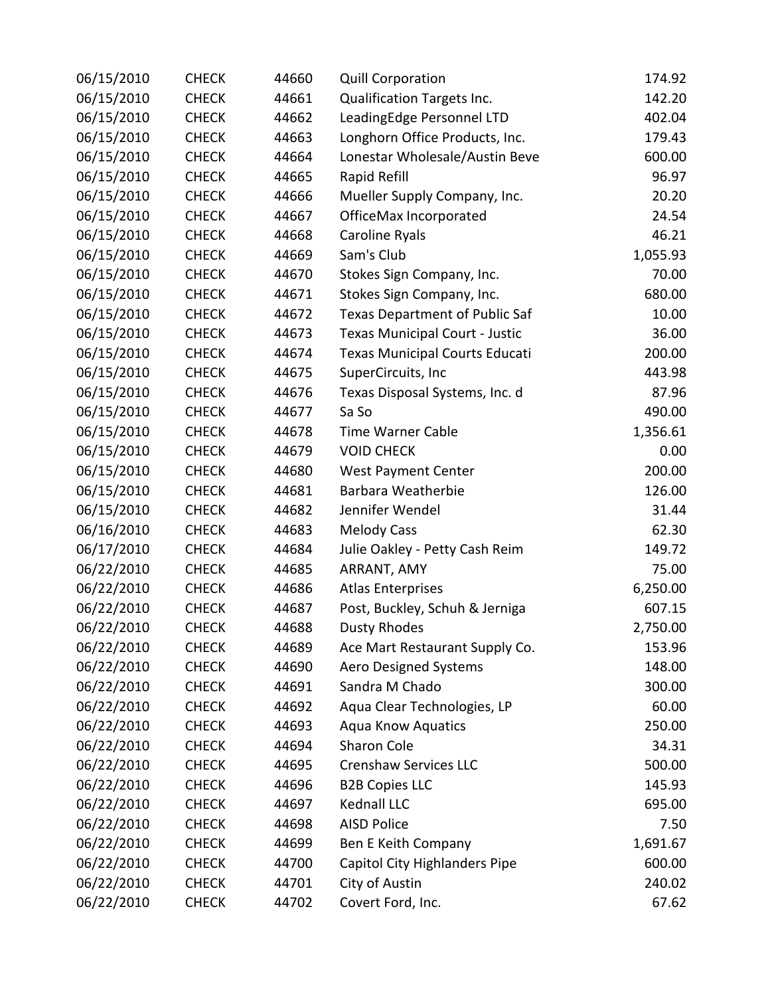| 06/15/2010 | <b>CHECK</b> | 44660 | <b>Quill Corporation</b>              | 174.92   |
|------------|--------------|-------|---------------------------------------|----------|
| 06/15/2010 | <b>CHECK</b> | 44661 | Qualification Targets Inc.            | 142.20   |
| 06/15/2010 | <b>CHECK</b> | 44662 | LeadingEdge Personnel LTD             | 402.04   |
| 06/15/2010 | <b>CHECK</b> | 44663 | Longhorn Office Products, Inc.        | 179.43   |
| 06/15/2010 | <b>CHECK</b> | 44664 | Lonestar Wholesale/Austin Beve        | 600.00   |
| 06/15/2010 | <b>CHECK</b> | 44665 | Rapid Refill                          | 96.97    |
| 06/15/2010 | <b>CHECK</b> | 44666 | Mueller Supply Company, Inc.          | 20.20    |
| 06/15/2010 | <b>CHECK</b> | 44667 | OfficeMax Incorporated                | 24.54    |
| 06/15/2010 | <b>CHECK</b> | 44668 | Caroline Ryals                        | 46.21    |
| 06/15/2010 | <b>CHECK</b> | 44669 | Sam's Club                            | 1,055.93 |
| 06/15/2010 | <b>CHECK</b> | 44670 | Stokes Sign Company, Inc.             | 70.00    |
| 06/15/2010 | <b>CHECK</b> | 44671 | Stokes Sign Company, Inc.             | 680.00   |
| 06/15/2010 | <b>CHECK</b> | 44672 | <b>Texas Department of Public Saf</b> | 10.00    |
| 06/15/2010 | <b>CHECK</b> | 44673 | <b>Texas Municipal Court - Justic</b> | 36.00    |
| 06/15/2010 | <b>CHECK</b> | 44674 | Texas Municipal Courts Educati        | 200.00   |
| 06/15/2010 | <b>CHECK</b> | 44675 | SuperCircuits, Inc                    | 443.98   |
| 06/15/2010 | <b>CHECK</b> | 44676 | Texas Disposal Systems, Inc. d        | 87.96    |
| 06/15/2010 | <b>CHECK</b> | 44677 | Sa So                                 | 490.00   |
| 06/15/2010 | <b>CHECK</b> | 44678 | <b>Time Warner Cable</b>              | 1,356.61 |
| 06/15/2010 | <b>CHECK</b> | 44679 | <b>VOID CHECK</b>                     | 0.00     |
| 06/15/2010 | <b>CHECK</b> | 44680 | <b>West Payment Center</b>            | 200.00   |
| 06/15/2010 | <b>CHECK</b> | 44681 | Barbara Weatherbie                    | 126.00   |
| 06/15/2010 | <b>CHECK</b> | 44682 | Jennifer Wendel                       | 31.44    |
| 06/16/2010 | <b>CHECK</b> | 44683 | <b>Melody Cass</b>                    | 62.30    |
| 06/17/2010 | <b>CHECK</b> | 44684 | Julie Oakley - Petty Cash Reim        | 149.72   |
| 06/22/2010 | <b>CHECK</b> | 44685 | ARRANT, AMY                           | 75.00    |
| 06/22/2010 | <b>CHECK</b> | 44686 | <b>Atlas Enterprises</b>              | 6,250.00 |
| 06/22/2010 | <b>CHECK</b> | 44687 | Post, Buckley, Schuh & Jerniga        | 607.15   |
| 06/22/2010 | <b>CHECK</b> | 44688 | <b>Dusty Rhodes</b>                   | 2,750.00 |
| 06/22/2010 | <b>CHECK</b> | 44689 | Ace Mart Restaurant Supply Co.        | 153.96   |
| 06/22/2010 | <b>CHECK</b> | 44690 | <b>Aero Designed Systems</b>          | 148.00   |
| 06/22/2010 | <b>CHECK</b> | 44691 | Sandra M Chado                        | 300.00   |
| 06/22/2010 | <b>CHECK</b> | 44692 | Aqua Clear Technologies, LP           | 60.00    |
| 06/22/2010 | <b>CHECK</b> | 44693 | <b>Aqua Know Aquatics</b>             | 250.00   |
| 06/22/2010 | <b>CHECK</b> | 44694 | Sharon Cole                           | 34.31    |
| 06/22/2010 | <b>CHECK</b> | 44695 | <b>Crenshaw Services LLC</b>          | 500.00   |
| 06/22/2010 | <b>CHECK</b> | 44696 | <b>B2B Copies LLC</b>                 | 145.93   |
| 06/22/2010 | <b>CHECK</b> | 44697 | Kednall LLC                           | 695.00   |
| 06/22/2010 | <b>CHECK</b> | 44698 | <b>AISD Police</b>                    | 7.50     |
| 06/22/2010 | <b>CHECK</b> | 44699 | Ben E Keith Company                   | 1,691.67 |
| 06/22/2010 | <b>CHECK</b> | 44700 | Capitol City Highlanders Pipe         | 600.00   |
| 06/22/2010 | <b>CHECK</b> | 44701 | City of Austin                        | 240.02   |
| 06/22/2010 | <b>CHECK</b> | 44702 | Covert Ford, Inc.                     | 67.62    |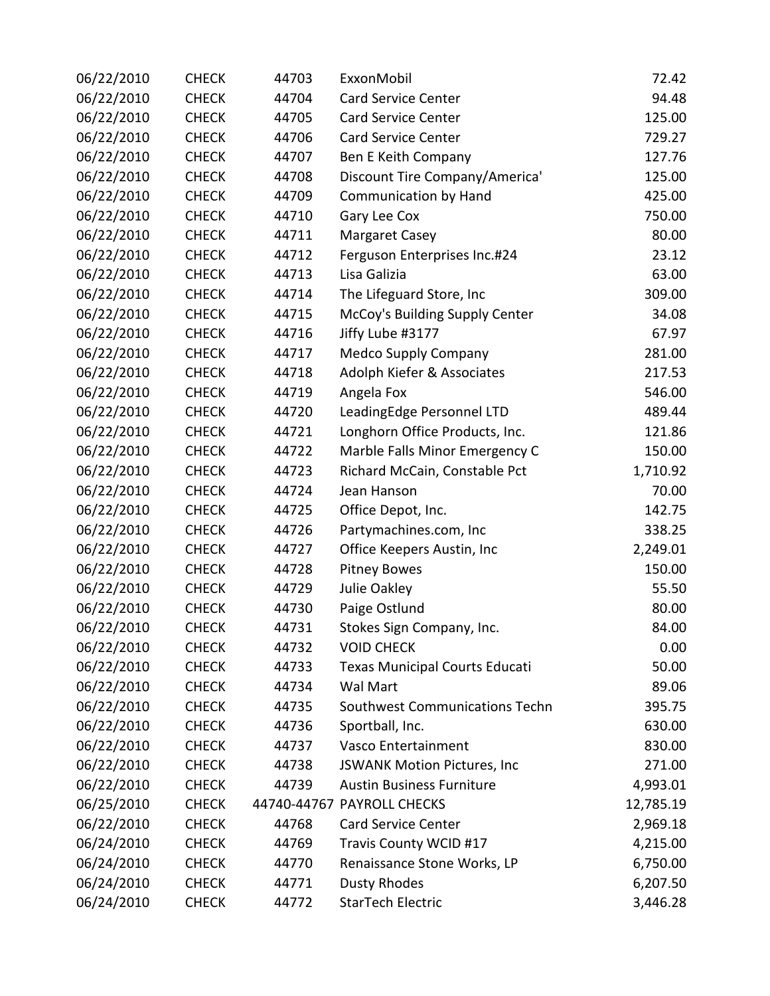| 06/22/2010 | <b>CHECK</b> | 44703 | ExxonMobil                       | 72.42     |
|------------|--------------|-------|----------------------------------|-----------|
| 06/22/2010 | <b>CHECK</b> | 44704 | <b>Card Service Center</b>       | 94.48     |
| 06/22/2010 | <b>CHECK</b> | 44705 | <b>Card Service Center</b>       | 125.00    |
| 06/22/2010 | <b>CHECK</b> | 44706 | <b>Card Service Center</b>       | 729.27    |
| 06/22/2010 | <b>CHECK</b> | 44707 | Ben E Keith Company              | 127.76    |
| 06/22/2010 | <b>CHECK</b> | 44708 | Discount Tire Company/America'   | 125.00    |
| 06/22/2010 | <b>CHECK</b> | 44709 | <b>Communication by Hand</b>     | 425.00    |
| 06/22/2010 | <b>CHECK</b> | 44710 | Gary Lee Cox                     | 750.00    |
| 06/22/2010 | <b>CHECK</b> | 44711 | <b>Margaret Casey</b>            | 80.00     |
| 06/22/2010 | <b>CHECK</b> | 44712 | Ferguson Enterprises Inc.#24     | 23.12     |
| 06/22/2010 | <b>CHECK</b> | 44713 | Lisa Galizia                     | 63.00     |
| 06/22/2010 | <b>CHECK</b> | 44714 | The Lifeguard Store, Inc         | 309.00    |
| 06/22/2010 | <b>CHECK</b> | 44715 | McCoy's Building Supply Center   | 34.08     |
| 06/22/2010 | <b>CHECK</b> | 44716 | Jiffy Lube #3177                 | 67.97     |
| 06/22/2010 | <b>CHECK</b> | 44717 | <b>Medco Supply Company</b>      | 281.00    |
| 06/22/2010 | <b>CHECK</b> | 44718 | Adolph Kiefer & Associates       | 217.53    |
| 06/22/2010 | <b>CHECK</b> | 44719 | Angela Fox                       | 546.00    |
| 06/22/2010 | <b>CHECK</b> | 44720 | LeadingEdge Personnel LTD        | 489.44    |
| 06/22/2010 | <b>CHECK</b> | 44721 | Longhorn Office Products, Inc.   | 121.86    |
| 06/22/2010 | <b>CHECK</b> | 44722 | Marble Falls Minor Emergency C   | 150.00    |
| 06/22/2010 | <b>CHECK</b> | 44723 | Richard McCain, Constable Pct    | 1,710.92  |
| 06/22/2010 | <b>CHECK</b> | 44724 | Jean Hanson                      | 70.00     |
| 06/22/2010 | <b>CHECK</b> | 44725 | Office Depot, Inc.               | 142.75    |
| 06/22/2010 | <b>CHECK</b> | 44726 | Partymachines.com, Inc           | 338.25    |
| 06/22/2010 | <b>CHECK</b> | 44727 | Office Keepers Austin, Inc       | 2,249.01  |
| 06/22/2010 | <b>CHECK</b> | 44728 | <b>Pitney Bowes</b>              | 150.00    |
| 06/22/2010 | <b>CHECK</b> | 44729 | Julie Oakley                     | 55.50     |
| 06/22/2010 | <b>CHECK</b> | 44730 | Paige Ostlund                    | 80.00     |
| 06/22/2010 | <b>CHECK</b> | 44731 | Stokes Sign Company, Inc.        | 84.00     |
| 06/22/2010 | <b>CHECK</b> | 44732 | <b>VOID CHECK</b>                | 0.00      |
| 06/22/2010 | <b>CHECK</b> | 44733 | Texas Municipal Courts Educati   | 50.00     |
| 06/22/2010 | <b>CHECK</b> | 44734 | Wal Mart                         | 89.06     |
| 06/22/2010 | <b>CHECK</b> | 44735 | Southwest Communications Techn   | 395.75    |
| 06/22/2010 | <b>CHECK</b> | 44736 | Sportball, Inc.                  | 630.00    |
| 06/22/2010 | <b>CHECK</b> | 44737 | Vasco Entertainment              | 830.00    |
| 06/22/2010 | <b>CHECK</b> | 44738 | JSWANK Motion Pictures, Inc      | 271.00    |
| 06/22/2010 | <b>CHECK</b> | 44739 | <b>Austin Business Furniture</b> | 4,993.01  |
| 06/25/2010 | <b>CHECK</b> |       | 44740-44767 PAYROLL CHECKS       | 12,785.19 |
| 06/22/2010 | <b>CHECK</b> | 44768 | <b>Card Service Center</b>       | 2,969.18  |
| 06/24/2010 | <b>CHECK</b> | 44769 | Travis County WCID #17           | 4,215.00  |
| 06/24/2010 | <b>CHECK</b> | 44770 | Renaissance Stone Works, LP      | 6,750.00  |
| 06/24/2010 | <b>CHECK</b> | 44771 | <b>Dusty Rhodes</b>              | 6,207.50  |
| 06/24/2010 | <b>CHECK</b> | 44772 | StarTech Electric                | 3,446.28  |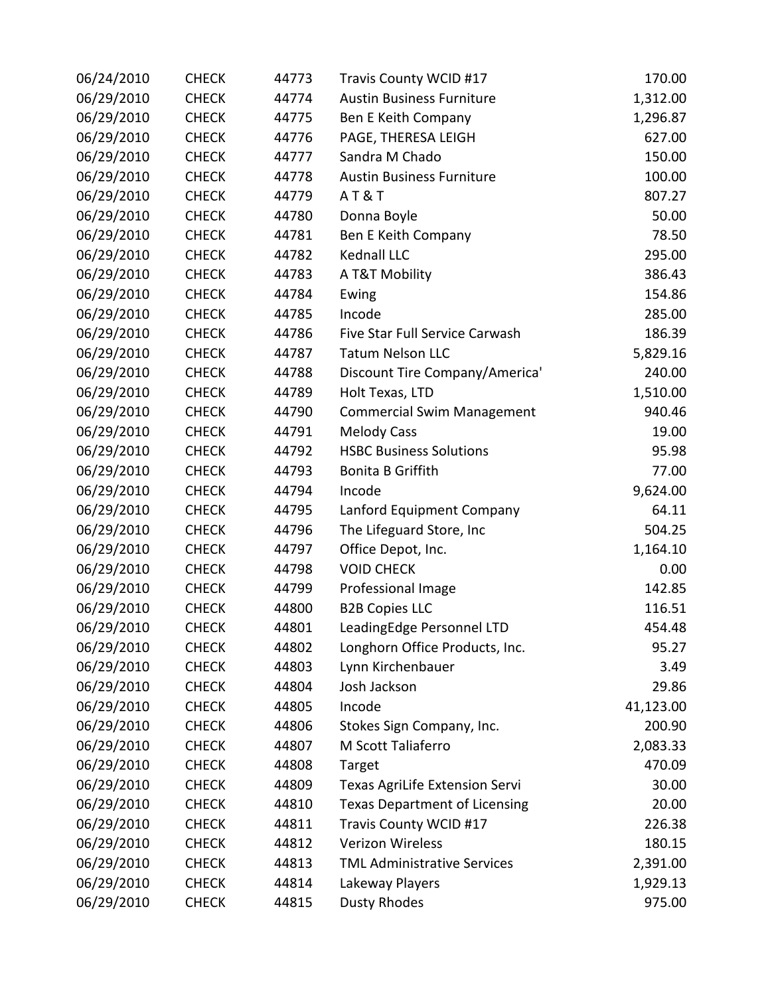| 06/24/2010 | <b>CHECK</b> | 44773 | Travis County WCID #17               | 170.00    |
|------------|--------------|-------|--------------------------------------|-----------|
| 06/29/2010 | <b>CHECK</b> | 44774 | <b>Austin Business Furniture</b>     | 1,312.00  |
| 06/29/2010 | <b>CHECK</b> | 44775 | Ben E Keith Company                  | 1,296.87  |
| 06/29/2010 | <b>CHECK</b> | 44776 | PAGE, THERESA LEIGH                  | 627.00    |
| 06/29/2010 | <b>CHECK</b> | 44777 | Sandra M Chado                       | 150.00    |
| 06/29/2010 | <b>CHECK</b> | 44778 | <b>Austin Business Furniture</b>     | 100.00    |
| 06/29/2010 | <b>CHECK</b> | 44779 | <b>AT&amp;T</b>                      | 807.27    |
| 06/29/2010 | <b>CHECK</b> | 44780 | Donna Boyle                          | 50.00     |
| 06/29/2010 | <b>CHECK</b> | 44781 | Ben E Keith Company                  | 78.50     |
| 06/29/2010 | <b>CHECK</b> | 44782 | Kednall LLC                          | 295.00    |
| 06/29/2010 | <b>CHECK</b> | 44783 | A T&T Mobility                       | 386.43    |
| 06/29/2010 | <b>CHECK</b> | 44784 | Ewing                                | 154.86    |
| 06/29/2010 | <b>CHECK</b> | 44785 | Incode                               | 285.00    |
| 06/29/2010 | <b>CHECK</b> | 44786 | Five Star Full Service Carwash       | 186.39    |
| 06/29/2010 | <b>CHECK</b> | 44787 | <b>Tatum Nelson LLC</b>              | 5,829.16  |
| 06/29/2010 | <b>CHECK</b> | 44788 | Discount Tire Company/America'       | 240.00    |
| 06/29/2010 | <b>CHECK</b> | 44789 | Holt Texas, LTD                      | 1,510.00  |
| 06/29/2010 | <b>CHECK</b> | 44790 | <b>Commercial Swim Management</b>    | 940.46    |
| 06/29/2010 | <b>CHECK</b> | 44791 | <b>Melody Cass</b>                   | 19.00     |
| 06/29/2010 | <b>CHECK</b> | 44792 | <b>HSBC Business Solutions</b>       | 95.98     |
| 06/29/2010 | <b>CHECK</b> | 44793 | <b>Bonita B Griffith</b>             | 77.00     |
| 06/29/2010 | <b>CHECK</b> | 44794 | Incode                               | 9,624.00  |
| 06/29/2010 | <b>CHECK</b> | 44795 | Lanford Equipment Company            | 64.11     |
| 06/29/2010 | <b>CHECK</b> | 44796 | The Lifeguard Store, Inc             | 504.25    |
| 06/29/2010 | <b>CHECK</b> | 44797 | Office Depot, Inc.                   | 1,164.10  |
| 06/29/2010 | <b>CHECK</b> | 44798 | <b>VOID CHECK</b>                    | 0.00      |
| 06/29/2010 | <b>CHECK</b> | 44799 | Professional Image                   | 142.85    |
| 06/29/2010 | <b>CHECK</b> | 44800 | <b>B2B Copies LLC</b>                | 116.51    |
| 06/29/2010 | <b>CHECK</b> | 44801 | LeadingEdge Personnel LTD            | 454.48    |
| 06/29/2010 | <b>CHECK</b> | 44802 | Longhorn Office Products, Inc.       | 95.27     |
| 06/29/2010 | <b>CHECK</b> | 44803 | Lynn Kirchenbauer                    | 3.49      |
| 06/29/2010 | <b>CHECK</b> | 44804 | Josh Jackson                         | 29.86     |
| 06/29/2010 | <b>CHECK</b> | 44805 | Incode                               | 41,123.00 |
| 06/29/2010 | <b>CHECK</b> | 44806 | Stokes Sign Company, Inc.            | 200.90    |
| 06/29/2010 | <b>CHECK</b> | 44807 | M Scott Taliaferro                   | 2,083.33  |
| 06/29/2010 | <b>CHECK</b> | 44808 | Target                               | 470.09    |
| 06/29/2010 | <b>CHECK</b> | 44809 | Texas AgriLife Extension Servi       | 30.00     |
| 06/29/2010 | <b>CHECK</b> | 44810 | <b>Texas Department of Licensing</b> | 20.00     |
| 06/29/2010 | <b>CHECK</b> | 44811 | Travis County WCID #17               | 226.38    |
| 06/29/2010 | <b>CHECK</b> | 44812 | Verizon Wireless                     | 180.15    |
| 06/29/2010 | <b>CHECK</b> | 44813 | <b>TML Administrative Services</b>   | 2,391.00  |
| 06/29/2010 | <b>CHECK</b> | 44814 | Lakeway Players                      | 1,929.13  |
| 06/29/2010 | <b>CHECK</b> | 44815 | <b>Dusty Rhodes</b>                  | 975.00    |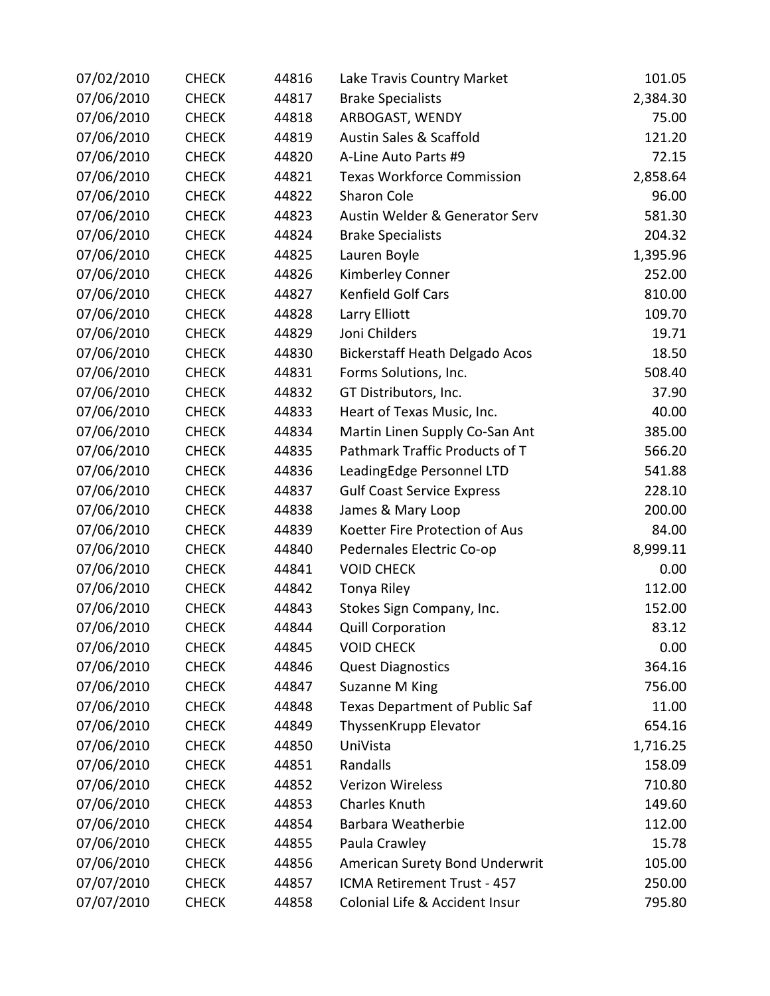| 07/02/2010 | <b>CHECK</b> | 44816 | Lake Travis Country Market            | 101.05   |
|------------|--------------|-------|---------------------------------------|----------|
| 07/06/2010 | <b>CHECK</b> | 44817 | <b>Brake Specialists</b>              | 2,384.30 |
| 07/06/2010 | <b>CHECK</b> | 44818 | ARBOGAST, WENDY                       | 75.00    |
| 07/06/2010 | <b>CHECK</b> | 44819 | Austin Sales & Scaffold               | 121.20   |
| 07/06/2010 | <b>CHECK</b> | 44820 | A-Line Auto Parts #9                  | 72.15    |
| 07/06/2010 | <b>CHECK</b> | 44821 | <b>Texas Workforce Commission</b>     | 2,858.64 |
| 07/06/2010 | <b>CHECK</b> | 44822 | Sharon Cole                           | 96.00    |
| 07/06/2010 | <b>CHECK</b> | 44823 | Austin Welder & Generator Serv        | 581.30   |
| 07/06/2010 | <b>CHECK</b> | 44824 | <b>Brake Specialists</b>              | 204.32   |
| 07/06/2010 | <b>CHECK</b> | 44825 | Lauren Boyle                          | 1,395.96 |
| 07/06/2010 | <b>CHECK</b> | 44826 | Kimberley Conner                      | 252.00   |
| 07/06/2010 | <b>CHECK</b> | 44827 | Kenfield Golf Cars                    | 810.00   |
| 07/06/2010 | <b>CHECK</b> | 44828 | Larry Elliott                         | 109.70   |
| 07/06/2010 | <b>CHECK</b> | 44829 | Joni Childers                         | 19.71    |
| 07/06/2010 | <b>CHECK</b> | 44830 | <b>Bickerstaff Heath Delgado Acos</b> | 18.50    |
| 07/06/2010 | <b>CHECK</b> | 44831 | Forms Solutions, Inc.                 | 508.40   |
| 07/06/2010 | <b>CHECK</b> | 44832 | GT Distributors, Inc.                 | 37.90    |
| 07/06/2010 | <b>CHECK</b> | 44833 | Heart of Texas Music, Inc.            | 40.00    |
| 07/06/2010 | <b>CHECK</b> | 44834 | Martin Linen Supply Co-San Ant        | 385.00   |
| 07/06/2010 | <b>CHECK</b> | 44835 | Pathmark Traffic Products of T        | 566.20   |
| 07/06/2010 | <b>CHECK</b> | 44836 | LeadingEdge Personnel LTD             | 541.88   |
| 07/06/2010 | <b>CHECK</b> | 44837 | <b>Gulf Coast Service Express</b>     | 228.10   |
| 07/06/2010 | <b>CHECK</b> | 44838 | James & Mary Loop                     | 200.00   |
| 07/06/2010 | <b>CHECK</b> | 44839 | Koetter Fire Protection of Aus        | 84.00    |
| 07/06/2010 | <b>CHECK</b> | 44840 | Pedernales Electric Co-op             | 8,999.11 |
| 07/06/2010 | <b>CHECK</b> | 44841 | <b>VOID CHECK</b>                     | 0.00     |
| 07/06/2010 | <b>CHECK</b> | 44842 | Tonya Riley                           | 112.00   |
| 07/06/2010 | <b>CHECK</b> | 44843 | Stokes Sign Company, Inc.             | 152.00   |
| 07/06/2010 | <b>CHECK</b> | 44844 | <b>Quill Corporation</b>              | 83.12    |
| 07/06/2010 | <b>CHECK</b> | 44845 | <b>VOID CHECK</b>                     | 0.00     |
| 07/06/2010 | <b>CHECK</b> | 44846 | <b>Quest Diagnostics</b>              | 364.16   |
| 07/06/2010 | <b>CHECK</b> | 44847 | Suzanne M King                        | 756.00   |
| 07/06/2010 | <b>CHECK</b> | 44848 | Texas Department of Public Saf        | 11.00    |
| 07/06/2010 | <b>CHECK</b> | 44849 | ThyssenKrupp Elevator                 | 654.16   |
| 07/06/2010 | <b>CHECK</b> | 44850 | UniVista                              | 1,716.25 |
| 07/06/2010 | <b>CHECK</b> | 44851 | Randalls                              | 158.09   |
| 07/06/2010 | <b>CHECK</b> | 44852 | <b>Verizon Wireless</b>               | 710.80   |
| 07/06/2010 | <b>CHECK</b> | 44853 | Charles Knuth                         | 149.60   |
| 07/06/2010 | <b>CHECK</b> | 44854 | Barbara Weatherbie                    | 112.00   |
| 07/06/2010 | <b>CHECK</b> | 44855 | Paula Crawley                         | 15.78    |
| 07/06/2010 | <b>CHECK</b> | 44856 | American Surety Bond Underwrit        | 105.00   |
| 07/07/2010 | <b>CHECK</b> | 44857 | ICMA Retirement Trust - 457           | 250.00   |
| 07/07/2010 | <b>CHECK</b> | 44858 | Colonial Life & Accident Insur        | 795.80   |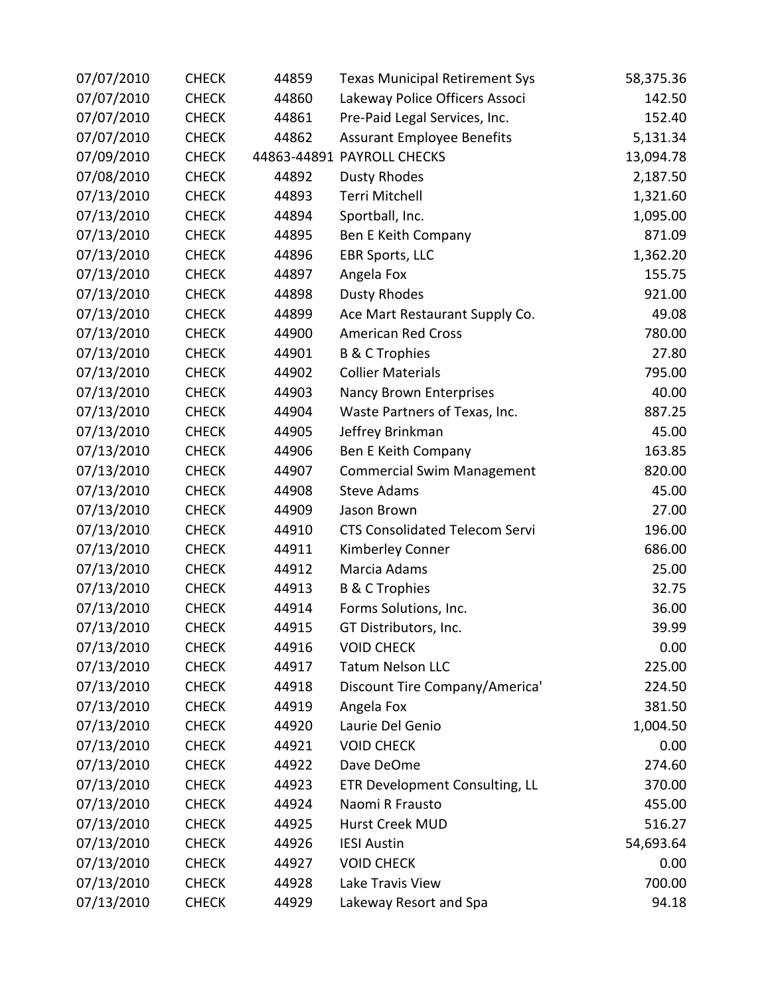| 07/07/2010 | <b>CHECK</b> | 44859 | <b>Texas Municipal Retirement Sys</b> | 58,375.36 |
|------------|--------------|-------|---------------------------------------|-----------|
| 07/07/2010 | <b>CHECK</b> | 44860 | Lakeway Police Officers Associ        | 142.50    |
| 07/07/2010 | <b>CHECK</b> | 44861 | Pre-Paid Legal Services, Inc.         | 152.40    |
| 07/07/2010 | <b>CHECK</b> | 44862 | <b>Assurant Employee Benefits</b>     | 5,131.34  |
| 07/09/2010 | <b>CHECK</b> |       | 44863-44891 PAYROLL CHECKS            | 13,094.78 |
| 07/08/2010 | <b>CHECK</b> | 44892 | <b>Dusty Rhodes</b>                   | 2,187.50  |
| 07/13/2010 | <b>CHECK</b> | 44893 | Terri Mitchell                        | 1,321.60  |
| 07/13/2010 | <b>CHECK</b> | 44894 | Sportball, Inc.                       | 1,095.00  |
| 07/13/2010 | <b>CHECK</b> | 44895 | Ben E Keith Company                   | 871.09    |
| 07/13/2010 | <b>CHECK</b> | 44896 | <b>EBR Sports, LLC</b>                | 1,362.20  |
| 07/13/2010 | <b>CHECK</b> | 44897 | Angela Fox                            | 155.75    |
| 07/13/2010 | <b>CHECK</b> | 44898 | <b>Dusty Rhodes</b>                   | 921.00    |
| 07/13/2010 | <b>CHECK</b> | 44899 | Ace Mart Restaurant Supply Co.        | 49.08     |
| 07/13/2010 | <b>CHECK</b> | 44900 | <b>American Red Cross</b>             | 780.00    |
| 07/13/2010 | <b>CHECK</b> | 44901 | <b>B &amp; C Trophies</b>             | 27.80     |
| 07/13/2010 | <b>CHECK</b> | 44902 | <b>Collier Materials</b>              | 795.00    |
| 07/13/2010 | <b>CHECK</b> | 44903 | Nancy Brown Enterprises               | 40.00     |
| 07/13/2010 | <b>CHECK</b> | 44904 | Waste Partners of Texas, Inc.         | 887.25    |
| 07/13/2010 | <b>CHECK</b> | 44905 | Jeffrey Brinkman                      | 45.00     |
| 07/13/2010 | <b>CHECK</b> | 44906 | Ben E Keith Company                   | 163.85    |
| 07/13/2010 | <b>CHECK</b> | 44907 | <b>Commercial Swim Management</b>     | 820.00    |
| 07/13/2010 | <b>CHECK</b> | 44908 | <b>Steve Adams</b>                    | 45.00     |
| 07/13/2010 | <b>CHECK</b> | 44909 | Jason Brown                           | 27.00     |
| 07/13/2010 | <b>CHECK</b> | 44910 | <b>CTS Consolidated Telecom Servi</b> | 196.00    |
| 07/13/2010 | <b>CHECK</b> | 44911 | Kimberley Conner                      | 686.00    |
| 07/13/2010 | <b>CHECK</b> | 44912 | Marcia Adams                          | 25.00     |
| 07/13/2010 | <b>CHECK</b> | 44913 | <b>B &amp; C Trophies</b>             | 32.75     |
| 07/13/2010 | <b>CHECK</b> | 44914 | Forms Solutions, Inc.                 | 36.00     |
| 07/13/2010 | <b>CHECK</b> | 44915 | GT Distributors, Inc.                 | 39.99     |
| 07/13/2010 | <b>CHECK</b> | 44916 | <b>VOID CHECK</b>                     | 0.00      |
| 07/13/2010 | <b>CHECK</b> | 44917 | <b>Tatum Nelson LLC</b>               | 225.00    |
| 07/13/2010 | <b>CHECK</b> | 44918 | Discount Tire Company/America'        | 224.50    |
| 07/13/2010 | <b>CHECK</b> | 44919 | Angela Fox                            | 381.50    |
| 07/13/2010 | <b>CHECK</b> | 44920 | Laurie Del Genio                      | 1,004.50  |
| 07/13/2010 | <b>CHECK</b> | 44921 | <b>VOID CHECK</b>                     | 0.00      |
| 07/13/2010 | <b>CHECK</b> | 44922 | Dave DeOme                            | 274.60    |
| 07/13/2010 | <b>CHECK</b> | 44923 | ETR Development Consulting, LL        | 370.00    |
| 07/13/2010 | <b>CHECK</b> | 44924 | Naomi R Frausto                       | 455.00    |
| 07/13/2010 | <b>CHECK</b> | 44925 | Hurst Creek MUD                       | 516.27    |
| 07/13/2010 | <b>CHECK</b> | 44926 | <b>IESI Austin</b>                    | 54,693.64 |
| 07/13/2010 | <b>CHECK</b> | 44927 | <b>VOID CHECK</b>                     | 0.00      |
| 07/13/2010 | <b>CHECK</b> | 44928 | Lake Travis View                      | 700.00    |
| 07/13/2010 | <b>CHECK</b> | 44929 | Lakeway Resort and Spa                | 94.18     |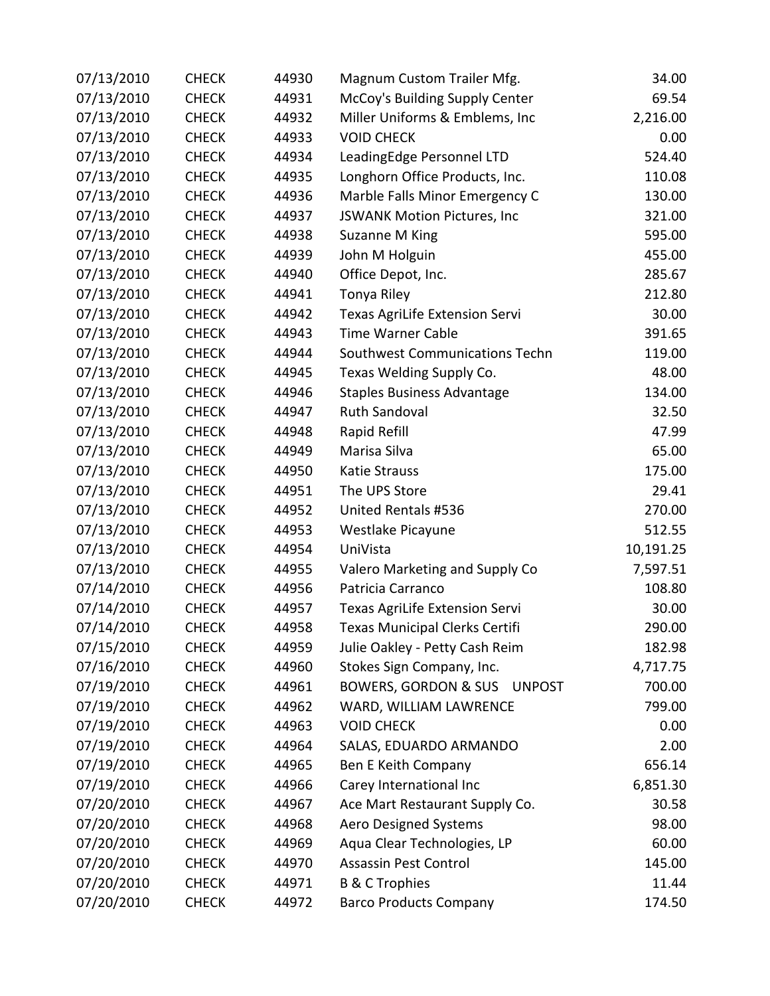| 07/13/2010 | <b>CHECK</b> | 44930 | Magnum Custom Trailer Mfg.                       | 34.00     |
|------------|--------------|-------|--------------------------------------------------|-----------|
| 07/13/2010 | <b>CHECK</b> | 44931 | McCoy's Building Supply Center                   | 69.54     |
| 07/13/2010 | <b>CHECK</b> | 44932 | Miller Uniforms & Emblems, Inc                   | 2,216.00  |
| 07/13/2010 | <b>CHECK</b> | 44933 | <b>VOID CHECK</b>                                | 0.00      |
| 07/13/2010 | <b>CHECK</b> | 44934 | LeadingEdge Personnel LTD                        | 524.40    |
| 07/13/2010 | <b>CHECK</b> | 44935 | Longhorn Office Products, Inc.                   | 110.08    |
| 07/13/2010 | <b>CHECK</b> | 44936 | Marble Falls Minor Emergency C                   | 130.00    |
| 07/13/2010 | <b>CHECK</b> | 44937 | JSWANK Motion Pictures, Inc                      | 321.00    |
| 07/13/2010 | <b>CHECK</b> | 44938 | Suzanne M King                                   | 595.00    |
| 07/13/2010 | <b>CHECK</b> | 44939 | John M Holguin                                   | 455.00    |
| 07/13/2010 | <b>CHECK</b> | 44940 | Office Depot, Inc.                               | 285.67    |
| 07/13/2010 | <b>CHECK</b> | 44941 | Tonya Riley                                      | 212.80    |
| 07/13/2010 | <b>CHECK</b> | 44942 | <b>Texas AgriLife Extension Servi</b>            | 30.00     |
| 07/13/2010 | <b>CHECK</b> | 44943 | <b>Time Warner Cable</b>                         | 391.65    |
| 07/13/2010 | <b>CHECK</b> | 44944 | Southwest Communications Techn                   | 119.00    |
| 07/13/2010 | <b>CHECK</b> | 44945 | Texas Welding Supply Co.                         | 48.00     |
| 07/13/2010 | <b>CHECK</b> | 44946 | <b>Staples Business Advantage</b>                | 134.00    |
| 07/13/2010 | <b>CHECK</b> | 44947 | <b>Ruth Sandoval</b>                             | 32.50     |
| 07/13/2010 | <b>CHECK</b> | 44948 | Rapid Refill                                     | 47.99     |
| 07/13/2010 | <b>CHECK</b> | 44949 | Marisa Silva                                     | 65.00     |
| 07/13/2010 | <b>CHECK</b> | 44950 | <b>Katie Strauss</b>                             | 175.00    |
| 07/13/2010 | <b>CHECK</b> | 44951 | The UPS Store                                    | 29.41     |
| 07/13/2010 | <b>CHECK</b> | 44952 | United Rentals #536                              | 270.00    |
| 07/13/2010 | <b>CHECK</b> | 44953 | Westlake Picayune                                | 512.55    |
| 07/13/2010 | <b>CHECK</b> | 44954 | UniVista                                         | 10,191.25 |
| 07/13/2010 | <b>CHECK</b> | 44955 | Valero Marketing and Supply Co                   | 7,597.51  |
| 07/14/2010 | <b>CHECK</b> | 44956 | Patricia Carranco                                | 108.80    |
| 07/14/2010 | <b>CHECK</b> | 44957 | Texas AgriLife Extension Servi                   | 30.00     |
| 07/14/2010 | <b>CHECK</b> | 44958 | <b>Texas Municipal Clerks Certifi</b>            | 290.00    |
| 07/15/2010 | <b>CHECK</b> | 44959 | Julie Oakley - Petty Cash Reim                   | 182.98    |
| 07/16/2010 | <b>CHECK</b> | 44960 | Stokes Sign Company, Inc.                        | 4,717.75  |
| 07/19/2010 | <b>CHECK</b> | 44961 | <b>BOWERS, GORDON &amp; SUS</b><br><b>UNPOST</b> | 700.00    |
| 07/19/2010 | <b>CHECK</b> | 44962 | WARD, WILLIAM LAWRENCE                           | 799.00    |
| 07/19/2010 | <b>CHECK</b> | 44963 | <b>VOID CHECK</b>                                | 0.00      |
| 07/19/2010 | <b>CHECK</b> | 44964 | SALAS, EDUARDO ARMANDO                           | 2.00      |
| 07/19/2010 | <b>CHECK</b> | 44965 | Ben E Keith Company                              | 656.14    |
| 07/19/2010 | <b>CHECK</b> | 44966 | Carey International Inc                          | 6,851.30  |
| 07/20/2010 | <b>CHECK</b> | 44967 | Ace Mart Restaurant Supply Co.                   | 30.58     |
| 07/20/2010 | <b>CHECK</b> | 44968 | <b>Aero Designed Systems</b>                     | 98.00     |
| 07/20/2010 | <b>CHECK</b> | 44969 | Aqua Clear Technologies, LP                      | 60.00     |
| 07/20/2010 | <b>CHECK</b> | 44970 | Assassin Pest Control                            | 145.00    |
| 07/20/2010 | <b>CHECK</b> | 44971 | <b>B &amp; C Trophies</b>                        | 11.44     |
| 07/20/2010 | <b>CHECK</b> | 44972 | <b>Barco Products Company</b>                    | 174.50    |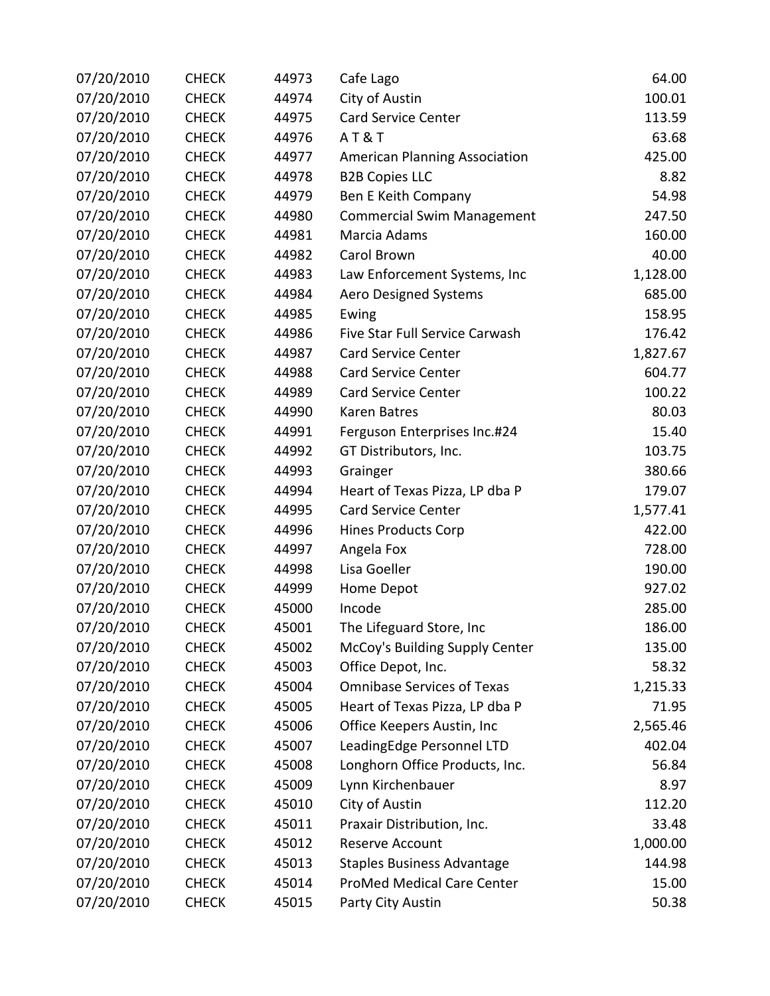| 07/20/2010 | <b>CHECK</b> | 44973 | Cafe Lago                            | 64.00    |
|------------|--------------|-------|--------------------------------------|----------|
| 07/20/2010 | <b>CHECK</b> | 44974 | City of Austin                       | 100.01   |
| 07/20/2010 | <b>CHECK</b> | 44975 | <b>Card Service Center</b>           | 113.59   |
| 07/20/2010 | <b>CHECK</b> | 44976 | <b>AT&amp;T</b>                      | 63.68    |
| 07/20/2010 | <b>CHECK</b> | 44977 | <b>American Planning Association</b> | 425.00   |
| 07/20/2010 | <b>CHECK</b> | 44978 | <b>B2B Copies LLC</b>                | 8.82     |
| 07/20/2010 | <b>CHECK</b> | 44979 | Ben E Keith Company                  | 54.98    |
| 07/20/2010 | <b>CHECK</b> | 44980 | <b>Commercial Swim Management</b>    | 247.50   |
| 07/20/2010 | <b>CHECK</b> | 44981 | Marcia Adams                         | 160.00   |
| 07/20/2010 | <b>CHECK</b> | 44982 | Carol Brown                          | 40.00    |
| 07/20/2010 | <b>CHECK</b> | 44983 | Law Enforcement Systems, Inc         | 1,128.00 |
| 07/20/2010 | <b>CHECK</b> | 44984 | Aero Designed Systems                | 685.00   |
| 07/20/2010 | <b>CHECK</b> | 44985 | Ewing                                | 158.95   |
| 07/20/2010 | <b>CHECK</b> | 44986 | Five Star Full Service Carwash       | 176.42   |
| 07/20/2010 | <b>CHECK</b> | 44987 | <b>Card Service Center</b>           | 1,827.67 |
| 07/20/2010 | <b>CHECK</b> | 44988 | <b>Card Service Center</b>           | 604.77   |
| 07/20/2010 | <b>CHECK</b> | 44989 | <b>Card Service Center</b>           | 100.22   |
| 07/20/2010 | <b>CHECK</b> | 44990 | Karen Batres                         | 80.03    |
| 07/20/2010 | <b>CHECK</b> | 44991 | Ferguson Enterprises Inc.#24         | 15.40    |
| 07/20/2010 | <b>CHECK</b> | 44992 | GT Distributors, Inc.                | 103.75   |
| 07/20/2010 | <b>CHECK</b> | 44993 | Grainger                             | 380.66   |
| 07/20/2010 | <b>CHECK</b> | 44994 | Heart of Texas Pizza, LP dba P       | 179.07   |
| 07/20/2010 | <b>CHECK</b> | 44995 | <b>Card Service Center</b>           | 1,577.41 |
| 07/20/2010 | <b>CHECK</b> | 44996 | <b>Hines Products Corp</b>           | 422.00   |
| 07/20/2010 | <b>CHECK</b> | 44997 | Angela Fox                           | 728.00   |
| 07/20/2010 | <b>CHECK</b> | 44998 | Lisa Goeller                         | 190.00   |
| 07/20/2010 | <b>CHECK</b> | 44999 | Home Depot                           | 927.02   |
| 07/20/2010 | <b>CHECK</b> | 45000 | Incode                               | 285.00   |
| 07/20/2010 | <b>CHECK</b> | 45001 | The Lifeguard Store, Inc             | 186.00   |
| 07/20/2010 | <b>CHECK</b> | 45002 | McCoy's Building Supply Center       | 135.00   |
| 07/20/2010 | <b>CHECK</b> | 45003 | Office Depot, Inc.                   | 58.32    |
| 07/20/2010 | <b>CHECK</b> | 45004 | <b>Omnibase Services of Texas</b>    | 1,215.33 |
| 07/20/2010 | <b>CHECK</b> | 45005 | Heart of Texas Pizza, LP dba P       | 71.95    |
| 07/20/2010 | <b>CHECK</b> | 45006 | Office Keepers Austin, Inc           | 2,565.46 |
| 07/20/2010 | <b>CHECK</b> | 45007 | LeadingEdge Personnel LTD            | 402.04   |
| 07/20/2010 | <b>CHECK</b> | 45008 | Longhorn Office Products, Inc.       | 56.84    |
| 07/20/2010 | <b>CHECK</b> | 45009 | Lynn Kirchenbauer                    | 8.97     |
| 07/20/2010 | <b>CHECK</b> | 45010 | City of Austin                       | 112.20   |
| 07/20/2010 | <b>CHECK</b> | 45011 | Praxair Distribution, Inc.           | 33.48    |
| 07/20/2010 | <b>CHECK</b> | 45012 | Reserve Account                      | 1,000.00 |
| 07/20/2010 | <b>CHECK</b> | 45013 | <b>Staples Business Advantage</b>    | 144.98   |
| 07/20/2010 | <b>CHECK</b> | 45014 | ProMed Medical Care Center           | 15.00    |
| 07/20/2010 | <b>CHECK</b> | 45015 | Party City Austin                    | 50.38    |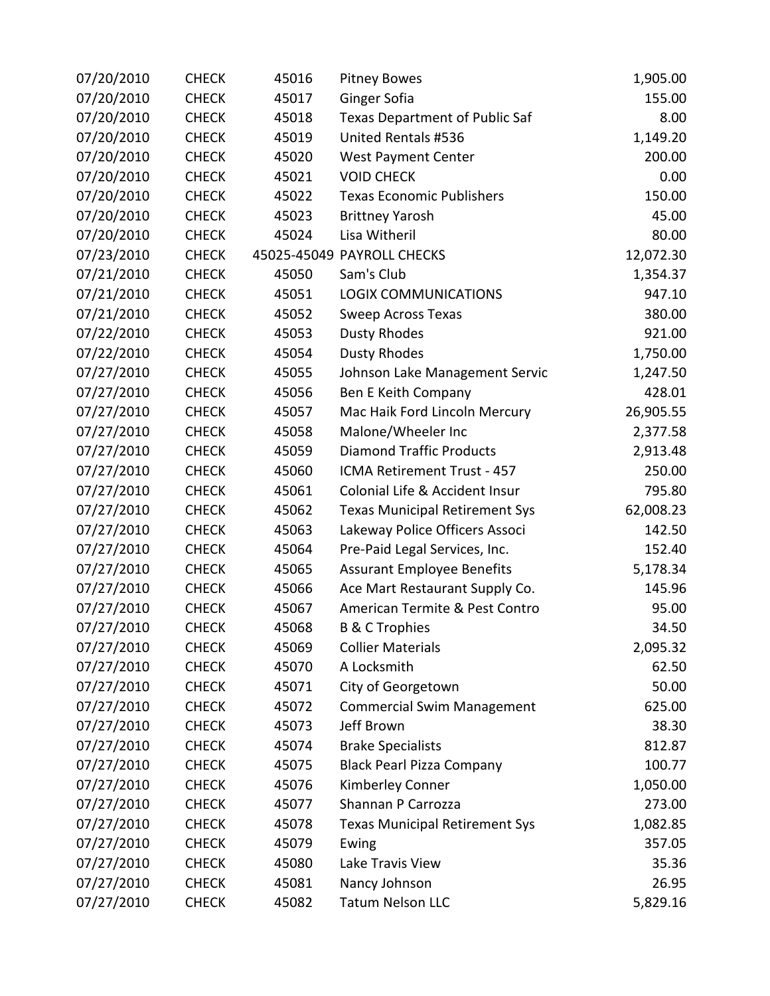| 07/20/2010 | <b>CHECK</b> | 45016 | <b>Pitney Bowes</b>                   | 1,905.00  |
|------------|--------------|-------|---------------------------------------|-----------|
| 07/20/2010 | <b>CHECK</b> | 45017 | Ginger Sofia                          | 155.00    |
| 07/20/2010 | <b>CHECK</b> | 45018 | Texas Department of Public Saf        | 8.00      |
| 07/20/2010 | <b>CHECK</b> | 45019 | United Rentals #536                   | 1,149.20  |
| 07/20/2010 | <b>CHECK</b> | 45020 | <b>West Payment Center</b>            | 200.00    |
| 07/20/2010 | <b>CHECK</b> | 45021 | <b>VOID CHECK</b>                     | 0.00      |
| 07/20/2010 | <b>CHECK</b> | 45022 | <b>Texas Economic Publishers</b>      | 150.00    |
| 07/20/2010 | <b>CHECK</b> | 45023 | <b>Brittney Yarosh</b>                | 45.00     |
| 07/20/2010 | <b>CHECK</b> | 45024 | Lisa Witheril                         | 80.00     |
| 07/23/2010 | <b>CHECK</b> |       | 45025-45049 PAYROLL CHECKS            | 12,072.30 |
| 07/21/2010 | <b>CHECK</b> | 45050 | Sam's Club                            | 1,354.37  |
| 07/21/2010 | <b>CHECK</b> | 45051 | <b>LOGIX COMMUNICATIONS</b>           | 947.10    |
| 07/21/2010 | <b>CHECK</b> | 45052 | Sweep Across Texas                    | 380.00    |
| 07/22/2010 | <b>CHECK</b> | 45053 | <b>Dusty Rhodes</b>                   | 921.00    |
| 07/22/2010 | <b>CHECK</b> | 45054 | <b>Dusty Rhodes</b>                   | 1,750.00  |
| 07/27/2010 | <b>CHECK</b> | 45055 | Johnson Lake Management Servic        | 1,247.50  |
| 07/27/2010 | <b>CHECK</b> | 45056 | Ben E Keith Company                   | 428.01    |
| 07/27/2010 | <b>CHECK</b> | 45057 | Mac Haik Ford Lincoln Mercury         | 26,905.55 |
| 07/27/2010 | <b>CHECK</b> | 45058 | Malone/Wheeler Inc                    | 2,377.58  |
| 07/27/2010 | <b>CHECK</b> | 45059 | <b>Diamond Traffic Products</b>       | 2,913.48  |
| 07/27/2010 | <b>CHECK</b> | 45060 | ICMA Retirement Trust - 457           | 250.00    |
| 07/27/2010 | <b>CHECK</b> | 45061 | Colonial Life & Accident Insur        | 795.80    |
| 07/27/2010 | <b>CHECK</b> | 45062 | <b>Texas Municipal Retirement Sys</b> | 62,008.23 |
| 07/27/2010 | <b>CHECK</b> | 45063 | Lakeway Police Officers Associ        | 142.50    |
| 07/27/2010 | <b>CHECK</b> | 45064 | Pre-Paid Legal Services, Inc.         | 152.40    |
| 07/27/2010 | <b>CHECK</b> | 45065 | <b>Assurant Employee Benefits</b>     | 5,178.34  |
| 07/27/2010 | <b>CHECK</b> | 45066 | Ace Mart Restaurant Supply Co.        | 145.96    |
| 07/27/2010 | <b>CHECK</b> | 45067 | American Termite & Pest Contro        | 95.00     |
| 07/27/2010 | <b>CHECK</b> | 45068 | <b>B &amp; C Trophies</b>             | 34.50     |
| 07/27/2010 | <b>CHECK</b> | 45069 | <b>Collier Materials</b>              | 2,095.32  |
| 07/27/2010 | <b>CHECK</b> | 45070 | A Locksmith                           | 62.50     |
| 07/27/2010 | <b>CHECK</b> | 45071 | City of Georgetown                    | 50.00     |
| 07/27/2010 | <b>CHECK</b> | 45072 | <b>Commercial Swim Management</b>     | 625.00    |
| 07/27/2010 | <b>CHECK</b> | 45073 | Jeff Brown                            | 38.30     |
| 07/27/2010 | <b>CHECK</b> | 45074 | <b>Brake Specialists</b>              | 812.87    |
| 07/27/2010 | <b>CHECK</b> | 45075 | <b>Black Pearl Pizza Company</b>      | 100.77    |
| 07/27/2010 | <b>CHECK</b> | 45076 | Kimberley Conner                      | 1,050.00  |
| 07/27/2010 | <b>CHECK</b> | 45077 | Shannan P Carrozza                    | 273.00    |
| 07/27/2010 | <b>CHECK</b> | 45078 | <b>Texas Municipal Retirement Sys</b> | 1,082.85  |
| 07/27/2010 | <b>CHECK</b> | 45079 | Ewing                                 | 357.05    |
| 07/27/2010 | <b>CHECK</b> | 45080 | Lake Travis View                      | 35.36     |
| 07/27/2010 | <b>CHECK</b> | 45081 | Nancy Johnson                         | 26.95     |
| 07/27/2010 | <b>CHECK</b> | 45082 | <b>Tatum Nelson LLC</b>               | 5,829.16  |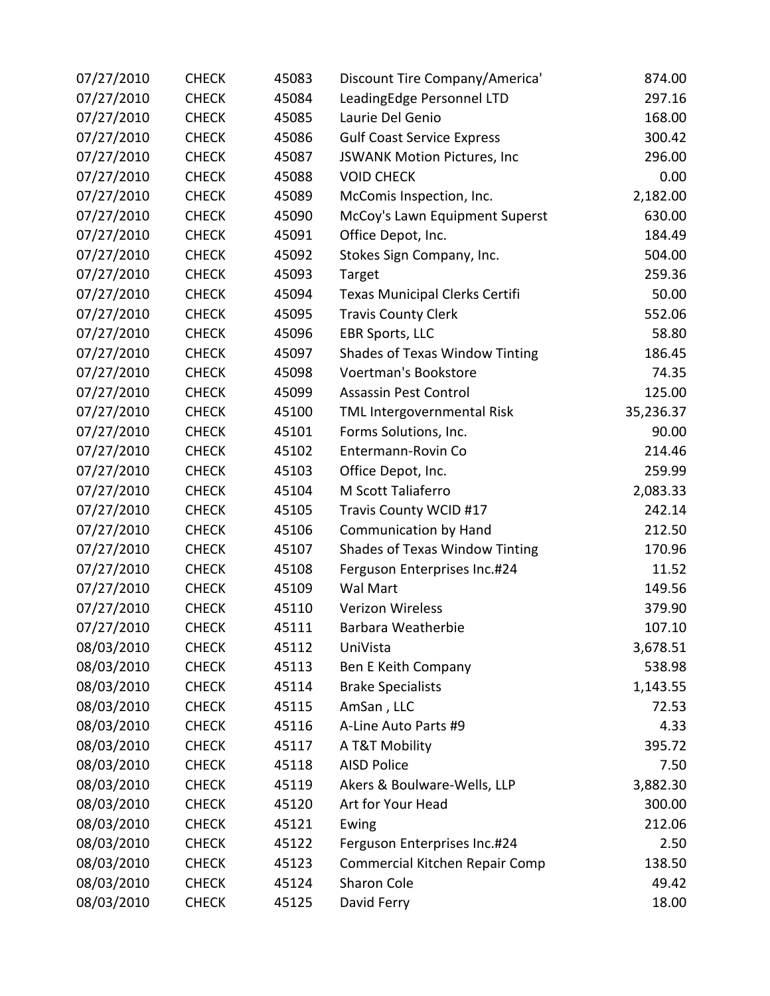| 07/27/2010 | <b>CHECK</b> | 45083 | Discount Tire Company/America'        | 874.00    |
|------------|--------------|-------|---------------------------------------|-----------|
| 07/27/2010 | <b>CHECK</b> | 45084 | LeadingEdge Personnel LTD             | 297.16    |
| 07/27/2010 | <b>CHECK</b> | 45085 | Laurie Del Genio                      | 168.00    |
| 07/27/2010 | <b>CHECK</b> | 45086 | <b>Gulf Coast Service Express</b>     | 300.42    |
| 07/27/2010 | <b>CHECK</b> | 45087 | <b>JSWANK Motion Pictures, Inc</b>    | 296.00    |
| 07/27/2010 | <b>CHECK</b> | 45088 | <b>VOID CHECK</b>                     | 0.00      |
| 07/27/2010 | <b>CHECK</b> | 45089 | McComis Inspection, Inc.              | 2,182.00  |
| 07/27/2010 | <b>CHECK</b> | 45090 | McCoy's Lawn Equipment Superst        | 630.00    |
| 07/27/2010 | <b>CHECK</b> | 45091 | Office Depot, Inc.                    | 184.49    |
| 07/27/2010 | <b>CHECK</b> | 45092 | Stokes Sign Company, Inc.             | 504.00    |
| 07/27/2010 | <b>CHECK</b> | 45093 | Target                                | 259.36    |
| 07/27/2010 | <b>CHECK</b> | 45094 | <b>Texas Municipal Clerks Certifi</b> | 50.00     |
| 07/27/2010 | <b>CHECK</b> | 45095 | <b>Travis County Clerk</b>            | 552.06    |
| 07/27/2010 | <b>CHECK</b> | 45096 | <b>EBR Sports, LLC</b>                | 58.80     |
| 07/27/2010 | <b>CHECK</b> | 45097 | Shades of Texas Window Tinting        | 186.45    |
| 07/27/2010 | <b>CHECK</b> | 45098 | Voertman's Bookstore                  | 74.35     |
| 07/27/2010 | <b>CHECK</b> | 45099 | <b>Assassin Pest Control</b>          | 125.00    |
| 07/27/2010 | <b>CHECK</b> | 45100 | TML Intergovernmental Risk            | 35,236.37 |
| 07/27/2010 | <b>CHECK</b> | 45101 | Forms Solutions, Inc.                 | 90.00     |
| 07/27/2010 | <b>CHECK</b> | 45102 | Entermann-Rovin Co                    | 214.46    |
| 07/27/2010 | <b>CHECK</b> | 45103 | Office Depot, Inc.                    | 259.99    |
| 07/27/2010 | <b>CHECK</b> | 45104 | M Scott Taliaferro                    | 2,083.33  |
| 07/27/2010 | <b>CHECK</b> | 45105 | Travis County WCID #17                | 242.14    |
| 07/27/2010 | <b>CHECK</b> | 45106 | <b>Communication by Hand</b>          | 212.50    |
| 07/27/2010 | <b>CHECK</b> | 45107 | <b>Shades of Texas Window Tinting</b> | 170.96    |
| 07/27/2010 | <b>CHECK</b> | 45108 | Ferguson Enterprises Inc.#24          | 11.52     |
| 07/27/2010 | <b>CHECK</b> | 45109 | Wal Mart                              | 149.56    |
| 07/27/2010 | <b>CHECK</b> | 45110 | <b>Verizon Wireless</b>               | 379.90    |
| 07/27/2010 | <b>CHECK</b> | 45111 | Barbara Weatherbie                    | 107.10    |
| 08/03/2010 | <b>CHECK</b> | 45112 | UniVista                              | 3,678.51  |
| 08/03/2010 | <b>CHECK</b> | 45113 | Ben E Keith Company                   | 538.98    |
| 08/03/2010 | <b>CHECK</b> | 45114 | <b>Brake Specialists</b>              | 1,143.55  |
| 08/03/2010 | <b>CHECK</b> | 45115 | AmSan, LLC                            | 72.53     |
| 08/03/2010 | <b>CHECK</b> | 45116 | A-Line Auto Parts #9                  | 4.33      |
| 08/03/2010 | <b>CHECK</b> | 45117 | A T&T Mobility                        | 395.72    |
| 08/03/2010 | <b>CHECK</b> | 45118 | <b>AISD Police</b>                    | 7.50      |
| 08/03/2010 | <b>CHECK</b> | 45119 | Akers & Boulware-Wells, LLP           | 3,882.30  |
| 08/03/2010 | <b>CHECK</b> | 45120 | Art for Your Head                     | 300.00    |
| 08/03/2010 | <b>CHECK</b> | 45121 | Ewing                                 | 212.06    |
| 08/03/2010 | <b>CHECK</b> | 45122 | Ferguson Enterprises Inc.#24          | 2.50      |
| 08/03/2010 | <b>CHECK</b> | 45123 | Commercial Kitchen Repair Comp        | 138.50    |
| 08/03/2010 | <b>CHECK</b> | 45124 | Sharon Cole                           | 49.42     |
| 08/03/2010 | <b>CHECK</b> | 45125 | David Ferry                           | 18.00     |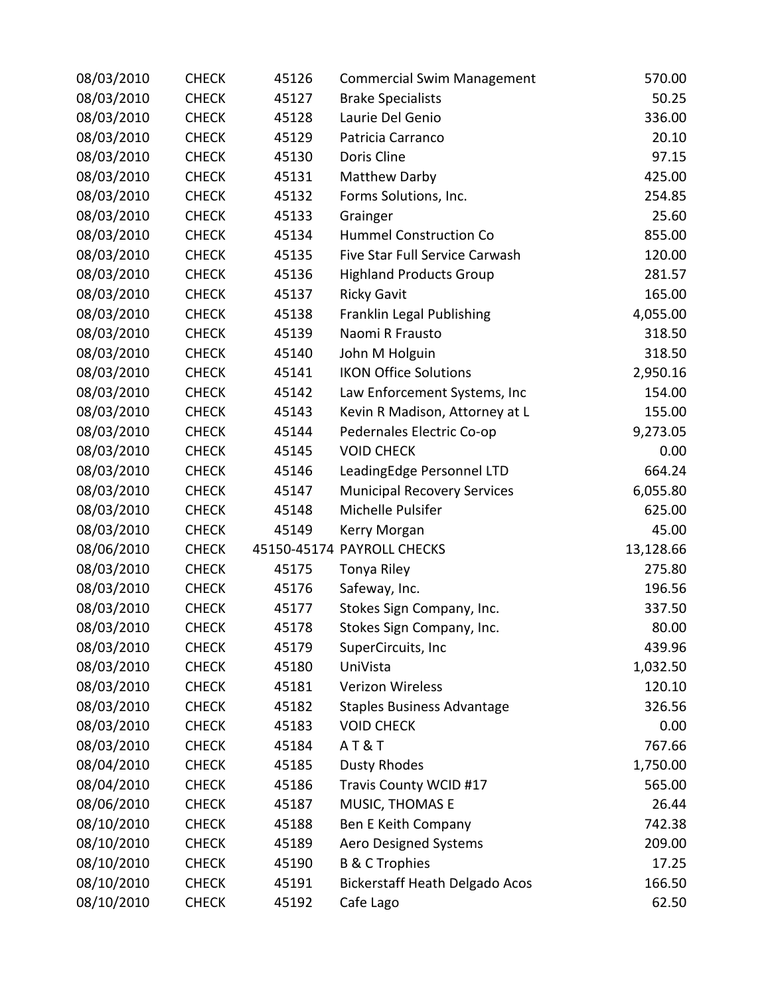| 08/03/2010 | <b>CHECK</b> | 45126 | <b>Commercial Swim Management</b>     | 570.00    |
|------------|--------------|-------|---------------------------------------|-----------|
| 08/03/2010 | <b>CHECK</b> | 45127 | <b>Brake Specialists</b>              | 50.25     |
| 08/03/2010 | <b>CHECK</b> | 45128 | Laurie Del Genio                      | 336.00    |
| 08/03/2010 | <b>CHECK</b> | 45129 | Patricia Carranco                     | 20.10     |
| 08/03/2010 | <b>CHECK</b> | 45130 | Doris Cline                           | 97.15     |
| 08/03/2010 | <b>CHECK</b> | 45131 | Matthew Darby                         | 425.00    |
| 08/03/2010 | <b>CHECK</b> | 45132 | Forms Solutions, Inc.                 | 254.85    |
| 08/03/2010 | <b>CHECK</b> | 45133 | Grainger                              | 25.60     |
| 08/03/2010 | <b>CHECK</b> | 45134 | <b>Hummel Construction Co</b>         | 855.00    |
| 08/03/2010 | <b>CHECK</b> | 45135 | Five Star Full Service Carwash        | 120.00    |
| 08/03/2010 | <b>CHECK</b> | 45136 | <b>Highland Products Group</b>        | 281.57    |
| 08/03/2010 | <b>CHECK</b> | 45137 | <b>Ricky Gavit</b>                    | 165.00    |
| 08/03/2010 | <b>CHECK</b> | 45138 | Franklin Legal Publishing             | 4,055.00  |
| 08/03/2010 | <b>CHECK</b> | 45139 | Naomi R Frausto                       | 318.50    |
| 08/03/2010 | <b>CHECK</b> | 45140 | John M Holguin                        | 318.50    |
| 08/03/2010 | <b>CHECK</b> | 45141 | <b>IKON Office Solutions</b>          | 2,950.16  |
| 08/03/2010 | <b>CHECK</b> | 45142 | Law Enforcement Systems, Inc          | 154.00    |
| 08/03/2010 | <b>CHECK</b> | 45143 | Kevin R Madison, Attorney at L        | 155.00    |
| 08/03/2010 | <b>CHECK</b> | 45144 | Pedernales Electric Co-op             | 9,273.05  |
| 08/03/2010 | <b>CHECK</b> | 45145 | <b>VOID CHECK</b>                     | 0.00      |
| 08/03/2010 | <b>CHECK</b> | 45146 | LeadingEdge Personnel LTD             | 664.24    |
| 08/03/2010 | <b>CHECK</b> | 45147 | <b>Municipal Recovery Services</b>    | 6,055.80  |
| 08/03/2010 | <b>CHECK</b> | 45148 | Michelle Pulsifer                     | 625.00    |
| 08/03/2010 | <b>CHECK</b> | 45149 | Kerry Morgan                          | 45.00     |
| 08/06/2010 | <b>CHECK</b> |       | 45150-45174 PAYROLL CHECKS            | 13,128.66 |
| 08/03/2010 | <b>CHECK</b> | 45175 | Tonya Riley                           | 275.80    |
| 08/03/2010 | <b>CHECK</b> | 45176 | Safeway, Inc.                         | 196.56    |
| 08/03/2010 | <b>CHECK</b> | 45177 | Stokes Sign Company, Inc.             | 337.50    |
| 08/03/2010 | <b>CHECK</b> | 45178 | Stokes Sign Company, Inc.             | 80.00     |
| 08/03/2010 | <b>CHECK</b> | 45179 | SuperCircuits, Inc                    | 439.96    |
| 08/03/2010 | <b>CHECK</b> | 45180 | UniVista                              | 1,032.50  |
| 08/03/2010 | <b>CHECK</b> | 45181 | Verizon Wireless                      | 120.10    |
| 08/03/2010 | <b>CHECK</b> | 45182 | <b>Staples Business Advantage</b>     | 326.56    |
| 08/03/2010 | <b>CHECK</b> | 45183 | <b>VOID CHECK</b>                     | 0.00      |
| 08/03/2010 | <b>CHECK</b> | 45184 | <b>AT&amp;T</b>                       | 767.66    |
| 08/04/2010 | <b>CHECK</b> | 45185 | <b>Dusty Rhodes</b>                   | 1,750.00  |
| 08/04/2010 | <b>CHECK</b> | 45186 | Travis County WCID #17                | 565.00    |
| 08/06/2010 | <b>CHECK</b> | 45187 | MUSIC, THOMAS E                       | 26.44     |
| 08/10/2010 | <b>CHECK</b> | 45188 | Ben E Keith Company                   | 742.38    |
| 08/10/2010 | <b>CHECK</b> | 45189 | Aero Designed Systems                 | 209.00    |
| 08/10/2010 | <b>CHECK</b> | 45190 | <b>B &amp; C Trophies</b>             | 17.25     |
| 08/10/2010 | <b>CHECK</b> | 45191 | <b>Bickerstaff Heath Delgado Acos</b> | 166.50    |
| 08/10/2010 | <b>CHECK</b> | 45192 | Cafe Lago                             | 62.50     |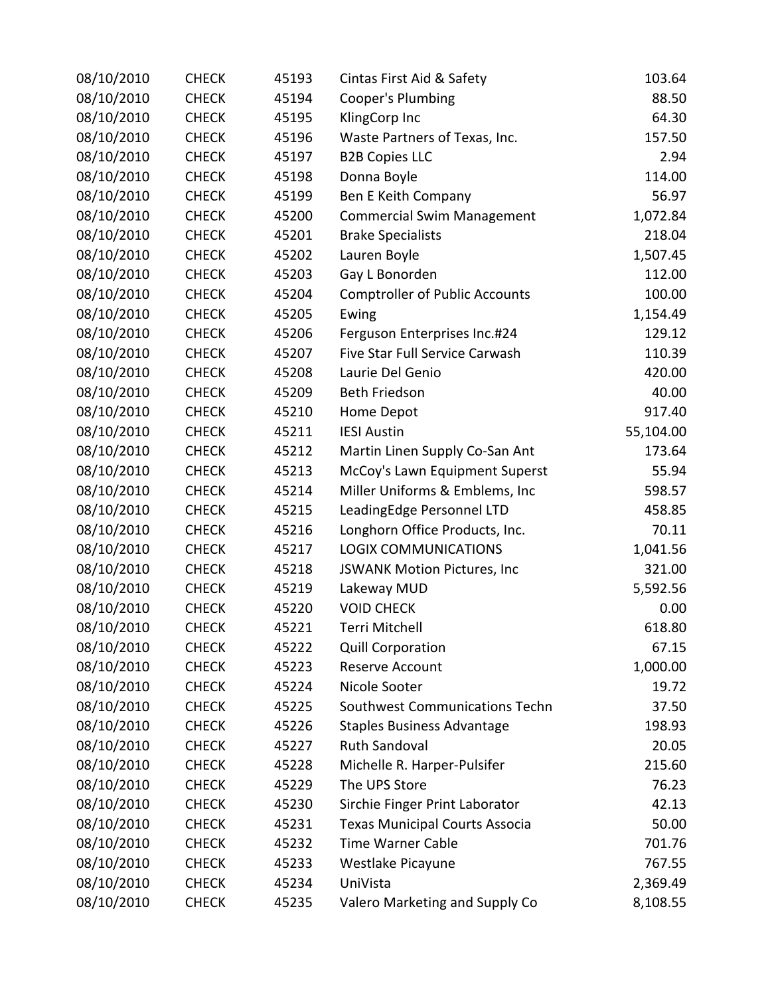| 08/10/2010 | <b>CHECK</b> | 45193 | Cintas First Aid & Safety             | 103.64    |
|------------|--------------|-------|---------------------------------------|-----------|
| 08/10/2010 | <b>CHECK</b> | 45194 | Cooper's Plumbing                     | 88.50     |
| 08/10/2010 | <b>CHECK</b> | 45195 | KlingCorp Inc                         | 64.30     |
| 08/10/2010 | <b>CHECK</b> | 45196 | Waste Partners of Texas, Inc.         | 157.50    |
| 08/10/2010 | <b>CHECK</b> | 45197 | <b>B2B Copies LLC</b>                 | 2.94      |
| 08/10/2010 | <b>CHECK</b> | 45198 | Donna Boyle                           | 114.00    |
| 08/10/2010 | <b>CHECK</b> | 45199 | Ben E Keith Company                   | 56.97     |
| 08/10/2010 | <b>CHECK</b> | 45200 | <b>Commercial Swim Management</b>     | 1,072.84  |
| 08/10/2010 | <b>CHECK</b> | 45201 | <b>Brake Specialists</b>              | 218.04    |
| 08/10/2010 | <b>CHECK</b> | 45202 | Lauren Boyle                          | 1,507.45  |
| 08/10/2010 | <b>CHECK</b> | 45203 | Gay L Bonorden                        | 112.00    |
| 08/10/2010 | <b>CHECK</b> | 45204 | <b>Comptroller of Public Accounts</b> | 100.00    |
| 08/10/2010 | <b>CHECK</b> | 45205 | Ewing                                 | 1,154.49  |
| 08/10/2010 | <b>CHECK</b> | 45206 | Ferguson Enterprises Inc.#24          | 129.12    |
| 08/10/2010 | <b>CHECK</b> | 45207 | Five Star Full Service Carwash        | 110.39    |
| 08/10/2010 | <b>CHECK</b> | 45208 | Laurie Del Genio                      | 420.00    |
| 08/10/2010 | <b>CHECK</b> | 45209 | <b>Beth Friedson</b>                  | 40.00     |
| 08/10/2010 | <b>CHECK</b> | 45210 | Home Depot                            | 917.40    |
| 08/10/2010 | <b>CHECK</b> | 45211 | <b>IESI Austin</b>                    | 55,104.00 |
| 08/10/2010 | <b>CHECK</b> | 45212 | Martin Linen Supply Co-San Ant        | 173.64    |
| 08/10/2010 | <b>CHECK</b> | 45213 | McCoy's Lawn Equipment Superst        | 55.94     |
| 08/10/2010 | <b>CHECK</b> | 45214 | Miller Uniforms & Emblems, Inc        | 598.57    |
| 08/10/2010 | <b>CHECK</b> | 45215 | LeadingEdge Personnel LTD             | 458.85    |
| 08/10/2010 | <b>CHECK</b> | 45216 | Longhorn Office Products, Inc.        | 70.11     |
| 08/10/2010 | <b>CHECK</b> | 45217 | <b>LOGIX COMMUNICATIONS</b>           | 1,041.56  |
| 08/10/2010 | <b>CHECK</b> | 45218 | JSWANK Motion Pictures, Inc           | 321.00    |
| 08/10/2010 | <b>CHECK</b> | 45219 | Lakeway MUD                           | 5,592.56  |
| 08/10/2010 | <b>CHECK</b> | 45220 | <b>VOID CHECK</b>                     | 0.00      |
| 08/10/2010 | <b>CHECK</b> | 45221 | Terri Mitchell                        | 618.80    |
| 08/10/2010 | <b>CHECK</b> | 45222 | <b>Quill Corporation</b>              | 67.15     |
| 08/10/2010 | <b>CHECK</b> | 45223 | Reserve Account                       | 1,000.00  |
| 08/10/2010 | <b>CHECK</b> | 45224 | Nicole Sooter                         | 19.72     |
| 08/10/2010 | <b>CHECK</b> | 45225 | Southwest Communications Techn        | 37.50     |
| 08/10/2010 | <b>CHECK</b> | 45226 | <b>Staples Business Advantage</b>     | 198.93    |
| 08/10/2010 | <b>CHECK</b> | 45227 | <b>Ruth Sandoval</b>                  | 20.05     |
| 08/10/2010 | <b>CHECK</b> | 45228 | Michelle R. Harper-Pulsifer           | 215.60    |
| 08/10/2010 | <b>CHECK</b> | 45229 | The UPS Store                         | 76.23     |
| 08/10/2010 | <b>CHECK</b> | 45230 | Sirchie Finger Print Laborator        | 42.13     |
| 08/10/2010 | <b>CHECK</b> | 45231 | <b>Texas Municipal Courts Associa</b> | 50.00     |
| 08/10/2010 | <b>CHECK</b> | 45232 | <b>Time Warner Cable</b>              | 701.76    |
| 08/10/2010 | <b>CHECK</b> | 45233 | Westlake Picayune                     | 767.55    |
| 08/10/2010 | <b>CHECK</b> | 45234 | UniVista                              | 2,369.49  |
| 08/10/2010 | <b>CHECK</b> | 45235 | Valero Marketing and Supply Co        | 8,108.55  |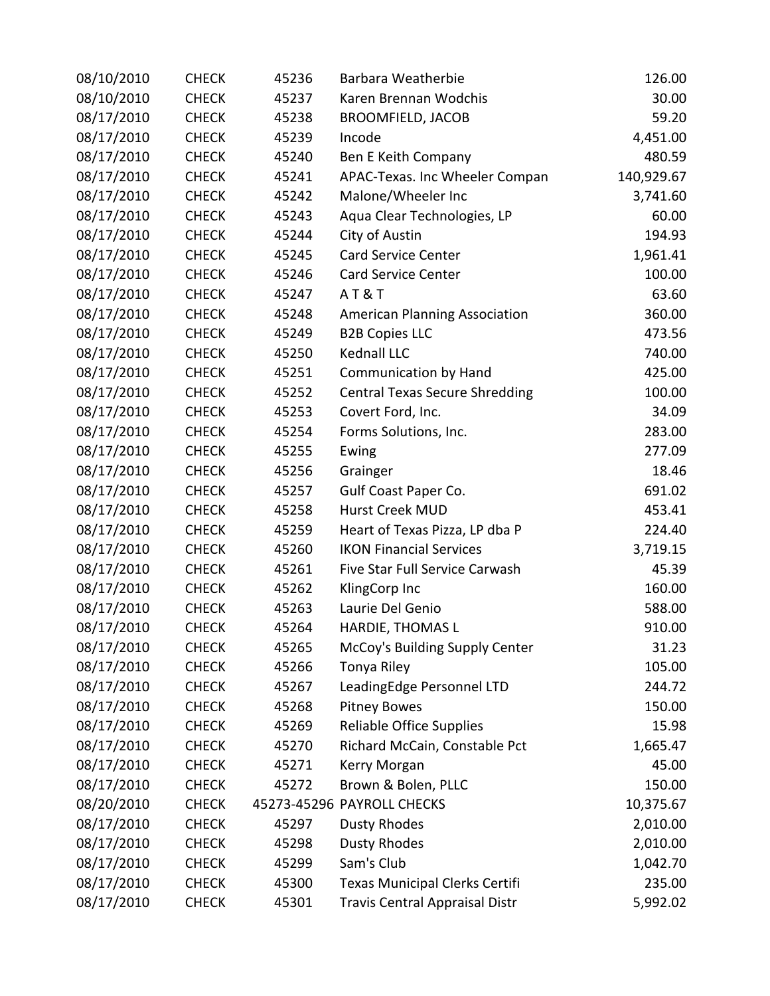| 08/10/2010 | <b>CHECK</b> | 45236 | Barbara Weatherbie                    | 126.00     |
|------------|--------------|-------|---------------------------------------|------------|
| 08/10/2010 | <b>CHECK</b> | 45237 | Karen Brennan Wodchis                 | 30.00      |
| 08/17/2010 | <b>CHECK</b> | 45238 | <b>BROOMFIELD, JACOB</b>              | 59.20      |
| 08/17/2010 | <b>CHECK</b> | 45239 | Incode                                | 4,451.00   |
| 08/17/2010 | <b>CHECK</b> | 45240 | Ben E Keith Company                   | 480.59     |
| 08/17/2010 | <b>CHECK</b> | 45241 | APAC-Texas. Inc Wheeler Compan        | 140,929.67 |
| 08/17/2010 | <b>CHECK</b> | 45242 | Malone/Wheeler Inc                    | 3,741.60   |
| 08/17/2010 | <b>CHECK</b> | 45243 | Aqua Clear Technologies, LP           | 60.00      |
| 08/17/2010 | <b>CHECK</b> | 45244 | City of Austin                        | 194.93     |
| 08/17/2010 | <b>CHECK</b> | 45245 | <b>Card Service Center</b>            | 1,961.41   |
| 08/17/2010 | <b>CHECK</b> | 45246 | <b>Card Service Center</b>            | 100.00     |
| 08/17/2010 | <b>CHECK</b> | 45247 | <b>AT&amp;T</b>                       | 63.60      |
| 08/17/2010 | <b>CHECK</b> | 45248 | <b>American Planning Association</b>  | 360.00     |
| 08/17/2010 | <b>CHECK</b> | 45249 | <b>B2B Copies LLC</b>                 | 473.56     |
| 08/17/2010 | <b>CHECK</b> | 45250 | <b>Kednall LLC</b>                    | 740.00     |
| 08/17/2010 | <b>CHECK</b> | 45251 | <b>Communication by Hand</b>          | 425.00     |
| 08/17/2010 | <b>CHECK</b> | 45252 | <b>Central Texas Secure Shredding</b> | 100.00     |
| 08/17/2010 | <b>CHECK</b> | 45253 | Covert Ford, Inc.                     | 34.09      |
| 08/17/2010 | <b>CHECK</b> | 45254 | Forms Solutions, Inc.                 | 283.00     |
| 08/17/2010 | <b>CHECK</b> | 45255 | Ewing                                 | 277.09     |
| 08/17/2010 | <b>CHECK</b> | 45256 | Grainger                              | 18.46      |
| 08/17/2010 | <b>CHECK</b> | 45257 | Gulf Coast Paper Co.                  | 691.02     |
| 08/17/2010 | <b>CHECK</b> | 45258 | Hurst Creek MUD                       | 453.41     |
| 08/17/2010 | <b>CHECK</b> | 45259 | Heart of Texas Pizza, LP dba P        | 224.40     |
| 08/17/2010 | <b>CHECK</b> | 45260 | <b>IKON Financial Services</b>        | 3,719.15   |
| 08/17/2010 | <b>CHECK</b> | 45261 | Five Star Full Service Carwash        | 45.39      |
| 08/17/2010 | <b>CHECK</b> | 45262 | KlingCorp Inc                         | 160.00     |
| 08/17/2010 | <b>CHECK</b> | 45263 | Laurie Del Genio                      | 588.00     |
| 08/17/2010 | <b>CHECK</b> | 45264 | HARDIE, THOMAS L                      | 910.00     |
| 08/17/2010 | <b>CHECK</b> | 45265 | McCoy's Building Supply Center        | 31.23      |
| 08/17/2010 | <b>CHECK</b> | 45266 | Tonya Riley                           | 105.00     |
| 08/17/2010 | <b>CHECK</b> | 45267 | LeadingEdge Personnel LTD             | 244.72     |
| 08/17/2010 | <b>CHECK</b> | 45268 | <b>Pitney Bowes</b>                   | 150.00     |
| 08/17/2010 | <b>CHECK</b> | 45269 | <b>Reliable Office Supplies</b>       | 15.98      |
| 08/17/2010 | <b>CHECK</b> | 45270 | Richard McCain, Constable Pct         | 1,665.47   |
| 08/17/2010 | <b>CHECK</b> | 45271 | Kerry Morgan                          | 45.00      |
| 08/17/2010 | <b>CHECK</b> | 45272 | Brown & Bolen, PLLC                   | 150.00     |
| 08/20/2010 | <b>CHECK</b> |       | 45273-45296 PAYROLL CHECKS            | 10,375.67  |
| 08/17/2010 | <b>CHECK</b> | 45297 | <b>Dusty Rhodes</b>                   | 2,010.00   |
| 08/17/2010 | <b>CHECK</b> | 45298 | <b>Dusty Rhodes</b>                   | 2,010.00   |
| 08/17/2010 | <b>CHECK</b> | 45299 | Sam's Club                            | 1,042.70   |
| 08/17/2010 | <b>CHECK</b> | 45300 | Texas Municipal Clerks Certifi        | 235.00     |
| 08/17/2010 | <b>CHECK</b> | 45301 | <b>Travis Central Appraisal Distr</b> | 5,992.02   |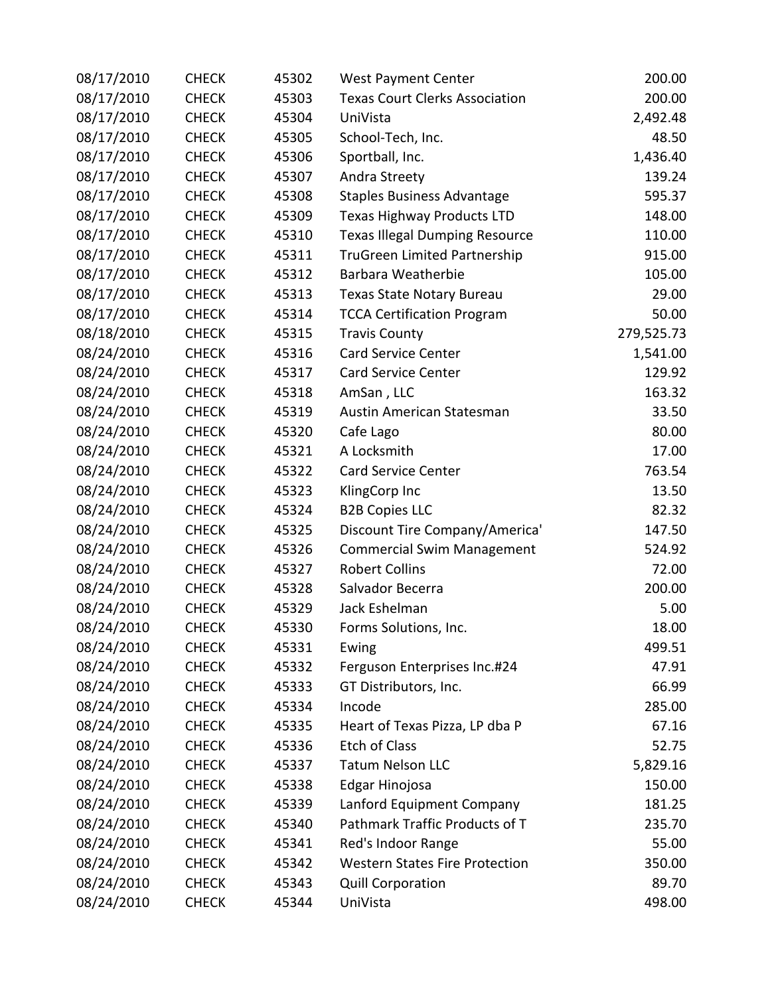| 08/17/2010 | <b>CHECK</b> | 45302 | <b>West Payment Center</b>            | 200.00     |
|------------|--------------|-------|---------------------------------------|------------|
| 08/17/2010 | <b>CHECK</b> | 45303 | <b>Texas Court Clerks Association</b> | 200.00     |
| 08/17/2010 | <b>CHECK</b> | 45304 | UniVista                              | 2,492.48   |
| 08/17/2010 | <b>CHECK</b> | 45305 | School-Tech, Inc.                     | 48.50      |
| 08/17/2010 | <b>CHECK</b> | 45306 | Sportball, Inc.                       | 1,436.40   |
| 08/17/2010 | <b>CHECK</b> | 45307 | Andra Streety                         | 139.24     |
| 08/17/2010 | <b>CHECK</b> | 45308 | <b>Staples Business Advantage</b>     | 595.37     |
| 08/17/2010 | <b>CHECK</b> | 45309 | <b>Texas Highway Products LTD</b>     | 148.00     |
| 08/17/2010 | <b>CHECK</b> | 45310 | <b>Texas Illegal Dumping Resource</b> | 110.00     |
| 08/17/2010 | <b>CHECK</b> | 45311 | <b>TruGreen Limited Partnership</b>   | 915.00     |
| 08/17/2010 | <b>CHECK</b> | 45312 | Barbara Weatherbie                    | 105.00     |
| 08/17/2010 | <b>CHECK</b> | 45313 | Texas State Notary Bureau             | 29.00      |
| 08/17/2010 | <b>CHECK</b> | 45314 | <b>TCCA Certification Program</b>     | 50.00      |
| 08/18/2010 | <b>CHECK</b> | 45315 | <b>Travis County</b>                  | 279,525.73 |
| 08/24/2010 | <b>CHECK</b> | 45316 | <b>Card Service Center</b>            | 1,541.00   |
| 08/24/2010 | <b>CHECK</b> | 45317 | Card Service Center                   | 129.92     |
| 08/24/2010 | <b>CHECK</b> | 45318 | AmSan, LLC                            | 163.32     |
| 08/24/2010 | <b>CHECK</b> | 45319 | Austin American Statesman             | 33.50      |
| 08/24/2010 | <b>CHECK</b> | 45320 | Cafe Lago                             | 80.00      |
| 08/24/2010 | <b>CHECK</b> | 45321 | A Locksmith                           | 17.00      |
| 08/24/2010 | <b>CHECK</b> | 45322 | <b>Card Service Center</b>            | 763.54     |
| 08/24/2010 | <b>CHECK</b> | 45323 | KlingCorp Inc                         | 13.50      |
| 08/24/2010 | <b>CHECK</b> | 45324 | <b>B2B Copies LLC</b>                 | 82.32      |
| 08/24/2010 | <b>CHECK</b> | 45325 | Discount Tire Company/America'        | 147.50     |
| 08/24/2010 | <b>CHECK</b> | 45326 | <b>Commercial Swim Management</b>     | 524.92     |
| 08/24/2010 | <b>CHECK</b> | 45327 | <b>Robert Collins</b>                 | 72.00      |
| 08/24/2010 | <b>CHECK</b> | 45328 | Salvador Becerra                      | 200.00     |
| 08/24/2010 | <b>CHECK</b> | 45329 | Jack Eshelman                         | 5.00       |
| 08/24/2010 | <b>CHECK</b> | 45330 | Forms Solutions, Inc.                 | 18.00      |
| 08/24/2010 | <b>CHECK</b> | 45331 | Ewing                                 | 499.51     |
| 08/24/2010 | <b>CHECK</b> | 45332 | Ferguson Enterprises Inc.#24          | 47.91      |
| 08/24/2010 | <b>CHECK</b> | 45333 | GT Distributors, Inc.                 | 66.99      |
| 08/24/2010 | <b>CHECK</b> | 45334 | Incode                                | 285.00     |
| 08/24/2010 | <b>CHECK</b> | 45335 | Heart of Texas Pizza, LP dba P        | 67.16      |
| 08/24/2010 | <b>CHECK</b> | 45336 | <b>Etch of Class</b>                  | 52.75      |
| 08/24/2010 | <b>CHECK</b> | 45337 | <b>Tatum Nelson LLC</b>               | 5,829.16   |
| 08/24/2010 | <b>CHECK</b> | 45338 | Edgar Hinojosa                        | 150.00     |
| 08/24/2010 | <b>CHECK</b> | 45339 | Lanford Equipment Company             | 181.25     |
| 08/24/2010 | <b>CHECK</b> | 45340 | Pathmark Traffic Products of T        | 235.70     |
| 08/24/2010 | <b>CHECK</b> | 45341 | Red's Indoor Range                    | 55.00      |
| 08/24/2010 | <b>CHECK</b> | 45342 | <b>Western States Fire Protection</b> | 350.00     |
| 08/24/2010 | <b>CHECK</b> | 45343 | <b>Quill Corporation</b>              | 89.70      |
| 08/24/2010 | <b>CHECK</b> | 45344 | UniVista                              | 498.00     |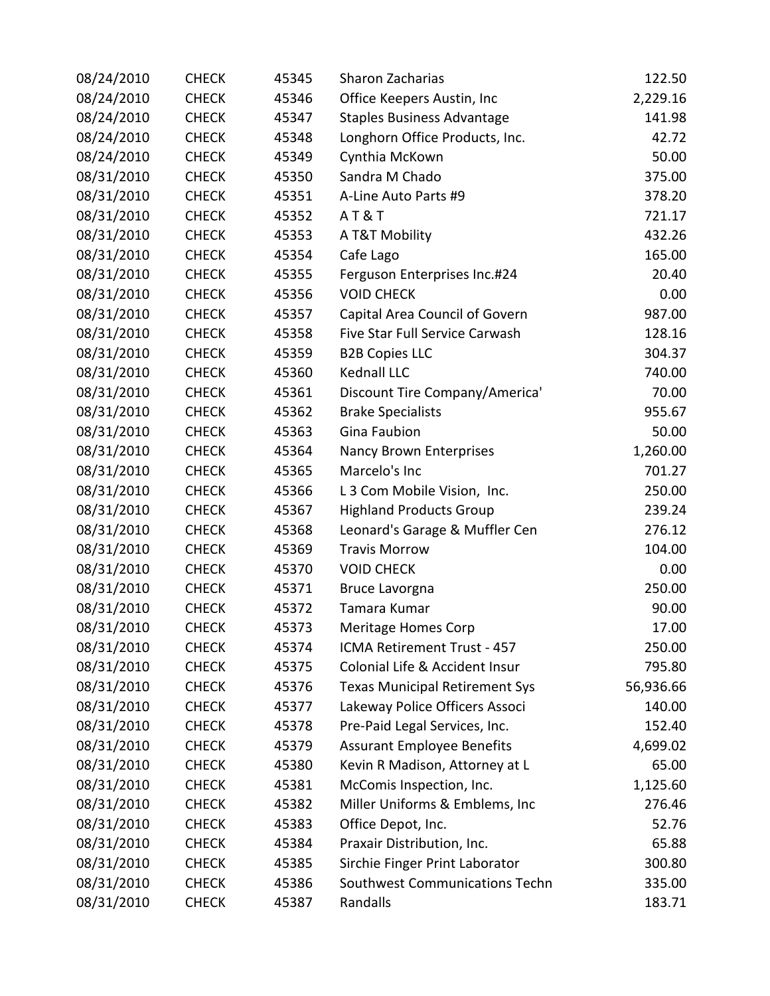| 08/24/2010 | <b>CHECK</b> | 45345 | <b>Sharon Zacharias</b>               | 122.50    |
|------------|--------------|-------|---------------------------------------|-----------|
| 08/24/2010 | <b>CHECK</b> | 45346 | Office Keepers Austin, Inc            | 2,229.16  |
| 08/24/2010 | <b>CHECK</b> | 45347 | <b>Staples Business Advantage</b>     | 141.98    |
| 08/24/2010 | <b>CHECK</b> | 45348 | Longhorn Office Products, Inc.        | 42.72     |
| 08/24/2010 | <b>CHECK</b> | 45349 | Cynthia McKown                        | 50.00     |
| 08/31/2010 | <b>CHECK</b> | 45350 | Sandra M Chado                        | 375.00    |
| 08/31/2010 | <b>CHECK</b> | 45351 | A-Line Auto Parts #9                  | 378.20    |
| 08/31/2010 | <b>CHECK</b> | 45352 | AT&T                                  | 721.17    |
| 08/31/2010 | <b>CHECK</b> | 45353 | A T&T Mobility                        | 432.26    |
| 08/31/2010 | <b>CHECK</b> | 45354 | Cafe Lago                             | 165.00    |
| 08/31/2010 | <b>CHECK</b> | 45355 | Ferguson Enterprises Inc.#24          | 20.40     |
| 08/31/2010 | <b>CHECK</b> | 45356 | <b>VOID CHECK</b>                     | 0.00      |
| 08/31/2010 | <b>CHECK</b> | 45357 | Capital Area Council of Govern        | 987.00    |
| 08/31/2010 | <b>CHECK</b> | 45358 | Five Star Full Service Carwash        | 128.16    |
| 08/31/2010 | <b>CHECK</b> | 45359 | <b>B2B Copies LLC</b>                 | 304.37    |
| 08/31/2010 | <b>CHECK</b> | 45360 | Kednall LLC                           | 740.00    |
| 08/31/2010 | <b>CHECK</b> | 45361 | Discount Tire Company/America'        | 70.00     |
| 08/31/2010 | <b>CHECK</b> | 45362 | <b>Brake Specialists</b>              | 955.67    |
| 08/31/2010 | <b>CHECK</b> | 45363 | <b>Gina Faubion</b>                   | 50.00     |
| 08/31/2010 | <b>CHECK</b> | 45364 | Nancy Brown Enterprises               | 1,260.00  |
| 08/31/2010 | <b>CHECK</b> | 45365 | Marcelo's Inc                         | 701.27    |
| 08/31/2010 | <b>CHECK</b> | 45366 | L 3 Com Mobile Vision, Inc.           | 250.00    |
| 08/31/2010 | <b>CHECK</b> | 45367 | <b>Highland Products Group</b>        | 239.24    |
| 08/31/2010 | <b>CHECK</b> | 45368 | Leonard's Garage & Muffler Cen        | 276.12    |
| 08/31/2010 | <b>CHECK</b> | 45369 | <b>Travis Morrow</b>                  | 104.00    |
| 08/31/2010 | <b>CHECK</b> | 45370 | <b>VOID CHECK</b>                     | 0.00      |
| 08/31/2010 | <b>CHECK</b> | 45371 | Bruce Lavorgna                        | 250.00    |
| 08/31/2010 | <b>CHECK</b> | 45372 | Tamara Kumar                          | 90.00     |
| 08/31/2010 | <b>CHECK</b> | 45373 | <b>Meritage Homes Corp</b>            | 17.00     |
| 08/31/2010 | <b>CHECK</b> | 45374 | ICMA Retirement Trust - 457           | 250.00    |
| 08/31/2010 | <b>CHECK</b> | 45375 | Colonial Life & Accident Insur        | 795.80    |
| 08/31/2010 | <b>CHECK</b> | 45376 | <b>Texas Municipal Retirement Sys</b> | 56,936.66 |
| 08/31/2010 | <b>CHECK</b> | 45377 | Lakeway Police Officers Associ        | 140.00    |
| 08/31/2010 | <b>CHECK</b> | 45378 | Pre-Paid Legal Services, Inc.         | 152.40    |
| 08/31/2010 | <b>CHECK</b> | 45379 | <b>Assurant Employee Benefits</b>     | 4,699.02  |
| 08/31/2010 | <b>CHECK</b> | 45380 | Kevin R Madison, Attorney at L        | 65.00     |
| 08/31/2010 | <b>CHECK</b> | 45381 | McComis Inspection, Inc.              | 1,125.60  |
| 08/31/2010 | <b>CHECK</b> | 45382 | Miller Uniforms & Emblems, Inc        | 276.46    |
| 08/31/2010 | <b>CHECK</b> | 45383 | Office Depot, Inc.                    | 52.76     |
| 08/31/2010 | <b>CHECK</b> | 45384 | Praxair Distribution, Inc.            | 65.88     |
| 08/31/2010 | <b>CHECK</b> | 45385 | Sirchie Finger Print Laborator        | 300.80    |
| 08/31/2010 | <b>CHECK</b> | 45386 | Southwest Communications Techn        | 335.00    |
| 08/31/2010 | <b>CHECK</b> | 45387 | Randalls                              | 183.71    |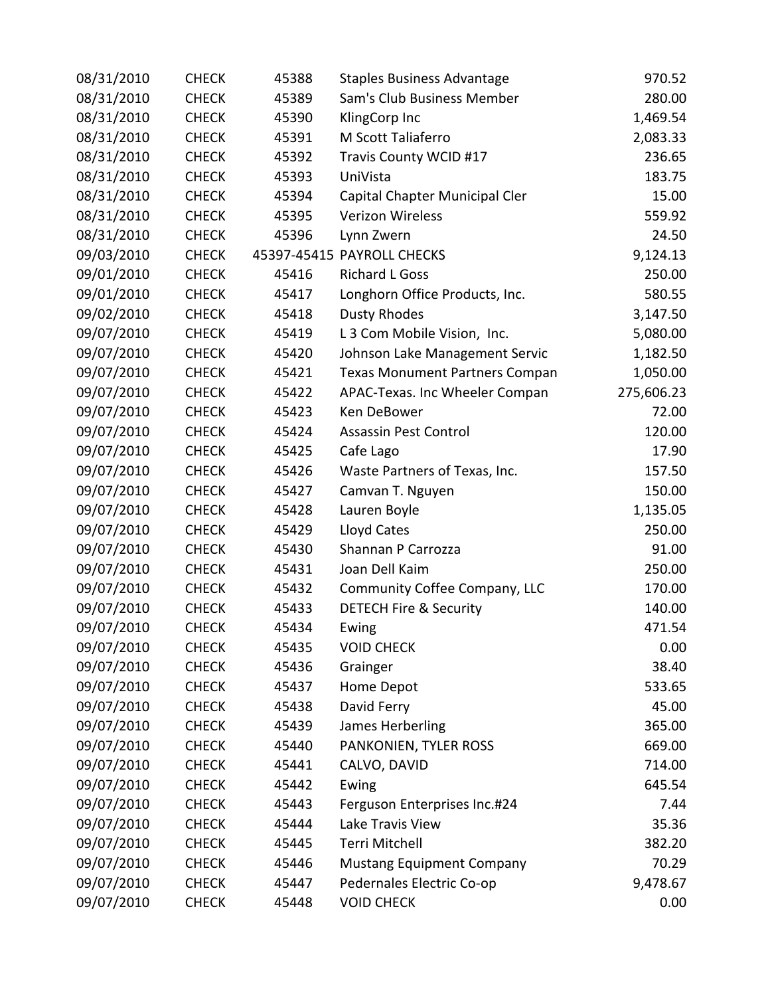| 08/31/2010 | <b>CHECK</b> | 45388 | <b>Staples Business Advantage</b>     | 970.52     |
|------------|--------------|-------|---------------------------------------|------------|
| 08/31/2010 | <b>CHECK</b> | 45389 | Sam's Club Business Member            | 280.00     |
| 08/31/2010 | <b>CHECK</b> | 45390 | KlingCorp Inc                         | 1,469.54   |
| 08/31/2010 | <b>CHECK</b> | 45391 | M Scott Taliaferro                    | 2,083.33   |
| 08/31/2010 | <b>CHECK</b> | 45392 | Travis County WCID #17                | 236.65     |
| 08/31/2010 | <b>CHECK</b> | 45393 | UniVista                              | 183.75     |
| 08/31/2010 | <b>CHECK</b> | 45394 | Capital Chapter Municipal Cler        | 15.00      |
| 08/31/2010 | <b>CHECK</b> | 45395 | Verizon Wireless                      | 559.92     |
| 08/31/2010 | <b>CHECK</b> | 45396 | Lynn Zwern                            | 24.50      |
| 09/03/2010 | <b>CHECK</b> |       | 45397-45415 PAYROLL CHECKS            | 9,124.13   |
| 09/01/2010 | <b>CHECK</b> | 45416 | <b>Richard L Goss</b>                 | 250.00     |
| 09/01/2010 | <b>CHECK</b> | 45417 | Longhorn Office Products, Inc.        | 580.55     |
| 09/02/2010 | <b>CHECK</b> | 45418 | <b>Dusty Rhodes</b>                   | 3,147.50   |
| 09/07/2010 | <b>CHECK</b> | 45419 | L 3 Com Mobile Vision, Inc.           | 5,080.00   |
| 09/07/2010 | <b>CHECK</b> | 45420 | Johnson Lake Management Servic        | 1,182.50   |
| 09/07/2010 | <b>CHECK</b> | 45421 | <b>Texas Monument Partners Compan</b> | 1,050.00   |
| 09/07/2010 | <b>CHECK</b> | 45422 | APAC-Texas. Inc Wheeler Compan        | 275,606.23 |
| 09/07/2010 | <b>CHECK</b> | 45423 | Ken DeBower                           | 72.00      |
| 09/07/2010 | <b>CHECK</b> | 45424 | <b>Assassin Pest Control</b>          | 120.00     |
| 09/07/2010 | <b>CHECK</b> | 45425 | Cafe Lago                             | 17.90      |
| 09/07/2010 | <b>CHECK</b> | 45426 | Waste Partners of Texas, Inc.         | 157.50     |
| 09/07/2010 | <b>CHECK</b> | 45427 | Camvan T. Nguyen                      | 150.00     |
| 09/07/2010 | <b>CHECK</b> | 45428 | Lauren Boyle                          | 1,135.05   |
| 09/07/2010 | <b>CHECK</b> | 45429 | Lloyd Cates                           | 250.00     |
| 09/07/2010 | <b>CHECK</b> | 45430 | Shannan P Carrozza                    | 91.00      |
| 09/07/2010 | <b>CHECK</b> | 45431 | Joan Dell Kaim                        | 250.00     |
| 09/07/2010 | <b>CHECK</b> | 45432 | Community Coffee Company, LLC         | 170.00     |
| 09/07/2010 | <b>CHECK</b> | 45433 | <b>DETECH Fire &amp; Security</b>     | 140.00     |
| 09/07/2010 | <b>CHECK</b> | 45434 | Ewing                                 | 471.54     |
| 09/07/2010 | <b>CHECK</b> | 45435 | <b>VOID CHECK</b>                     | 0.00       |
| 09/07/2010 | <b>CHECK</b> | 45436 | Grainger                              | 38.40      |
| 09/07/2010 | <b>CHECK</b> | 45437 | Home Depot                            | 533.65     |
| 09/07/2010 | <b>CHECK</b> | 45438 | David Ferry                           | 45.00      |
| 09/07/2010 | <b>CHECK</b> | 45439 | James Herberling                      | 365.00     |
| 09/07/2010 | <b>CHECK</b> | 45440 | PANKONIEN, TYLER ROSS                 | 669.00     |
| 09/07/2010 | <b>CHECK</b> | 45441 | CALVO, DAVID                          | 714.00     |
| 09/07/2010 | <b>CHECK</b> | 45442 | Ewing                                 | 645.54     |
| 09/07/2010 | <b>CHECK</b> | 45443 | Ferguson Enterprises Inc.#24          | 7.44       |
| 09/07/2010 | <b>CHECK</b> | 45444 | Lake Travis View                      | 35.36      |
| 09/07/2010 | <b>CHECK</b> | 45445 | Terri Mitchell                        | 382.20     |
| 09/07/2010 | <b>CHECK</b> | 45446 | <b>Mustang Equipment Company</b>      | 70.29      |
| 09/07/2010 | <b>CHECK</b> | 45447 | Pedernales Electric Co-op             | 9,478.67   |
| 09/07/2010 | <b>CHECK</b> | 45448 | <b>VOID CHECK</b>                     | 0.00       |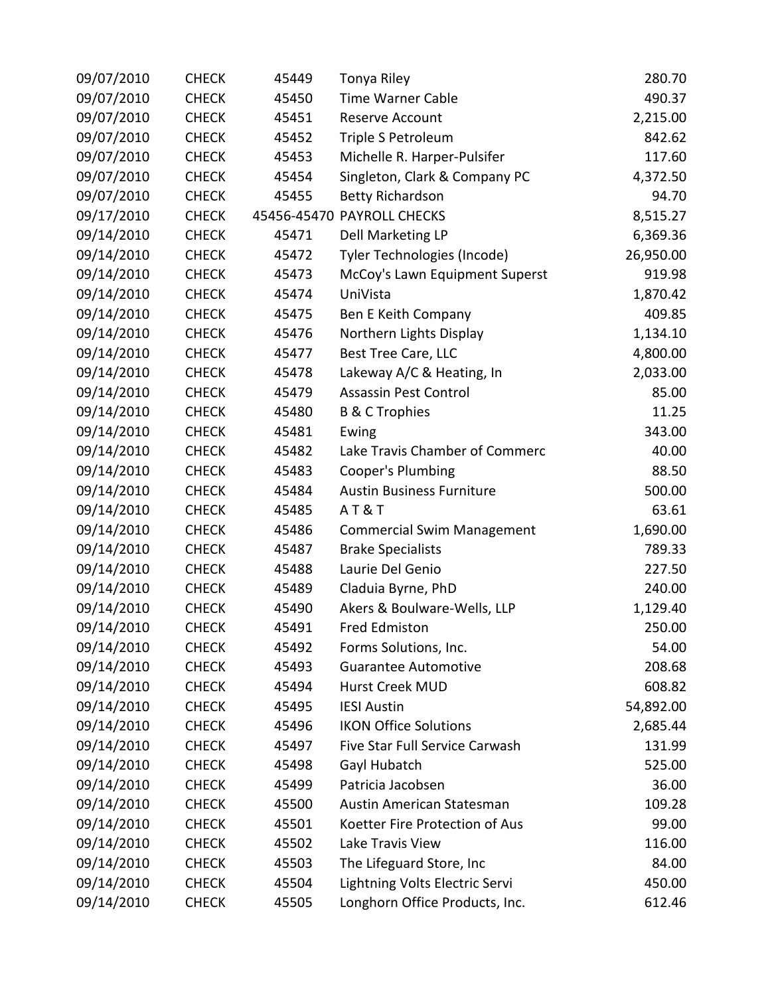| 09/07/2010 | <b>CHECK</b> | 45449 | Tonya Riley                       | 280.70    |
|------------|--------------|-------|-----------------------------------|-----------|
| 09/07/2010 | <b>CHECK</b> | 45450 | <b>Time Warner Cable</b>          | 490.37    |
| 09/07/2010 | <b>CHECK</b> | 45451 | Reserve Account                   | 2,215.00  |
| 09/07/2010 | <b>CHECK</b> | 45452 | Triple S Petroleum                | 842.62    |
| 09/07/2010 | <b>CHECK</b> | 45453 | Michelle R. Harper-Pulsifer       | 117.60    |
| 09/07/2010 | <b>CHECK</b> | 45454 | Singleton, Clark & Company PC     | 4,372.50  |
| 09/07/2010 | <b>CHECK</b> | 45455 | <b>Betty Richardson</b>           | 94.70     |
| 09/17/2010 | <b>CHECK</b> |       | 45456-45470 PAYROLL CHECKS        | 8,515.27  |
| 09/14/2010 | <b>CHECK</b> | 45471 | Dell Marketing LP                 | 6,369.36  |
| 09/14/2010 | <b>CHECK</b> | 45472 | Tyler Technologies (Incode)       | 26,950.00 |
| 09/14/2010 | <b>CHECK</b> | 45473 | McCoy's Lawn Equipment Superst    | 919.98    |
| 09/14/2010 | <b>CHECK</b> | 45474 | UniVista                          | 1,870.42  |
| 09/14/2010 | <b>CHECK</b> | 45475 | Ben E Keith Company               | 409.85    |
| 09/14/2010 | <b>CHECK</b> | 45476 | Northern Lights Display           | 1,134.10  |
| 09/14/2010 | <b>CHECK</b> | 45477 | Best Tree Care, LLC               | 4,800.00  |
| 09/14/2010 | <b>CHECK</b> | 45478 | Lakeway A/C & Heating, In         | 2,033.00  |
| 09/14/2010 | <b>CHECK</b> | 45479 | <b>Assassin Pest Control</b>      | 85.00     |
| 09/14/2010 | <b>CHECK</b> | 45480 | <b>B &amp; C Trophies</b>         | 11.25     |
| 09/14/2010 | <b>CHECK</b> | 45481 | Ewing                             | 343.00    |
| 09/14/2010 | <b>CHECK</b> | 45482 | Lake Travis Chamber of Commerc    | 40.00     |
| 09/14/2010 | <b>CHECK</b> | 45483 | Cooper's Plumbing                 | 88.50     |
| 09/14/2010 | <b>CHECK</b> | 45484 | <b>Austin Business Furniture</b>  | 500.00    |
| 09/14/2010 | <b>CHECK</b> | 45485 | AT&T                              | 63.61     |
| 09/14/2010 | <b>CHECK</b> | 45486 | <b>Commercial Swim Management</b> | 1,690.00  |
| 09/14/2010 | <b>CHECK</b> | 45487 | <b>Brake Specialists</b>          | 789.33    |
| 09/14/2010 | <b>CHECK</b> | 45488 | Laurie Del Genio                  | 227.50    |
| 09/14/2010 | <b>CHECK</b> | 45489 | Claduia Byrne, PhD                | 240.00    |
| 09/14/2010 | <b>CHECK</b> | 45490 | Akers & Boulware-Wells, LLP       | 1,129.40  |
| 09/14/2010 | <b>CHECK</b> | 45491 | Fred Edmiston                     | 250.00    |
| 09/14/2010 | <b>CHECK</b> | 45492 | Forms Solutions, Inc.             | 54.00     |
| 09/14/2010 | <b>CHECK</b> | 45493 | <b>Guarantee Automotive</b>       | 208.68    |
| 09/14/2010 | <b>CHECK</b> | 45494 | Hurst Creek MUD                   | 608.82    |
| 09/14/2010 | <b>CHECK</b> | 45495 | <b>IESI Austin</b>                | 54,892.00 |
| 09/14/2010 | <b>CHECK</b> | 45496 | <b>IKON Office Solutions</b>      | 2,685.44  |
| 09/14/2010 | <b>CHECK</b> | 45497 | Five Star Full Service Carwash    | 131.99    |
| 09/14/2010 | <b>CHECK</b> | 45498 | Gayl Hubatch                      | 525.00    |
| 09/14/2010 | <b>CHECK</b> | 45499 | Patricia Jacobsen                 | 36.00     |
| 09/14/2010 | <b>CHECK</b> | 45500 | Austin American Statesman         | 109.28    |
| 09/14/2010 | <b>CHECK</b> | 45501 | Koetter Fire Protection of Aus    | 99.00     |
| 09/14/2010 | <b>CHECK</b> | 45502 | Lake Travis View                  | 116.00    |
| 09/14/2010 | <b>CHECK</b> | 45503 | The Lifeguard Store, Inc          | 84.00     |
| 09/14/2010 | <b>CHECK</b> | 45504 | Lightning Volts Electric Servi    | 450.00    |
| 09/14/2010 | <b>CHECK</b> | 45505 | Longhorn Office Products, Inc.    | 612.46    |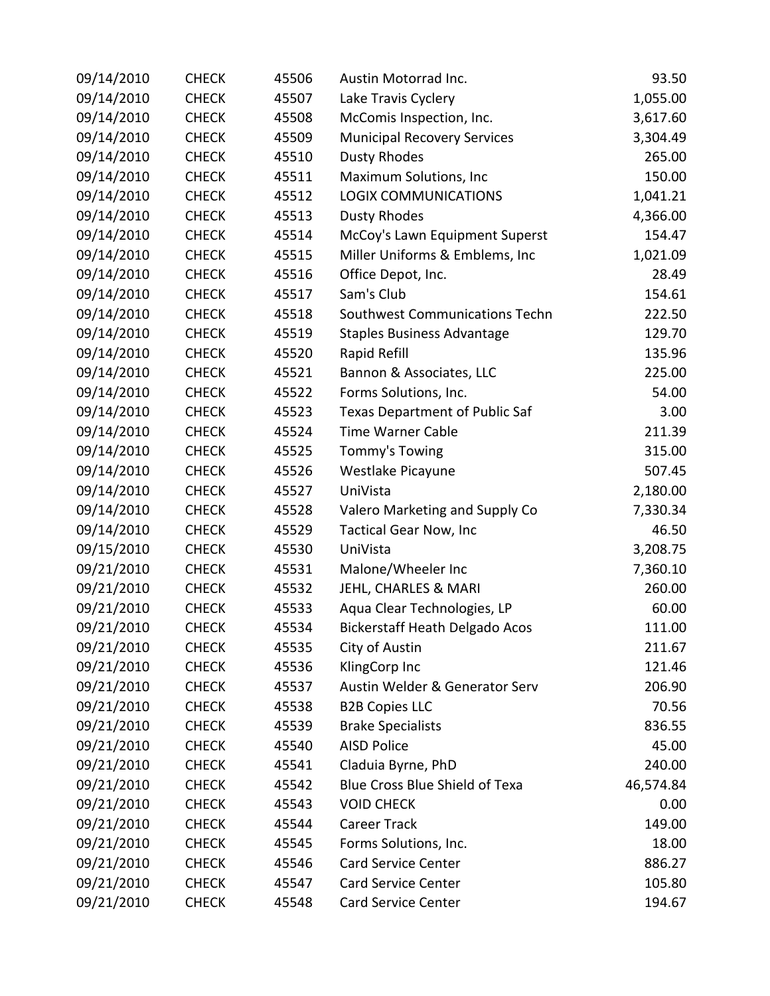| 09/14/2010 | <b>CHECK</b> | 45506 | Austin Motorrad Inc.                  | 93.50     |
|------------|--------------|-------|---------------------------------------|-----------|
| 09/14/2010 | <b>CHECK</b> | 45507 | Lake Travis Cyclery                   | 1,055.00  |
| 09/14/2010 | <b>CHECK</b> | 45508 | McComis Inspection, Inc.              | 3,617.60  |
| 09/14/2010 | <b>CHECK</b> | 45509 | <b>Municipal Recovery Services</b>    | 3,304.49  |
| 09/14/2010 | <b>CHECK</b> | 45510 | <b>Dusty Rhodes</b>                   | 265.00    |
| 09/14/2010 | <b>CHECK</b> | 45511 | Maximum Solutions, Inc                | 150.00    |
| 09/14/2010 | <b>CHECK</b> | 45512 | <b>LOGIX COMMUNICATIONS</b>           | 1,041.21  |
| 09/14/2010 | <b>CHECK</b> | 45513 | <b>Dusty Rhodes</b>                   | 4,366.00  |
| 09/14/2010 | <b>CHECK</b> | 45514 | McCoy's Lawn Equipment Superst        | 154.47    |
| 09/14/2010 | <b>CHECK</b> | 45515 | Miller Uniforms & Emblems, Inc        | 1,021.09  |
| 09/14/2010 | <b>CHECK</b> | 45516 | Office Depot, Inc.                    | 28.49     |
| 09/14/2010 | <b>CHECK</b> | 45517 | Sam's Club                            | 154.61    |
| 09/14/2010 | <b>CHECK</b> | 45518 | Southwest Communications Techn        | 222.50    |
| 09/14/2010 | <b>CHECK</b> | 45519 | <b>Staples Business Advantage</b>     | 129.70    |
| 09/14/2010 | <b>CHECK</b> | 45520 | Rapid Refill                          | 135.96    |
| 09/14/2010 | <b>CHECK</b> | 45521 | Bannon & Associates, LLC              | 225.00    |
| 09/14/2010 | <b>CHECK</b> | 45522 | Forms Solutions, Inc.                 | 54.00     |
| 09/14/2010 | <b>CHECK</b> | 45523 | <b>Texas Department of Public Saf</b> | 3.00      |
| 09/14/2010 | <b>CHECK</b> | 45524 | <b>Time Warner Cable</b>              | 211.39    |
| 09/14/2010 | <b>CHECK</b> | 45525 | Tommy's Towing                        | 315.00    |
| 09/14/2010 | <b>CHECK</b> | 45526 | Westlake Picayune                     | 507.45    |
| 09/14/2010 | <b>CHECK</b> | 45527 | UniVista                              | 2,180.00  |
| 09/14/2010 | <b>CHECK</b> | 45528 | Valero Marketing and Supply Co        | 7,330.34  |
| 09/14/2010 | <b>CHECK</b> | 45529 | <b>Tactical Gear Now, Inc</b>         | 46.50     |
| 09/15/2010 | <b>CHECK</b> | 45530 | UniVista                              | 3,208.75  |
| 09/21/2010 | <b>CHECK</b> | 45531 | Malone/Wheeler Inc                    | 7,360.10  |
| 09/21/2010 | <b>CHECK</b> | 45532 | JEHL, CHARLES & MARI                  | 260.00    |
| 09/21/2010 | <b>CHECK</b> | 45533 | Aqua Clear Technologies, LP           | 60.00     |
| 09/21/2010 | <b>CHECK</b> | 45534 | <b>Bickerstaff Heath Delgado Acos</b> | 111.00    |
| 09/21/2010 | <b>CHECK</b> | 45535 | City of Austin                        | 211.67    |
| 09/21/2010 | <b>CHECK</b> | 45536 | KlingCorp Inc                         | 121.46    |
| 09/21/2010 | <b>CHECK</b> | 45537 | Austin Welder & Generator Serv        | 206.90    |
| 09/21/2010 | <b>CHECK</b> | 45538 | <b>B2B Copies LLC</b>                 | 70.56     |
| 09/21/2010 | <b>CHECK</b> | 45539 | <b>Brake Specialists</b>              | 836.55    |
| 09/21/2010 | <b>CHECK</b> | 45540 | <b>AISD Police</b>                    | 45.00     |
| 09/21/2010 | <b>CHECK</b> | 45541 | Claduia Byrne, PhD                    | 240.00    |
| 09/21/2010 | <b>CHECK</b> | 45542 | <b>Blue Cross Blue Shield of Texa</b> | 46,574.84 |
| 09/21/2010 | <b>CHECK</b> | 45543 | <b>VOID CHECK</b>                     | 0.00      |
| 09/21/2010 | <b>CHECK</b> | 45544 | <b>Career Track</b>                   | 149.00    |
| 09/21/2010 | <b>CHECK</b> | 45545 | Forms Solutions, Inc.                 | 18.00     |
| 09/21/2010 | <b>CHECK</b> | 45546 | <b>Card Service Center</b>            | 886.27    |
| 09/21/2010 | <b>CHECK</b> | 45547 | <b>Card Service Center</b>            | 105.80    |
| 09/21/2010 | <b>CHECK</b> | 45548 | Card Service Center                   | 194.67    |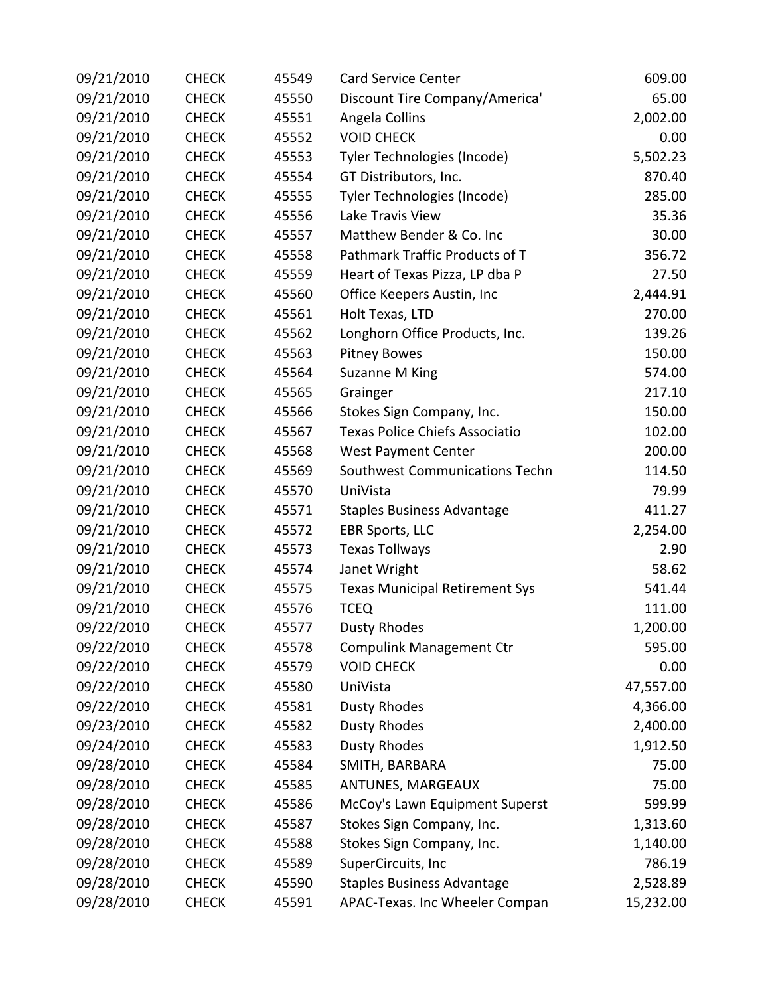| 09/21/2010 | <b>CHECK</b> | 45549 | <b>Card Service Center</b>            | 609.00    |
|------------|--------------|-------|---------------------------------------|-----------|
| 09/21/2010 | <b>CHECK</b> | 45550 | Discount Tire Company/America'        | 65.00     |
| 09/21/2010 | <b>CHECK</b> | 45551 | Angela Collins                        | 2,002.00  |
| 09/21/2010 | <b>CHECK</b> | 45552 | <b>VOID CHECK</b>                     | 0.00      |
| 09/21/2010 | <b>CHECK</b> | 45553 | Tyler Technologies (Incode)           | 5,502.23  |
| 09/21/2010 | <b>CHECK</b> | 45554 | GT Distributors, Inc.                 | 870.40    |
| 09/21/2010 | <b>CHECK</b> | 45555 | Tyler Technologies (Incode)           | 285.00    |
| 09/21/2010 | <b>CHECK</b> | 45556 | Lake Travis View                      | 35.36     |
| 09/21/2010 | <b>CHECK</b> | 45557 | Matthew Bender & Co. Inc              | 30.00     |
| 09/21/2010 | <b>CHECK</b> | 45558 | Pathmark Traffic Products of T        | 356.72    |
| 09/21/2010 | <b>CHECK</b> | 45559 | Heart of Texas Pizza, LP dba P        | 27.50     |
| 09/21/2010 | <b>CHECK</b> | 45560 | Office Keepers Austin, Inc            | 2,444.91  |
| 09/21/2010 | <b>CHECK</b> | 45561 | Holt Texas, LTD                       | 270.00    |
| 09/21/2010 | <b>CHECK</b> | 45562 | Longhorn Office Products, Inc.        | 139.26    |
| 09/21/2010 | <b>CHECK</b> | 45563 | <b>Pitney Bowes</b>                   | 150.00    |
| 09/21/2010 | <b>CHECK</b> | 45564 | Suzanne M King                        | 574.00    |
| 09/21/2010 | <b>CHECK</b> | 45565 | Grainger                              | 217.10    |
| 09/21/2010 | <b>CHECK</b> | 45566 | Stokes Sign Company, Inc.             | 150.00    |
| 09/21/2010 | <b>CHECK</b> | 45567 | <b>Texas Police Chiefs Associatio</b> | 102.00    |
| 09/21/2010 | <b>CHECK</b> | 45568 | <b>West Payment Center</b>            | 200.00    |
| 09/21/2010 | <b>CHECK</b> | 45569 | Southwest Communications Techn        | 114.50    |
| 09/21/2010 | <b>CHECK</b> | 45570 | UniVista                              | 79.99     |
| 09/21/2010 | <b>CHECK</b> | 45571 | <b>Staples Business Advantage</b>     | 411.27    |
| 09/21/2010 | <b>CHECK</b> | 45572 | <b>EBR Sports, LLC</b>                | 2,254.00  |
| 09/21/2010 | <b>CHECK</b> | 45573 | <b>Texas Tollways</b>                 | 2.90      |
| 09/21/2010 | <b>CHECK</b> | 45574 | Janet Wright                          | 58.62     |
| 09/21/2010 | <b>CHECK</b> | 45575 | <b>Texas Municipal Retirement Sys</b> | 541.44    |
| 09/21/2010 | <b>CHECK</b> | 45576 | <b>TCEQ</b>                           | 111.00    |
| 09/22/2010 | <b>CHECK</b> | 45577 | Dusty Rhodes                          | 1,200.00  |
| 09/22/2010 | <b>CHECK</b> | 45578 | <b>Compulink Management Ctr</b>       | 595.00    |
| 09/22/2010 | <b>CHECK</b> | 45579 | <b>VOID CHECK</b>                     | 0.00      |
| 09/22/2010 | <b>CHECK</b> | 45580 | UniVista                              | 47,557.00 |
| 09/22/2010 | <b>CHECK</b> | 45581 | <b>Dusty Rhodes</b>                   | 4,366.00  |
| 09/23/2010 | <b>CHECK</b> | 45582 | <b>Dusty Rhodes</b>                   | 2,400.00  |
| 09/24/2010 | <b>CHECK</b> | 45583 | <b>Dusty Rhodes</b>                   | 1,912.50  |
| 09/28/2010 | <b>CHECK</b> | 45584 | SMITH, BARBARA                        | 75.00     |
| 09/28/2010 | <b>CHECK</b> | 45585 | ANTUNES, MARGEAUX                     | 75.00     |
| 09/28/2010 | <b>CHECK</b> | 45586 | McCoy's Lawn Equipment Superst        | 599.99    |
| 09/28/2010 | <b>CHECK</b> | 45587 | Stokes Sign Company, Inc.             | 1,313.60  |
| 09/28/2010 | <b>CHECK</b> | 45588 | Stokes Sign Company, Inc.             | 1,140.00  |
| 09/28/2010 | <b>CHECK</b> | 45589 | SuperCircuits, Inc                    | 786.19    |
| 09/28/2010 | <b>CHECK</b> | 45590 | <b>Staples Business Advantage</b>     | 2,528.89  |
| 09/28/2010 | <b>CHECK</b> | 45591 | APAC-Texas. Inc Wheeler Compan        | 15,232.00 |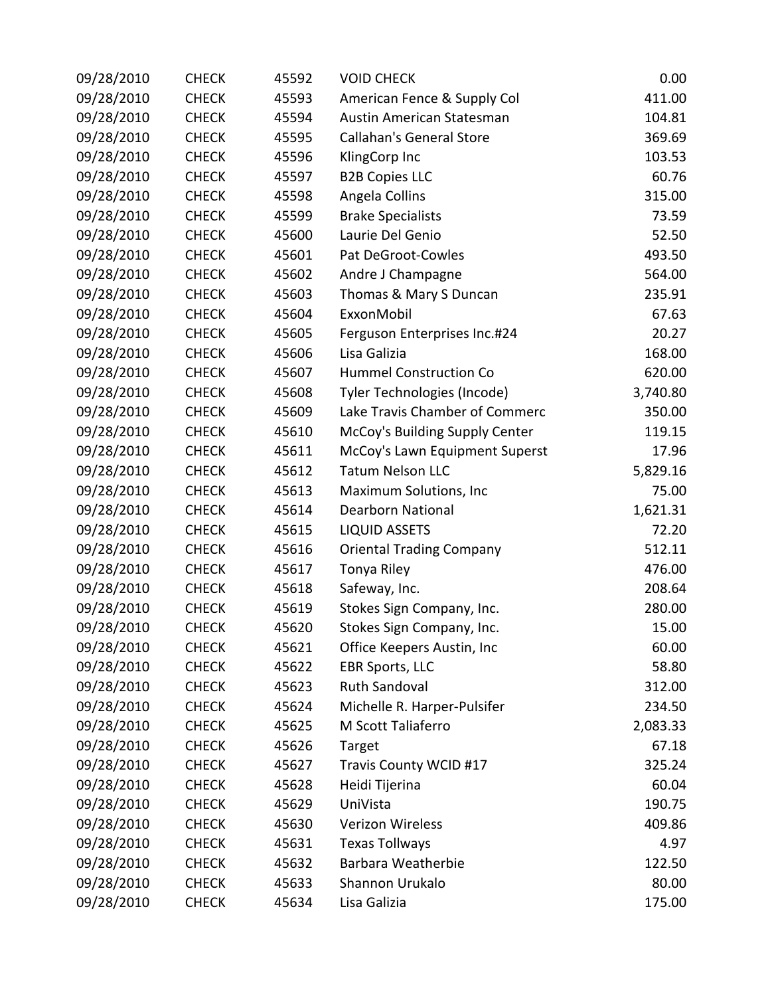| 09/28/2010 | <b>CHECK</b> | 45592 | <b>VOID CHECK</b>               | 0.00     |
|------------|--------------|-------|---------------------------------|----------|
| 09/28/2010 | <b>CHECK</b> | 45593 | American Fence & Supply Col     | 411.00   |
| 09/28/2010 | <b>CHECK</b> | 45594 | Austin American Statesman       | 104.81   |
| 09/28/2010 | <b>CHECK</b> | 45595 | <b>Callahan's General Store</b> | 369.69   |
| 09/28/2010 | <b>CHECK</b> | 45596 | KlingCorp Inc                   | 103.53   |
| 09/28/2010 | <b>CHECK</b> | 45597 | <b>B2B Copies LLC</b>           | 60.76    |
| 09/28/2010 | <b>CHECK</b> | 45598 | Angela Collins                  | 315.00   |
| 09/28/2010 | <b>CHECK</b> | 45599 | <b>Brake Specialists</b>        | 73.59    |
| 09/28/2010 | <b>CHECK</b> | 45600 | Laurie Del Genio                | 52.50    |
| 09/28/2010 | <b>CHECK</b> | 45601 | Pat DeGroot-Cowles              | 493.50   |
| 09/28/2010 | <b>CHECK</b> | 45602 | Andre J Champagne               | 564.00   |
| 09/28/2010 | <b>CHECK</b> | 45603 | Thomas & Mary S Duncan          | 235.91   |
| 09/28/2010 | <b>CHECK</b> | 45604 | ExxonMobil                      | 67.63    |
| 09/28/2010 | <b>CHECK</b> | 45605 | Ferguson Enterprises Inc.#24    | 20.27    |
| 09/28/2010 | <b>CHECK</b> | 45606 | Lisa Galizia                    | 168.00   |
| 09/28/2010 | <b>CHECK</b> | 45607 | <b>Hummel Construction Co</b>   | 620.00   |
| 09/28/2010 | <b>CHECK</b> | 45608 | Tyler Technologies (Incode)     | 3,740.80 |
| 09/28/2010 | <b>CHECK</b> | 45609 | Lake Travis Chamber of Commerc  | 350.00   |
| 09/28/2010 | <b>CHECK</b> | 45610 | McCoy's Building Supply Center  | 119.15   |
| 09/28/2010 | <b>CHECK</b> | 45611 | McCoy's Lawn Equipment Superst  | 17.96    |
| 09/28/2010 | <b>CHECK</b> | 45612 | <b>Tatum Nelson LLC</b>         | 5,829.16 |
| 09/28/2010 | <b>CHECK</b> | 45613 | Maximum Solutions, Inc          | 75.00    |
| 09/28/2010 | <b>CHECK</b> | 45614 | <b>Dearborn National</b>        | 1,621.31 |
| 09/28/2010 | <b>CHECK</b> | 45615 | <b>LIQUID ASSETS</b>            | 72.20    |
| 09/28/2010 | <b>CHECK</b> | 45616 | <b>Oriental Trading Company</b> | 512.11   |
| 09/28/2010 | <b>CHECK</b> | 45617 | Tonya Riley                     | 476.00   |
| 09/28/2010 | <b>CHECK</b> | 45618 | Safeway, Inc.                   | 208.64   |
| 09/28/2010 | <b>CHECK</b> | 45619 | Stokes Sign Company, Inc.       | 280.00   |
| 09/28/2010 | <b>CHECK</b> | 45620 | Stokes Sign Company, Inc.       | 15.00    |
| 09/28/2010 | <b>CHECK</b> | 45621 | Office Keepers Austin, Inc      | 60.00    |
| 09/28/2010 | <b>CHECK</b> | 45622 | <b>EBR Sports, LLC</b>          | 58.80    |
| 09/28/2010 | <b>CHECK</b> | 45623 | <b>Ruth Sandoval</b>            | 312.00   |
| 09/28/2010 | <b>CHECK</b> | 45624 | Michelle R. Harper-Pulsifer     | 234.50   |
| 09/28/2010 | <b>CHECK</b> | 45625 | M Scott Taliaferro              | 2,083.33 |
| 09/28/2010 | <b>CHECK</b> | 45626 | Target                          | 67.18    |
| 09/28/2010 | <b>CHECK</b> | 45627 | Travis County WCID #17          | 325.24   |
| 09/28/2010 | <b>CHECK</b> | 45628 | Heidi Tijerina                  | 60.04    |
| 09/28/2010 | <b>CHECK</b> | 45629 | UniVista                        | 190.75   |
| 09/28/2010 | <b>CHECK</b> | 45630 | <b>Verizon Wireless</b>         | 409.86   |
| 09/28/2010 | <b>CHECK</b> | 45631 | <b>Texas Tollways</b>           | 4.97     |
| 09/28/2010 | <b>CHECK</b> | 45632 | Barbara Weatherbie              | 122.50   |
| 09/28/2010 | <b>CHECK</b> | 45633 | Shannon Urukalo                 | 80.00    |
| 09/28/2010 | <b>CHECK</b> | 45634 | Lisa Galizia                    | 175.00   |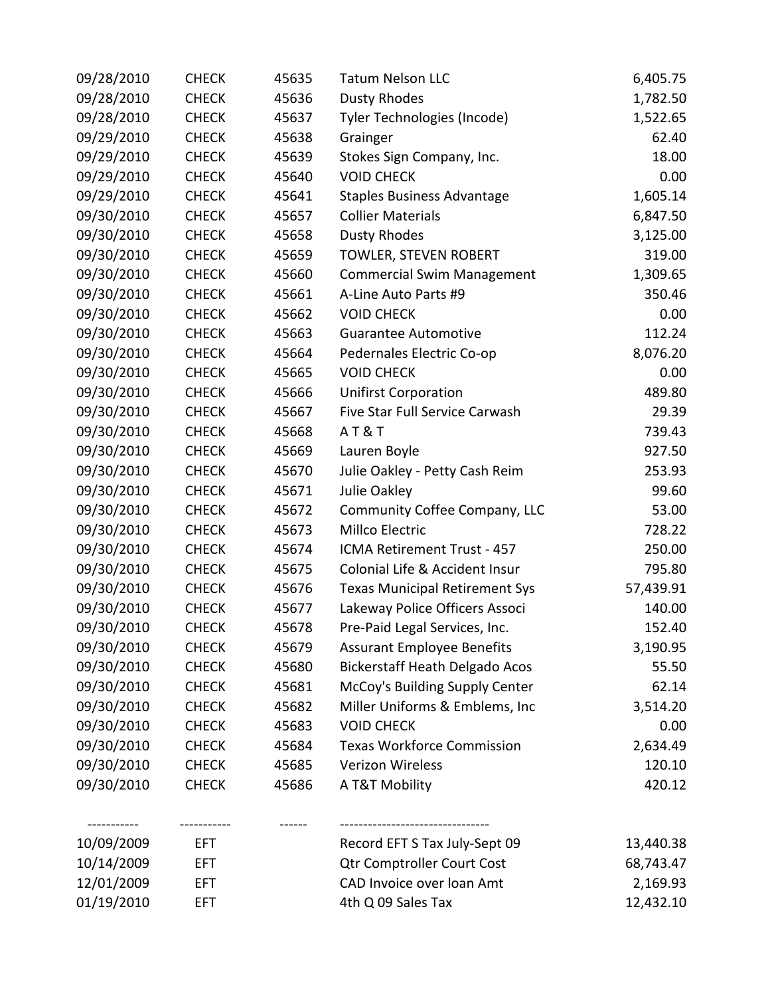| 09/28/2010 | <b>CHECK</b> | 45635 | <b>Tatum Nelson LLC</b>               | 6,405.75  |
|------------|--------------|-------|---------------------------------------|-----------|
| 09/28/2010 | <b>CHECK</b> | 45636 | <b>Dusty Rhodes</b>                   | 1,782.50  |
| 09/28/2010 | <b>CHECK</b> | 45637 | Tyler Technologies (Incode)           | 1,522.65  |
| 09/29/2010 | <b>CHECK</b> | 45638 | Grainger                              | 62.40     |
| 09/29/2010 | <b>CHECK</b> | 45639 | Stokes Sign Company, Inc.             | 18.00     |
| 09/29/2010 | <b>CHECK</b> | 45640 | <b>VOID CHECK</b>                     | 0.00      |
| 09/29/2010 | <b>CHECK</b> | 45641 | <b>Staples Business Advantage</b>     | 1,605.14  |
| 09/30/2010 | <b>CHECK</b> | 45657 | <b>Collier Materials</b>              | 6,847.50  |
| 09/30/2010 | <b>CHECK</b> | 45658 | <b>Dusty Rhodes</b>                   | 3,125.00  |
| 09/30/2010 | <b>CHECK</b> | 45659 | TOWLER, STEVEN ROBERT                 | 319.00    |
| 09/30/2010 | <b>CHECK</b> | 45660 | <b>Commercial Swim Management</b>     | 1,309.65  |
| 09/30/2010 | <b>CHECK</b> | 45661 | A-Line Auto Parts #9                  | 350.46    |
| 09/30/2010 | <b>CHECK</b> | 45662 | <b>VOID CHECK</b>                     | 0.00      |
| 09/30/2010 | <b>CHECK</b> | 45663 | <b>Guarantee Automotive</b>           | 112.24    |
| 09/30/2010 | <b>CHECK</b> | 45664 | Pedernales Electric Co-op             | 8,076.20  |
| 09/30/2010 | <b>CHECK</b> | 45665 | <b>VOID CHECK</b>                     | 0.00      |
| 09/30/2010 | <b>CHECK</b> | 45666 | <b>Unifirst Corporation</b>           | 489.80    |
| 09/30/2010 | <b>CHECK</b> | 45667 | Five Star Full Service Carwash        | 29.39     |
| 09/30/2010 | <b>CHECK</b> | 45668 | <b>AT&amp;T</b>                       | 739.43    |
| 09/30/2010 | <b>CHECK</b> | 45669 | Lauren Boyle                          | 927.50    |
| 09/30/2010 | <b>CHECK</b> | 45670 | Julie Oakley - Petty Cash Reim        | 253.93    |
| 09/30/2010 | <b>CHECK</b> | 45671 | Julie Oakley                          | 99.60     |
| 09/30/2010 | <b>CHECK</b> | 45672 | Community Coffee Company, LLC         | 53.00     |
| 09/30/2010 | <b>CHECK</b> | 45673 | Millco Electric                       | 728.22    |
| 09/30/2010 | <b>CHECK</b> | 45674 | ICMA Retirement Trust - 457           | 250.00    |
| 09/30/2010 | <b>CHECK</b> | 45675 | Colonial Life & Accident Insur        | 795.80    |
| 09/30/2010 | <b>CHECK</b> | 45676 | <b>Texas Municipal Retirement Sys</b> | 57,439.91 |
| 09/30/2010 | <b>CHECK</b> | 45677 | Lakeway Police Officers Associ        | 140.00    |
| 09/30/2010 | <b>CHECK</b> | 45678 | Pre-Paid Legal Services, Inc.         | 152.40    |
| 09/30/2010 | <b>CHECK</b> | 45679 | <b>Assurant Employee Benefits</b>     | 3,190.95  |
| 09/30/2010 | <b>CHECK</b> | 45680 | <b>Bickerstaff Heath Delgado Acos</b> | 55.50     |
| 09/30/2010 | <b>CHECK</b> | 45681 | McCoy's Building Supply Center        | 62.14     |
| 09/30/2010 | <b>CHECK</b> | 45682 | Miller Uniforms & Emblems, Inc        | 3,514.20  |
| 09/30/2010 | <b>CHECK</b> | 45683 | <b>VOID CHECK</b>                     | 0.00      |
| 09/30/2010 | <b>CHECK</b> | 45684 | <b>Texas Workforce Commission</b>     | 2,634.49  |
| 09/30/2010 | <b>CHECK</b> | 45685 | <b>Verizon Wireless</b>               | 120.10    |
| 09/30/2010 | <b>CHECK</b> | 45686 | A T&T Mobility                        | 420.12    |
|            | ---------    |       |                                       |           |
| 10/09/2009 | EFT          |       | Record EFT S Tax July-Sept 09         | 13,440.38 |
| 10/14/2009 | EFT.         |       | <b>Qtr Comptroller Court Cost</b>     | 68,743.47 |
| 12/01/2009 | EFT.         |       | CAD Invoice over loan Amt             | 2,169.93  |
| 01/19/2010 | EFT.         |       | 4th Q 09 Sales Tax                    | 12,432.10 |
|            |              |       |                                       |           |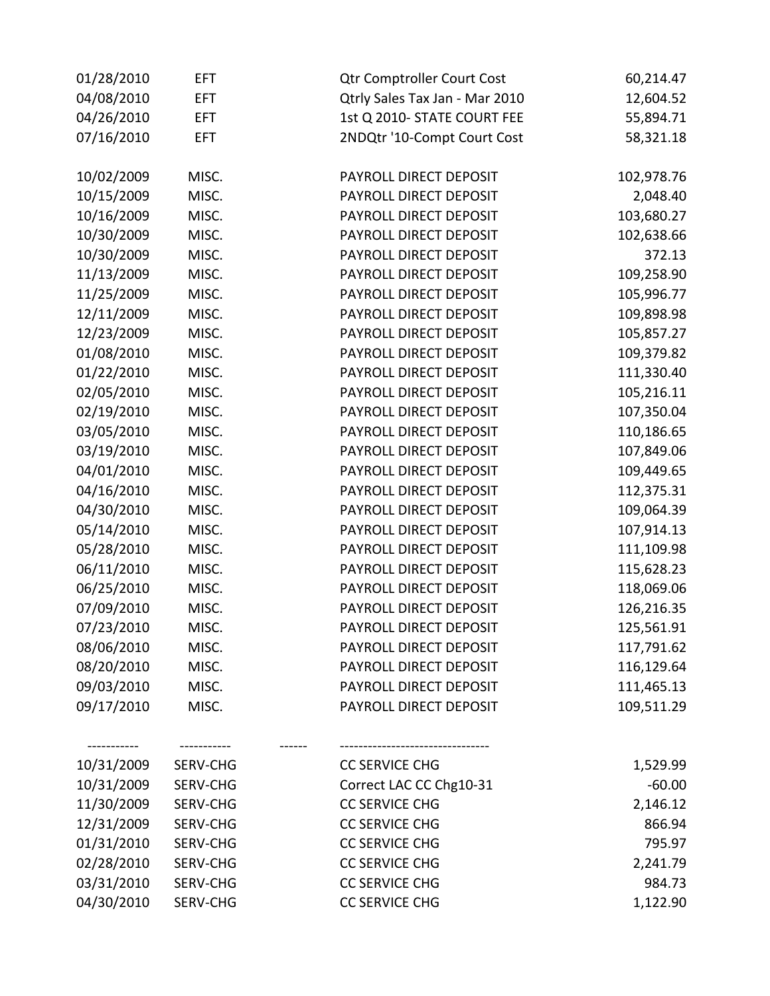| 01/28/2010 | EFT.       | <b>Qtr Comptroller Court Cost</b> | 60,214.47  |
|------------|------------|-----------------------------------|------------|
| 04/08/2010 | <b>EFT</b> | Qtrly Sales Tax Jan - Mar 2010    | 12,604.52  |
| 04/26/2010 | <b>EFT</b> | 1st Q 2010- STATE COURT FEE       | 55,894.71  |
| 07/16/2010 | <b>EFT</b> | 2NDQtr '10-Compt Court Cost       | 58,321.18  |
| 10/02/2009 | MISC.      | PAYROLL DIRECT DEPOSIT            | 102,978.76 |
| 10/15/2009 | MISC.      | PAYROLL DIRECT DEPOSIT            | 2,048.40   |
| 10/16/2009 | MISC.      | PAYROLL DIRECT DEPOSIT            | 103,680.27 |
| 10/30/2009 | MISC.      | PAYROLL DIRECT DEPOSIT            | 102,638.66 |
| 10/30/2009 | MISC.      | PAYROLL DIRECT DEPOSIT            | 372.13     |
| 11/13/2009 | MISC.      | PAYROLL DIRECT DEPOSIT            | 109,258.90 |
| 11/25/2009 | MISC.      | PAYROLL DIRECT DEPOSIT            | 105,996.77 |
| 12/11/2009 | MISC.      | PAYROLL DIRECT DEPOSIT            | 109,898.98 |
| 12/23/2009 | MISC.      | PAYROLL DIRECT DEPOSIT            | 105,857.27 |
| 01/08/2010 | MISC.      | PAYROLL DIRECT DEPOSIT            | 109,379.82 |
| 01/22/2010 | MISC.      | PAYROLL DIRECT DEPOSIT            | 111,330.40 |
| 02/05/2010 | MISC.      | PAYROLL DIRECT DEPOSIT            | 105,216.11 |
| 02/19/2010 | MISC.      | PAYROLL DIRECT DEPOSIT            | 107,350.04 |
| 03/05/2010 | MISC.      | PAYROLL DIRECT DEPOSIT            | 110,186.65 |
| 03/19/2010 | MISC.      | PAYROLL DIRECT DEPOSIT            | 107,849.06 |
| 04/01/2010 | MISC.      | PAYROLL DIRECT DEPOSIT            | 109,449.65 |
| 04/16/2010 | MISC.      | PAYROLL DIRECT DEPOSIT            | 112,375.31 |
| 04/30/2010 | MISC.      | PAYROLL DIRECT DEPOSIT            | 109,064.39 |
| 05/14/2010 | MISC.      | PAYROLL DIRECT DEPOSIT            | 107,914.13 |
| 05/28/2010 | MISC.      | PAYROLL DIRECT DEPOSIT            | 111,109.98 |
| 06/11/2010 | MISC.      | PAYROLL DIRECT DEPOSIT            | 115,628.23 |
| 06/25/2010 | MISC.      | PAYROLL DIRECT DEPOSIT            | 118,069.06 |
| 07/09/2010 | MISC.      | PAYROLL DIRECT DEPOSIT            | 126,216.35 |
| 07/23/2010 | MISC.      | PAYROLL DIRECT DEPOSIT            | 125,561.91 |
| 08/06/2010 | MISC.      | PAYROLL DIRECT DEPOSIT            | 117,791.62 |
| 08/20/2010 | MISC.      | PAYROLL DIRECT DEPOSIT            | 116,129.64 |
| 09/03/2010 | MISC.      | PAYROLL DIRECT DEPOSIT            | 111,465.13 |
| 09/17/2010 | MISC.      | PAYROLL DIRECT DEPOSIT            | 109,511.29 |
|            |            |                                   |            |
| 10/31/2009 | SERV-CHG   | <b>CC SERVICE CHG</b>             | 1,529.99   |
| 10/31/2009 | SERV-CHG   | Correct LAC CC Chg10-31           | $-60.00$   |
| 11/30/2009 | SERV-CHG   | <b>CC SERVICE CHG</b>             | 2,146.12   |
| 12/31/2009 | SERV-CHG   | <b>CC SERVICE CHG</b>             | 866.94     |
| 01/31/2010 | SERV-CHG   | <b>CC SERVICE CHG</b>             | 795.97     |
| 02/28/2010 | SERV-CHG   | <b>CC SERVICE CHG</b>             | 2,241.79   |
| 03/31/2010 | SERV-CHG   | <b>CC SERVICE CHG</b>             | 984.73     |
| 04/30/2010 | SERV-CHG   | <b>CC SERVICE CHG</b>             | 1,122.90   |